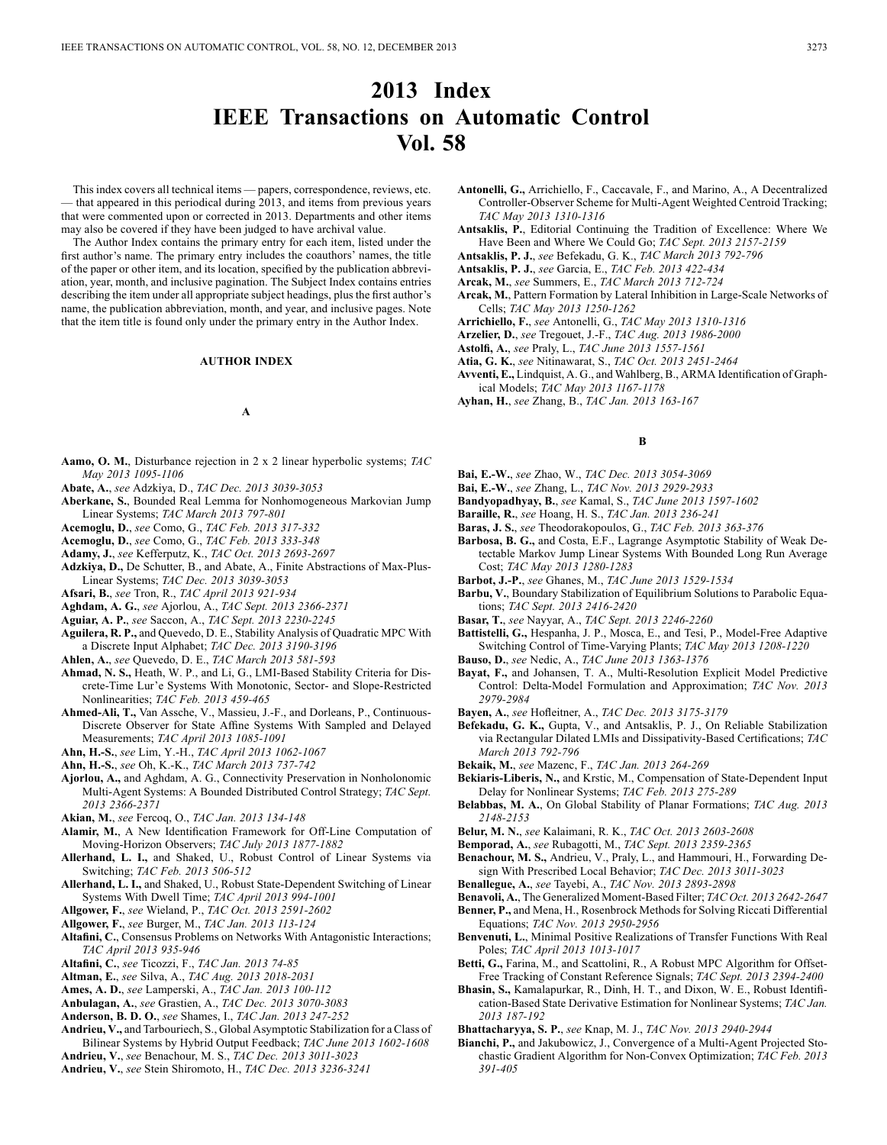# **2013 Index IEEE Transactions on Automatic Control Vol. 58**

This index covers all technical items — papers, correspondence, reviews, etc. — that appeared in this periodical during 2013, and items from previous years that were commented upon or corrected in 2013. Departments and other items may also be covered if they have been judged to have archival value.

The Author Index contains the primary entry for each item, listed under the first author's name. The primary entry includes the coauthors' names, the title of the paper or other item, and its location, specified by the publication abbreviation, year, month, and inclusive pagination. The Subject Index contains entries describing the item under all appropriate subject headings, plus the first author's name, the publication abbreviation, month, and year, and inclusive pages. Note that the item title is found only under the primary entry in the Author Index.

#### **AUTHOR INDEX**

### **A**

- **Aamo, O. M.**, Disturbance rejection in 2 x 2 linear hyperbolic systems; *TAC May 2013 1095-1106*
- **Abate, A.**, *see* Adzkiya, D., *TAC Dec. 2013 3039-3053*
- **Aberkane, S.**, Bounded Real Lemma for Nonhomogeneous Markovian Jump Linear Systems; *TAC March 2013 797-801*
- **Acemoglu, D.**, *see* Como, G., *TAC Feb. 2013 317-332*
- **Acemoglu, D.**, *see* Como, G., *TAC Feb. 2013 333-348*
- **Adamy, J.**, *see* Kefferputz, K., *TAC Oct. 2013 2693-2697*
- **Adzkiya, D.,** De Schutter, B., and Abate, A., Finite Abstractions of Max-Plus-Linear Systems; *TAC Dec. 2013 3039-3053*

**Afsari, B.**, *see* Tron, R., *TAC April 2013 921-934*

- **Aghdam, A. G.**, *see* Ajorlou, A., *TAC Sept. 2013 2366-2371*
- **Aguiar, A. P.**, *see* Saccon, A., *TAC Sept. 2013 2230-2245*
- **Aguilera, R. P.,** and Quevedo, D. E., Stability Analysis of Quadratic MPC With a Discrete Input Alphabet; *TAC Dec. 2013 3190-3196*
- **Ahlen, A.**, *see* Quevedo, D. E., *TAC March 2013 581-593*
- **Ahmad, N. S.,** Heath, W. P., and Li, G., LMI-Based Stability Criteria for Discrete-Time Lur'e Systems With Monotonic, Sector- and Slope-Restricted Nonlinearities; *TAC Feb. 2013 459-465*
- **Ahmed-Ali, T.,** Van Assche, V., Massieu, J.-F., and Dorleans, P., Continuous-Discrete Observer for State Affine Systems With Sampled and Delayed Measurements; *TAC April 2013 1085-1091*
- **Ahn, H.-S.**, *see* Lim, Y.-H., *TAC April 2013 1062-1067*
- **Ahn, H.-S.**, *see* Oh, K.-K., *TAC March 2013 737-742*
- **Ajorlou, A.,** and Aghdam, A. G., Connectivity Preservation in Nonholonomic Multi-Agent Systems: A Bounded Distributed Control Strategy; *TAC Sept. 2013 2366-2371*
- **Akian, M.**, *see* Fercoq, O., *TAC Jan. 2013 134-148*
- **Alamir, M.**, A New Identification Framework for Off-Line Computation of Moving-Horizon Observers; *TAC July 2013 1877-1882*
- **Allerhand, L. I.,** and Shaked, U., Robust Control of Linear Systems via Switching; *TAC Feb. 2013 506-512*
- **Allerhand, L. I.,** and Shaked, U., Robust State-Dependent Switching of Linear Systems With Dwell Time; *TAC April 2013 994-1001*
- **Allgower, F.**, *see* Wieland, P., *TAC Oct. 2013 2591-2602*
- **Allgower, F.**, *see* Burger, M., *TAC Jan. 2013 113-124*
- **Altafini, C.**, Consensus Problems on Networks With Antagonistic Interactions; *TAC April 2013 935-946*
- **Altafini, C.**, *see* Ticozzi, F., *TAC Jan. 2013 74-85*
- **Altman, E.**, *see* Silva, A., *TAC Aug. 2013 2018-2031*
- **Ames, A. D.**, *see* Lamperski, A., *TAC Jan. 2013 100-112*
- **Anbulagan, A.**, *see* Grastien, A., *TAC Dec. 2013 3070-3083*
- **Anderson, B. D. O.**, *see* Shames, I., *TAC Jan. 2013 247-252*
- **Andrieu, V.,** and Tarbouriech, S., Global Asymptotic Stabilization for a Class of Bilinear Systems by Hybrid Output Feedback; *TAC June 2013 1602-1608*
- **Andrieu, V.**, *see* Benachour, M. S., *TAC Dec. 2013 3011-3023*
- **Andrieu, V.**, *see* Stein Shiromoto, H., *TAC Dec. 2013 3236-3241*
- **Antonelli, G.,** Arrichiello, F., Caccavale, F., and Marino, A., A Decentralized Controller-Observer Scheme for Multi-Agent Weighted Centroid Tracking; *TAC May 2013 1310-1316*
- **Antsaklis, P.**, Editorial Continuing the Tradition of Excellence: Where We Have Been and Where We Could Go; *TAC Sept. 2013 2157-2159*
- **Antsaklis, P. J.**, *see* Befekadu, G. K., *TAC March 2013 792-796*
- **Antsaklis, P. J.**, *see* Garcia, E., *TAC Feb. 2013 422-434*
- **Arcak, M.**, *see* Summers, E., *TAC March 2013 712-724*
- **Arcak, M.**, Pattern Formation by Lateral Inhibition in Large-Scale Networks of Cells; *TAC May 2013 1250-1262*
- **Arrichiello, F.**, *see* Antonelli, G., *TAC May 2013 1310-1316*
- **Arzelier, D.**, *see* Tregouet, J.-F., *TAC Aug. 2013 1986-2000*
- **Astolfi, A.**, *see* Praly, L., *TAC June 2013 1557-1561*
- **Atia, G. K.**, *see* Nitinawarat, S., *TAC Oct. 2013 2451-2464*
- **Avventi, E.,** Lindquist, A. G., and Wahlberg, B., ARMA Identification of Graphical Models; *TAC May 2013 1167-1178*
- **Ayhan, H.**, *see* Zhang, B., *TAC Jan. 2013 163-167*

### **B**

- **Bai, E.-W.**, *see* Zhao, W., *TAC Dec. 2013 3054-3069*
- **Bai, E.-W.**, *see* Zhang, L., *TAC Nov. 2013 2929-2933*
- **Bandyopadhyay, B.**, *see* Kamal, S., *TAC June 2013 1597-1602*
- **Baraille, R.**, *see* Hoang, H. S., *TAC Jan. 2013 236-241*
- **Baras, J. S.**, *see* Theodorakopoulos, G., *TAC Feb. 2013 363-376*
- **Barbosa, B. G.,** and Costa, E.F., Lagrange Asymptotic Stability of Weak Detectable Markov Jump Linear Systems With Bounded Long Run Average Cost; *TAC May 2013 1280-1283*
- **Barbot, J.-P.**, *see* Ghanes, M., *TAC June 2013 1529-1534*
- **Barbu, V.**, Boundary Stabilization of Equilibrium Solutions to Parabolic Equations; *TAC Sept. 2013 2416-2420*
- **Basar, T.**, *see* Nayyar, A., *TAC Sept. 2013 2246-2260*
- **Battistelli, G.,** Hespanha, J. P., Mosca, E., and Tesi, P., Model-Free Adaptive Switching Control of Time-Varying Plants; *TAC May 2013 1208-1220*
- **Bauso, D.**, *see* Nedic, A., *TAC June 2013 1363-1376*
- **Bayat, F.,** and Johansen, T. A., Multi-Resolution Explicit Model Predictive Control: Delta-Model Formulation and Approximation; *TAC Nov. 2013 2979-2984*
- **Bayen, A.**, *see* Hofleitner, A., *TAC Dec. 2013 3175-3179*
- **Befekadu, G. K.,** Gupta, V., and Antsaklis, P. J., On Reliable Stabilization via Rectangular Dilated LMIs and Dissipativity-Based Certifications; *TAC March 2013 792-796*
- **Bekaik, M.**, *see* Mazenc, F., *TAC Jan. 2013 264-269*
- **Bekiaris-Liberis, N.,** and Krstic, M., Compensation of State-Dependent Input Delay for Nonlinear Systems; *TAC Feb. 2013 275-289*
- **Belabbas, M. A.**, On Global Stability of Planar Formations; *TAC Aug. 2013 2148-2153*
- **Belur, M. N.**, *see* Kalaimani, R. K., *TAC Oct. 2013 2603-2608*
- **Bemporad, A.**, *see* Rubagotti, M., *TAC Sept. 2013 2359-2365*
- **Benachour, M. S.,** Andrieu, V., Praly, L., and Hammouri, H., Forwarding Design With Prescribed Local Behavior; *TAC Dec. 2013 3011-3023*
- **Benallegue, A.**, *see* Tayebi, A., *TAC Nov. 2013 2893-2898*
- **Benavoli, A.**, The Generalized Moment-Based Filter; *TAC Oct. 2013 2642-2647*
- Benner, P., and Mena, H., Rosenbrock Methods for Solving Riccati Differential Equations; *TAC Nov. 2013 2950-2956*
- **Benvenuti, L.**, Minimal Positive Realizations of Transfer Functions With Real Poles; *TAC April 2013 1013-1017*
- **Betti, G.,** Farina, M., and Scattolini, R., A Robust MPC Algorithm for Offset-Free Tracking of Constant Reference Signals; *TAC Sept. 2013 2394-2400*
- **Bhasin, S.,** Kamalapurkar, R., Dinh, H. T., and Dixon, W. E., Robust Identification-Based State Derivative Estimation for Nonlinear Systems; *TAC Jan. 2013 187-192*
- **Bhattacharyya, S. P.**, *see* Knap, M. J., *TAC Nov. 2013 2940-2944*
- **Bianchi, P.,** and Jakubowicz, J., Convergence of a Multi-Agent Projected Stochastic Gradient Algorithm for Non-Convex Optimization; *TAC Feb. 2013 391-405*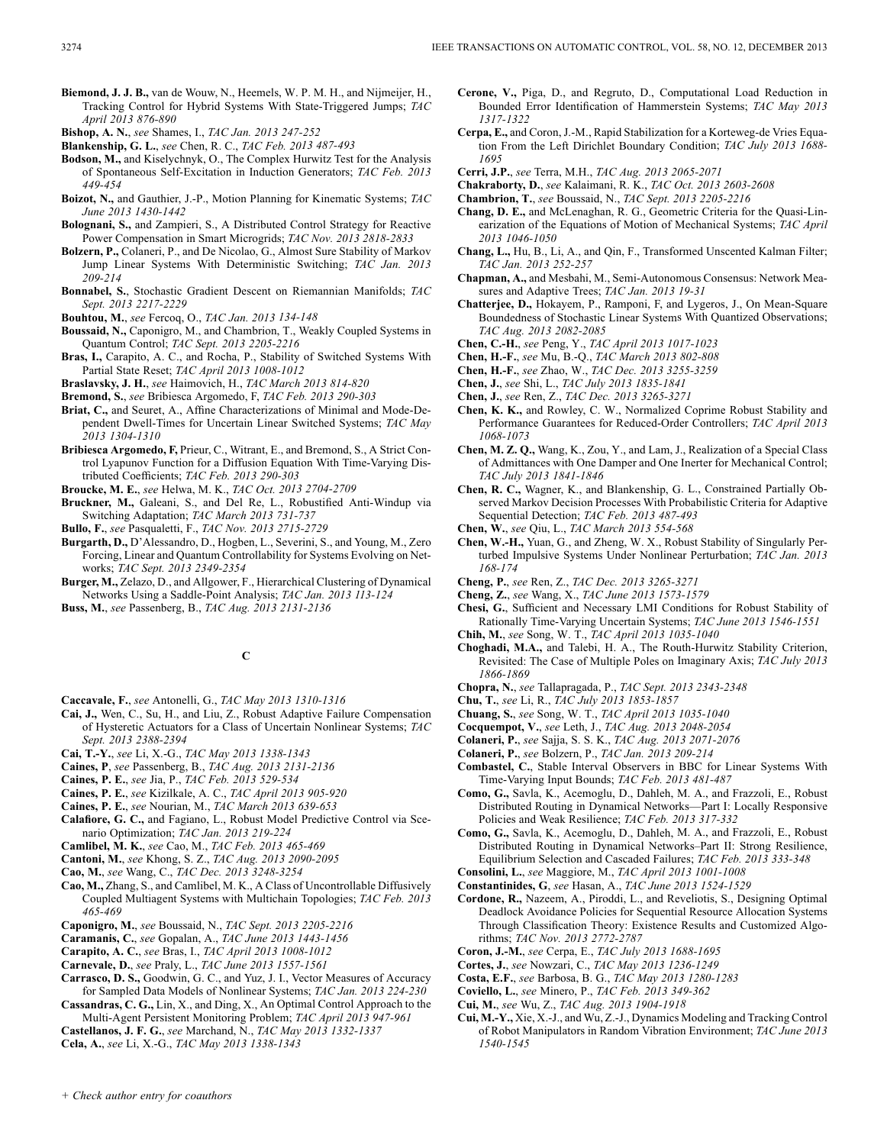**Biemond, J. J. B.,** van de Wouw, N., Heemels, W. P. M. H., and Nijmeijer, H., Tracking Control for Hybrid Systems With State-Triggered Jumps; *TAC April 2013 876-890*

- **Blankenship, G. L.**, *see* Chen, R. C., *TAC Feb. 2013 487-493*
- **Bodson, M.,** and Kiselychnyk, O., The Complex Hurwitz Test for the Analysis of Spontaneous Self-Excitation in Induction Generators; *TAC Feb. 2013 449-454*
- **Boizot, N.,** and Gauthier, J.-P., Motion Planning for Kinematic Systems; *TAC June 2013 1430-1442*
- **Bolognani, S.,** and Zampieri, S., A Distributed Control Strategy for Reactive Power Compensation in Smart Microgrids; *TAC Nov. 2013 2818-2833*
- **Bolzern, P.,** Colaneri, P., and De Nicolao, G., Almost Sure Stability of Markov Jump Linear Systems With Deterministic Switching; *TAC Jan. 2013 209-214*
- **Bonnabel, S.**, Stochastic Gradient Descent on Riemannian Manifolds; *TAC Sept. 2013 2217-2229*
- **Bouhtou, M.**, *see* Fercoq, O., *TAC Jan. 2013 134-148*
- **Boussaid, N.,** Caponigro, M., and Chambrion, T., Weakly Coupled Systems in Quantum Control; *TAC Sept. 2013 2205-2216*
- **Bras, I.,** Carapito, A. C., and Rocha, P., Stability of Switched Systems With Partial State Reset; *TAC April 2013 1008-1012*
- **Braslavsky, J. H.**, *see* Haimovich, H., *TAC March 2013 814-820*

**Bremond, S.**, *see* Bribiesca Argomedo, F, *TAC Feb. 2013 290-303*

- **Briat, C.,** and Seuret, A., Affine Characterizations of Minimal and Mode-Dependent Dwell-Times for Uncertain Linear Switched Systems; *TAC May 2013 1304-1310*
- **Bribiesca Argomedo, F,** Prieur, C., Witrant, E., and Bremond, S., A Strict Control Lyapunov Function for a Diffusion Equation With Time-Varying Distributed Coefficients; *TAC Feb. 2013 290-303*
- **Broucke, M. E.**, *see* Helwa, M. K., *TAC Oct. 2013 2704-2709*
- **Bruckner, M.,** Galeani, S., and Del Re, L., Robustified Anti-Windup via Switching Adaptation; *TAC March 2013 731-737*

**Bullo, F.**, *see* Pasqualetti, F., *TAC Nov. 2013 2715-2729*

- **Burgarth, D.,** D'Alessandro, D., Hogben, L., Severini, S., and Young, M., Zero Forcing, Linear and Quantum Controllability for Systems Evolving on Networks; *TAC Sept. 2013 2349-2354*
- **Burger, M.,** Zelazo, D., and Allgower, F., Hierarchical Clustering of Dynamical Networks Using a Saddle-Point Analysis; *TAC Jan. 2013 113-124*

**Buss, M.**, *see* Passenberg, B., *TAC Aug. 2013 2131-2136*

**C**

- **Caccavale, F.**, *see* Antonelli, G., *TAC May 2013 1310-1316*
- **Cai, J.,** Wen, C., Su, H., and Liu, Z., Robust Adaptive Failure Compensation of Hysteretic Actuators for a Class of Uncertain Nonlinear Systems; *TAC Sept. 2013 2388-2394*
- **Cai, T.-Y.**, *see* Li, X.-G., *TAC May 2013 1338-1343*
- **Caines, P**, *see* Passenberg, B., *TAC Aug. 2013 2131-2136*
- **Caines, P. E.**, *see* Jia, P., *TAC Feb. 2013 529-534*
- **Caines, P. E.**, *see* Kizilkale, A. C., *TAC April 2013 905-920*
- **Caines, P. E.**, *see* Nourian, M., *TAC March 2013 639-653*
- **Calafiore, G. C.,** and Fagiano, L., Robust Model Predictive Control via Scenario Optimization; *TAC Jan. 2013 219-224*
- **Camlibel, M. K.**, *see* Cao, M., *TAC Feb. 2013 465-469*
- **Cantoni, M.**, *see* Khong, S. Z., *TAC Aug. 2013 2090-2095*
- **Cao, M.**, *see* Wang, C., *TAC Dec. 2013 3248-3254*
- **Cao, M.,** Zhang, S., and Camlibel, M. K., A Class of Uncontrollable Diffusively Coupled Multiagent Systems with Multichain Topologies; *TAC Feb. 2013 465-469*
- **Caponigro, M.**, *see* Boussaid, N., *TAC Sept. 2013 2205-2216*
- **Caramanis, C.**, *see* Gopalan, A., *TAC June 2013 1443-1456*
- **Carapito, A. C.**, *see* Bras, I., *TAC April 2013 1008-1012*
- **Carnevale, D.**, *see* Praly, L., *TAC June 2013 1557-1561*
- **Carrasco, D. S.,** Goodwin, G. C., and Yuz, J. I., Vector Measures of Accuracy for Sampled Data Models of Nonlinear Systems; *TAC Jan. 2013 224-230*
- **Cassandras, C. G.,** Lin, X., and Ding, X., An Optimal Control Approach to the Multi-Agent Persistent Monitoring Problem; *TAC April 2013 947-961*
- **Castellanos, J. F. G.**, *see* Marchand, N., *TAC May 2013 1332-1337*
- **Cela, A.**, *see* Li, X.-G., *TAC May 2013 1338-1343*
- **Cerone, V.,** Piga, D., and Regruto, D., Computational Load Reduction in Bounded Error Identification of Hammerstein Systems; *TAC May 2013 1317-1322*
- **Cerpa, E.,** and Coron, J.-M., Rapid Stabilization for a Korteweg-de Vries Equation From the Left Dirichlet Boundary Condition; *TAC July 2013 1688- 1695*
- **Cerri, J.P.**, *see* Terra, M.H., *TAC Aug. 2013 2065-2071*
- **Chakraborty, D.**, *see* Kalaimani, R. K., *TAC Oct. 2013 2603-2608*
- **Chambrion, T.**, *see* Boussaid, N., *TAC Sept. 2013 2205-2216*
- **Chang, D. E.,** and McLenaghan, R. G., Geometric Criteria for the Quasi-Linearization of the Equations of Motion of Mechanical Systems; *TAC April 2013 1046-1050*
- **Chang, L.,** Hu, B., Li, A., and Qin, F., Transformed Unscented Kalman Filter; *TAC Jan. 2013 252-257*
- **Chapman, A.,** and Mesbahi, M., Semi-Autonomous Consensus: Network Measures and Adaptive Trees; *TAC Jan. 2013 19-31*
- **Chatterjee, D.,** Hokayem, P., Ramponi, F, and Lygeros, J., On Mean-Square Boundedness of Stochastic Linear Systems With Quantized Observations; *TAC Aug. 2013 2082-2085*
- **Chen, C.-H.**, *see* Peng, Y., *TAC April 2013 1017-1023*
- **Chen, H.-F.**, *see* Mu, B.-Q., *TAC March 2013 802-808*
- **Chen, H.-F.**, *see* Zhao, W., *TAC Dec. 2013 3255-3259*
- **Chen, J.**, *see* Shi, L., *TAC July 2013 1835-1841*
- **Chen, J.**, *see* Ren, Z., *TAC Dec. 2013 3265-3271*
- **Chen, K. K.,** and Rowley, C. W., Normalized Coprime Robust Stability and Performance Guarantees for Reduced-Order Controllers; *TAC April 2013 1068-1073*
- **Chen, M. Z. Q.,** Wang, K., Zou, Y., and Lam, J., Realization of a Special Class of Admittances with One Damper and One Inerter for Mechanical Control; *TAC July 2013 1841-1846*
- **Chen, R. C.,** Wagner, K., and Blankenship, G. L., Constrained Partially Observed Markov Decision Processes With Probabilistic Criteria for Adaptive Sequential Detection; *TAC Feb. 2013 487-493*
- **Chen, W.**, *see* Qiu, L., *TAC March 2013 554-568*
- **Chen, W.-H.,** Yuan, G., and Zheng, W. X., Robust Stability of Singularly Perturbed Impulsive Systems Under Nonlinear Perturbation; *TAC Jan. 2013 168-174*
- **Cheng, P.**, *see* Ren, Z., *TAC Dec. 2013 3265-3271*
- **Cheng, Z.**, *see* Wang, X., *TAC June 2013 1573-1579*
- **Chesi, G.**, Sufficient and Necessary LMI Conditions for Robust Stability of Rationally Time-Varying Uncertain Systems; *TAC June 2013 1546-1551* **Chih, M.**, *see* Song, W. T., *TAC April 2013 1035-1040*
- 
- **Choghadi, M.A.,** and Talebi, H. A., The Routh-Hurwitz Stability Criterion, Revisited: The Case of Multiple Poles on Imaginary Axis; *TAC July 2013 1866-1869*
- **Chopra, N.**, *see* Tallapragada, P., *TAC Sept. 2013 2343-2348*
- **Chu, T.**, *see* Li, R., *TAC July 2013 1853-1857*
- **Chuang, S.**, *see* Song, W. T., *TAC April 2013 1035-1040*
- **Cocquempot, V.**, *see* Leth, J., *TAC Aug. 2013 2048-2054*
- **Colaneri, P.**, *see* Sajja, S. S. K., *TAC Aug. 2013 2071-2076*
- **Colaneri, P.**, *see* Bolzern, P., *TAC Jan. 2013 209-214*
- **Combastel, C.**, Stable Interval Observers in BBC for Linear Systems With Time-Varying Input Bounds; *TAC Feb. 2013 481-487*
- **Como, G.,** Savla, K., Acemoglu, D., Dahleh, M. A., and Frazzoli, E., Robust Distributed Routing in Dynamical Networks—Part I: Locally Responsive Policies and Weak Resilience; *TAC Feb. 2013 317-332*
- **Como, G.,** Savla, K., Acemoglu, D., Dahleh, M. A., and Frazzoli, E., Robust Distributed Routing in Dynamical Networks–Part II: Strong Resilience, Equilibrium Selection and Cascaded Failures; *TAC Feb. 2013 333-348*
- **Consolini, L.**, *see* Maggiore, M., *TAC April 2013 1001-1008*
- **Constantinides, G**, *see* Hasan, A., *TAC June 2013 1524-1529*
- **Cordone, R.,** Nazeem, A., Piroddi, L., and Reveliotis, S., Designing Optimal Deadlock Avoidance Policies for Sequential Resource Allocation Systems Through Classification Theory: Existence Results and Customized Algorithms; *TAC Nov. 2013 2772-2787*
- **Coron, J.-M.**, *see* Cerpa, E., *TAC July 2013 1688-1695*
- **Cortes, J.**, *see* Nowzari, C., *TAC May 2013 1236-1249*
- **Costa, E.F.**, *see* Barbosa, B. G., *TAC May 2013 1280-1283*
- **Coviello, L.**, *see* Minero, P., *TAC Feb. 2013 349-362*
- **Cui, M.**, *see* Wu, Z., *TAC Aug. 2013 1904-1918*
- **Cui, M.-Y.,** Xie, X.-J., and Wu, Z.-J., Dynamics Modeling and Tracking Control of Robot Manipulators in Random Vibration Environment; *TAC June 2013 1540-1545*

**Bishop, A. N.**, *see* Shames, I., *TAC Jan. 2013 247-252*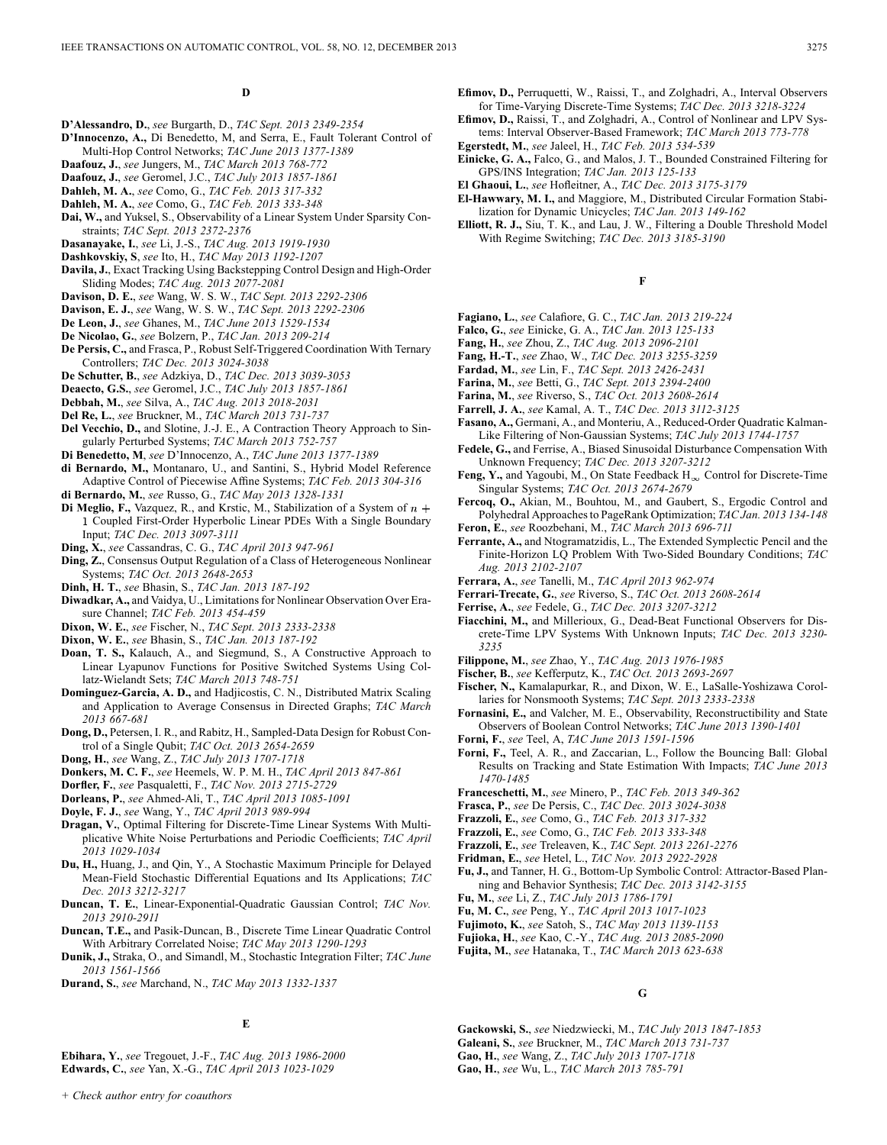#### **D**

- **D'Alessandro, D.**, *see* Burgarth, D., *TAC Sept. 2013 2349-2354*
- **D'Innocenzo, A.,** Di Benedetto, M, and Serra, E., Fault Tolerant Control of Multi-Hop Control Networks; *TAC June 2013 1377-1389*
- **Daafouz, J.**, *see* Jungers, M., *TAC March 2013 768-772*
- **Daafouz, J.**, *see* Geromel, J.C., *TAC July 2013 1857-1861*
- **Dahleh, M. A.**, *see* Como, G., *TAC Feb. 2013 317-332*
- **Dahleh, M. A.**, *see* Como, G., *TAC Feb. 2013 333-348*
- **Dai, W.,** and Yuksel, S., Observability of a Linear System Under Sparsity Constraints; *TAC Sept. 2013 2372-2376*
- **Dasanayake, I.**, *see* Li, J.-S., *TAC Aug. 2013 1919-1930*
- **Dashkovskiy, S**, *see* Ito, H., *TAC May 2013 1192-1207*
- **Davila, J.**, Exact Tracking Using Backstepping Control Design and High-Order Sliding Modes; *TAC Aug. 2013 2077-2081*
- **Davison, D. E.**, *see* Wang, W. S. W., *TAC Sept. 2013 2292-2306*
- **Davison, E. J.**, *see* Wang, W. S. W., *TAC Sept. 2013 2292-2306*
- **De Leon, J.**, *see* Ghanes, M., *TAC June 2013 1529-1534*
- **De Nicolao, G.**, *see* Bolzern, P., *TAC Jan. 2013 209-214*
- **De Persis, C.,** and Frasca, P., Robust Self-Triggered Coordination With Ternary Controllers; *TAC Dec. 2013 3024-3038*
- **De Schutter, B.**, *see* Adzkiya, D., *TAC Dec. 2013 3039-3053*
- **Deaecto, G.S.**, *see* Geromel, J.C., *TAC July 2013 1857-1861*
- **Debbah, M.**, *see* Silva, A., *TAC Aug. 2013 2018-2031*
- **Del Re, L.**, *see* Bruckner, M., *TAC March 2013 731-737*
- **Del Vecchio, D.,** and Slotine, J.-J. E., A Contraction Theory Approach to Singularly Perturbed Systems; *TAC March 2013 752-757*
- **Di Benedetto, M**, *see* D'Innocenzo, A., *TAC June 2013 1377-1389*
- **di Bernardo, M.,** Montanaro, U., and Santini, S., Hybrid Model Reference Adaptive Control of Piecewise Affine Systems; *TAC Feb. 2013 304-316*
- **di Bernardo, M.**, *see* Russo, G., *TAC May 2013 1328-1331*
- **Di Meglio, F., Vazquez, R., and Krstic, M., Stabilization of a System of**  $n +$ Coupled First-Order Hyperbolic Linear PDEs With a Single Boundary Input; *TAC Dec. 2013 3097-3111*
- **Ding, X.**, *see* Cassandras, C. G., *TAC April 2013 947-961*
- **Ding, Z.**, Consensus Output Regulation of a Class of Heterogeneous Nonlinear Systems; *TAC Oct. 2013 2648-2653*
- **Dinh, H. T.**, *see* Bhasin, S., *TAC Jan. 2013 187-192*
- **Diwadkar, A.,** and Vaidya, U., Limitations for Nonlinear Observation Over Erasure Channel; *TAC Feb. 2013 454-459*
- **Dixon, W. E.**, *see* Fischer, N., *TAC Sept. 2013 2333-2338*
- **Dixon, W. E.**, *see* Bhasin, S., *TAC Jan. 2013 187-192*
- **Doan, T. S.,** Kalauch, A., and Siegmund, S., A Constructive Approach to Linear Lyapunov Functions for Positive Switched Systems Using Collatz-Wielandt Sets; *TAC March 2013 748-751*
- **Dominguez-Garcia, A. D.,** and Hadjicostis, C. N., Distributed Matrix Scaling and Application to Average Consensus in Directed Graphs; *TAC March 2013 667-681*
- **Dong, D.,** Petersen, I. R., and Rabitz, H., Sampled-Data Design for Robust Control of a Single Qubit; *TAC Oct. 2013 2654-2659*
- **Dong, H.**, *see* Wang, Z., *TAC July 2013 1707-1718*
- **Donkers, M. C. F.**, *see* Heemels, W. P. M. H., *TAC April 2013 847-861*
- **Dorfler, F.**, *see* Pasqualetti, F., *TAC Nov. 2013 2715-2729*
- **Dorleans, P.**, *see* Ahmed-Ali, T., *TAC April 2013 1085-1091*
- **Doyle, F. J.**, *see* Wang, Y., *TAC April 2013 989-994*
- **Dragan, V.**, Optimal Filtering for Discrete-Time Linear Systems With Multiplicative White Noise Perturbations and Periodic Coefficients; *TAC April 2013 1029-1034*
- **Du, H.,** Huang, J., and Qin, Y., A Stochastic Maximum Principle for Delayed Mean-Field Stochastic Differential Equations and Its Applications; *TAC Dec. 2013 3212-3217*
- **Duncan, T. E.**, Linear-Exponential-Quadratic Gaussian Control; *TAC Nov. 2013 2910-2911*
- **Duncan, T.E.,** and Pasik-Duncan, B., Discrete Time Linear Quadratic Control With Arbitrary Correlated Noise; *TAC May 2013 1290-1293*
- **Dunik, J.,** Straka, O., and Simandl, M., Stochastic Integration Filter; *TAC June 2013 1561-1566*
- **Durand, S.**, *see* Marchand, N., *TAC May 2013 1332-1337*

### **E**

**Ebihara, Y.**, *see* Tregouet, J.-F., *TAC Aug. 2013 1986-2000* **Edwards, C.**, *see* Yan, X.-G., *TAC April 2013 1023-1029*

- **Efimov, D.,** Perruquetti, W., Raissi, T., and Zolghadri, A., Interval Observers for Time-Varying Discrete-Time Systems; *TAC Dec. 2013 3218-3224*
- **Efimov, D.,** Raissi, T., and Zolghadri, A., Control of Nonlinear and LPV Systems: Interval Observer-Based Framework; *TAC March 2013 773-778*
- **Egerstedt, M.**, *see* Jaleel, H., *TAC Feb. 2013 534-539*
- **Einicke, G. A.,** Falco, G., and Malos, J. T., Bounded Constrained Filtering for GPS/INS Integration; *TAC Jan. 2013 125-133*
- **El Ghaoui, L.**, *see* Hofleitner, A., *TAC Dec. 2013 3175-3179*
- **El-Hawwary, M. I.,** and Maggiore, M., Distributed Circular Formation Stabilization for Dynamic Unicycles; *TAC Jan. 2013 149-162*
- **Elliott, R. J.,** Siu, T. K., and Lau, J. W., Filtering a Double Threshold Model With Regime Switching; *TAC Dec. 2013 3185-3190*

**F**

- **Fagiano, L.**, *see* Calafiore, G. C., *TAC Jan. 2013 219-224*
- **Falco, G.**, *see* Einicke, G. A., *TAC Jan. 2013 125-133*
- **Fang, H.**, *see* Zhou, Z., *TAC Aug. 2013 2096-2101*
- **Fang, H.-T.**, *see* Zhao, W., *TAC Dec. 2013 3255-3259*
- **Fardad, M.**, *see* Lin, F., *TAC Sept. 2013 2426-2431*
- **Farina, M.**, *see* Betti, G., *TAC Sept. 2013 2394-2400*
- **Farina, M.**, *see* Riverso, S., *TAC Oct. 2013 2608-2614* **Farrell, J. A.**, *see* Kamal, A. T., *TAC Dec. 2013 3112-3125*
- 
- **Fasano, A.,** Germani, A., and Monteriu, A., Reduced-Order Quadratic Kalman-Like Filtering of Non-Gaussian Systems; *TAC July 2013 1744-1757*
- **Fedele, G.,** and Ferrise, A., Biased Sinusoidal Disturbance Compensation With Unknown Frequency; *TAC Dec. 2013 3207-3212*
- **Feng, Y., and Yagoubi, M., On State Feedback**  $H_{\infty}$  **Control for Discrete-Time** Singular Systems; *TAC Oct. 2013 2674-2679*
- **Fercoq, O.,** Akian, M., Bouhtou, M., and Gaubert, S., Ergodic Control and Polyhedral Approaches to PageRank Optimization; *TAC Jan. 2013 134-148*
- **Feron, E.**, *see* Roozbehani, M., *TAC March 2013 696-711*
- **Ferrante, A.,** and Ntogramatzidis, L., The Extended Symplectic Pencil and the Finite-Horizon LQ Problem With Two-Sided Boundary Conditions; *TAC Aug. 2013 2102-2107*
- **Ferrara, A.**, *see* Tanelli, M., *TAC April 2013 962-974*
- **Ferrari-Trecate, G.**, *see* Riverso, S., *TAC Oct. 2013 2608-2614*
- **Ferrise, A.**, *see* Fedele, G., *TAC Dec. 2013 3207-3212*
- **Fiacchini, M.,** and Millerioux, G., Dead-Beat Functional Observers for Discrete-Time LPV Systems With Unknown Inputs; *TAC Dec. 2013 3230- 3235*
- **Filippone, M.**, *see* Zhao, Y., *TAC Aug. 2013 1976-1985*
- **Fischer, B.**, *see* Kefferputz, K., *TAC Oct. 2013 2693-2697*
- **Fischer, N.,** Kamalapurkar, R., and Dixon, W. E., LaSalle-Yoshizawa Corollaries for Nonsmooth Systems; *TAC Sept. 2013 2333-2338*
- **Fornasini, E.,** and Valcher, M. E., Observability, Reconstructibility and State Observers of Boolean Control Networks; *TAC June 2013 1390-1401*
- **Forni, F.**, *see* Teel, A, *TAC June 2013 1591-1596*
- **Forni, F.,** Teel, A. R., and Zaccarian, L., Follow the Bouncing Ball: Global Results on Tracking and State Estimation With Impacts; *TAC June 2013 1470-1485*
- **Franceschetti, M.**, *see* Minero, P., *TAC Feb. 2013 349-362*
- **Frasca, P.**, *see* De Persis, C., *TAC Dec. 2013 3024-3038*
- **Frazzoli, E.**, *see* Como, G., *TAC Feb. 2013 317-332*
- **Frazzoli, E.**, *see* Como, G., *TAC Feb. 2013 333-348*
- **Frazzoli, E.**, *see* Treleaven, K., *TAC Sept. 2013 2261-2276*
- **Fridman, E.**, *see* Hetel, L., *TAC Nov. 2013 2922-2928*
- **Fu, J.,** and Tanner, H. G., Bottom-Up Symbolic Control: Attractor-Based Planning and Behavior Synthesis; *TAC Dec. 2013 3142-3155*
- **Fu, M.**, *see* Li, Z., *TAC July 2013 1786-1791*
- **Fu, M. C.**, *see* Peng, Y., *TAC April 2013 1017-1023*
- **Fujimoto, K.**, *see* Satoh, S., *TAC May 2013 1139-1153*
- **Fujioka, H.**, *see* Kao, C.-Y., *TAC Aug. 2013 2085-2090*
- **Fujita, M.**, *see* Hatanaka, T., *TAC March 2013 623-638*

**G**

- **Gackowski, S.**, *see* Niedzwiecki, M., *TAC July 2013 1847-1853*
- **Galeani, S.**, *see* Bruckner, M., *TAC March 2013 731-737*
- **Gao, H.**, *see* Wang, Z., *TAC July 2013 1707-1718*
- **Gao, H.**, *see* Wu, L., *TAC March 2013 785-791*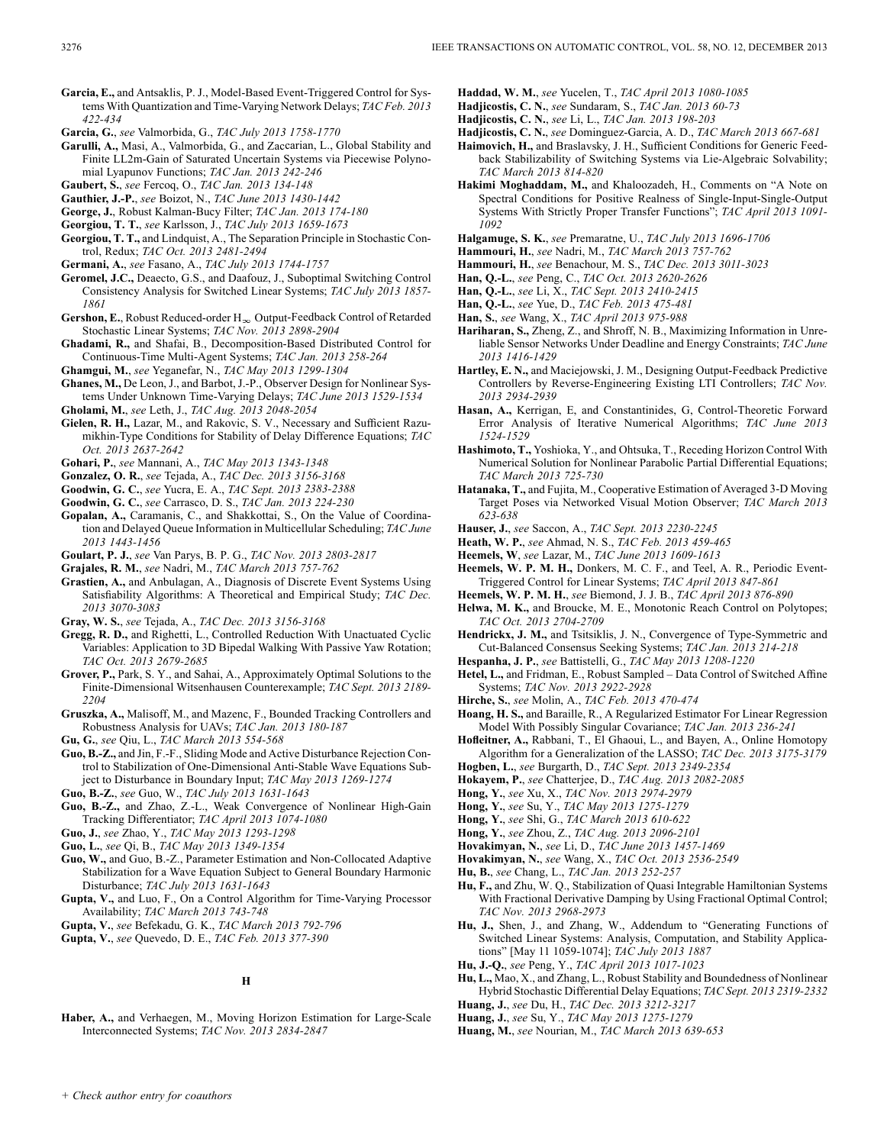- **Garcia, E.,** and Antsaklis, P. J., Model-Based Event-Triggered Control for Systems With Quantization and Time-Varying Network Delays; *TAC Feb. 2013 422-434*
- **Garcia, G.**, *see* Valmorbida, G., *TAC July 2013 1758-1770*
- **Garulli, A.,** Masi, A., Valmorbida, G., and Zaccarian, L., Global Stability and Finite LL2m-Gain of Saturated Uncertain Systems via Piecewise Polynomial Lyapunov Functions; *TAC Jan. 2013 242-246*
- **Gaubert, S.**, *see* Fercoq, O., *TAC Jan. 2013 134-148*
- **Gauthier, J.-P.**, *see* Boizot, N., *TAC June 2013 1430-1442*
- **George, J.**, Robust Kalman-Bucy Filter; *TAC Jan. 2013 174-180*
- **Georgiou, T. T.**, *see* Karlsson, J., *TAC July 2013 1659-1673*
- **Georgiou, T. T.,** and Lindquist, A., The Separation Principle in Stochastic Control, Redux; *TAC Oct. 2013 2481-2494*
- **Germani, A.**, *see* Fasano, A., *TAC July 2013 1744-1757*
- **Geromel, J.C.,** Deaecto, G.S., and Daafouz, J., Suboptimal Switching Control Consistency Analysis for Switched Linear Systems; *TAC July 2013 1857- 1861*
- Gershon, E., Robust Reduced-order  $H_{\infty}$  Output-Feedback Control of Retarded Stochastic Linear Systems; *TAC Nov. 2013 2898-2904*
- **Ghadami, R.,** and Shafai, B., Decomposition-Based Distributed Control for Continuous-Time Multi-Agent Systems; *TAC Jan. 2013 258-264*
- **Ghamgui, M.**, *see* Yeganefar, N., *TAC May 2013 1299-1304*

**Ghanes, M.,** De Leon, J., and Barbot, J.-P., Observer Design for Nonlinear Systems Under Unknown Time-Varying Delays; *TAC June 2013 1529-1534*

- **Gholami, M.**, *see* Leth, J., *TAC Aug. 2013 2048-2054*
- **Gielen, R. H.,** Lazar, M., and Rakovic, S. V., Necessary and Sufficient Razumikhin-Type Conditions for Stability of Delay Difference Equations; *TAC Oct. 2013 2637-2642*
- **Gohari, P.**, *see* Mannani, A., *TAC May 2013 1343-1348*
- **Gonzalez, O. R.**, *see* Tejada, A., *TAC Dec. 2013 3156-3168*
- **Goodwin, G. C.**, *see* Yucra, E. A., *TAC Sept. 2013 2383-2388*
- **Goodwin, G. C.**, *see* Carrasco, D. S., *TAC Jan. 2013 224-230*
- **Gopalan, A.,** Caramanis, C., and Shakkottai, S., On the Value of Coordination and Delayed Queue Information in Multicellular Scheduling; *TAC June 2013 1443-1456*
- **Goulart, P. J.**, *see* Van Parys, B. P. G., *TAC Nov. 2013 2803-2817*
- **Grajales, R. M.**, *see* Nadri, M., *TAC March 2013 757-762*
- **Grastien, A.,** and Anbulagan, A., Diagnosis of Discrete Event Systems Using Satisfiability Algorithms: A Theoretical and Empirical Study; *TAC Dec. 2013 3070-3083*
- **Gray, W. S.**, *see* Tejada, A., *TAC Dec. 2013 3156-3168*
- **Gregg, R. D.,** and Righetti, L., Controlled Reduction With Unactuated Cyclic Variables: Application to 3D Bipedal Walking With Passive Yaw Rotation; *TAC Oct. 2013 2679-2685*
- **Grover, P.,** Park, S. Y., and Sahai, A., Approximately Optimal Solutions to the Finite-Dimensional Witsenhausen Counterexample; *TAC Sept. 2013 2189- 2204*
- **Gruszka, A.,** Malisoff, M., and Mazenc, F., Bounded Tracking Controllers and Robustness Analysis for UAVs; *TAC Jan. 2013 180-187*

**Gu, G.**, *see* Qiu, L., *TAC March 2013 554-568*

- **Guo, B.-Z.,** and Jin, F.-F., Sliding Mode and Active Disturbance Rejection Control to Stabilization of One-Dimensional Anti-Stable Wave Equations Subject to Disturbance in Boundary Input; *TAC May 2013 1269-1274*
- **Guo, B.-Z.**, *see* Guo, W., *TAC July 2013 1631-1643*
- **Guo, B.-Z.,** and Zhao, Z.-L., Weak Convergence of Nonlinear High-Gain Tracking Differentiator; *TAC April 2013 1074-1080*
- **Guo, J.**, *see* Zhao, Y., *TAC May 2013 1293-1298*
- **Guo, L.**, *see* Qi, B., *TAC May 2013 1349-1354*
- **Guo, W.,** and Guo, B.-Z., Parameter Estimation and Non-Collocated Adaptive Stabilization for a Wave Equation Subject to General Boundary Harmonic Disturbance; *TAC July 2013 1631-1643*
- **Gupta, V.,** and Luo, F., On a Control Algorithm for Time-Varying Processor Availability; *TAC March 2013 743-748*
- **Gupta, V.**, *see* Befekadu, G. K., *TAC March 2013 792-796*
- **Gupta, V.**, *see* Quevedo, D. E., *TAC Feb. 2013 377-390*

### **H**

**Haber, A.,** and Verhaegen, M., Moving Horizon Estimation for Large-Scale Interconnected Systems; *TAC Nov. 2013 2834-2847*

- **Haddad, W. M.**, *see* Yucelen, T., *TAC April 2013 1080-1085*
- **Hadjicostis, C. N.**, *see* Sundaram, S., *TAC Jan. 2013 60-73*
- **Hadjicostis, C. N.**, *see* Li, L., *TAC Jan. 2013 198-203*
- **Hadjicostis, C. N.**, *see* Dominguez-Garcia, A. D., *TAC March 2013 667-681*
- **Haimovich, H.,** and Braslavsky, J. H., Sufficient Conditions for Generic Feedback Stabilizability of Switching Systems via Lie-Algebraic Solvability; *TAC March 2013 814-820*
- **Hakimi Moghaddam, M.,** and Khaloozadeh, H., Comments on "A Note on Spectral Conditions for Positive Realness of Single-Input-Single-Output Systems With Strictly Proper Transfer Functions"; *TAC April 2013 1091- 1092*
- **Halgamuge, S. K.**, *see* Premaratne, U., *TAC July 2013 1696-1706*
- **Hammouri, H.**, *see* Nadri, M., *TAC March 2013 757-762*
- **Hammouri, H.**, *see* Benachour, M. S., *TAC Dec. 2013 3011-3023*
- **Han, Q.-L.**, *see* Peng, C., *TAC Oct. 2013 2620-2626*
- **Han, Q.-L.**, *see* Li, X., *TAC Sept. 2013 2410-2415*
- **Han, Q.-L.**, *see* Yue, D., *TAC Feb. 2013 475-481*
- **Han, S.**, *see* Wang, X., *TAC April 2013 975-988*
- **Hariharan, S.,** Zheng, Z., and Shroff, N. B., Maximizing Information in Unreliable Sensor Networks Under Deadline and Energy Constraints; *TAC June 2013 1416-1429*
- **Hartley, E. N.,** and Maciejowski, J. M., Designing Output-Feedback Predictive Controllers by Reverse-Engineering Existing LTI Controllers; *TAC Nov. 2013 2934-2939*
- **Hasan, A.,** Kerrigan, E, and Constantinides, G, Control-Theoretic Forward Error Analysis of Iterative Numerical Algorithms; *TAC June 2013 1524-1529*
- **Hashimoto, T.,** Yoshioka, Y., and Ohtsuka, T., Receding Horizon Control With Numerical Solution for Nonlinear Parabolic Partial Differential Equations; *TAC March 2013 725-730*
- **Hatanaka, T.,** and Fujita, M., Cooperative Estimation of Averaged 3-D Moving Target Poses via Networked Visual Motion Observer; *TAC March 2013 623-638*
- **Hauser, J.**, *see* Saccon, A., *TAC Sept. 2013 2230-2245*
- **Heath, W. P.**, *see* Ahmad, N. S., *TAC Feb. 2013 459-465*
- **Heemels, W**, *see* Lazar, M., *TAC June 2013 1609-1613*
- **Heemels, W. P. M. H.,** Donkers, M. C. F., and Teel, A. R., Periodic Event-Triggered Control for Linear Systems; *TAC April 2013 847-861*
- **Heemels, W. P. M. H.**, *see* Biemond, J. J. B., *TAC April 2013 876-890*
- **Helwa, M. K.,** and Broucke, M. E., Monotonic Reach Control on Polytopes; *TAC Oct. 2013 2704-2709*
- **Hendrickx, J. M.,** and Tsitsiklis, J. N., Convergence of Type-Symmetric and Cut-Balanced Consensus Seeking Systems; *TAC Jan. 2013 214-218*
- **Hespanha, J. P.**, *see* Battistelli, G., *TAC May 2013 1208-1220*
- **Hetel, L.,** and Fridman, E., Robust Sampled Data Control of Switched Affine Systems; *TAC Nov. 2013 2922-2928*
- **Hirche, S.**, *see* Molin, A., *TAC Feb. 2013 470-474*
- **Hoang, H. S.,** and Baraille, R., A Regularized Estimator For Linear Regression Model With Possibly Singular Covariance; *TAC Jan. 2013 236-241*
- **Hofleitner, A.,** Rabbani, T., El Ghaoui, L., and Bayen, A., Online Homotopy Algorithm for a Generalization of the LASSO; *TAC Dec. 2013 3175-3179*
- **Hogben, L.**, *see* Burgarth, D., *TAC Sept. 2013 2349-2354*
- **Hokayem, P.**, *see* Chatterjee, D., *TAC Aug. 2013 2082-2085*
- **Hong, Y.**, *see* Xu, X., *TAC Nov. 2013 2974-2979*
- **Hong, Y.**, *see* Su, Y., *TAC May 2013 1275-1279*
- **Hong, Y.**, *see* Shi, G., *TAC March 2013 610-622*
- **Hong, Y.**, *see* Zhou, Z., *TAC Aug. 2013 2096-2101*
- **Hovakimyan, N.**, *see* Li, D., *TAC June 2013 1457-1469*
- **Hovakimyan, N.**, *see* Wang, X., *TAC Oct. 2013 2536-2549*
- **Hu, B.**, *see* Chang, L., *TAC Jan. 2013 252-257*
- **Hu, F.,** and Zhu, W. Q., Stabilization of Quasi Integrable Hamiltonian Systems With Fractional Derivative Damping by Using Fractional Optimal Control; *TAC Nov. 2013 2968-2973*
- **Hu, J.,** Shen, J., and Zhang, W., Addendum to "Generating Functions of Switched Linear Systems: Analysis, Computation, and Stability Applications" [May 11 1059-1074]; *TAC July 2013 1887*
- **Hu, J.-Q.**, *see* Peng, Y., *TAC April 2013 1017-1023*
- **Hu, L.,** Mao, X., and Zhang, L., Robust Stability and Boundedness of Nonlinear Hybrid Stochastic Differential Delay Equations; *TAC Sept. 2013 2319-2332*
- **Huang, J.**, *see* Du, H., *TAC Dec. 2013 3212-3217*
- **Huang, J.**, *see* Su, Y., *TAC May 2013 1275-1279*
- **Huang, M.**, *see* Nourian, M., *TAC March 2013 639-653*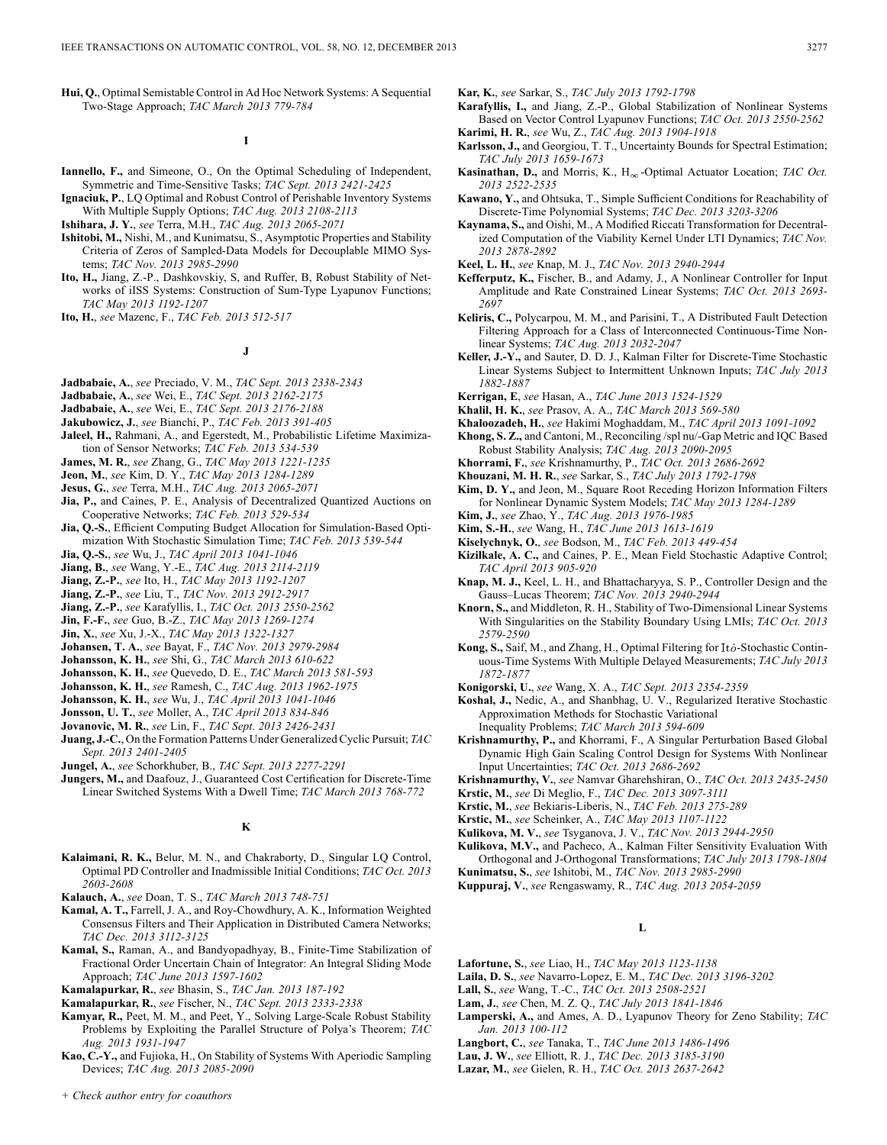**Hui, Q.**, Optimal Semistable Control in Ad Hoc Network Systems: A Sequential Two-Stage Approach; *TAC March 2013 779-784*

**I**

- **Iannello, F.,** and Simeone, O., On the Optimal Scheduling of Independent, Symmetric and Time-Sensitive Tasks; *TAC Sept. 2013 2421-2425*
- **Ignaciuk, P.**, LQ Optimal and Robust Control of Perishable Inventory Systems With Multiple Supply Options; *TAC Aug. 2013 2108-2113*
- **Ishihara, J. Y.**, *see* Terra, M.H., *TAC Aug. 2013 2065-2071*
- **Ishitobi, M.,** Nishi, M., and Kunimatsu, S., Asymptotic Properties and Stability Criteria of Zeros of Sampled-Data Models for Decouplable MIMO Systems; *TAC Nov. 2013 2985-2990*
- **Ito, H.,** Jiang, Z.-P., Dashkovskiy, S, and Ruffer, B, Robust Stability of Networks of iISS Systems: Construction of Sum-Type Lyapunov Functions; *TAC May 2013 1192-1207*
- **Ito, H.**, *see* Mazenc, F., *TAC Feb. 2013 512-517*

### **J**

- **Jadbabaie, A.**, *see* Preciado, V. M., *TAC Sept. 2013 2338-2343*
- **Jadbabaie, A.**, *see* Wei, E., *TAC Sept. 2013 2162-2175*
- **Jadbabaie, A.**, *see* Wei, E., *TAC Sept. 2013 2176-2188*
- **Jakubowicz, J.**, *see* Bianchi, P., *TAC Feb. 2013 391-405*
- **Jaleel, H.,** Rahmani, A., and Egerstedt, M., Probabilistic Lifetime Maximization of Sensor Networks; *TAC Feb. 2013 534-539*
- **James, M. R.**, *see* Zhang, G., *TAC May 2013 1221-1235*
- **Jeon, M.**, *see* Kim, D. Y., *TAC May 2013 1284-1289*
- **Jesus, G.**, *see* Terra, M.H., *TAC Aug. 2013 2065-2071*
- **Jia, P.,** and Caines, P. E., Analysis of Decentralized Quantized Auctions on Cooperative Networks; *TAC Feb. 2013 529-534*
- **Jia, Q.-S.**, Efficient Computing Budget Allocation for Simulation-Based Optimization With Stochastic Simulation Time; *TAC Feb. 2013 539-544*
- **Jia, Q.-S.**, *see* Wu, J., *TAC April 2013 1041-1046*
- **Jiang, B.**, *see* Wang, Y.-E., *TAC Aug. 2013 2114-2119*
- **Jiang, Z.-P.**, *see* Ito, H., *TAC May 2013 1192-1207*
- **Jiang, Z.-P.**, *see* Liu, T., *TAC Nov. 2013 2912-2917*
- **Jiang, Z.-P.**, *see* Karafyllis, I., *TAC Oct. 2013 2550-2562*
- **Jin, F.-F.**, *see* Guo, B.-Z., *TAC May 2013 1269-1274*
- **Jin, X.**, *see* Xu, J.-X., *TAC May 2013 1322-1327*
- **Johansen, T. A.**, *see* Bayat, F., *TAC Nov. 2013 2979-2984*
- **Johansson, K. H.**, *see* Shi, G., *TAC March 2013 610-622*
- **Johansson, K. H.**, *see* Quevedo, D. E., *TAC March 2013 581-593*
- **Johansson, K. H.**, *see* Ramesh, C., *TAC Aug. 2013 1962-1975*
- **Johansson, K. H.**, *see* Wu, J., *TAC April 2013 1041-1046*
- **Jonsson, U. T.**, *see* Moller, A., *TAC April 2013 834-846*
- **Jovanovic, M. R.**, *see* Lin, F., *TAC Sept. 2013 2426-2431*
- **Juang, J.-C.**, On the Formation Patterns Under Generalized Cyclic Pursuit; *TAC Sept. 2013 2401-2405*
- **Jungel, A.**, *see* Schorkhuber, B., *TAC Sept. 2013 2277-2291*
- **Jungers, M.,** and Daafouz, J., Guaranteed Cost Certification for Discrete-Time Linear Switched Systems With a Dwell Time; *TAC March 2013 768-772*

### **K**

- **Kalaimani, R. K.,** Belur, M. N., and Chakraborty, D., Singular LQ Control, Optimal PD Controller and Inadmissible Initial Conditions; *TAC Oct. 2013 2603-2608*
- **Kalauch, A.**, *see* Doan, T. S., *TAC March 2013 748-751*
- **Kamal, A. T.,** Farrell, J. A., and Roy-Chowdhury, A. K., Information Weighted Consensus Filters and Their Application in Distributed Camera Networks; *TAC Dec. 2013 3112-3125*
- **Kamal, S.,** Raman, A., and Bandyopadhyay, B., Finite-Time Stabilization of Fractional Order Uncertain Chain of Integrator: An Integral Sliding Mode Approach; *TAC June 2013 1597-1602*
- **Kamalapurkar, R.**, *see* Bhasin, S., *TAC Jan. 2013 187-192*
- **Kamalapurkar, R.**, *see* Fischer, N., *TAC Sept. 2013 2333-2338*
- **Kamyar, R.,** Peet, M. M., and Peet, Y., Solving Large-Scale Robust Stability Problems by Exploiting the Parallel Structure of Polya's Theorem; *TAC Aug. 2013 1931-1947*
- **Kao, C.-Y.,** and Fujioka, H., On Stability of Systems With Aperiodic Sampling Devices; *TAC Aug. 2013 2085-2090*
- **Kar, K.**, *see* Sarkar, S., *TAC July 2013 1792-1798*
- **Karafyllis, I.,** and Jiang, Z.-P., Global Stabilization of Nonlinear Systems Based on Vector Control Lyapunov Functions; *TAC Oct. 2013 2550-2562* **Karimi, H. R.**, *see* Wu, Z., *TAC Aug. 2013 1904-1918*
- **Karlsson, J.,** and Georgiou, T. T., Uncertainty Bounds for Spectral Estimation; *TAC July 2013 1659-1673*
- **Kasinathan, D.,** and Morris, K., H<sub>∞</sub>-Optimal Actuator Location; *TAC Oct. 2013 2522-2535*
- **Kawano, Y.,** and Ohtsuka, T., Simple Sufficient Conditions for Reachability of Discrete-Time Polynomial Systems; *TAC Dec. 2013 3203-3206*
- **Kaynama, S.,** and Oishi, M., A Modified Riccati Transformation for Decentralized Computation of the Viability Kernel Under LTI Dynamics; *TAC Nov. 2013 2878-2892*
- **Keel, L. H.**, *see* Knap, M. J., *TAC Nov. 2013 2940-2944*
- **Kefferputz, K.,** Fischer, B., and Adamy, J., A Nonlinear Controller for Input Amplitude and Rate Constrained Linear Systems; *TAC Oct. 2013 2693- 2697*
- **Keliris, C.,** Polycarpou, M. M., and Parisini, T., A Distributed Fault Detection Filtering Approach for a Class of Interconnected Continuous-Time Nonlinear Systems; *TAC Aug. 2013 2032-2047*
- **Keller, J.-Y.,** and Sauter, D. D. J., Kalman Filter for Discrete-Time Stochastic Linear Systems Subject to Intermittent Unknown Inputs; *TAC July 2013 1882-1887*
- **Kerrigan, E**, *see* Hasan, A., *TAC June 2013 1524-1529*
- **Khalil, H. K.**, *see* Prasov, A. A., *TAC March 2013 569-580*
- **Khaloozadeh, H.**, *see* Hakimi Moghaddam, M., *TAC April 2013 1091-1092*
- **Khong, S. Z.,** and Cantoni, M., Reconciling /spl nu/-Gap Metric and IQC Based Robust Stability Analysis; *TAC Aug. 2013 2090-2095*
- **Khorrami, F.**, *see* Krishnamurthy, P., *TAC Oct. 2013 2686-2692*
- **Khouzani, M. H. R.**, *see* Sarkar, S., *TAC July 2013 1792-1798*
- **Kim, D. Y.,** and Jeon, M., Square Root Receding Horizon Information Filters for Nonlinear Dynamic System Models; *TAC May 2013 1284-1289*
- **Kim, J.**, *see* Zhao, Y., *TAC Aug. 2013 1976-1985*
- **Kim, S.-H.**, *see* Wang, H., *TAC June 2013 1613-1619*
- **Kiselychnyk, O.**, *see* Bodson, M., *TAC Feb. 2013 449-454*
- **Kizilkale, A. C.,** and Caines, P. E., Mean Field Stochastic Adaptive Control; *TAC April 2013 905-920*
- **Knap, M. J.,** Keel, L. H., and Bhattacharyya, S. P., Controller Design and the Gauss–Lucas Theorem; *TAC Nov. 2013 2940-2944*
- **Knorn, S.,** and Middleton, R. H., Stability of Two-Dimensional Linear Systems With Singularities on the Stability Boundary Using LMIs; *TAC Oct. 2013 2579-2590*
- Kong, S., Saif, M., and Zhang, H., Optimal Filtering for Itô-Stochastic Continuous-Time Systems With Multiple Delayed Measurements; *TAC July 2013 1872-1877*
- **Konigorski, U.**, *see* Wang, X. A., *TAC Sept. 2013 2354-2359*
- **Koshal, J.,** Nedic, A., and Shanbhag, U. V., Regularized Iterative Stochastic Approximation Methods for Stochastic Variational Inequality Problems; *TAC March 2013 594-609*
- **Krishnamurthy, P.,** and Khorrami, F., A Singular Perturbation Based Global Dynamic High Gain Scaling Control Design for Systems With Nonlinear Input Uncertainties; *TAC Oct. 2013 2686-2692*
- **Krishnamurthy, V.**, *see* Namvar Gharehshiran, O., *TAC Oct. 2013 2435-2450*
- **Krstic, M.**, *see* Di Meglio, F., *TAC Dec. 2013 3097-3111*
- **Krstic, M.**, *see* Bekiaris-Liberis, N., *TAC Feb. 2013 275-289*
- **Krstic, M.**, *see* Scheinker, A., *TAC May 2013 1107-1122*
- **Kulikova, M. V.**, *see* Tsyganova, J. V., *TAC Nov. 2013 2944-2950*
- **Kulikova, M.V.,** and Pacheco, A., Kalman Filter Sensitivity Evaluation With Orthogonal and J-Orthogonal Transformations; *TAC July 2013 1798-1804* **Kunimatsu, S.**, *see* Ishitobi, M., *TAC Nov. 2013 2985-2990*
- **Kuppuraj, V.**, *see* Rengaswamy, R., *TAC Aug. 2013 2054-2059*

### **L**

- **Lafortune, S.**, *see* Liao, H., *TAC May 2013 1123-1138*
- **Laila, D. S.**, *see* Navarro-Lopez, E. M., *TAC Dec. 2013 3196-3202*
- **Lall, S.**, *see* Wang, T.-C., *TAC Oct. 2013 2508-2521*
- **Lam, J.**, *see* Chen, M. Z. Q., *TAC July 2013 1841-1846*
- **Lamperski, A.,** and Ames, A. D., Lyapunov Theory for Zeno Stability; *TAC Jan. 2013 100-112*
- **Langbort, C.**, *see* Tanaka, T., *TAC June 2013 1486-1496*
- **Lau, J. W.**, *see* Elliott, R. J., *TAC Dec. 2013 3185-3190*
- **Lazar, M.**, *see* Gielen, R. H., *TAC Oct. 2013 2637-2642*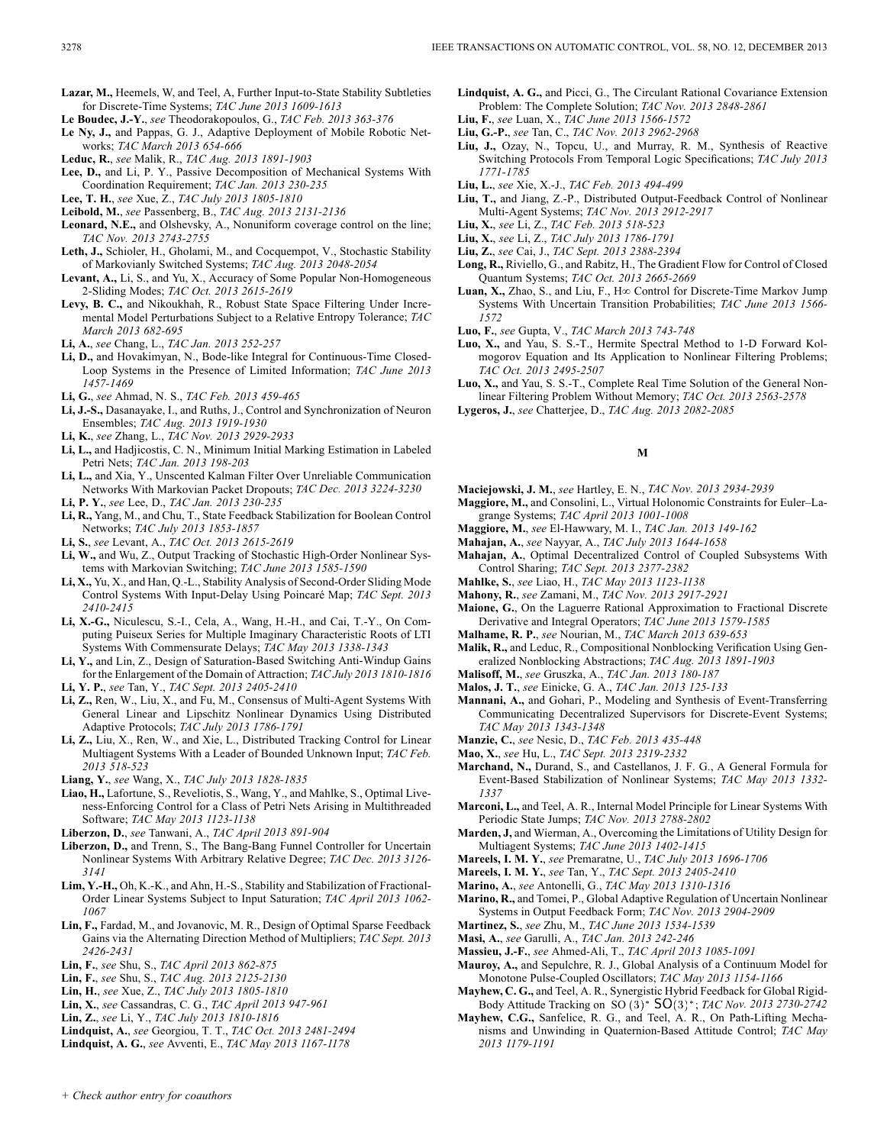- **Le Boudec, J.-Y.**, *see* Theodorakopoulos, G., *TAC Feb. 2013 363-376*
- **Le Ny, J.,** and Pappas, G. J., Adaptive Deployment of Mobile Robotic Networks; *TAC March 2013 654-666*
- **Leduc, R.**, *see* Malik, R., *TAC Aug. 2013 1891-1903*
- **Lee, D.,** and Li, P. Y., Passive Decomposition of Mechanical Systems With Coordination Requirement; *TAC Jan. 2013 230-235*
- **Lee, T. H.**, *see* Xue, Z., *TAC July 2013 1805-1810*
- **Leibold, M.**, *see* Passenberg, B., *TAC Aug. 2013 2131-2136*
- **Leonard, N.E.,** and Olshevsky, A., Nonuniform coverage control on the line; *TAC Nov. 2013 2743-2755*
- **Leth, J.,** Schioler, H., Gholami, M., and Cocquempot, V., Stochastic Stability of Markovianly Switched Systems; *TAC Aug. 2013 2048-2054*
- **Levant, A.,** Li, S., and Yu, X., Accuracy of Some Popular Non-Homogeneous 2-Sliding Modes; *TAC Oct. 2013 2615-2619*
- **Levy, B. C.,** and Nikoukhah, R., Robust State Space Filtering Under Incremental Model Perturbations Subject to a Relative Entropy Tolerance; *TAC March 2013 682-695*
- **Li, A.**, *see* Chang, L., *TAC Jan. 2013 252-257*
- **Li, D.,** and Hovakimyan, N., Bode-like Integral for Continuous-Time Closed-Loop Systems in the Presence of Limited Information; *TAC June 2013 1457-1469*
- **Li, G.**, *see* Ahmad, N. S., *TAC Feb. 2013 459-465*
- **Li, J.-S.,** Dasanayake, I., and Ruths, J., Control and Synchronization of Neuron Ensembles; *TAC Aug. 2013 1919-1930*
- **Li, K.**, *see* Zhang, L., *TAC Nov. 2013 2929-2933*
- **Li, L.,** and Hadjicostis, C. N., Minimum Initial Marking Estimation in Labeled Petri Nets; *TAC Jan. 2013 198-203*
- **Li, L.,** and Xia, Y., Unscented Kalman Filter Over Unreliable Communication Networks With Markovian Packet Dropouts; *TAC Dec. 2013 3224-3230*
- **Li, P. Y.**, *see* Lee, D., *TAC Jan. 2013 230-235*
- **Li, R.,** Yang, M., and Chu, T., State Feedback Stabilization for Boolean Control Networks; *TAC July 2013 1853-1857*
- **Li, S.**, *see* Levant, A., *TAC Oct. 2013 2615-2619*
- **Li, W.,** and Wu, Z., Output Tracking of Stochastic High-Order Nonlinear Systems with Markovian Switching; *TAC June 2013 1585-1590*
- **Li, X.,** Yu, X., and Han, Q.-L., Stability Analysis of Second-Order Sliding Mode Control Systems With Input-Delay Using Poincaré Map; *TAC Sept. 2013 2410-2415*
- **Li, X.-G.,** Niculescu, S.-I., Cela, A., Wang, H.-H., and Cai, T.-Y., On Computing Puiseux Series for Multiple Imaginary Characteristic Roots of LTI Systems With Commensurate Delays; *TAC May 2013 1338-1343*
- **Li, Y.,** and Lin, Z., Design of Saturation-Based Switching Anti-Windup Gains for the Enlargement of the Domain of Attraction; *TAC July 2013 1810-1816* **Li, Y. P.**, *see* Tan, Y., *TAC Sept. 2013 2405-2410*
- **Li, Z.,** Ren, W., Liu, X., and Fu, M., Consensus of Multi-Agent Systems With General Linear and Lipschitz Nonlinear Dynamics Using Distributed Adaptive Protocols; *TAC July 2013 1786-1791*
- **Li, Z.,** Liu, X., Ren, W., and Xie, L., Distributed Tracking Control for Linear Multiagent Systems With a Leader of Bounded Unknown Input; *TAC Feb. 2013 518-523*
- **Liang, Y.**, *see* Wang, X., *TAC July 2013 1828-1835*
- **Liao, H.,** Lafortune, S., Reveliotis, S., Wang, Y., and Mahlke, S., Optimal Liveness-Enforcing Control for a Class of Petri Nets Arising in Multithreaded Software; *TAC May 2013 1123-1138*
- **Liberzon, D.**, *see* Tanwani, A., *TAC April 2013 891-904*
- **Liberzon, D.,** and Trenn, S., The Bang-Bang Funnel Controller for Uncertain Nonlinear Systems With Arbitrary Relative Degree; *TAC Dec. 2013 3126- 3141*
- **Lim, Y.-H.,** Oh, K.-K., and Ahn, H.-S., Stability and Stabilization of Fractional-Order Linear Systems Subject to Input Saturation; *TAC April 2013 1062- 1067*
- **Lin, F.,** Fardad, M., and Jovanovic, M. R., Design of Optimal Sparse Feedback Gains via the Alternating Direction Method of Multipliers; *TAC Sept. 2013 2426-2431*
- **Lin, F.**, *see* Shu, S., *TAC April 2013 862-875*
- **Lin, F.**, *see* Shu, S., *TAC Aug. 2013 2125-2130*
- **Lin, H.**, *see* Xue, Z., *TAC July 2013 1805-1810*
- **Lin, X.**, *see* Cassandras, C. G., *TAC April 2013 947-961*
- **Lin, Z.**, *see* Li, Y., *TAC July 2013 1810-1816*
- **Lindquist, A.**, *see* Georgiou, T. T., *TAC Oct. 2013 2481-2494*
- **Lindquist, A. G.**, *see* Avventi, E., *TAC May 2013 1167-1178*
- **Lindquist, A. G.,** and Picci, G., The Circulant Rational Covariance Extension Problem: The Complete Solution; *TAC Nov. 2013 2848-2861*
- **Liu, F.**, *see* Luan, X., *TAC June 2013 1566-1572*
- **Liu, G.-P.**, *see* Tan, C., *TAC Nov. 2013 2962-2968*
- **Liu, J.,** Ozay, N., Topcu, U., and Murray, R. M., Synthesis of Reactive Switching Protocols From Temporal Logic Specifications; *TAC July 2013 1771-1785*
- **Liu, L.**, *see* Xie, X.-J., *TAC Feb. 2013 494-499*
- **Liu, T.,** and Jiang, Z.-P., Distributed Output-Feedback Control of Nonlinear Multi-Agent Systems; *TAC Nov. 2013 2912-2917*
- **Liu, X.**, *see* Li, Z., *TAC Feb. 2013 518-523*
- **Liu, X.**, *see* Li, Z., *TAC July 2013 1786-1791*
- **Liu, Z.**, *see* Cai, J., *TAC Sept. 2013 2388-2394*
- **Long, R.,** Riviello, G., and Rabitz, H., The Gradient Flow for Control of Closed Quantum Systems; *TAC Oct. 2013 2665-2669*
- **Luan, X.,** Zhao, S., and Liu, F., H∞ Control for Discrete-Time Markov Jump Systems With Uncertain Transition Probabilities; *TAC June 2013 1566- 1572*
- **Luo, F.**, *see* Gupta, V., *TAC March 2013 743-748*
- **Luo, X.,** and Yau, S. S.-T., Hermite Spectral Method to 1-D Forward Kolmogorov Equation and Its Application to Nonlinear Filtering Problems; *TAC Oct. 2013 2495-2507*
- **Luo, X.,** and Yau, S. S.-T., Complete Real Time Solution of the General Nonlinear Filtering Problem Without Memory; *TAC Oct. 2013 2563-2578*
- **Lygeros, J.**, *see* Chatterjee, D., *TAC Aug. 2013 2082-2085*

### **M**

- **Maciejowski, J. M.**, *see* Hartley, E. N., *TAC Nov. 2013 2934-2939*
- **Maggiore, M.,** and Consolini, L., Virtual Holonomic Constraints for Euler–Lagrange Systems; *TAC April 2013 1001-1008*
- **Maggiore, M.**, *see* El-Hawwary, M. I., *TAC Jan. 2013 149-162*
- **Mahajan, A.**, *see* Nayyar, A., *TAC July 2013 1644-1658*
- **Mahajan, A.**, Optimal Decentralized Control of Coupled Subsystems With Control Sharing; *TAC Sept. 2013 2377-2382*
- **Mahlke, S.**, *see* Liao, H., *TAC May 2013 1123-1138*
- **Mahony, R.**, *see* Zamani, M., *TAC Nov. 2013 2917-2921*
- **Maione, G.**, On the Laguerre Rational Approximation to Fractional Discrete Derivative and Integral Operators; *TAC June 2013 1579-1585*
- **Malhame, R. P.**, *see* Nourian, M., *TAC March 2013 639-653*
- **Malik, R.,** and Leduc, R., Compositional Nonblocking Verification Using Generalized Nonblocking Abstractions; *TAC Aug. 2013 1891-1903*
- **Malisoff, M.**, *see* Gruszka, A., *TAC Jan. 2013 180-187*
- **Malos, J. T.**, *see* Einicke, G. A., *TAC Jan. 2013 125-133*
- **Mannani, A.,** and Gohari, P., Modeling and Synthesis of Event-Transferring Communicating Decentralized Supervisors for Discrete-Event Systems; *TAC May 2013 1343-1348*
- **Manzie, C.**, *see* Nesic, D., *TAC Feb. 2013 435-448*
- **Mao, X.**, *see* Hu, L., *TAC Sept. 2013 2319-2332*
- **Marchand, N.,** Durand, S., and Castellanos, J. F. G., A General Formula for Event-Based Stabilization of Nonlinear Systems; *TAC May 2013 1332- 1337*
- **Marconi, L.,** and Teel, A. R., Internal Model Principle for Linear Systems With Periodic State Jumps; *TAC Nov. 2013 2788-2802*
- **Marden, J,** and Wierman, A., Overcoming the Limitations of Utility Design for Multiagent Systems; *TAC June 2013 1402-1415*
- **Mareels, I. M. Y.**, *see* Premaratne, U., *TAC July 2013 1696-1706*
- **Mareels, I. M. Y.**, *see* Tan, Y., *TAC Sept. 2013 2405-2410*
- **Marino, A.**, *see* Antonelli, G., *TAC May 2013 1310-1316*
- **Marino, R.,** and Tomei, P., Global Adaptive Regulation of Uncertain Nonlinear Systems in Output Feedback Form; *TAC Nov. 2013 2904-2909*
- **Martinez, S.**, *see* Zhu, M., *TAC June 2013 1534-1539*
- **Masi, A.**, *see* Garulli, A., *TAC Jan. 2013 242-246*
- **Massieu, J.-F.**, *see* Ahmed-Ali, T., *TAC April 2013 1085-1091*
- **Mauroy, A.,** and Sepulchre, R. J., Global Analysis of a Continuum Model for Monotone Pulse-Coupled Oscillators; *TAC May 2013 1154-1166*
- **Mayhew, C. G.,** and Teel, A. R., Synergistic Hybrid Feedback for Global Rigid-Body Attitude Tracking on  $SO(3)$ <sup>\*</sup>  $SO(3)$ <sup>\*</sup>; *TAC Nov. 2013 2730-2742*
- **Mayhew, C.G.,** Sanfelice, R. G., and Teel, A. R., On Path-Lifting Mechanisms and Unwinding in Quaternion-Based Attitude Control; *TAC May 2013 1179-1191*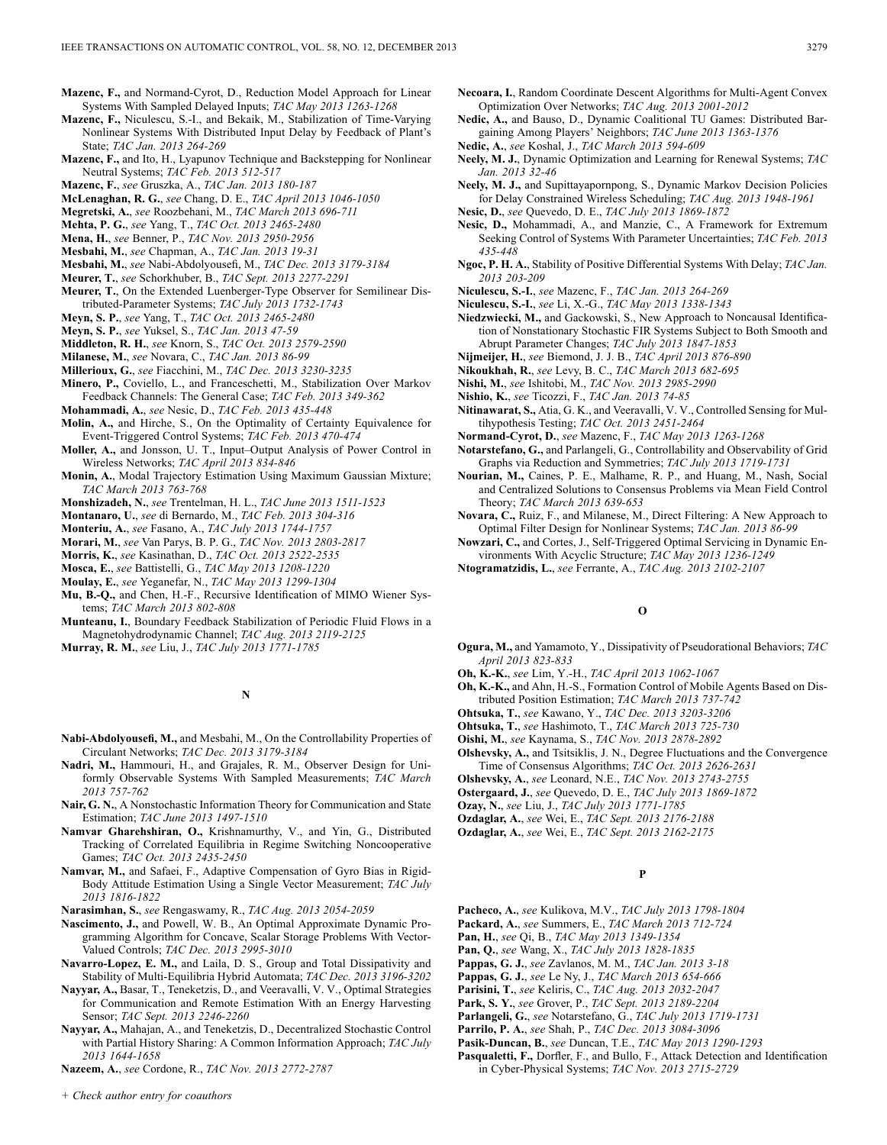- **Mazenc, F.,** and Normand-Cyrot, D., Reduction Model Approach for Linear Systems With Sampled Delayed Inputs; *TAC May 2013 1263-1268*
- **Mazenc, F.,** Niculescu, S.-I., and Bekaik, M., Stabilization of Time-Varying Nonlinear Systems With Distributed Input Delay by Feedback of Plant's State; *TAC Jan. 2013 264-269*
- **Mazenc, F.,** and Ito, H., Lyapunov Technique and Backstepping for Nonlinear Neutral Systems; *TAC Feb. 2013 512-517*
- **Mazenc, F.**, *see* Gruszka, A., *TAC Jan. 2013 180-187*
- **McLenaghan, R. G.**, *see* Chang, D. E., *TAC April 2013 1046-1050*
- **Megretski, A.**, *see* Roozbehani, M., *TAC March 2013 696-711*
- **Mehta, P. G.**, *see* Yang, T., *TAC Oct. 2013 2465-2480*
- **Mena, H.**, *see* Benner, P., *TAC Nov. 2013 2950-2956*
- **Mesbahi, M.**, *see* Chapman, A., *TAC Jan. 2013 19-31*
- **Mesbahi, M.**, *see* Nabi-Abdolyousefi, M., *TAC Dec. 2013 3179-3184*
- **Meurer, T.**, *see* Schorkhuber, B., *TAC Sept. 2013 2277-2291*
- **Meurer, T.**, On the Extended Luenberger-Type Observer for Semilinear Distributed-Parameter Systems; *TAC July 2013 1732-1743*
- **Meyn, S. P.**, *see* Yang, T., *TAC Oct. 2013 2465-2480*
- **Meyn, S. P.**, *see* Yuksel, S., *TAC Jan. 2013 47-59*
- **Middleton, R. H.**, *see* Knorn, S., *TAC Oct. 2013 2579-2590*
- **Milanese, M.**, *see* Novara, C., *TAC Jan. 2013 86-99*
- **Millerioux, G.**, *see* Fiacchini, M., *TAC Dec. 2013 3230-3235*
- **Minero, P.,** Coviello, L., and Franceschetti, M., Stabilization Over Markov Feedback Channels: The General Case; *TAC Feb. 2013 349-362*
- **Mohammadi, A.**, *see* Nesic, D., *TAC Feb. 2013 435-448*
- **Molin, A.,** and Hirche, S., On the Optimality of Certainty Equivalence for Event-Triggered Control Systems; *TAC Feb. 2013 470-474*
- **Moller, A.,** and Jonsson, U. T., Input–Output Analysis of Power Control in Wireless Networks; *TAC April 2013 834-846*
- **Monin, A.**, Modal Trajectory Estimation Using Maximum Gaussian Mixture; *TAC March 2013 763-768*
- **Monshizadeh, N.**, *see* Trentelman, H. L., *TAC June 2013 1511-1523*
- **Montanaro, U.**, *see* di Bernardo, M., *TAC Feb. 2013 304-316*
- **Monteriu, A.**, *see* Fasano, A., *TAC July 2013 1744-1757*
- **Morari, M.**, *see* Van Parys, B. P. G., *TAC Nov. 2013 2803-2817*
- **Morris, K.**, *see* Kasinathan, D., *TAC Oct. 2013 2522-2535*
- **Mosca, E.**, *see* Battistelli, G., *TAC May 2013 1208-1220*
- **Moulay, E.**, *see* Yeganefar, N., *TAC May 2013 1299-1304*
- **Mu, B.-Q.,** and Chen, H.-F., Recursive Identification of MIMO Wiener Systems; *TAC March 2013 802-808*
- **Munteanu, I.**, Boundary Feedback Stabilization of Periodic Fluid Flows in a Magnetohydrodynamic Channel; *TAC Aug. 2013 2119-2125*
- **Murray, R. M.**, *see* Liu, J., *TAC July 2013 1771-1785*

### **N**

- **Nabi-Abdolyousefi, M.,** and Mesbahi, M., On the Controllability Properties of Circulant Networks; *TAC Dec. 2013 3179-3184*
- **Nadri, M.,** Hammouri, H., and Grajales, R. M., Observer Design for Uniformly Observable Systems With Sampled Measurements; *TAC March 2013 757-762*
- **Nair, G. N.**, A Nonstochastic Information Theory for Communication and State Estimation; *TAC June 2013 1497-1510*
- **Namvar Gharehshiran, O.,** Krishnamurthy, V., and Yin, G., Distributed Tracking of Correlated Equilibria in Regime Switching Noncooperative Games; *TAC Oct. 2013 2435-2450*
- **Namvar, M.,** and Safaei, F., Adaptive Compensation of Gyro Bias in Rigid-Body Attitude Estimation Using a Single Vector Measurement; *TAC July 2013 1816-1822*
- **Narasimhan, S.**, *see* Rengaswamy, R., *TAC Aug. 2013 2054-2059*
- **Nascimento, J.,** and Powell, W. B., An Optimal Approximate Dynamic Programming Algorithm for Concave, Scalar Storage Problems With Vector-Valued Controls; *TAC Dec. 2013 2995-3010*
- **Navarro-Lopez, E. M.,** and Laila, D. S., Group and Total Dissipativity and Stability of Multi-Equilibria Hybrid Automata; *TAC Dec. 2013 3196-3202*
- **Nayyar, A.,** Basar, T., Teneketzis, D., and Veeravalli, V. V., Optimal Strategies for Communication and Remote Estimation With an Energy Harvesting Sensor; *TAC Sept. 2013 2246-2260*
- **Nayyar, A.,** Mahajan, A., and Teneketzis, D., Decentralized Stochastic Control with Partial History Sharing: A Common Information Approach; *TAC July 2013 1644-1658*
- **Nazeem, A.**, *see* Cordone, R., *TAC Nov. 2013 2772-2787*
- **Necoara, I.**, Random Coordinate Descent Algorithms for Multi-Agent Convex Optimization Over Networks; *TAC Aug. 2013 2001-2012*
- **Nedic, A.,** and Bauso, D., Dynamic Coalitional TU Games: Distributed Bargaining Among Players' Neighbors; *TAC June 2013 1363-1376*
- **Nedic, A.**, *see* Koshal, J., *TAC March 2013 594-609*
- **Neely, M. J.**, Dynamic Optimization and Learning for Renewal Systems; *TAC Jan. 2013 32-46*
- **Neely, M. J.,** and Supittayapornpong, S., Dynamic Markov Decision Policies for Delay Constrained Wireless Scheduling; *TAC Aug. 2013 1948-1961*
- **Nesic, D.**, *see* Quevedo, D. E., *TAC July 2013 1869-1872*
- **Nesic, D.,** Mohammadi, A., and Manzie, C., A Framework for Extremum Seeking Control of Systems With Parameter Uncertainties; *TAC Feb. 2013 435-448*
- **Ngoc, P. H. A.**, Stability of Positive Differential Systems With Delay; *TAC Jan. 2013 203-209*
- **Niculescu, S.-I.**, *see* Mazenc, F., *TAC Jan. 2013 264-269*
- **Niculescu, S.-I.**, *see* Li, X.-G., *TAC May 2013 1338-1343*
- **Niedzwiecki, M.,** and Gackowski, S., New Approach to Noncausal Identification of Nonstationary Stochastic FIR Systems Subject to Both Smooth and Abrupt Parameter Changes; *TAC July 2013 1847-1853*
- **Nijmeijer, H.**, *see* Biemond, J. J. B., *TAC April 2013 876-890*
- **Nikoukhah, R.**, *see* Levy, B. C., *TAC March 2013 682-695*
- **Nishi, M.**, *see* Ishitobi, M., *TAC Nov. 2013 2985-2990*
- **Nishio, K.**, *see* Ticozzi, F., *TAC Jan. 2013 74-85*
- **Nitinawarat, S.,** Atia, G. K., and Veeravalli, V. V., Controlled Sensing for Multihypothesis Testing; *TAC Oct. 2013 2451-2464*
- **Normand-Cyrot, D.**, *see* Mazenc, F., *TAC May 2013 1263-1268*
- **Notarstefano, G.,** and Parlangeli, G., Controllability and Observability of Grid Graphs via Reduction and Symmetries; *TAC July 2013 1719-1731*
- **Nourian, M.,** Caines, P. E., Malhame, R. P., and Huang, M., Nash, Social and Centralized Solutions to Consensus Problems via Mean Field Control Theory; *TAC March 2013 639-653*
- **Novara, C.,** Ruiz, F., and Milanese, M., Direct Filtering: A New Approach to Optimal Filter Design for Nonlinear Systems; *TAC Jan. 2013 86-99*
- **Nowzari, C.,** and Cortes, J., Self-Triggered Optimal Servicing in Dynamic Environments With Acyclic Structure; *TAC May 2013 1236-1249*
- **Ntogramatzidis, L.**, *see* Ferrante, A., *TAC Aug. 2013 2102-2107*

### **O**

**Ogura, M.,** and Yamamoto, Y., Dissipativity of Pseudorational Behaviors; *TAC April 2013 823-833*

**Oh, K.-K.**, *see* Lim, Y.-H., *TAC April 2013 1062-1067*

- **Oh, K.-K.,** and Ahn, H.-S., Formation Control of Mobile Agents Based on Distributed Position Estimation; *TAC March 2013 737-742*
- **Ohtsuka, T.**, *see* Kawano, Y., *TAC Dec. 2013 3203-3206*
- **Ohtsuka, T.**, *see* Hashimoto, T., *TAC March 2013 725-730*
- **Oishi, M.**, *see* Kaynama, S., *TAC Nov. 2013 2878-2892*
- **Olshevsky, A.,** and Tsitsiklis, J. N., Degree Fluctuations and the Convergence Time of Consensus Algorithms; *TAC Oct. 2013 2626-2631*
- **Olshevsky, A.**, *see* Leonard, N.E., *TAC Nov. 2013 2743-2755*
- **Ostergaard, J.**, *see* Quevedo, D. E., *TAC July 2013 1869-1872*
- **Ozay, N.**, *see* Liu, J., *TAC July 2013 1771-1785*
- **Ozdaglar, A.**, *see* Wei, E., *TAC Sept. 2013 2176-2188*
- **Ozdaglar, A.**, *see* Wei, E., *TAC Sept. 2013 2162-2175*

### **P**

- **Pacheco, A.**, *see* Kulikova, M.V., *TAC July 2013 1798-1804*
- **Packard, A.**, *see* Summers, E., *TAC March 2013 712-724*
- **Pan, H.**, *see* Qi, B., *TAC May 2013 1349-1354*
- **Pan, Q.**, *see* Wang, X., *TAC July 2013 1828-1835*
- **Pappas, G. J.**, *see* Zavlanos, M. M., *TAC Jan. 2013 3-18*
- **Pappas, G. J.**, *see* Le Ny, J., *TAC March 2013 654-666*
- **Parisini, T.**, *see* Keliris, C., *TAC Aug. 2013 2032-2047*
- **Park, S. Y.**, *see* Grover, P., *TAC Sept. 2013 2189-2204*
- **Parlangeli, G.**, *see* Notarstefano, G., *TAC July 2013 1719-1731*
- **Parrilo, P. A.**, *see* Shah, P., *TAC Dec. 2013 3084-3096*
- **Pasik-Duncan, B.**, *see* Duncan, T.E., *TAC May 2013 1290-1293*
- **Pasqualetti, F.,** Dorfler, F., and Bullo, F., Attack Detection and Identification in Cyber-Physical Systems; *TAC Nov. 2013 2715-2729*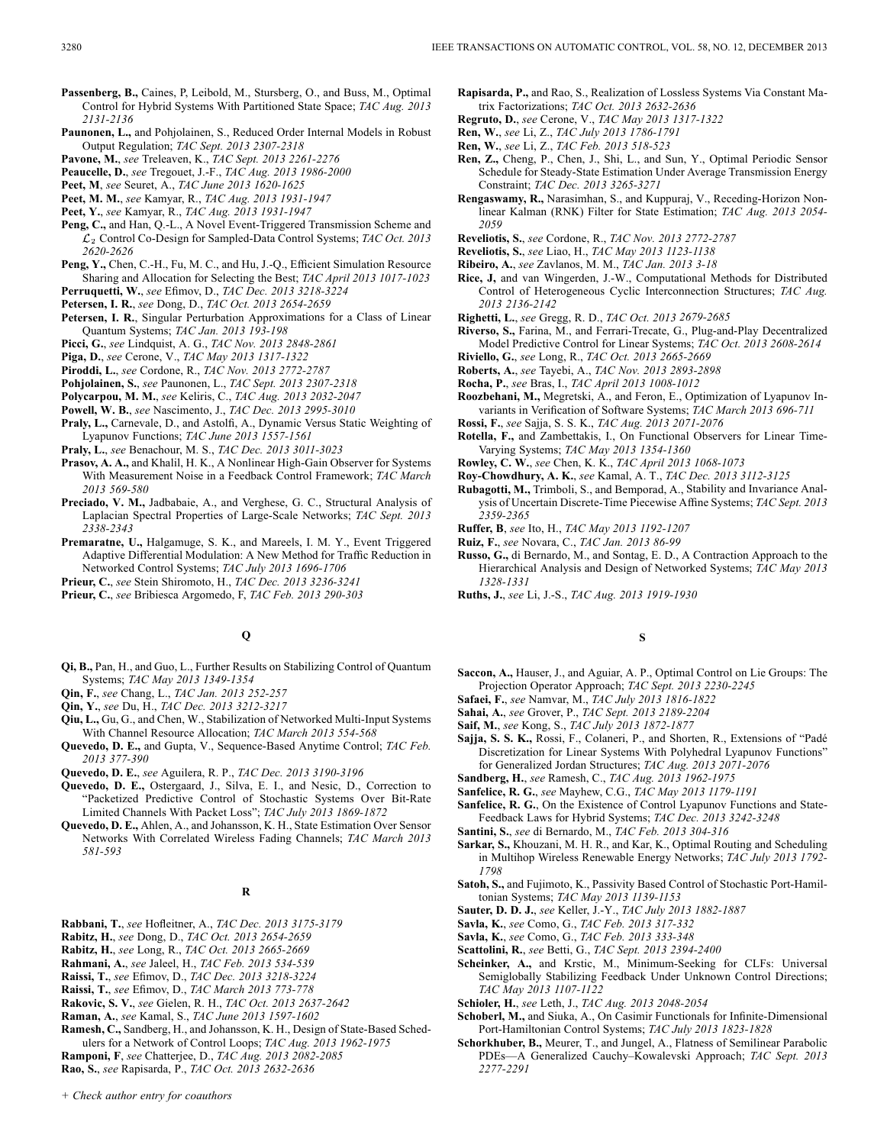- **Passenberg, B.,** Caines, P, Leibold, M., Stursberg, O., and Buss, M., Optimal Control for Hybrid Systems With Partitioned State Space; *TAC Aug. 2013 2131-2136*
- **Paunonen, L.,** and Pohjolainen, S., Reduced Order Internal Models in Robust Output Regulation; *TAC Sept. 2013 2307-2318*
- **Pavone, M.**, *see* Treleaven, K., *TAC Sept. 2013 2261-2276*
- **Peaucelle, D.**, *see* Tregouet, J.-F., *TAC Aug. 2013 1986-2000*
- **Peet, M**, *see* Seuret, A., *TAC June 2013 1620-1625*
- **Peet, M. M.**, *see* Kamyar, R., *TAC Aug. 2013 1931-1947*
- **Peet, Y.**, *see* Kamyar, R., *TAC Aug. 2013 1931-1947*
- **Peng, C.,** and Han, Q.-L., A Novel Event-Triggered Transmission Scheme and Control Co-Design for Sampled-Data Control Systems; *TAC Oct. 2013 2620-2626*
- **Peng, Y.,** Chen, C.-H., Fu, M. C., and Hu, J.-Q., Efficient Simulation Resource Sharing and Allocation for Selecting the Best; *TAC April 2013 1017-1023*
- **Perruquetti, W.**, *see* Efimov, D., *TAC Dec. 2013 3218-3224*
- **Petersen, I. R.**, *see* Dong, D., *TAC Oct. 2013 2654-2659*
- **Petersen, I. R.**, Singular Perturbation Approximations for a Class of Linear Quantum Systems; *TAC Jan. 2013 193-198*
- **Picci, G.**, *see* Lindquist, A. G., *TAC Nov. 2013 2848-2861*
- **Piga, D.**, *see* Cerone, V., *TAC May 2013 1317-1322*
- **Piroddi, L.**, *see* Cordone, R., *TAC Nov. 2013 2772-2787*
- **Pohjolainen, S.**, *see* Paunonen, L., *TAC Sept. 2013 2307-2318*
- **Polycarpou, M. M.**, *see* Keliris, C., *TAC Aug. 2013 2032-2047*
- **Powell, W. B.**, *see* Nascimento, J., *TAC Dec. 2013 2995-3010*
- **Praly, L.,** Carnevale, D., and Astolfi, A., Dynamic Versus Static Weighting of Lyapunov Functions; *TAC June 2013 1557-1561*
- **Praly, L.**, *see* Benachour, M. S., *TAC Dec. 2013 3011-3023*
- **Prasov, A. A.,** and Khalil, H. K., A Nonlinear High-Gain Observer for Systems With Measurement Noise in a Feedback Control Framework; *TAC March 2013 569-580*
- **Preciado, V. M.,** Jadbabaie, A., and Verghese, G. C., Structural Analysis of Laplacian Spectral Properties of Large-Scale Networks; *TAC Sept. 2013 2338-2343*
- **Premaratne, U.,** Halgamuge, S. K., and Mareels, I. M. Y., Event Triggered Adaptive Differential Modulation: A New Method for Traffic Reduction in Networked Control Systems; *TAC July 2013 1696-1706*
- **Prieur, C.**, *see* Stein Shiromoto, H., *TAC Dec. 2013 3236-3241*
- **Prieur, C.**, *see* Bribiesca Argomedo, F, *TAC Feb. 2013 290-303*

### **Q**

- **Qi, B.,** Pan, H., and Guo, L., Further Results on Stabilizing Control of Quantum Systems; *TAC May 2013 1349-1354*
- **Qin, F.**, *see* Chang, L., *TAC Jan. 2013 252-257*
- **Qin, Y.**, *see* Du, H., *TAC Dec. 2013 3212-3217*
- **Qiu, L.,** Gu, G., and Chen, W., Stabilization of Networked Multi-Input Systems With Channel Resource Allocation; *TAC March 2013 554-568*
- **Quevedo, D. E.,** and Gupta, V., Sequence-Based Anytime Control; *TAC Feb. 2013 377-390*
- **Quevedo, D. E.**, *see* Aguilera, R. P., *TAC Dec. 2013 3190-3196*
- **Quevedo, D. E.,** Ostergaard, J., Silva, E. I., and Nesic, D., Correction to "Packetized Predictive Control of Stochastic Systems Over Bit-Rate Limited Channels With Packet Loss"; *TAC July 2013 1869-1872*
- **Quevedo, D. E.,** Ahlen, A., and Johansson, K. H., State Estimation Over Sensor Networks With Correlated Wireless Fading Channels; *TAC March 2013 581-593*

### **R**

- **Rabbani, T.**, *see* Hofleitner, A., *TAC Dec. 2013 3175-3179*
- **Rabitz, H.**, *see* Dong, D., *TAC Oct. 2013 2654-2659*
- **Rabitz, H.**, *see* Long, R., *TAC Oct. 2013 2665-2669*
- **Rahmani, A.**, *see* Jaleel, H., *TAC Feb. 2013 534-539*
- **Raissi, T.**, *see* Efimov, D., *TAC Dec. 2013 3218-3224*
- **Raissi, T.**, *see* Efimov, D., *TAC March 2013 773-778*

- **Raman, A.**, *see* Kamal, S., *TAC June 2013 1597-1602*
- **Ramesh, C.,** Sandberg, H., and Johansson, K. H., Design of State-Based Schedulers for a Network of Control Loops; *TAC Aug. 2013 1962-1975* **Ramponi, F**, *see* Chatterjee, D., *TAC Aug. 2013 2082-2085*

**Rao, S.**, *see* Rapisarda, P., *TAC Oct. 2013 2632-2636*

- **Rapisarda, P.,** and Rao, S., Realization of Lossless Systems Via Constant Matrix Factorizations; *TAC Oct. 2013 2632-2636*
- **Regruto, D.**, *see* Cerone, V., *TAC May 2013 1317-1322*
- **Ren, W.**, *see* Li, Z., *TAC July 2013 1786-1791*
- **Ren, W.**, *see* Li, Z., *TAC Feb. 2013 518-523*
- **Ren, Z.,** Cheng, P., Chen, J., Shi, L., and Sun, Y., Optimal Periodic Sensor Schedule for Steady-State Estimation Under Average Transmission Energy Constraint; *TAC Dec. 2013 3265-3271*
- **Rengaswamy, R.,** Narasimhan, S., and Kuppuraj, V., Receding-Horizon Nonlinear Kalman (RNK) Filter for State Estimation; *TAC Aug. 2013 2054- 2059*
- **Reveliotis, S.**, *see* Cordone, R., *TAC Nov. 2013 2772-2787*
- **Reveliotis, S.**, *see* Liao, H., *TAC May 2013 1123-1138*
- **Ribeiro, A.**, *see* Zavlanos, M. M., *TAC Jan. 2013 3-18*
- **Rice, J,** and van Wingerden, J.-W., Computational Methods for Distributed Control of Heterogeneous Cyclic Interconnection Structures; *TAC Aug. 2013 2136-2142*
- **Righetti, L.**, *see* Gregg, R. D., *TAC Oct. 2013 2679-2685*
- **Riverso, S.,** Farina, M., and Ferrari-Trecate, G., Plug-and-Play Decentralized Model Predictive Control for Linear Systems; *TAC Oct. 2013 2608-2614*
- **Riviello, G.**, *see* Long, R., *TAC Oct. 2013 2665-2669*
- **Roberts, A.**, *see* Tayebi, A., *TAC Nov. 2013 2893-2898*
- **Rocha, P.**, *see* Bras, I., *TAC April 2013 1008-1012*
- **Roozbehani, M.,** Megretski, A., and Feron, E., Optimization of Lyapunov Invariants in Verification of Software Systems; *TAC March 2013 696-711*
- **Rossi, F.**, *see* Sajja, S. S. K., *TAC Aug. 2013 2071-2076*
- **Rotella, F.,** and Zambettakis, I., On Functional Observers for Linear Time-Varying Systems; *TAC May 2013 1354-1360*
- **Rowley, C. W.**, *see* Chen, K. K., *TAC April 2013 1068-1073*
- **Roy-Chowdhury, A. K.**, *see* Kamal, A. T., *TAC Dec. 2013 3112-3125*
- **Rubagotti, M.,** Trimboli, S., and Bemporad, A., Stability and Invariance Analysis of Uncertain Discrete-Time Piecewise Affine Systems; *TAC Sept. 2013 2359-2365*
- **Ruffer, B**, *see* Ito, H., *TAC May 2013 1192-1207*
- **Ruiz, F.**, *see* Novara, C., *TAC Jan. 2013 86-99*
- **Russo, G.,** di Bernardo, M., and Sontag, E. D., A Contraction Approach to the Hierarchical Analysis and Design of Networked Systems; *TAC May 2013 1328-1331*
- **Ruths, J.**, *see* Li, J.-S., *TAC Aug. 2013 1919-1930*

### **S**

- **Saccon, A.,** Hauser, J., and Aguiar, A. P., Optimal Control on Lie Groups: The Projection Operator Approach; *TAC Sept. 2013 2230-2245*
- **Safaei, F.**, *see* Namvar, M., *TAC July 2013 1816-1822*
- **Sahai, A.**, *see* Grover, P., *TAC Sept. 2013 2189-2204*
- **Saif, M.**, *see* Kong, S., *TAC July 2013 1872-1877*
- **Sajja, S. S. K.,** Rossi, F., Colaneri, P., and Shorten, R., Extensions of "Padé Discretization for Linear Systems With Polyhedral Lyapunov Functions" for Generalized Jordan Structures; *TAC Aug. 2013 2071-2076*
- **Sandberg, H.**, *see* Ramesh, C., *TAC Aug. 2013 1962-1975*
- **Sanfelice, R. G.**, *see* Mayhew, C.G., *TAC May 2013 1179-1191*
- **Sanfelice, R. G.**, On the Existence of Control Lyapunov Functions and State-Feedback Laws for Hybrid Systems; *TAC Dec. 2013 3242-3248*
- **Santini, S.**, *see* di Bernardo, M., *TAC Feb. 2013 304-316*
- **Sarkar, S.,** Khouzani, M. H. R., and Kar, K., Optimal Routing and Scheduling in Multihop Wireless Renewable Energy Networks; *TAC July 2013 1792- 1798*
- **Satoh, S.,** and Fujimoto, K., Passivity Based Control of Stochastic Port-Hamiltonian Systems; *TAC May 2013 1139-1153*
- **Sauter, D. D. J.**, *see* Keller, J.-Y., *TAC July 2013 1882-1887*
- **Savla, K.**, *see* Como, G., *TAC Feb. 2013 317-332*
- **Savla, K.**, *see* Como, G., *TAC Feb. 2013 333-348*
- **Scattolini, R.**, *see* Betti, G., *TAC Sept. 2013 2394-2400*
- **Scheinker, A.,** and Krstic, M., Minimum-Seeking for CLFs: Universal Semiglobally Stabilizing Feedback Under Unknown Control Directions; *TAC May 2013 1107-1122*
- **Schioler, H.**, *see* Leth, J., *TAC Aug. 2013 2048-2054*
- **Schoberl, M.,** and Siuka, A., On Casimir Functionals for Infinite-Dimensional Port-Hamiltonian Control Systems; *TAC July 2013 1823-1828*
- **Schorkhuber, B.,** Meurer, T., and Jungel, A., Flatness of Semilinear Parabolic PDEs—A Generalized Cauchy–Kowalevski Approach; *TAC Sept. 2013 2277-2291*

**Rakovic, S. V.**, *see* Gielen, R. H., *TAC Oct. 2013 2637-2642*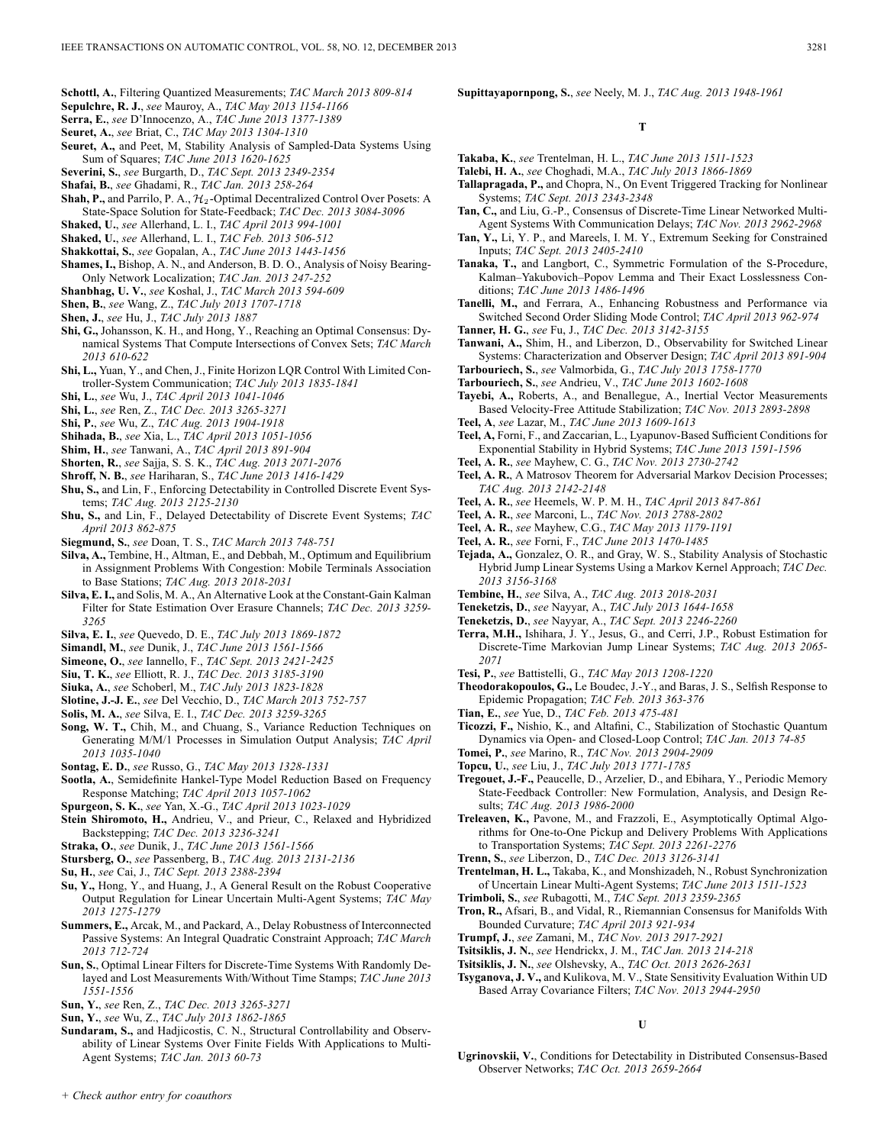- **Schottl, A.**, Filtering Quantized Measurements; *TAC March 2013 809-814*
- **Sepulchre, R. J.**, *see* Mauroy, A., *TAC May 2013 1154-1166*
- **Serra, E.**, *see* D'Innocenzo, A., *TAC June 2013 1377-1389*
- **Seuret, A.**, *see* Briat, C., *TAC May 2013 1304-1310*
- **Seuret, A.,** and Peet, M, Stability Analysis of Sampled-Data Systems Using Sum of Squares; *TAC June 2013 1620-1625*
- **Severini, S.**, *see* Burgarth, D., *TAC Sept. 2013 2349-2354*
- **Shafai, B.**, *see* Ghadami, R., *TAC Jan. 2013 258-264*
- **Shah, P.,** and Parrilo, P. A.,  $H_2$ -Optimal Decentralized Control Over Posets: A State-Space Solution for State-Feedback; *TAC Dec. 2013 3084-3096*
- **Shaked, U.**, *see* Allerhand, L. I., *TAC April 2013 994-1001*
- **Shaked, U.**, *see* Allerhand, L. I., *TAC Feb. 2013 506-512*
- **Shakkottai, S.**, *see* Gopalan, A., *TAC June 2013 1443-1456*
- **Shames, I.,** Bishop, A. N., and Anderson, B. D. O., Analysis of Noisy Bearing-Only Network Localization; *TAC Jan. 2013 247-252*
- **Shanbhag, U. V.**, *see* Koshal, J., *TAC March 2013 594-609*
- **Shen, B.**, *see* Wang, Z., *TAC July 2013 1707-1718*
- **Shen, J.**, *see* Hu, J., *TAC July 2013 1887*
- **Shi, G.,** Johansson, K. H., and Hong, Y., Reaching an Optimal Consensus: Dynamical Systems That Compute Intersections of Convex Sets; *TAC March 2013 610-622*
- **Shi, L.,** Yuan, Y., and Chen, J., Finite Horizon LQR Control With Limited Controller-System Communication; *TAC July 2013 1835-1841*
- **Shi, L.**, *see* Wu, J., *TAC April 2013 1041-1046*
- **Shi, L.**, *see* Ren, Z., *TAC Dec. 2013 3265-3271*
- **Shi, P.**, *see* Wu, Z., *TAC Aug. 2013 1904-1918*
- **Shihada, B.**, *see* Xia, L., *TAC April 2013 1051-1056*
- **Shim, H.**, *see* Tanwani, A., *TAC April 2013 891-904*
- **Shorten, R.**, *see* Sajja, S. S. K., *TAC Aug. 2013 2071-2076*
- **Shroff, N. B.**, *see* Hariharan, S., *TAC June 2013 1416-1429*
- **Shu, S.,** and Lin, F., Enforcing Detectability in Controlled Discrete Event Systems; *TAC Aug. 2013 2125-2130*
- **Shu, S.,** and Lin, F., Delayed Detectability of Discrete Event Systems; *TAC April 2013 862-875*
- **Siegmund, S.**, *see* Doan, T. S., *TAC March 2013 748-751*
- **Silva, A.,** Tembine, H., Altman, E., and Debbah, M., Optimum and Equilibrium in Assignment Problems With Congestion: Mobile Terminals Association to Base Stations; *TAC Aug. 2013 2018-2031*
- **Silva, E. I.,** and Solis, M. A., An Alternative Look at the Constant-Gain Kalman Filter for State Estimation Over Erasure Channels; *TAC Dec. 2013 3259- 3265*
- **Silva, E. I.**, *see* Quevedo, D. E., *TAC July 2013 1869-1872*
- **Simandl, M.**, *see* Dunik, J., *TAC June 2013 1561-1566*
- **Simeone, O.**, *see* Iannello, F., *TAC Sept. 2013 2421-2425*
- **Siu, T. K.**, *see* Elliott, R. J., *TAC Dec. 2013 3185-3190*
- **Siuka, A.**, *see* Schoberl, M., *TAC July 2013 1823-1828*
- **Slotine, J.-J. E.**, *see* Del Vecchio, D., *TAC March 2013 752-757*
- **Solis, M. A.**, *see* Silva, E. I., *TAC Dec. 2013 3259-3265*
- **Song, W. T.,** Chih, M., and Chuang, S., Variance Reduction Techniques on Generating M/M/1 Processes in Simulation Output Analysis; *TAC April 2013 1035-1040*
- **Sontag, E. D.**, *see* Russo, G., *TAC May 2013 1328-1331*
- **Sootla, A.**, Semidefinite Hankel-Type Model Reduction Based on Frequency Response Matching; *TAC April 2013 1057-1062*
- **Spurgeon, S. K.**, *see* Yan, X.-G., *TAC April 2013 1023-1029*
- **Stein Shiromoto, H.,** Andrieu, V., and Prieur, C., Relaxed and Hybridized Backstepping; *TAC Dec. 2013 3236-3241*
- **Straka, O.**, *see* Dunik, J., *TAC June 2013 1561-1566*
- **Stursberg, O.**, *see* Passenberg, B., *TAC Aug. 2013 2131-2136*
- **Su, H.**, *see* Cai, J., *TAC Sept. 2013 2388-2394*
- **Su, Y.,** Hong, Y., and Huang, J., A General Result on the Robust Cooperative Output Regulation for Linear Uncertain Multi-Agent Systems; *TAC May 2013 1275-1279*
- **Summers, E.,** Arcak, M., and Packard, A., Delay Robustness of Interconnected Passive Systems: An Integral Quadratic Constraint Approach; *TAC March 2013 712-724*
- **Sun, S.**, Optimal Linear Filters for Discrete-Time Systems With Randomly Delayed and Lost Measurements With/Without Time Stamps; *TAC June 2013 1551-1556*
- **Sun, Y.**, *see* Ren, Z., *TAC Dec. 2013 3265-3271*
- **Sun, Y.**, *see* Wu, Z., *TAC July 2013 1862-1865*
- **Sundaram, S.,** and Hadjicostis, C. N., Structural Controllability and Observability of Linear Systems Over Finite Fields With Applications to Multi-Agent Systems; *TAC Jan. 2013 60-73*

**Supittayapornpong, S.**, *see* Neely, M. J., *TAC Aug. 2013 1948-1961*

### **T**

- **Takaba, K.**, *see* Trentelman, H. L., *TAC June 2013 1511-1523* **Talebi, H. A.**, *see* Choghadi, M.A., *TAC July 2013 1866-1869*
- **Tallapragada, P.,** and Chopra, N., On Event Triggered Tracking for Nonlinear Systems; *TAC Sept. 2013 2343-2348*
- **Tan, C.,** and Liu, G.-P., Consensus of Discrete-Time Linear Networked Multi-Agent Systems With Communication Delays; *TAC Nov. 2013 2962-2968*
- **Tan, Y.,** Li, Y. P., and Mareels, I. M. Y., Extremum Seeking for Constrained Inputs; *TAC Sept. 2013 2405-2410*
- **Tanaka, T.,** and Langbort, C., Symmetric Formulation of the S-Procedure, Kalman–Yakubovich–Popov Lemma and Their Exact Losslessness Conditions; *TAC June 2013 1486-1496*
- **Tanelli, M.,** and Ferrara, A., Enhancing Robustness and Performance via Switched Second Order Sliding Mode Control; *TAC April 2013 962-974*

**Tanner, H. G.**, *see* Fu, J., *TAC Dec. 2013 3142-3155*

- **Tanwani, A.,** Shim, H., and Liberzon, D., Observability for Switched Linear Systems: Characterization and Observer Design; *TAC April 2013 891-904* **Tarbouriech, S.**, *see* Valmorbida, G., *TAC July 2013 1758-1770*
- **Tarbouriech, S.**, *see* Andrieu, V., *TAC June 2013 1602-1608*
- **Tayebi, A.,** Roberts, A., and Benallegue, A., Inertial Vector Measurements Based Velocity-Free Attitude Stabilization; *TAC Nov. 2013 2893-2898*
- **Teel, A**, *see* Lazar, M., *TAC June 2013 1609-1613* **Teel, A,** Forni, F., and Zaccarian, L., Lyapunov-Based Sufficient Conditions for
- Exponential Stability in Hybrid Systems; *TAC June 2013 1591-1596*
- **Teel, A. R.**, *see* Mayhew, C. G., *TAC Nov. 2013 2730-2742*
- **Teel, A. R.**, A Matrosov Theorem for Adversarial Markov Decision Processes; *TAC Aug. 2013 2142-2148*
- **Teel, A. R.**, *see* Heemels, W. P. M. H., *TAC April 2013 847-861*
- **Teel, A. R.**, *see* Marconi, L., *TAC Nov. 2013 2788-2802*
- **Teel, A. R.**, *see* Mayhew, C.G., *TAC May 2013 1179-1191*
- **Teel, A. R.**, *see* Forni, F., *TAC June 2013 1470-1485*
- **Tejada, A.,** Gonzalez, O. R., and Gray, W. S., Stability Analysis of Stochastic Hybrid Jump Linear Systems Using a Markov Kernel Approach; *TAC Dec. 2013 3156-3168*
- **Tembine, H.**, *see* Silva, A., *TAC Aug. 2013 2018-2031*
- **Teneketzis, D.**, *see* Nayyar, A., *TAC July 2013 1644-1658*
- **Teneketzis, D.**, *see* Nayyar, A., *TAC Sept. 2013 2246-2260*
- **Terra, M.H.,** Ishihara, J. Y., Jesus, G., and Cerri, J.P., Robust Estimation for Discrete-Time Markovian Jump Linear Systems; *TAC Aug. 2013 2065- 2071*
- **Tesi, P.**, *see* Battistelli, G., *TAC May 2013 1208-1220*
- **Theodorakopoulos, G.,** Le Boudec, J.-Y., and Baras, J. S., Selfish Response to Epidemic Propagation; *TAC Feb. 2013 363-376*
- **Tian, E.**, *see* Yue, D., *TAC Feb. 2013 475-481*
- **Ticozzi, F.,** Nishio, K., and Altafini, C., Stabilization of Stochastic Quantum Dynamics via Open- and Closed-Loop Control; *TAC Jan. 2013 74-85*
- **Tomei, P.**, *see* Marino, R., *TAC Nov. 2013 2904-2909*
- **Topcu, U.**, *see* Liu, J., *TAC July 2013 1771-1785*
- **Tregouet, J.-F.,** Peaucelle, D., Arzelier, D., and Ebihara, Y., Periodic Memory State-Feedback Controller: New Formulation, Analysis, and Design Results; *TAC Aug. 2013 1986-2000*
- **Treleaven, K.,** Pavone, M., and Frazzoli, E., Asymptotically Optimal Algorithms for One-to-One Pickup and Delivery Problems With Applications to Transportation Systems; *TAC Sept. 2013 2261-2276*
- **Trenn, S.**, *see* Liberzon, D., *TAC Dec. 2013 3126-3141*
- **Trentelman, H. L.,** Takaba, K., and Monshizadeh, N., Robust Synchronization of Uncertain Linear Multi-Agent Systems; *TAC June 2013 1511-1523*
- **Trimboli, S.**, *see* Rubagotti, M., *TAC Sept. 2013 2359-2365*
- **Tron, R.,** Afsari, B., and Vidal, R., Riemannian Consensus for Manifolds With Bounded Curvature; *TAC April 2013 921-934*
- **Trumpf, J.**, *see* Zamani, M., *TAC Nov. 2013 2917-2921*
- **Tsitsiklis, J. N.**, *see* Hendrickx, J. M., *TAC Jan. 2013 214-218*
- **Tsitsiklis, J. N.**, *see* Olshevsky, A., *TAC Oct. 2013 2626-2631*
- **Tsyganova, J. V.,** and Kulikova, M. V., State Sensitivity Evaluation Within UD Based Array Covariance Filters; *TAC Nov. 2013 2944-2950*

**U**

**Ugrinovskii, V.**, Conditions for Detectability in Distributed Consensus-Based Observer Networks; *TAC Oct. 2013 2659-2664*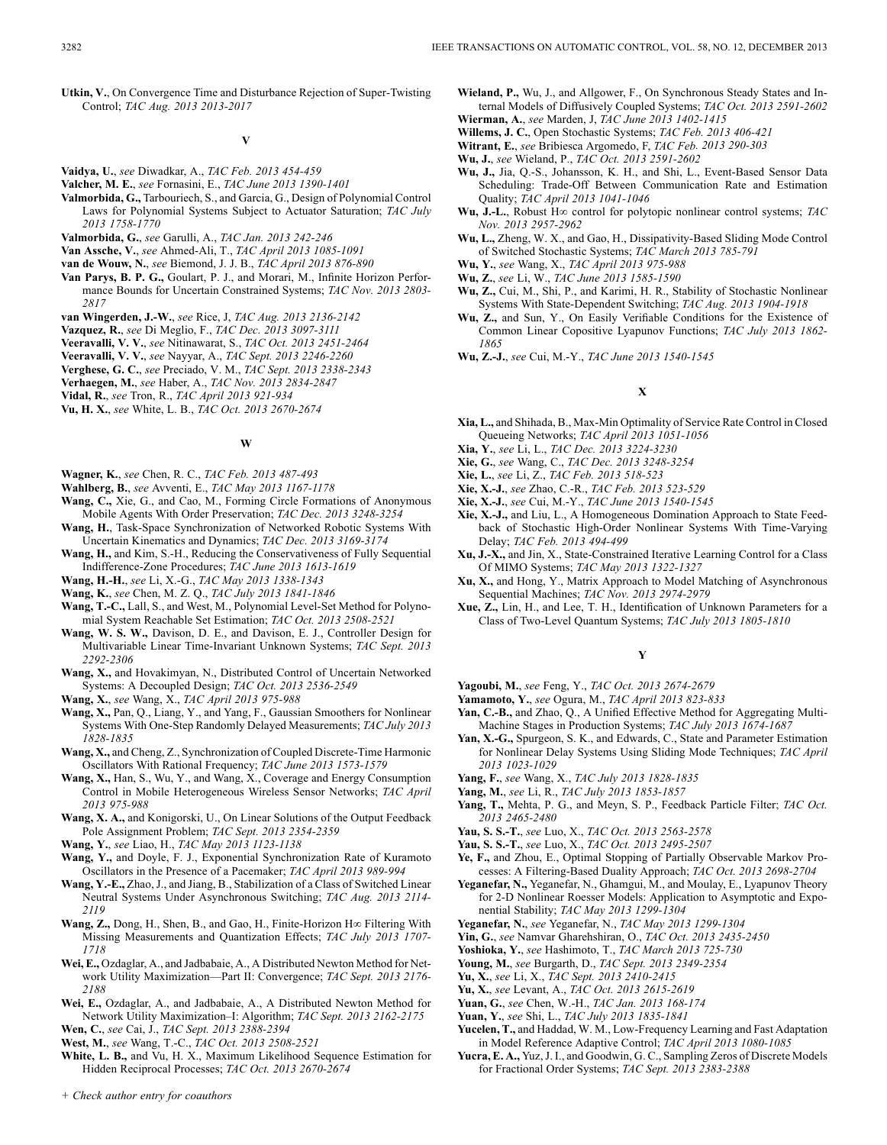#### **V**

- **Vaidya, U.**, *see* Diwadkar, A., *TAC Feb. 2013 454-459*
- **Valcher, M. E.**, *see* Fornasini, E., *TAC June 2013 1390-1401*
- **Valmorbida, G.,** Tarbouriech, S., and Garcia, G., Design of Polynomial Control Laws for Polynomial Systems Subject to Actuator Saturation; *TAC July 2013 1758-1770*
- **Valmorbida, G.**, *see* Garulli, A., *TAC Jan. 2013 242-246*
- **Van Assche, V.**, *see* Ahmed-Ali, T., *TAC April 2013 1085-1091*
- **van de Wouw, N.**, *see* Biemond, J. J. B., *TAC April 2013 876-890*
- **Van Parys, B. P. G.,** Goulart, P. J., and Morari, M., Infinite Horizon Performance Bounds for Uncertain Constrained Systems; *TAC Nov. 2013 2803- 2817*
- **van Wingerden, J.-W.**, *see* Rice, J, *TAC Aug. 2013 2136-2142*
- **Vazquez, R.**, *see* Di Meglio, F., *TAC Dec. 2013 3097-3111*
- **Veeravalli, V. V.**, *see* Nitinawarat, S., *TAC Oct. 2013 2451-2464*
- **Veeravalli, V. V.**, *see* Nayyar, A., *TAC Sept. 2013 2246-2260*
- **Verghese, G. C.**, *see* Preciado, V. M., *TAC Sept. 2013 2338-2343*
- **Verhaegen, M.**, *see* Haber, A., *TAC Nov. 2013 2834-2847*
- **Vidal, R.**, *see* Tron, R., *TAC April 2013 921-934*
- **Vu, H. X.**, *see* White, L. B., *TAC Oct. 2013 2670-2674*

#### **W**

- **Wagner, K.**, *see* Chen, R. C., *TAC Feb. 2013 487-493*
- **Wahlberg, B.**, *see* Avventi, E., *TAC May 2013 1167-1178*
- **Wang, C.,** Xie, G., and Cao, M., Forming Circle Formations of Anonymous Mobile Agents With Order Preservation; *TAC Dec. 2013 3248-3254*
- **Wang, H.**, Task-Space Synchronization of Networked Robotic Systems With Uncertain Kinematics and Dynamics; *TAC Dec. 2013 3169-3174*
- **Wang, H.,** and Kim, S.-H., Reducing the Conservativeness of Fully Sequential Indifference-Zone Procedures; *TAC June 2013 1613-1619*
- **Wang, H.-H.**, *see* Li, X.-G., *TAC May 2013 1338-1343*
- **Wang, K.**, *see* Chen, M. Z. Q., *TAC July 2013 1841-1846*
- **Wang, T.-C.,** Lall, S., and West, M., Polynomial Level-Set Method for Polynomial System Reachable Set Estimation; *TAC Oct. 2013 2508-2521*
- **Wang, W. S. W.,** Davison, D. E., and Davison, E. J., Controller Design for Multivariable Linear Time-Invariant Unknown Systems; *TAC Sept. 2013 2292-2306*
- **Wang, X.,** and Hovakimyan, N., Distributed Control of Uncertain Networked Systems: A Decoupled Design; *TAC Oct. 2013 2536-2549*
- **Wang, X.**, *see* Wang, X., *TAC April 2013 975-988*
- **Wang, X.,** Pan, Q., Liang, Y., and Yang, F., Gaussian Smoothers for Nonlinear Systems With One-Step Randomly Delayed Measurements; *TAC July 2013 1828-1835*
- **Wang, X.,** and Cheng, Z., Synchronization of Coupled Discrete-Time Harmonic Oscillators With Rational Frequency; *TAC June 2013 1573-1579*
- **Wang, X.,** Han, S., Wu, Y., and Wang, X., Coverage and Energy Consumption Control in Mobile Heterogeneous Wireless Sensor Networks; *TAC April 2013 975-988*
- **Wang, X. A.,** and Konigorski, U., On Linear Solutions of the Output Feedback Pole Assignment Problem; *TAC Sept. 2013 2354-2359*
- **Wang, Y.**, *see* Liao, H., *TAC May 2013 1123-1138*
- **Wang, Y.,** and Doyle, F. J., Exponential Synchronization Rate of Kuramoto Oscillators in the Presence of a Pacemaker; *TAC April 2013 989-994*
- **Wang, Y.-E.,** Zhao, J., and Jiang, B., Stabilization of a Class of Switched Linear Neutral Systems Under Asynchronous Switching; *TAC Aug. 2013 2114- 2119*
- **Wang, Z.,** Dong, H., Shen, B., and Gao, H., Finite-Horizon H∞ Filtering With Missing Measurements and Quantization Effects; *TAC July 2013 1707- 1718*
- **Wei, E.,** Ozdaglar, A., and Jadbabaie, A., A Distributed Newton Method for Network Utility Maximization—Part II: Convergence; *TAC Sept. 2013 2176- 2188*
- **Wei, E.,** Ozdaglar, A., and Jadbabaie, A., A Distributed Newton Method for Network Utility Maximization–I: Algorithm; *TAC Sept. 2013 2162-2175*
- **Wen, C.**, *see* Cai, J., *TAC Sept. 2013 2388-2394* **West, M.**, *see* Wang, T.-C., *TAC Oct. 2013 2508-2521*
- **White, L. B.,** and Vu, H. X., Maximum Likelihood Sequence Estimation for
- Hidden Reciprocal Processes; *TAC Oct. 2013 2670-2674*
- **Wieland, P.,** Wu, J., and Allgower, F., On Synchronous Steady States and Internal Models of Diffusively Coupled Systems; *TAC Oct. 2013 2591-2602* **Wierman, A.**, *see* Marden, J, *TAC June 2013 1402-1415*
- **Willems, J. C.**, Open Stochastic Systems; *TAC Feb. 2013 406-421*
- **Witrant, E.**, *see* Bribiesca Argomedo, F, *TAC Feb. 2013 290-303*
- **Wu, J.**, *see* Wieland, P., *TAC Oct. 2013 2591-2602*
- **Wu, J.,** Jia, Q.-S., Johansson, K. H., and Shi, L., Event-Based Sensor Data Scheduling: Trade-Off Between Communication Rate and Estimation Quality; *TAC April 2013 1041-1046*
- **Wu, J.-L.**, Robust H∞ control for polytopic nonlinear control systems; *TAC Nov. 2013 2957-2962*
- **Wu, L.,** Zheng, W. X., and Gao, H., Dissipativity-Based Sliding Mode Control of Switched Stochastic Systems; *TAC March 2013 785-791*
- **Wu, Y.**, *see* Wang, X., *TAC April 2013 975-988*
- **Wu, Z.**, *see* Li, W., *TAC June 2013 1585-1590*
- **Wu, Z.,** Cui, M., Shi, P., and Karimi, H. R., Stability of Stochastic Nonlinear Systems With State-Dependent Switching; *TAC Aug. 2013 1904-1918*
- **Wu, Z.,** and Sun, Y., On Easily Verifiable Conditions for the Existence of Common Linear Copositive Lyapunov Functions; *TAC July 2013 1862- 1865*
- **Wu, Z.-J.**, *see* Cui, M.-Y., *TAC June 2013 1540-1545*

### **X**

- **Xia, L.,** and Shihada, B., Max-Min Optimality of Service Rate Control in Closed Queueing Networks; *TAC April 2013 1051-1056*
- **Xia, Y.**, *see* Li, L., *TAC Dec. 2013 3224-3230*
- **Xie, G.**, *see* Wang, C., *TAC Dec. 2013 3248-3254*
- **Xie, L.**, *see* Li, Z., *TAC Feb. 2013 518-523*
- **Xie, X.-J.**, *see* Zhao, C.-R., *TAC Feb. 2013 523-529*
- **Xie, X.-J.**, *see* Cui, M.-Y., *TAC June 2013 1540-1545*
- **Xie, X.-J.,** and Liu, L., A Homogeneous Domination Approach to State Feedback of Stochastic High-Order Nonlinear Systems With Time-Varying Delay; *TAC Feb. 2013 494-499*
- **Xu, J.-X.,** and Jin, X., State-Constrained Iterative Learning Control for a Class Of MIMO Systems; *TAC May 2013 1322-1327*
- **Xu, X.,** and Hong, Y., Matrix Approach to Model Matching of Asynchronous Sequential Machines; *TAC Nov. 2013 2974-2979*
- **Xue, Z.,** Lin, H., and Lee, T. H., Identification of Unknown Parameters for a Class of Two-Level Quantum Systems; *TAC July 2013 1805-1810*

#### **Y**

- **Yagoubi, M.**, *see* Feng, Y., *TAC Oct. 2013 2674-2679*
- **Yamamoto, Y.**, *see* Ogura, M., *TAC April 2013 823-833*
- **Yan, C.-B.,** and Zhao, Q., A Unified Effective Method for Aggregating Multi-Machine Stages in Production Systems; *TAC July 2013 1674-1687*
- **Yan, X.-G.,** Spurgeon, S. K., and Edwards, C., State and Parameter Estimation for Nonlinear Delay Systems Using Sliding Mode Techniques; *TAC April 2013 1023-1029*
- **Yang, F.**, *see* Wang, X., *TAC July 2013 1828-1835*
- **Yang, M.**, *see* Li, R., *TAC July 2013 1853-1857*
- **Yang, T.,** Mehta, P. G., and Meyn, S. P., Feedback Particle Filter; *TAC Oct. 2013 2465-2480*
- **Yau, S. S.-T.**, *see* Luo, X., *TAC Oct. 2013 2563-2578*
- **Yau, S. S.-T.**, *see* Luo, X., *TAC Oct. 2013 2495-2507*
- **Ye, F.,** and Zhou, E., Optimal Stopping of Partially Observable Markov Processes: A Filtering-Based Duality Approach; *TAC Oct. 2013 2698-2704*
- **Yeganefar, N.,** Yeganefar, N., Ghamgui, M., and Moulay, E., Lyapunov Theory for 2-D Nonlinear Roesser Models: Application to Asymptotic and Exponential Stability; *TAC May 2013 1299-1304*
- **Yeganefar, N.**, *see* Yeganefar, N., *TAC May 2013 1299-1304*
- **Yin, G.**, *see* Namvar Gharehshiran, O., *TAC Oct. 2013 2435-2450*
- **Yoshioka, Y.**, *see* Hashimoto, T., *TAC March 2013 725-730*
- **Young, M.**, *see* Burgarth, D., *TAC Sept. 2013 2349-2354*
- **Yu, X.**, *see* Li, X., *TAC Sept. 2013 2410-2415*
- **Yu, X.**, *see* Levant, A., *TAC Oct. 2013 2615-2619*
- **Yuan, G.**, *see* Chen, W.-H., *TAC Jan. 2013 168-174*
- **Yuan, Y.**, *see* Shi, L., *TAC July 2013 1835-1841*
- **Yucelen, T.,** and Haddad, W. M., Low-Frequency Learning and Fast Adaptation in Model Reference Adaptive Control; *TAC April 2013 1080-1085*
- **Yucra, E. A.,** Yuz, J. I., and Goodwin, G. C., Sampling Zeros of Discrete Models for Fractional Order Systems; *TAC Sept. 2013 2383-2388*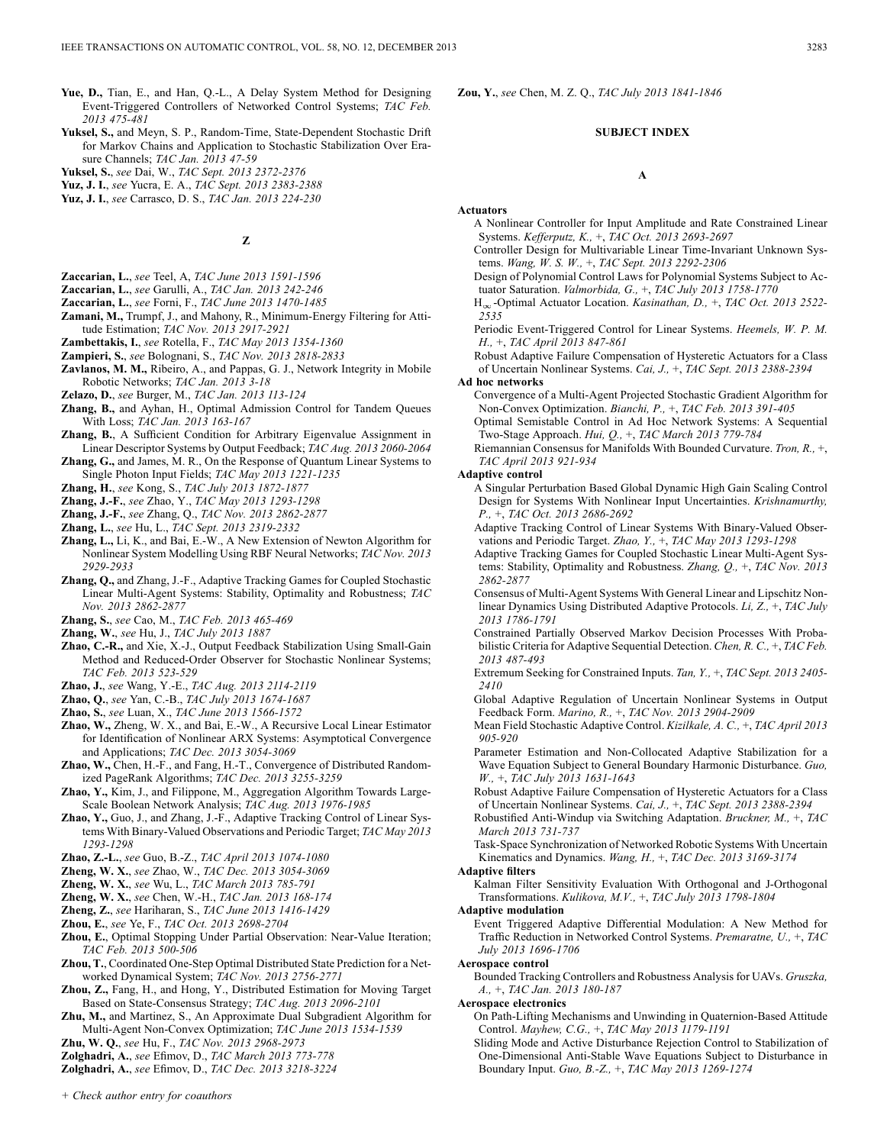- **Yue, D.,** Tian, E., and Han, Q.-L., A Delay System Method for Designing Event-Triggered Controllers of Networked Control Systems; *TAC Feb. 2013 475-481*
- **Yuksel, S.,** and Meyn, S. P., Random-Time, State-Dependent Stochastic Drift for Markov Chains and Application to Stochastic Stabilization Over Erasure Channels; *TAC Jan. 2013 47-59*
- **Yuksel, S.**, *see* Dai, W., *TAC Sept. 2013 2372-2376*
- **Yuz, J. I.**, *see* Yucra, E. A., *TAC Sept. 2013 2383-2388*
- **Yuz, J. I.**, *see* Carrasco, D. S., *TAC Jan. 2013 224-230*

**Z**

- **Zaccarian, L.**, *see* Teel, A, *TAC June 2013 1591-1596*
- **Zaccarian, L.**, *see* Garulli, A., *TAC Jan. 2013 242-246*
- **Zaccarian, L.**, *see* Forni, F., *TAC June 2013 1470-1485*
- **Zamani, M.,** Trumpf, J., and Mahony, R., Minimum-Energy Filtering for Attitude Estimation; *TAC Nov. 2013 2917-2921*
- **Zambettakis, I.**, *see* Rotella, F., *TAC May 2013 1354-1360*
- **Zampieri, S.**, *see* Bolognani, S., *TAC Nov. 2013 2818-2833*
- **Zavlanos, M. M.,** Ribeiro, A., and Pappas, G. J., Network Integrity in Mobile Robotic Networks; *TAC Jan. 2013 3-18*
- **Zelazo, D.**, *see* Burger, M., *TAC Jan. 2013 113-124*
- **Zhang, B.,** and Ayhan, H., Optimal Admission Control for Tandem Queues With Loss; *TAC Jan. 2013 163-167*
- **Zhang, B.**, A Sufficient Condition for Arbitrary Eigenvalue Assignment in Linear Descriptor Systems by Output Feedback; *TAC Aug. 2013 2060-2064*
- **Zhang, G.,** and James, M. R., On the Response of Quantum Linear Systems to Single Photon Input Fields; *TAC May 2013 1221-1235*
- **Zhang, H.**, *see* Kong, S., *TAC July 2013 1872-1877*
- **Zhang, J.-F.**, *see* Zhao, Y., *TAC May 2013 1293-1298*
- **Zhang, J.-F.**, *see* Zhang, Q., *TAC Nov. 2013 2862-2877*
- **Zhang, L.**, *see* Hu, L., *TAC Sept. 2013 2319-2332*
- **Zhang, L.,** Li, K., and Bai, E.-W., A New Extension of Newton Algorithm for Nonlinear System Modelling Using RBF Neural Networks; *TAC Nov. 2013 2929-2933*
- **Zhang, Q.,** and Zhang, J.-F., Adaptive Tracking Games for Coupled Stochastic Linear Multi-Agent Systems: Stability, Optimality and Robustness; *TAC Nov. 2013 2862-2877*
- **Zhang, S.**, *see* Cao, M., *TAC Feb. 2013 465-469*

**Zhang, W.**, *see* Hu, J., *TAC July 2013 1887*

- **Zhao, C.-R.,** and Xie, X.-J., Output Feedback Stabilization Using Small-Gain Method and Reduced-Order Observer for Stochastic Nonlinear Systems; *TAC Feb. 2013 523-529*
- **Zhao, J.**, *see* Wang, Y.-E., *TAC Aug. 2013 2114-2119*
- **Zhao, Q.**, *see* Yan, C.-B., *TAC July 2013 1674-1687*
- **Zhao, S.**, *see* Luan, X., *TAC June 2013 1566-1572*
- **Zhao, W.,** Zheng, W. X., and Bai, E.-W., A Recursive Local Linear Estimator for Identification of Nonlinear ARX Systems: Asymptotical Convergence and Applications; *TAC Dec. 2013 3054-3069*
- **Zhao, W.,** Chen, H.-F., and Fang, H.-T., Convergence of Distributed Randomized PageRank Algorithms; *TAC Dec. 2013 3255-3259*
- **Zhao, Y.,** Kim, J., and Filippone, M., Aggregation Algorithm Towards Large-Scale Boolean Network Analysis; *TAC Aug. 2013 1976-1985*
- **Zhao, Y.,** Guo, J., and Zhang, J.-F., Adaptive Tracking Control of Linear Systems With Binary-Valued Observations and Periodic Target; *TAC May 2013 1293-1298*
- **Zhao, Z.-L.**, *see* Guo, B.-Z., *TAC April 2013 1074-1080*
- **Zheng, W. X.**, *see* Zhao, W., *TAC Dec. 2013 3054-3069*
- **Zheng, W. X.**, *see* Wu, L., *TAC March 2013 785-791*
- **Zheng, W. X.**, *see* Chen, W.-H., *TAC Jan. 2013 168-174*
- **Zheng, Z.**, *see* Hariharan, S., *TAC June 2013 1416-1429*
- **Zhou, E.**, *see* Ye, F., *TAC Oct. 2013 2698-2704*
- **Zhou, E.**, Optimal Stopping Under Partial Observation: Near-Value Iteration; *TAC Feb. 2013 500-506*
- **Zhou, T.**, Coordinated One-Step Optimal Distributed State Prediction for a Networked Dynamical System; *TAC Nov. 2013 2756-2771*
- **Zhou, Z.,** Fang, H., and Hong, Y., Distributed Estimation for Moving Target Based on State-Consensus Strategy; *TAC Aug. 2013 2096-2101*
- **Zhu, M.,** and Martinez, S., An Approximate Dual Subgradient Algorithm for Multi-Agent Non-Convex Optimization; *TAC June 2013 1534-1539*
- **Zhu, W. Q.**, *see* Hu, F., *TAC Nov. 2013 2968-2973*
- **Zolghadri, A.**, *see* Efimov, D., *TAC March 2013 773-778*
- **Zolghadri, A.**, *see* Efimov, D., *TAC Dec. 2013 3218-3224*

**Zou, Y.**, *see* Chen, M. Z. Q., *TAC July 2013 1841-1846*

#### **SUBJECT INDEX**

#### **A**

- **Actuators**
	- A Nonlinear Controller for Input Amplitude and Rate Constrained Linear Systems. *Kefferputz, K.,* +, *TAC Oct. 2013 2693-2697*
	- Controller Design for Multivariable Linear Time-Invariant Unknown Systems. *Wang, W. S. W.,* +, *TAC Sept. 2013 2292-2306*
	- Design of Polynomial Control Laws for Polynomial Systems Subject to Actuator Saturation. *Valmorbida, G.,* +, *TAC July 2013 1758-1770*
	- H<sub>∞</sub>-Optimal Actuator Location. *Kasinathan, D.,* +, *TAC Oct. 2013 2522*-*2535*
	- Periodic Event-Triggered Control for Linear Systems. *Heemels, W. P. M. H.,* +, *TAC April 2013 847-861*
	- Robust Adaptive Failure Compensation of Hysteretic Actuators for a Class of Uncertain Nonlinear Systems. *Cai, J.,* +, *TAC Sept. 2013 2388-2394*

#### **Ad hoc networks**

- Convergence of a Multi-Agent Projected Stochastic Gradient Algorithm for Non-Convex Optimization. *Bianchi, P.,* +, *TAC Feb. 2013 391-405*
- Optimal Semistable Control in Ad Hoc Network Systems: A Sequential Two-Stage Approach. *Hui, Q.,* +, *TAC March 2013 779-784*
- Riemannian Consensus for Manifolds With Bounded Curvature. *Tron, R.,* +, *TAC April 2013 921-934*

#### **Adaptive control**

- A Singular Perturbation Based Global Dynamic High Gain Scaling Control Design for Systems With Nonlinear Input Uncertainties. *Krishnamurthy, P.,* +, *TAC Oct. 2013 2686-2692*
- Adaptive Tracking Control of Linear Systems With Binary-Valued Observations and Periodic Target. *Zhao, Y.,* +, *TAC May 2013 1293-1298*
- Adaptive Tracking Games for Coupled Stochastic Linear Multi-Agent Systems: Stability, Optimality and Robustness. *Zhang, Q.,* +, *TAC Nov. 2013 2862-2877*
- Consensus of Multi-Agent Systems With General Linear and Lipschitz Nonlinear Dynamics Using Distributed Adaptive Protocols. *Li, Z.,* +, *TAC July 2013 1786-1791*
- Constrained Partially Observed Markov Decision Processes With Probabilistic Criteria for Adaptive Sequential Detection. *Chen, R. C.,* +, *TAC Feb. 2013 487-493*
- Extremum Seeking for Constrained Inputs. *Tan, Y.,* +, *TAC Sept. 2013 2405- 2410*
- Global Adaptive Regulation of Uncertain Nonlinear Systems in Output Feedback Form. *Marino, R.,* +, *TAC Nov. 2013 2904-2909*
- Mean Field Stochastic Adaptive Control. *Kizilkale, A. C.,* +, *TAC April 2013 905-920*
- Parameter Estimation and Non-Collocated Adaptive Stabilization for a Wave Equation Subject to General Boundary Harmonic Disturbance. *Guo, W.,* +, *TAC July 2013 1631-1643*
- Robust Adaptive Failure Compensation of Hysteretic Actuators for a Class of Uncertain Nonlinear Systems. *Cai, J.,* +, *TAC Sept. 2013 2388-2394*

Robustified Anti-Windup via Switching Adaptation. *Bruckner, M.,* +, *TAC March 2013 731-737*

Task-Space Synchronization of Networked Robotic Systems With Uncertain Kinematics and Dynamics. *Wang, H.,* +, *TAC Dec. 2013 3169-3174*

#### **Adaptive filters**

Kalman Filter Sensitivity Evaluation With Orthogonal and J-Orthogonal Transformations. *Kulikova, M.V.,* +, *TAC July 2013 1798-1804*

#### **Adaptive modulation**

Event Triggered Adaptive Differential Modulation: A New Method for Traffic Reduction in Networked Control Systems. *Premaratne, U.,* +, *TAC July 2013 1696-1706*

#### **Aerospace control**

Bounded Tracking Controllers and Robustness Analysis for UAVs. *Gruszka, A.,* +, *TAC Jan. 2013 180-187*

#### **Aerospace electronics**

On Path-Lifting Mechanisms and Unwinding in Quaternion-Based Attitude Control. *Mayhew, C.G.,* +, *TAC May 2013 1179-1191*

Sliding Mode and Active Disturbance Rejection Control to Stabilization of One-Dimensional Anti-Stable Wave Equations Subject to Disturbance in Boundary Input. *Guo, B.-Z.,* +, *TAC May 2013 1269-1274*

*+ Check author entry for coauthors*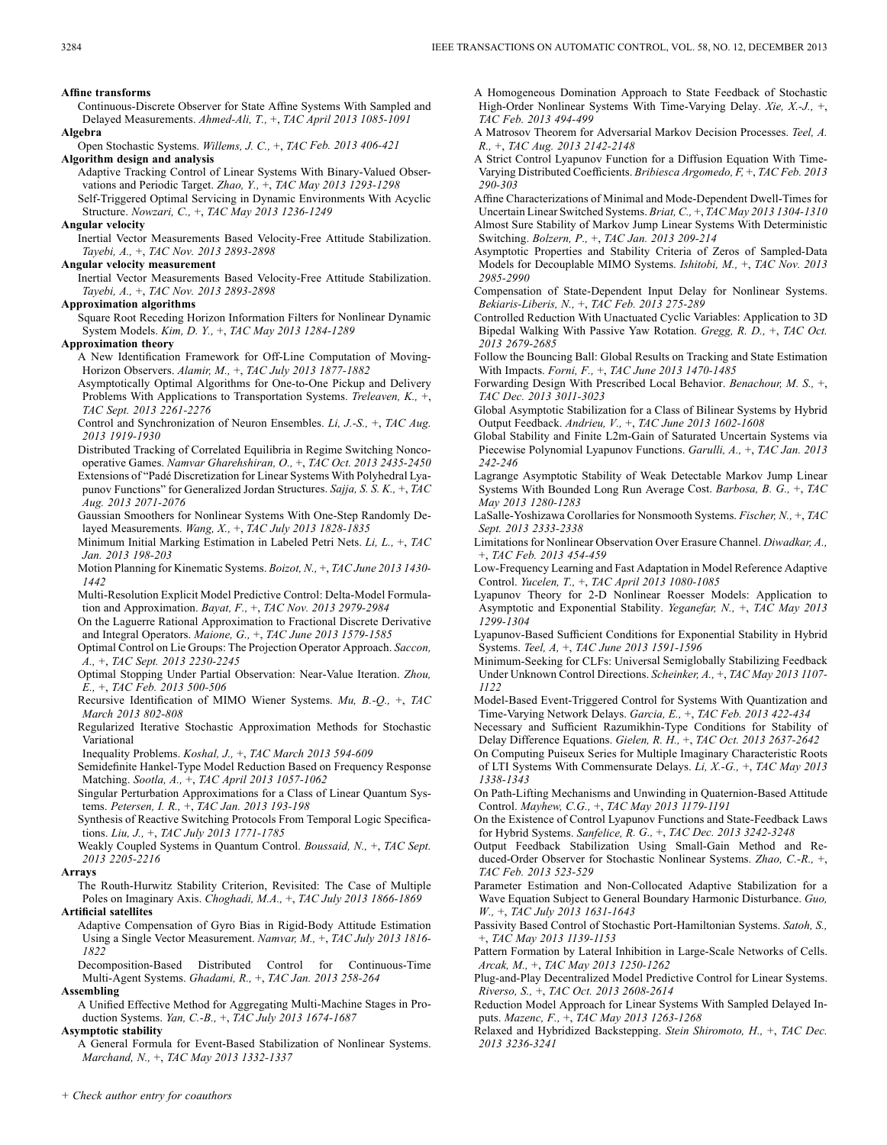**Affine transforms**

- Continuous-Discrete Observer for State Affine Systems With Sampled and Delayed Measurements. *Ahmed-Ali, T.,* +, *TAC April 2013 1085-1091* **Algebra**
- Open Stochastic Systems. *Willems, J. C.,* +, *TAC Feb. 2013 406-421* **Algorithm design and analysis**
	- Adaptive Tracking Control of Linear Systems With Binary-Valued Observations and Periodic Target. *Zhao, Y.,* +, *TAC May 2013 1293-1298* Self-Triggered Optimal Servicing in Dynamic Environments With Acyclic Structure. *Nowzari, C.,* +, *TAC May 2013 1236-1249*
- **Angular velocity**

Inertial Vector Measurements Based Velocity-Free Attitude Stabilization. *Tayebi, A.,* +, *TAC Nov. 2013 2893-2898*

**Angular velocity measurement**

Inertial Vector Measurements Based Velocity-Free Attitude Stabilization. *Tayebi, A.,* +, *TAC Nov. 2013 2893-2898*

#### **Approximation algorithms**

Square Root Receding Horizon Information Filters for Nonlinear Dynamic System Models. *Kim, D. Y.,* +, *TAC May 2013 1284-1289*

### **Approximation theory**

- A New Identification Framework for Off-Line Computation of Moving-Horizon Observers. *Alamir, M.,* +, *TAC July 2013 1877-1882*
- Asymptotically Optimal Algorithms for One-to-One Pickup and Delivery Problems With Applications to Transportation Systems. *Treleaven, K.,* +, *TAC Sept. 2013 2261-2276*

Control and Synchronization of Neuron Ensembles. *Li, J.-S.,* +, *TAC Aug. 2013 1919-1930*

Distributed Tracking of Correlated Equilibria in Regime Switching Noncooperative Games. *Namvar Gharehshiran, O.,* +, *TAC Oct. 2013 2435-2450* Extensions of "Padé Discretization for Linear Systems With Polyhedral Lya-

punov Functions" for Generalized Jordan Structures. *Sajja, S. S. K.,* +, *TAC Aug. 2013 2071-2076*

- Gaussian Smoothers for Nonlinear Systems With One-Step Randomly Delayed Measurements. *Wang, X.,* +, *TAC July 2013 1828-1835*
- Minimum Initial Marking Estimation in Labeled Petri Nets. *Li, L.,* +, *TAC Jan. 2013 198-203*

Motion Planning for Kinematic Systems. *Boizot, N.,* +, *TAC June 2013 1430- 1442*

- Multi-Resolution Explicit Model Predictive Control: Delta-Model Formulation and Approximation. *Bayat, F.,* +, *TAC Nov. 2013 2979-2984*
- On the Laguerre Rational Approximation to Fractional Discrete Derivative and Integral Operators. *Maione, G.,* +, *TAC June 2013 1579-1585*
- Optimal Control on Lie Groups: The Projection Operator Approach. *Saccon, A.,* +, *TAC Sept. 2013 2230-2245*

Optimal Stopping Under Partial Observation: Near-Value Iteration. *Zhou, E.,* +, *TAC Feb. 2013 500-506*

- Recursive Identification of MIMO Wiener Systems. *Mu, B.-Q.,* +, *TAC March 2013 802-808*
- Regularized Iterative Stochastic Approximation Methods for Stochastic Variational

Inequality Problems. *Koshal, J.,* +, *TAC March 2013 594-609*

- Semidefinite Hankel-Type Model Reduction Based on Frequency Response Matching. *Sootla, A.,* +, *TAC April 2013 1057-1062*
- Singular Perturbation Approximations for a Class of Linear Quantum Systems. *Petersen, I. R.,* +, *TAC Jan. 2013 193-198*
- Synthesis of Reactive Switching Protocols From Temporal Logic Specifications. *Liu, J.,* +, *TAC July 2013 1771-1785*

Weakly Coupled Systems in Quantum Control. *Boussaid, N.,* +, *TAC Sept. 2013 2205-2216*

#### **Arrays**

The Routh-Hurwitz Stability Criterion, Revisited: The Case of Multiple Poles on Imaginary Axis. *Choghadi, M.A.,* +, *TAC July 2013 1866-1869*

### **Artificial satellites**

Adaptive Compensation of Gyro Bias in Rigid-Body Attitude Estimation Using a Single Vector Measurement. *Namvar, M.,* +, *TAC July 2013 1816- 1822*

Decomposition-Based Distributed Control for Continuous-Time Multi-Agent Systems. *Ghadami, R.,* +, *TAC Jan. 2013 258-264*

### **Assembling**

A Unified Effective Method for Aggregating Multi-Machine Stages in Production Systems. *Yan, C.-B.,* +, *TAC July 2013 1674-1687*

#### **Asymptotic stability**

A General Formula for Event-Based Stabilization of Nonlinear Systems. *Marchand, N.,* +, *TAC May 2013 1332-1337*

A Homogeneous Domination Approach to State Feedback of Stochastic High-Order Nonlinear Systems With Time-Varying Delay. *Xie, X.-J.,* +, *TAC Feb. 2013 494-499*

A Matrosov Theorem for Adversarial Markov Decision Processes. *Teel, A. R.,* +, *TAC Aug. 2013 2142-2148*

A Strict Control Lyapunov Function for a Diffusion Equation With Time-Varying Distributed Coefficients. *Bribiesca Argomedo, F,* +, *TAC Feb. 2013 290-303*

Affine Characterizations of Minimal and Mode-Dependent Dwell-Times for Uncertain Linear Switched Systems. *Briat, C.,* +, *TAC May 2013 1304-1310* Almost Sure Stability of Markov Jump Linear Systems With Deterministic Switching. *Bolzern, P.,* +, *TAC Jan. 2013 209-214*

Asymptotic Properties and Stability Criteria of Zeros of Sampled-Data Models for Decouplable MIMO Systems. *Ishitobi, M.,* +, *TAC Nov. 2013 2985-2990*

Compensation of State-Dependent Input Delay for Nonlinear Systems. *Bekiaris-Liberis, N.,* +, *TAC Feb. 2013 275-289*

- Controlled Reduction With Unactuated Cyclic Variables: Application to 3D Bipedal Walking With Passive Yaw Rotation. *Gregg, R. D.,* +, *TAC Oct. 2013 2679-2685*
- Follow the Bouncing Ball: Global Results on Tracking and State Estimation With Impacts. *Forni, F.,* +, *TAC June 2013 1470-1485*
- Forwarding Design With Prescribed Local Behavior. *Benachour, M. S.,* +, *TAC Dec. 2013 3011-3023*
- Global Asymptotic Stabilization for a Class of Bilinear Systems by Hybrid Output Feedback. *Andrieu, V.,* +, *TAC June 2013 1602-1608*
- Global Stability and Finite L2m-Gain of Saturated Uncertain Systems via Piecewise Polynomial Lyapunov Functions. *Garulli, A.,* +, *TAC Jan. 2013 242-246*
- Lagrange Asymptotic Stability of Weak Detectable Markov Jump Linear Systems With Bounded Long Run Average Cost. *Barbosa, B. G.,* +, *TAC May 2013 1280-1283*
- LaSalle-Yoshizawa Corollaries for Nonsmooth Systems. *Fischer, N.,* +, *TAC Sept. 2013 2333-2338*
- Limitations for Nonlinear Observation Over Erasure Channel. *Diwadkar, A.,* +, *TAC Feb. 2013 454-459*
- Low-Frequency Learning and Fast Adaptation in Model Reference Adaptive Control. *Yucelen, T.,* +, *TAC April 2013 1080-1085*
- Lyapunov Theory for 2-D Nonlinear Roesser Models: Application to Asymptotic and Exponential Stability. *Yeganefar, N.,* +, *TAC May 2013 1299-1304*
- Lyapunov-Based Sufficient Conditions for Exponential Stability in Hybrid Systems. *Teel, A,* +, *TAC June 2013 1591-1596*
- Minimum-Seeking for CLFs: Universal Semiglobally Stabilizing Feedback Under Unknown Control Directions. *Scheinker, A.,* +, *TAC May 2013 1107- 1122*
- Model-Based Event-Triggered Control for Systems With Quantization and Time-Varying Network Delays. *Garcia, E.,* +, *TAC Feb. 2013 422-434*
- Necessary and Sufficient Razumikhin-Type Conditions for Stability of Delay Difference Equations. *Gielen, R. H.,* +, *TAC Oct. 2013 2637-2642*
- On Computing Puiseux Series for Multiple Imaginary Characteristic Roots of LTI Systems With Commensurate Delays. *Li, X.-G.,* +, *TAC May 2013 1338-1343*
- On Path-Lifting Mechanisms and Unwinding in Quaternion-Based Attitude Control. *Mayhew, C.G.,* +, *TAC May 2013 1179-1191*
- On the Existence of Control Lyapunov Functions and State-Feedback Laws for Hybrid Systems. *Sanfelice, R. G.,* +, *TAC Dec. 2013 3242-3248*
- Output Feedback Stabilization Using Small-Gain Method and Reduced-Order Observer for Stochastic Nonlinear Systems. *Zhao, C.-R.,* +, *TAC Feb. 2013 523-529*
- Parameter Estimation and Non-Collocated Adaptive Stabilization for a Wave Equation Subject to General Boundary Harmonic Disturbance. *Guo, W.,* +, *TAC July 2013 1631-1643*
- Passivity Based Control of Stochastic Port-Hamiltonian Systems. *Satoh, S.,* +, *TAC May 2013 1139-1153*
- Pattern Formation by Lateral Inhibition in Large-Scale Networks of Cells. *Arcak, M.,* +, *TAC May 2013 1250-1262*
- Plug-and-Play Decentralized Model Predictive Control for Linear Systems. *Riverso, S.,* +, *TAC Oct. 2013 2608-2614*
- Reduction Model Approach for Linear Systems With Sampled Delayed Inputs. *Mazenc, F.,* +, *TAC May 2013 1263-1268*
- Relaxed and Hybridized Backstepping. *Stein Shiromoto, H.,* +, *TAC Dec. 2013 3236-3241*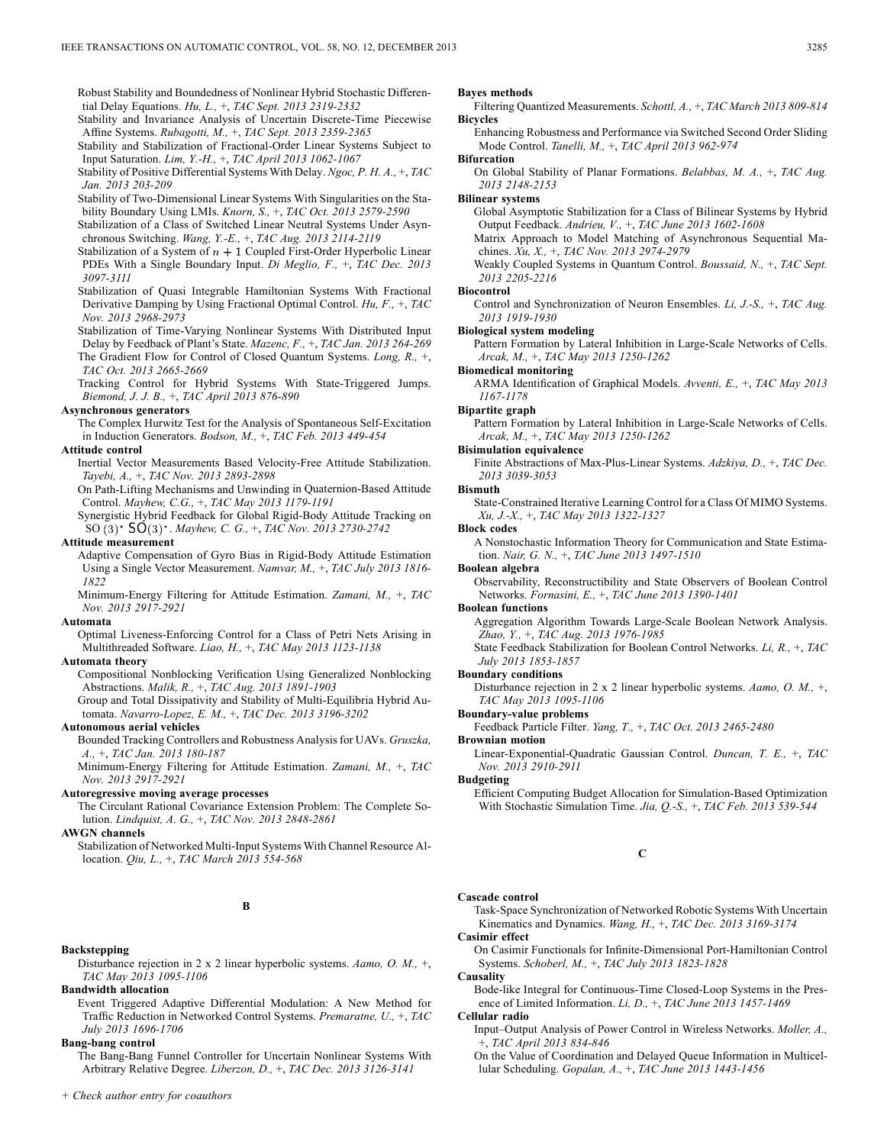Robust Stability and Boundedness of Nonlinear Hybrid Stochastic Differential Delay Equations. *Hu, L.,* +, *TAC Sept. 2013 2319-2332*

Stability and Invariance Analysis of Uncertain Discrete-Time Piecewise Affine Systems. *Rubagotti, M.,* +, *TAC Sept. 2013 2359-2365*

- Stability and Stabilization of Fractional-Order Linear Systems Subject to Input Saturation. *Lim, Y.-H.,* +, *TAC April 2013 1062-1067*
- Stability of Positive Differential Systems With Delay. *Ngoc, P. H. A.,* +, *TAC Jan. 2013 203-209*

Stability of Two-Dimensional Linear Systems With Singularities on the Stability Boundary Using LMIs. *Knorn, S.,* +, *TAC Oct. 2013 2579-2590*

Stabilization of a Class of Switched Linear Neutral Systems Under Asynchronous Switching. *Wang, Y.-E.,* +, *TAC Aug. 2013 2114-2119*

Stabilization of a System of  $n + 1$  Coupled First-Order Hyperbolic Linear PDEs With a Single Boundary Input. *Di Meglio, F.,* +, *TAC Dec. 2013 3097-3111*

Stabilization of Quasi Integrable Hamiltonian Systems With Fractional Derivative Damping by Using Fractional Optimal Control. *Hu, F.,* +, *TAC Nov. 2013 2968-2973*

Stabilization of Time-Varying Nonlinear Systems With Distributed Input Delay by Feedback of Plant's State. *Mazenc, F.,* +, *TAC Jan. 2013 264-269* The Gradient Flow for Control of Closed Quantum Systems. *Long, R.,* +, *TAC Oct. 2013 2665-2669*

Tracking Control for Hybrid Systems With State-Triggered Jumps. *Biemond, J. J. B.,* +, *TAC April 2013 876-890*

### **Asynchronous generators**

The Complex Hurwitz Test for the Analysis of Spontaneous Self-Excitation in Induction Generators. *Bodson, M.,* +, *TAC Feb. 2013 449-454*

### **Attitude control**

Inertial Vector Measurements Based Velocity-Free Attitude Stabilization. *Tayebi, A.,* +, *TAC Nov. 2013 2893-2898*

On Path-Lifting Mechanisms and Unwinding in Quaternion-Based Attitude Control. *Mayhew, C.G.,* +, *TAC May 2013 1179-1191*

Synergistic Hybrid Feedback for Global Rigid-Body Attitude Tracking on SO  $(3)^*$  **SO** $(3)^*$ *. Mayhew, C. G., +, TAC Nov. 2013 2730-2742* 

#### **Attitude measurement**

Adaptive Compensation of Gyro Bias in Rigid-Body Attitude Estimation Using a Single Vector Measurement. *Namvar, M.,* +, *TAC July 2013 1816- 1822*

Minimum-Energy Filtering for Attitude Estimation. *Zamani, M.,* +, *TAC Nov. 2013 2917-2921*

### **Automata**

Optimal Liveness-Enforcing Control for a Class of Petri Nets Arising in Multithreaded Software. *Liao, H.,* +, *TAC May 2013 1123-1138*

### **Automata theory**

Compositional Nonblocking Verification Using Generalized Nonblocking Abstractions. *Malik, R.,* +, *TAC Aug. 2013 1891-1903*

Group and Total Dissipativity and Stability of Multi-Equilibria Hybrid Automata. *Navarro-Lopez, E. M.,* +, *TAC Dec. 2013 3196-3202*

### **Autonomous aerial vehicles**

Bounded Tracking Controllers and Robustness Analysis for UAVs. *Gruszka, A.,* +, *TAC Jan. 2013 180-187*

Minimum-Energy Filtering for Attitude Estimation. *Zamani, M.,* +, *TAC Nov. 2013 2917-2921*

### **Autoregressive moving average processes**

The Circulant Rational Covariance Extension Problem: The Complete Solution. *Lindquist, A. G.,* +, *TAC Nov. 2013 2848-2861*

#### **AWGN channels**

Stabilization of Networked Multi-Input Systems With Channel Resource Allocation. *Qiu, L.,* +, *TAC March 2013 554-568*

## **B**

### **Backstepping**

Disturbance rejection in 2 x 2 linear hyperbolic systems. *Aamo, O. M.,* +, *TAC May 2013 1095-1106*

### **Bandwidth allocation**

Event Triggered Adaptive Differential Modulation: A New Method for Traffic Reduction in Networked Control Systems. *Premaratne, U.,* +, *TAC July 2013 1696-1706*

#### **Bang-bang control**

The Bang-Bang Funnel Controller for Uncertain Nonlinear Systems With Arbitrary Relative Degree. *Liberzon, D.,* +, *TAC Dec. 2013 3126-3141*

#### **Bayes methods**

Filtering Quantized Measurements. *Schottl, A.,* +, *TAC March 2013 809-814* **Bicycles**

Enhancing Robustness and Performance via Switched Second Order Sliding Mode Control. *Tanelli, M.,* +, *TAC April 2013 962-974*

#### **Bifurcation**

On Global Stability of Planar Formations. *Belabbas, M. A.,* +, *TAC Aug. 2013 2148-2153*

#### **Bilinear systems**

Global Asymptotic Stabilization for a Class of Bilinear Systems by Hybrid Output Feedback. *Andrieu, V.,* +, *TAC June 2013 1602-1608*

Matrix Approach to Model Matching of Asynchronous Sequential Machines. *Xu, X.,* +, *TAC Nov. 2013 2974-2979*

Weakly Coupled Systems in Quantum Control. *Boussaid, N.,* +, *TAC Sept. 2013 2205-2216*

### **Biocontrol**

Control and Synchronization of Neuron Ensembles. *Li, J.-S.,* +, *TAC Aug. 2013 1919-1930*

# **Biological system modeling**

Pattern Formation by Lateral Inhibition in Large-Scale Networks of Cells. *Arcak, M.,* +, *TAC May 2013 1250-1262*

#### **Biomedical monitoring**

ARMA Identification of Graphical Models. *Avventi, E.,* +, *TAC May 2013 1167-1178*

#### **Bipartite graph**

Pattern Formation by Lateral Inhibition in Large-Scale Networks of Cells. *Arcak, M.,* +, *TAC May 2013 1250-1262*

### **Bisimulation equivalence**

Finite Abstractions of Max-Plus-Linear Systems. *Adzkiya, D.,* +, *TAC Dec. 2013 3039-3053*

#### **Bismuth**

State-Constrained Iterative Learning Control for a Class Of MIMO Systems. *Xu, J.-X.,* +, *TAC May 2013 1322-1327*

#### **Block codes**

A Nonstochastic Information Theory for Communication and State Estimation. *Nair, G. N.,* +, *TAC June 2013 1497-1510*

# **Boolean algebra**

Observability, Reconstructibility and State Observers of Boolean Control Networks. *Fornasini, E.,* +, *TAC June 2013 1390-1401*

#### **Boolean functions**

Aggregation Algorithm Towards Large-Scale Boolean Network Analysis. *Zhao, Y.,* +, *TAC Aug. 2013 1976-1985*

State Feedback Stabilization for Boolean Control Networks. *Li, R.,* +, *TAC July 2013 1853-1857*

#### **Boundary conditions**

Disturbance rejection in 2 x 2 linear hyperbolic systems. *Aamo, O. M.,* +, *TAC May 2013 1095-1106*

### **Boundary-value problems**

Feedback Particle Filter. *Yang, T.,* +, *TAC Oct. 2013 2465-2480*

#### **Brownian motion**

Linear-Exponential-Quadratic Gaussian Control. *Duncan, T. E.,* +, *TAC Nov. 2013 2910-2911*

#### **Budgeting**

Efficient Computing Budget Allocation for Simulation-Based Optimization With Stochastic Simulation Time. *Jia, Q.-S.,* +, *TAC Feb. 2013 539-544*

#### **C**

#### **Cascade control**

## Task-Space Synchronization of Networked Robotic Systems With Uncertain Kinematics and Dynamics. *Wang, H.,* +, *TAC Dec. 2013 3169-3174*

# **Casimir effect**

On Casimir Functionals for Infinite-Dimensional Port-Hamiltonian Control Systems. *Schoberl, M.,* +, *TAC July 2013 1823-1828*

**Causality**

Bode-like Integral for Continuous-Time Closed-Loop Systems in the Presence of Limited Information. *Li, D.,* +, *TAC June 2013 1457-1469*

#### **Cellular radio**

Input–Output Analysis of Power Control in Wireless Networks. *Moller, A.,* +, *TAC April 2013 834-846*

On the Value of Coordination and Delayed Queue Information in Multicellular Scheduling. *Gopalan, A.,* +, *TAC June 2013 1443-1456*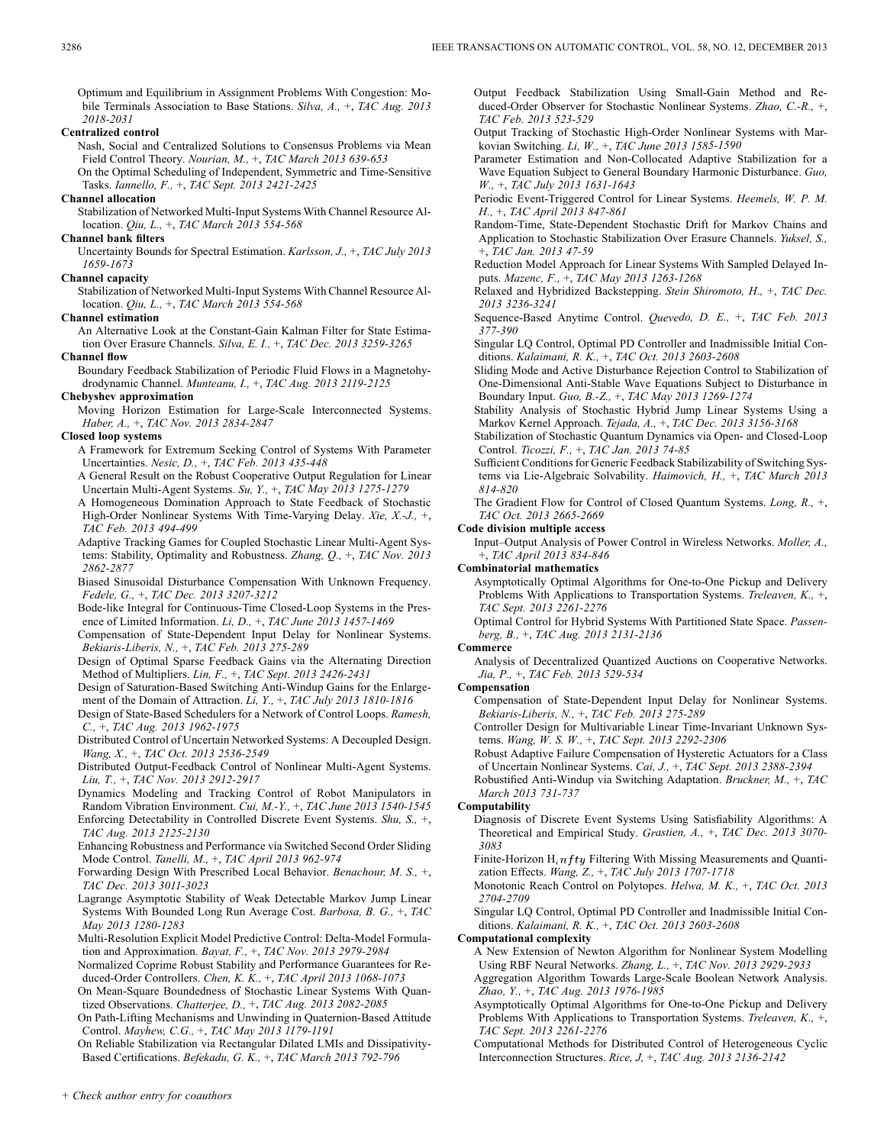Optimum and Equilibrium in Assignment Problems With Congestion: Mobile Terminals Association to Base Stations. *Silva, A.,* +, *TAC Aug. 2013 2018-2031*

### **Centralized control**

Nash, Social and Centralized Solutions to Consensus Problems via Mean

Field Control Theory. *Nourian, M.,* +, *TAC March 2013 639-653* On the Optimal Scheduling of Independent, Symmetric and Time-Sensitive

Tasks. *Iannello, F.,* +, *TAC Sept. 2013 2421-2425* **Channel allocation**

Stabilization of Networked Multi-Input Systems With Channel Resource Allocation. *Qiu, L.,* +, *TAC March 2013 554-568*

### **Channel bank filters**

Uncertainty Bounds for Spectral Estimation. *Karlsson, J.,* +, *TAC July 2013 1659-1673*

### **Channel capacity**

Stabilization of Networked Multi-Input Systems With Channel Resource Allocation. *Qiu, L.,* +, *TAC March 2013 554-568*

### **Channel estimation**

An Alternative Look at the Constant-Gain Kalman Filter for State Estimation Over Erasure Channels. *Silva, E. I.,* +, *TAC Dec. 2013 3259-3265*

### **Channel flow**

Boundary Feedback Stabilization of Periodic Fluid Flows in a Magnetohydrodynamic Channel. *Munteanu, I.,* +, *TAC Aug. 2013 2119-2125*

### **Chebyshev approximation**

Moving Horizon Estimation for Large-Scale Interconnected Systems. *Haber, A.,* +, *TAC Nov. 2013 2834-2847*

### **Closed loop systems**

- A Framework for Extremum Seeking Control of Systems With Parameter Uncertainties. *Nesic, D.,* +, *TAC Feb. 2013 435-448*
- A General Result on the Robust Cooperative Output Regulation for Linear Uncertain Multi-Agent Systems. *Su, Y.,* +, *TAC May 2013 1275-1279*
- A Homogeneous Domination Approach to State Feedback of Stochastic High-Order Nonlinear Systems With Time-Varying Delay. *Xie, X.-J.,* +, *TAC Feb. 2013 494-499*
- Adaptive Tracking Games for Coupled Stochastic Linear Multi-Agent Systems: Stability, Optimality and Robustness. *Zhang, Q.,* +, *TAC Nov. 2013 2862-2877*
- Biased Sinusoidal Disturbance Compensation With Unknown Frequency. *Fedele, G.,* +, *TAC Dec. 2013 3207-3212*
- Bode-like Integral for Continuous-Time Closed-Loop Systems in the Presence of Limited Information. *Li, D.,* +, *TAC June 2013 1457-1469*
- Compensation of State-Dependent Input Delay for Nonlinear Systems. *Bekiaris-Liberis, N.,* +, *TAC Feb. 2013 275-289*
- Design of Optimal Sparse Feedback Gains via the Alternating Direction Method of Multipliers. *Lin, F.,* +, *TAC Sept. 2013 2426-2431*
- Design of Saturation-Based Switching Anti-Windup Gains for the Enlargement of the Domain of Attraction. *Li, Y.,* +, *TAC July 2013 1810-1816*
- Design of State-Based Schedulers for a Network of Control Loops. *Ramesh, C.,* +, *TAC Aug. 2013 1962-1975*
- Distributed Control of Uncertain Networked Systems: A Decoupled Design. *Wang, X.,* +, *TAC Oct. 2013 2536-2549*
- Distributed Output-Feedback Control of Nonlinear Multi-Agent Systems. *Liu, T.,* +, *TAC Nov. 2013 2912-2917*
- Dynamics Modeling and Tracking Control of Robot Manipulators in
- Random Vibration Environment. *Cui, M.-Y.,* +, *TAC June 2013 1540-1545* Enforcing Detectability in Controlled Discrete Event Systems. *Shu, S.,* +, *TAC Aug. 2013 2125-2130*
- Enhancing Robustness and Performance via Switched Second Order Sliding Mode Control. *Tanelli, M.,* +, *TAC April 2013 962-974*
- Forwarding Design With Prescribed Local Behavior. *Benachour, M. S.,* +, *TAC Dec. 2013 3011-3023*
- Lagrange Asymptotic Stability of Weak Detectable Markov Jump Linear Systems With Bounded Long Run Average Cost. *Barbosa, B. G.,* +, *TAC May 2013 1280-1283*
- Multi-Resolution Explicit Model Predictive Control: Delta-Model Formulation and Approximation. *Bayat, F.,* +, *TAC Nov. 2013 2979-2984*
- Normalized Coprime Robust Stability and Performance Guarantees for Reduced-Order Controllers. *Chen, K. K.,* +, *TAC April 2013 1068-1073*
- On Mean-Square Boundedness of Stochastic Linear Systems With Quantized Observations. *Chatterjee, D.,* +, *TAC Aug. 2013 2082-2085*
- On Path-Lifting Mechanisms and Unwinding in Quaternion-Based Attitude Control. *Mayhew, C.G.,* +, *TAC May 2013 1179-1191*
- On Reliable Stabilization via Rectangular Dilated LMIs and Dissipativity-Based Certifications. *Befekadu, G. K.,* +, *TAC March 2013 792-796*

Output Feedback Stabilization Using Small-Gain Method and Reduced-Order Observer for Stochastic Nonlinear Systems. *Zhao, C.-R.,* +, *TAC Feb. 2013 523-529*

- Output Tracking of Stochastic High-Order Nonlinear Systems with Markovian Switching. *Li, W.,* +, *TAC June 2013 1585-1590*
- Parameter Estimation and Non-Collocated Adaptive Stabilization for a Wave Equation Subject to General Boundary Harmonic Disturbance. *Guo, W.,* +, *TAC July 2013 1631-1643*
- Periodic Event-Triggered Control for Linear Systems. *Heemels, W. P. M. H.,* +, *TAC April 2013 847-861*
- Random-Time, State-Dependent Stochastic Drift for Markov Chains and Application to Stochastic Stabilization Over Erasure Channels. *Yuksel, S.,* +, *TAC Jan. 2013 47-59*

Reduction Model Approach for Linear Systems With Sampled Delayed Inputs. *Mazenc, F.,* +, *TAC May 2013 1263-1268*

- Relaxed and Hybridized Backstepping. *Stein Shiromoto, H.,* +, *TAC Dec. 2013 3236-3241*
- Sequence-Based Anytime Control. *Quevedo, D. E.,* +, *TAC Feb. 2013 377-390*
- Singular LQ Control, Optimal PD Controller and Inadmissible Initial Conditions. *Kalaimani, R. K.,* +, *TAC Oct. 2013 2603-2608*
- Sliding Mode and Active Disturbance Rejection Control to Stabilization of One-Dimensional Anti-Stable Wave Equations Subject to Disturbance in Boundary Input. *Guo, B.-Z.,* +, *TAC May 2013 1269-1274*
- Stability Analysis of Stochastic Hybrid Jump Linear Systems Using a Markov Kernel Approach. *Tejada, A.,* +, *TAC Dec. 2013 3156-3168*
- Stabilization of Stochastic Quantum Dynamics via Open- and Closed-Loop Control. *Ticozzi, F.,* +, *TAC Jan. 2013 74-85*
- Sufficient Conditions for Generic Feedback Stabilizability of Switching Systems via Lie-Algebraic Solvability. *Haimovich, H.,* +, *TAC March 2013 814-820*
- The Gradient Flow for Control of Closed Quantum Systems. *Long, R.,* +, *TAC Oct. 2013 2665-2669*

#### **Code division multiple access**

Input–Output Analysis of Power Control in Wireless Networks. *Moller, A.,* +, *TAC April 2013 834-846*

### **Combinatorial mathematics**

Asymptotically Optimal Algorithms for One-to-One Pickup and Delivery Problems With Applications to Transportation Systems. *Treleaven, K.,* +, *TAC Sept. 2013 2261-2276*

Optimal Control for Hybrid Systems With Partitioned State Space. *Passenberg, B.,* +, *TAC Aug. 2013 2131-2136*

#### **Commerce**

Analysis of Decentralized Quantized Auctions on Cooperative Networks. *Jia, P.,* +, *TAC Feb. 2013 529-534*

#### **Compensation**

- Compensation of State-Dependent Input Delay for Nonlinear Systems. *Bekiaris-Liberis, N.,* +, *TAC Feb. 2013 275-289*
- Controller Design for Multivariable Linear Time-Invariant Unknown Systems. *Wang, W. S. W.,* +, *TAC Sept. 2013 2292-2306*
- Robust Adaptive Failure Compensation of Hysteretic Actuators for a Class of Uncertain Nonlinear Systems. *Cai, J.,* +, *TAC Sept. 2013 2388-2394*
- Robustified Anti-Windup via Switching Adaptation. *Bruckner, M.,* +, *TAC March 2013 731-737*

### **Computability**

- Diagnosis of Discrete Event Systems Using Satisfiability Algorithms: A Theoretical and Empirical Study. *Grastien, A.,* +, *TAC Dec. 2013 3070- 3083*
- Finite-Horizon  $H_i n f t y$  Filtering With Missing Measurements and Quantization Effects. *Wang, Z.,* +, *TAC July 2013 1707-1718*
- Monotonic Reach Control on Polytopes. *Helwa, M. K.,* +, *TAC Oct. 2013 2704-2709*

Singular LQ Control, Optimal PD Controller and Inadmissible Initial Conditions. *Kalaimani, R. K.,* +, *TAC Oct. 2013 2603-2608*

### **Computational complexity**

- A New Extension of Newton Algorithm for Nonlinear System Modelling Using RBF Neural Networks. *Zhang, L.,* +, *TAC Nov. 2013 2929-2933*
- Aggregation Algorithm Towards Large-Scale Boolean Network Analysis. *Zhao, Y.,* +, *TAC Aug. 2013 1976-1985*
- Asymptotically Optimal Algorithms for One-to-One Pickup and Delivery Problems With Applications to Transportation Systems. *Treleaven, K.,* +, *TAC Sept. 2013 2261-2276*
- Computational Methods for Distributed Control of Heterogeneous Cyclic Interconnection Structures. *Rice, J,* +, *TAC Aug. 2013 2136-2142*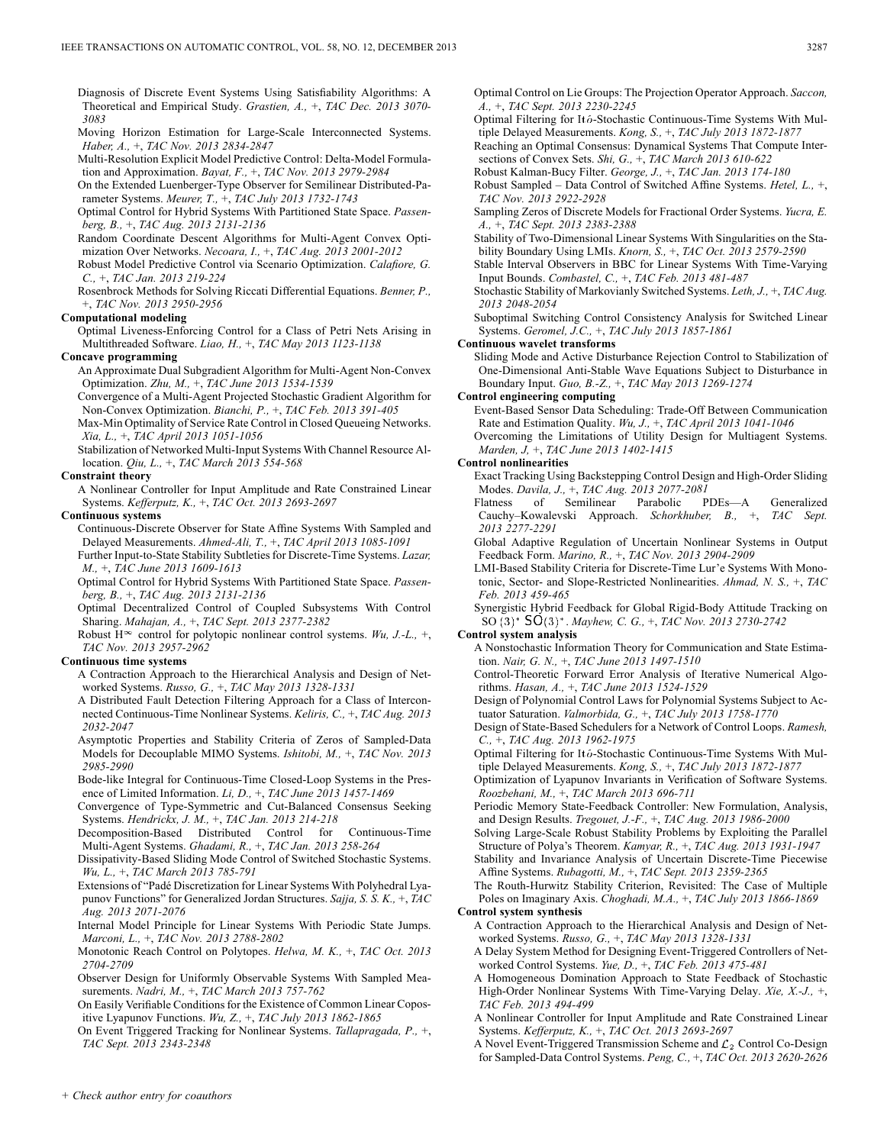Diagnosis of Discrete Event Systems Using Satisfiability Algorithms: A Theoretical and Empirical Study. *Grastien, A.,* +, *TAC Dec. 2013 3070- 3083*

Moving Horizon Estimation for Large-Scale Interconnected Systems. *Haber, A.,* +, *TAC Nov. 2013 2834-2847*

Multi-Resolution Explicit Model Predictive Control: Delta-Model Formulation and Approximation. *Bayat, F.,* +, *TAC Nov. 2013 2979-2984*

On the Extended Luenberger-Type Observer for Semilinear Distributed-Parameter Systems. *Meurer, T.,* +, *TAC July 2013 1732-1743*

Optimal Control for Hybrid Systems With Partitioned State Space. *Passenberg, B.,* +, *TAC Aug. 2013 2131-2136*

Random Coordinate Descent Algorithms for Multi-Agent Convex Optimization Over Networks. *Necoara, I.,* +, *TAC Aug. 2013 2001-2012*

Robust Model Predictive Control via Scenario Optimization. *Calafiore, G. C.,* +, *TAC Jan. 2013 219-224*

Rosenbrock Methods for Solving Riccati Differential Equations. *Benner, P.,* +, *TAC Nov. 2013 2950-2956*

### **Computational modeling**

Optimal Liveness-Enforcing Control for a Class of Petri Nets Arising in Multithreaded Software. *Liao, H.,* +, *TAC May 2013 1123-1138*

### **Concave programming**

An Approximate Dual Subgradient Algorithm for Multi-Agent Non-Convex Optimization. *Zhu, M.,* +, *TAC June 2013 1534-1539*

Convergence of a Multi-Agent Projected Stochastic Gradient Algorithm for Non-Convex Optimization. *Bianchi, P.,* +, *TAC Feb. 2013 391-405*

Max-Min Optimality of Service Rate Control in Closed Queueing Networks. *Xia, L.,* +, *TAC April 2013 1051-1056*

Stabilization of Networked Multi-Input Systems With Channel Resource Allocation. *Qiu, L.,* +, *TAC March 2013 554-568*

#### **Constraint theory**

A Nonlinear Controller for Input Amplitude and Rate Constrained Linear Systems. *Kefferputz, K.,* +, *TAC Oct. 2013 2693-2697*

### **Continuous systems**

Continuous-Discrete Observer for State Affine Systems With Sampled and Delayed Measurements. *Ahmed-Ali, T.,* +, *TAC April 2013 1085-1091* Further Input-to-State Stability Subtleties for Discrete-Time Systems. *Lazar,*

*M.,* +, *TAC June 2013 1609-1613*

Optimal Control for Hybrid Systems With Partitioned State Space. *Passenberg, B.,* +, *TAC Aug. 2013 2131-2136*

Optimal Decentralized Control of Coupled Subsystems With Control Sharing. *Mahajan, A.,* +, *TAC Sept. 2013 2377-2382*

Robust  $\overline{H}^{\infty}$  control for polytopic nonlinear control systems. *Wu, J.-L.,* +, *TAC Nov. 2013 2957-2962*

#### **Continuous time systems**

A Contraction Approach to the Hierarchical Analysis and Design of Networked Systems. *Russo, G.,* +, *TAC May 2013 1328-1331*

A Distributed Fault Detection Filtering Approach for a Class of Interconnected Continuous-Time Nonlinear Systems. *Keliris, C.,* +, *TAC Aug. 2013 2032-2047*

Asymptotic Properties and Stability Criteria of Zeros of Sampled-Data Models for Decouplable MIMO Systems. *Ishitobi, M.,* +, *TAC Nov. 2013 2985-2990*

Bode-like Integral for Continuous-Time Closed-Loop Systems in the Presence of Limited Information. *Li, D.,* +, *TAC June 2013 1457-1469*

Convergence of Type-Symmetric and Cut-Balanced Consensus Seeking Systems. *Hendrickx, J. M.,* +, *TAC Jan. 2013 214-218*

Decomposition-Based Distributed Control for Continuous-Time Multi-Agent Systems. *Ghadami, R.,* +, *TAC Jan. 2013 258-264*

Dissipativity-Based Sliding Mode Control of Switched Stochastic Systems. *Wu, L.,* +, *TAC March 2013 785-791*

Extensions of "Padé Discretization for Linear Systems With Polyhedral Lyapunov Functions" for Generalized Jordan Structures. *Sajja, S. S. K.,* +, *TAC Aug. 2013 2071-2076*

Internal Model Principle for Linear Systems With Periodic State Jumps. *Marconi, L.,* +, *TAC Nov. 2013 2788-2802*

Monotonic Reach Control on Polytopes. *Helwa, M. K.,* +, *TAC Oct. 2013 2704-2709*

Observer Design for Uniformly Observable Systems With Sampled Measurements. *Nadri, M.,* +, *TAC March 2013 757-762*

On Easily Verifiable Conditions for the Existence of Common Linear Copositive Lyapunov Functions. *Wu, Z.,* +, *TAC July 2013 1862-1865*

On Event Triggered Tracking for Nonlinear Systems. *Tallapragada, P.,* +, *TAC Sept. 2013 2343-2348*

Optimal Control on Lie Groups: The Projection Operator Approach. *Saccon, A.,* +, *TAC Sept. 2013 2230-2245* Optimal Filtering for Itô-Stochastic Continuous-Time Systems With Mul-

tiple Delayed Measurements. *Kong, S.,* +, *TAC July 2013 1872-1877*

Reaching an Optimal Consensus: Dynamical Systems That Compute Intersections of Convex Sets. *Shi, G.,* +, *TAC March 2013 610-622*

Robust Kalman-Bucy Filter. *George, J.,* +, *TAC Jan. 2013 174-180*

Robust Sampled – Data Control of Switched Affine Systems. *Hetel, L.,* +, *TAC Nov. 2013 2922-2928*

Sampling Zeros of Discrete Models for Fractional Order Systems. *Yucra, E. A.,* +, *TAC Sept. 2013 2383-2388*

Stability of Two-Dimensional Linear Systems With Singularities on the Stability Boundary Using LMIs. *Knorn, S.,* +, *TAC Oct. 2013 2579-2590*

Stable Interval Observers in BBC for Linear Systems With Time-Varying Input Bounds. *Combastel, C.,* +, *TAC Feb. 2013 481-487*

Stochastic Stability of Markovianly Switched Systems. *Leth, J.,* +, *TAC Aug. 2013 2048-2054*

Suboptimal Switching Control Consistency Analysis for Switched Linear Systems. *Geromel, J.C.,* +, *TAC July 2013 1857-1861*

**Continuous wavelet transforms**

Sliding Mode and Active Disturbance Rejection Control to Stabilization of One-Dimensional Anti-Stable Wave Equations Subject to Disturbance in Boundary Input. *Guo, B.-Z.,* +, *TAC May 2013 1269-1274*

**Control engineering computing**

Event-Based Sensor Data Scheduling: Trade-Off Between Communication Rate and Estimation Quality. *Wu, J.,* +, *TAC April 2013 1041-1046*

Overcoming the Limitations of Utility Design for Multiagent Systems. *Marden, J,* +, *TAC June 2013 1402-1415*

#### **Control nonlinearities**

Exact Tracking Using Backstepping Control Design and High-Order Sliding Modes. *Davila, J.,* +, *TAC Aug. 2013 2077-2081*

Flatness of Semilinear Parabolic PDEs—A Generalized Cauchy–Kowalevski Approach. *Schorkhuber, B.,* +, *TAC Sept. 2013 2277-2291*

Global Adaptive Regulation of Uncertain Nonlinear Systems in Output Feedback Form. *Marino, R.,* +, *TAC Nov. 2013 2904-2909*

LMI-Based Stability Criteria for Discrete-Time Lur'e Systems With Monotonic, Sector- and Slope-Restricted Nonlinearities. *Ahmad, N. S.,* +, *TAC Feb. 2013 459-465*

Synergistic Hybrid Feedback for Global Rigid-Body Attitude Tracking on SO . *Mayhew, C. G.,* +, *TAC Nov. 2013 2730-2742*

#### **Control system analysis**

A Nonstochastic Information Theory for Communication and State Estimation. *Nair, G. N.,* +, *TAC June 2013 1497-1510*

Control-Theoretic Forward Error Analysis of Iterative Numerical Algorithms. *Hasan, A.,* +, *TAC June 2013 1524-1529*

Design of Polynomial Control Laws for Polynomial Systems Subject to Actuator Saturation. *Valmorbida, G.,* +, *TAC July 2013 1758-1770*

Design of State-Based Schedulers for a Network of Control Loops. *Ramesh, C.,* +, *TAC Aug. 2013 1962-1975*

Optimal Filtering for Itô-Stochastic Continuous-Time Systems With Multiple Delayed Measurements. *Kong, S.,* +, *TAC July 2013 1872-1877*

Optimization of Lyapunov Invariants in Verification of Software Systems. *Roozbehani, M.,* +, *TAC March 2013 696-711*

Periodic Memory State-Feedback Controller: New Formulation, Analysis, and Design Results. *Tregouet, J.-F.,* +, *TAC Aug. 2013 1986-2000*

Solving Large-Scale Robust Stability Problems by Exploiting the Parallel Structure of Polya's Theorem. *Kamyar, R.,* +, *TAC Aug. 2013 1931-1947*

Stability and Invariance Analysis of Uncertain Discrete-Time Piecewise Affine Systems. *Rubagotti, M.,* +, *TAC Sept. 2013 2359-2365*

The Routh-Hurwitz Stability Criterion, Revisited: The Case of Multiple Poles on Imaginary Axis. *Choghadi, M.A.,* +, *TAC July 2013 1866-1869*

### **Control system synthesis**

A Contraction Approach to the Hierarchical Analysis and Design of Networked Systems. *Russo, G.,* +, *TAC May 2013 1328-1331*

- A Delay System Method for Designing Event-Triggered Controllers of Networked Control Systems. *Yue, D.,* +, *TAC Feb. 2013 475-481*
- A Homogeneous Domination Approach to State Feedback of Stochastic High-Order Nonlinear Systems With Time-Varying Delay. *Xie, X.-J.,* +, *TAC Feb. 2013 494-499*

A Nonlinear Controller for Input Amplitude and Rate Constrained Linear Systems. *Kefferputz, K.,* +, *TAC Oct. 2013 2693-2697*

A Novel Event-Triggered Transmission Scheme and  $\mathcal{L}_2$  Control Co-Design for Sampled-Data Control Systems. *Peng, C.,* +, *TAC Oct. 2013 2620-2626*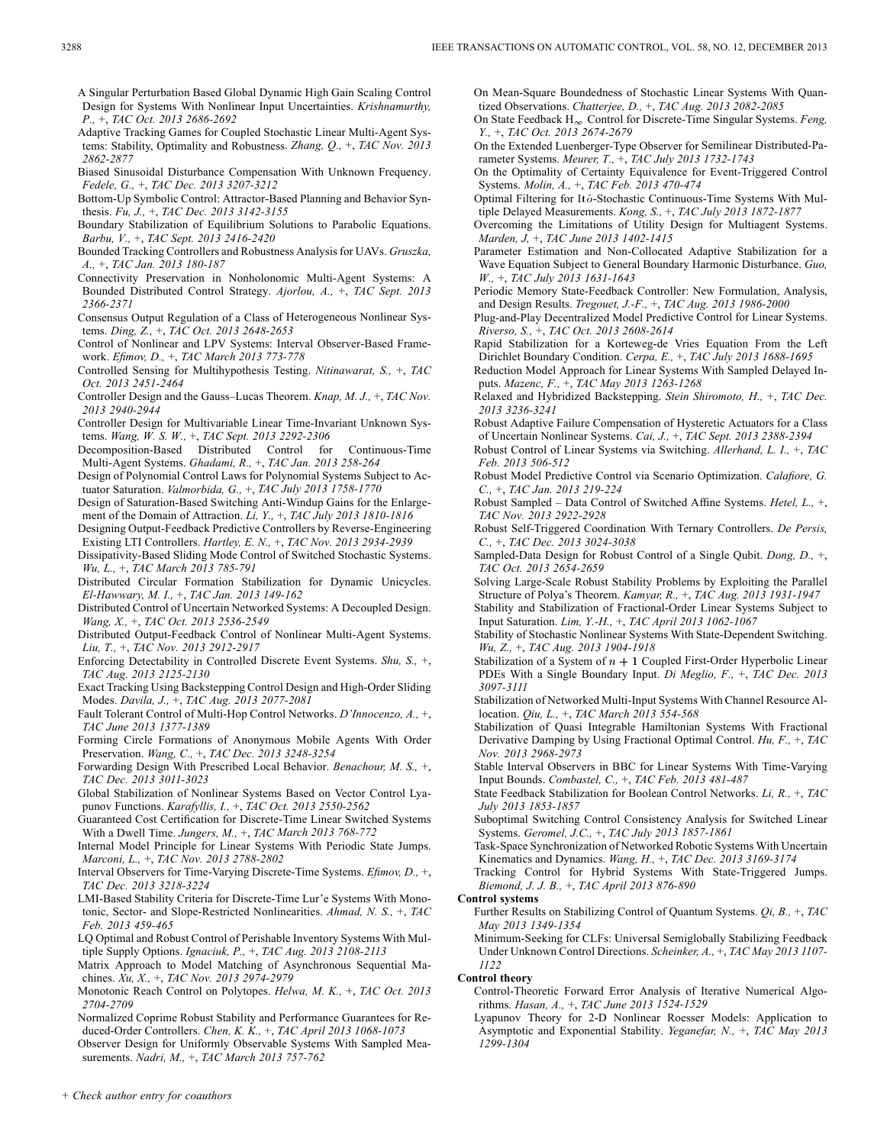A Singular Perturbation Based Global Dynamic High Gain Scaling Control Design for Systems With Nonlinear Input Uncertainties. *Krishnamurthy, P.,* +, *TAC Oct. 2013 2686-2692*

Adaptive Tracking Games for Coupled Stochastic Linear Multi-Agent Systems: Stability, Optimality and Robustness. *Zhang, Q.,* +, *TAC Nov. 2013 2862-2877*

Biased Sinusoidal Disturbance Compensation With Unknown Frequency. *Fedele, G.,* +, *TAC Dec. 2013 3207-3212*

Bottom-Up Symbolic Control: Attractor-Based Planning and Behavior Synthesis. *Fu, J.,* +, *TAC Dec. 2013 3142-3155*

Boundary Stabilization of Equilibrium Solutions to Parabolic Equations. *Barbu, V.,* +, *TAC Sept. 2013 2416-2420*

Bounded Tracking Controllers and Robustness Analysis for UAVs. *Gruszka, A.,* +, *TAC Jan. 2013 180-187*

Connectivity Preservation in Nonholonomic Multi-Agent Systems: A Bounded Distributed Control Strategy. *Ajorlou, A.,* +, *TAC Sept. 2013 2366-2371*

Consensus Output Regulation of a Class of Heterogeneous Nonlinear Systems. *Ding, Z.,* +, *TAC Oct. 2013 2648-2653*

Control of Nonlinear and LPV Systems: Interval Observer-Based Framework. *Efimov, D.,* +, *TAC March 2013 773-778*

Controlled Sensing for Multihypothesis Testing. *Nitinawarat, S.,* +, *TAC Oct. 2013 2451-2464*

Controller Design and the Gauss–Lucas Theorem. *Knap, M. J.,* +, *TAC Nov. 2013 2940-2944*

Controller Design for Multivariable Linear Time-Invariant Unknown Systems. *Wang, W. S. W.,* +, *TAC Sept. 2013 2292-2306*

Decomposition-Based Distributed Control for Continuous-Time Multi-Agent Systems. *Ghadami, R.,* +, *TAC Jan. 2013 258-264*

Design of Polynomial Control Laws for Polynomial Systems Subject to Actuator Saturation. *Valmorbida, G.,* +, *TAC July 2013 1758-1770*

- Design of Saturation-Based Switching Anti-Windup Gains for the Enlargement of the Domain of Attraction. *Li, Y.,* +, *TAC July 2013 1810-1816*
- Designing Output-Feedback Predictive Controllers by Reverse-Engineering Existing LTI Controllers. *Hartley, E. N.,* +, *TAC Nov. 2013 2934-2939*
- Dissipativity-Based Sliding Mode Control of Switched Stochastic Systems. *Wu, L.,* +, *TAC March 2013 785-791*

Distributed Circular Formation Stabilization for Dynamic Unicycles. *El-Hawwary, M. I.,* +, *TAC Jan. 2013 149-162*

Distributed Control of Uncertain Networked Systems: A Decoupled Design. *Wang, X.,* +, *TAC Oct. 2013 2536-2549*

Distributed Output-Feedback Control of Nonlinear Multi-Agent Systems. *Liu, T.,* +, *TAC Nov. 2013 2912-2917*

Enforcing Detectability in Controlled Discrete Event Systems. *Shu, S.,* +, *TAC Aug. 2013 2125-2130*

Exact Tracking Using Backstepping Control Design and High-Order Sliding Modes. *Davila, J.,* +, *TAC Aug. 2013 2077-2081*

Fault Tolerant Control of Multi-Hop Control Networks. *D'Innocenzo, A.,* +, *TAC June 2013 1377-1389*

Forming Circle Formations of Anonymous Mobile Agents With Order Preservation. *Wang, C.,* +, *TAC Dec. 2013 3248-3254*

Forwarding Design With Prescribed Local Behavior. *Benachour, M. S.,* +, *TAC Dec. 2013 3011-3023*

Global Stabilization of Nonlinear Systems Based on Vector Control Lyapunov Functions. *Karafyllis, I.,* +, *TAC Oct. 2013 2550-2562*

Guaranteed Cost Certification for Discrete-Time Linear Switched Systems With a Dwell Time. *Jungers, M.,* +, *TAC March 2013 768-772*

Internal Model Principle for Linear Systems With Periodic State Jumps. *Marconi, L.,* +, *TAC Nov. 2013 2788-2802*

Interval Observers for Time-Varying Discrete-Time Systems. *Efimov, D.,* +, *TAC Dec. 2013 3218-3224*

LMI-Based Stability Criteria for Discrete-Time Lur'e Systems With Monotonic, Sector- and Slope-Restricted Nonlinearities. *Ahmad, N. S.,* +, *TAC Feb. 2013 459-465*

LQ Optimal and Robust Control of Perishable Inventory Systems With Multiple Supply Options. *Ignaciuk, P.,* +, *TAC Aug. 2013 2108-2113*

Matrix Approach to Model Matching of Asynchronous Sequential Machines. *Xu, X.,* +, *TAC Nov. 2013 2974-2979*

Monotonic Reach Control on Polytopes. *Helwa, M. K.,* +, *TAC Oct. 2013 2704-2709*

Normalized Coprime Robust Stability and Performance Guarantees for Reduced-Order Controllers. *Chen, K. K.,* +, *TAC April 2013 1068-1073*

Observer Design for Uniformly Observable Systems With Sampled Measurements. *Nadri, M.,* +, *TAC March 2013 757-762*

On Mean-Square Boundedness of Stochastic Linear Systems With Quantized Observations. *Chatterjee, D.,* +, *TAC Aug. 2013 2082-2085*

On State Feedback  $H_{\infty}$  Control for Discrete-Time Singular Systems. *Feng, Y.,* +, *TAC Oct. 2013 2674-2679*

On the Extended Luenberger-Type Observer for Semilinear Distributed-Parameter Systems. *Meurer, T.,* +, *TAC July 2013 1732-1743*

On the Optimality of Certainty Equivalence for Event-Triggered Control Systems. *Molin, A.,* +, *TAC Feb. 2013 470-474*

Optimal Filtering for Itô-Stochastic Continuous-Time Systems With Multiple Delayed Measurements. *Kong, S.,* +, *TAC July 2013 1872-1877*

Overcoming the Limitations of Utility Design for Multiagent Systems. *Marden, J,* +, *TAC June 2013 1402-1415*

Parameter Estimation and Non-Collocated Adaptive Stabilization for a Wave Equation Subject to General Boundary Harmonic Disturbance. *Guo, W.,* +, *TAC July 2013 1631-1643*

Periodic Memory State-Feedback Controller: New Formulation, Analysis, and Design Results. *Tregouet, J.-F.,* +, *TAC Aug. 2013 1986-2000*

Plug-and-Play Decentralized Model Predictive Control for Linear Systems. *Riverso, S.,* +, *TAC Oct. 2013 2608-2614*

Rapid Stabilization for a Korteweg-de Vries Equation From the Left Dirichlet Boundary Condition. *Cerpa, E.,* +, *TAC July 2013 1688-1695*

Reduction Model Approach for Linear Systems With Sampled Delayed Inputs. *Mazenc, F.,* +, *TAC May 2013 1263-1268*

Relaxed and Hybridized Backstepping. *Stein Shiromoto, H.,* +, *TAC Dec. 2013 3236-3241*

Robust Adaptive Failure Compensation of Hysteretic Actuators for a Class of Uncertain Nonlinear Systems. *Cai, J.,* +, *TAC Sept. 2013 2388-2394*

Robust Control of Linear Systems via Switching. *Allerhand, L. I.,* +, *TAC Feb. 2013 506-512*

Robust Model Predictive Control via Scenario Optimization. *Calafiore, G. C.,* +, *TAC Jan. 2013 219-224*

Robust Sampled – Data Control of Switched Affine Systems. *Hetel, L.,* +, *TAC Nov. 2013 2922-2928*

Robust Self-Triggered Coordination With Ternary Controllers. *De Persis, C.,* +, *TAC Dec. 2013 3024-3038*

Sampled-Data Design for Robust Control of a Single Qubit. *Dong, D.,* +, *TAC Oct. 2013 2654-2659*

Solving Large-Scale Robust Stability Problems by Exploiting the Parallel Structure of Polya's Theorem. *Kamyar, R.,* +, *TAC Aug. 2013 1931-1947*

Stability and Stabilization of Fractional-Order Linear Systems Subject to Input Saturation. *Lim, Y.-H.,* +, *TAC April 2013 1062-1067*

Stability of Stochastic Nonlinear Systems With State-Dependent Switching. *Wu, Z.,* +, *TAC Aug. 2013 1904-1918*

Stabilization of a System of  $n + 1$  Coupled First-Order Hyperbolic Linear PDEs With a Single Boundary Input. *Di Meglio, F.,* +, *TAC Dec. 2013 3097-3111*

Stabilization of Networked Multi-Input Systems With Channel Resource Allocation. *Qiu, L.,* +, *TAC March 2013 554-568*

Stabilization of Quasi Integrable Hamiltonian Systems With Fractional Derivative Damping by Using Fractional Optimal Control. *Hu, F.,* +, *TAC Nov. 2013 2968-2973*

Stable Interval Observers in BBC for Linear Systems With Time-Varying Input Bounds. *Combastel, C.,* +, *TAC Feb. 2013 481-487*

State Feedback Stabilization for Boolean Control Networks. *Li, R.,* +, *TAC July 2013 1853-1857*

Suboptimal Switching Control Consistency Analysis for Switched Linear Systems. *Geromel, J.C.,* +, *TAC July 2013 1857-1861*

Task-Space Synchronization of Networked Robotic Systems With Uncertain Kinematics and Dynamics. *Wang, H.,* +, *TAC Dec. 2013 3169-3174*

Tracking Control for Hybrid Systems With State-Triggered Jumps. *Biemond, J. J. B.,* +, *TAC April 2013 876-890*

#### **Control systems**

Further Results on Stabilizing Control of Quantum Systems. *Qi, B.,* +, *TAC May 2013 1349-1354*

Minimum-Seeking for CLFs: Universal Semiglobally Stabilizing Feedback Under Unknown Control Directions. *Scheinker, A.,* +, *TAC May 2013 1107- 1122*

### **Control theory**

Control-Theoretic Forward Error Analysis of Iterative Numerical Algorithms. *Hasan, A.,* +, *TAC June 2013 1524-1529*

Lyapunov Theory for 2-D Nonlinear Roesser Models: Application to Asymptotic and Exponential Stability. *Yeganefar, N.,* +, *TAC May 2013 1299-1304*

*+ Check author entry for coauthors*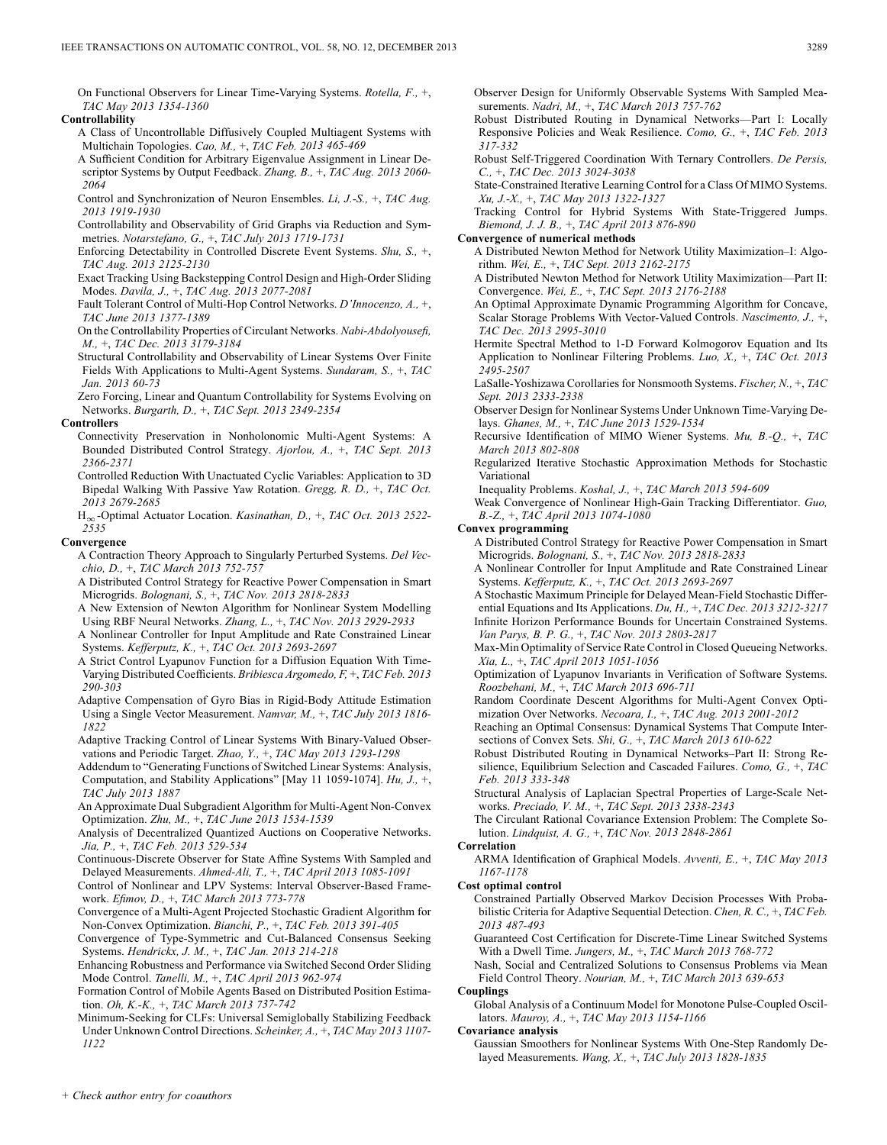On Functional Observers for Linear Time-Varying Systems. *Rotella, F.,* +, *TAC May 2013 1354-1360*

### **Controllability**

- A Class of Uncontrollable Diffusively Coupled Multiagent Systems with Multichain Topologies. *Cao, M.,* +, *TAC Feb. 2013 465-469*
- A Sufficient Condition for Arbitrary Eigenvalue Assignment in Linear Descriptor Systems by Output Feedback. *Zhang, B.,* +, *TAC Aug. 2013 2060- 2064*
- Control and Synchronization of Neuron Ensembles. *Li, J.-S.,* +, *TAC Aug. 2013 1919-1930*
- Controllability and Observability of Grid Graphs via Reduction and Symmetries. *Notarstefano, G.,* +, *TAC July 2013 1719-1731*
- Enforcing Detectability in Controlled Discrete Event Systems. *Shu, S.,* +, *TAC Aug. 2013 2125-2130*
- Exact Tracking Using Backstepping Control Design and High-Order Sliding Modes. *Davila, J.,* +, *TAC Aug. 2013 2077-2081*
- Fault Tolerant Control of Multi-Hop Control Networks. *D'Innocenzo, A.,* +, *TAC June 2013 1377-1389*
- On the Controllability Properties of Circulant Networks. *Nabi-Abdolyousefi, M.,* +, *TAC Dec. 2013 3179-3184*
- Structural Controllability and Observability of Linear Systems Over Finite Fields With Applications to Multi-Agent Systems. *Sundaram, S.,* +, *TAC Jan. 2013 60-73*
- Zero Forcing, Linear and Quantum Controllability for Systems Evolving on Networks. *Burgarth, D.,* +, *TAC Sept. 2013 2349-2354*

### **Controllers**

- Connectivity Preservation in Nonholonomic Multi-Agent Systems: A Bounded Distributed Control Strategy. *Ajorlou, A.,* +, *TAC Sept. 2013 2366-2371*
- Controlled Reduction With Unactuated Cyclic Variables: Application to 3D Bipedal Walking With Passive Yaw Rotation. *Gregg, R. D.,* +, *TAC Oct. 2013 2679-2685*
- H<sub>∞</sub>-Optimal Actuator Location. *Kasinathan, D., +, TAC Oct. 2013 2522-2535*

#### **Convergence**

- A Contraction Theory Approach to Singularly Perturbed Systems. *Del Vecchio, D.,* +, *TAC March 2013 752-757*
- A Distributed Control Strategy for Reactive Power Compensation in Smart Microgrids. *Bolognani, S.,* +, *TAC Nov. 2013 2818-2833*
- A New Extension of Newton Algorithm for Nonlinear System Modelling Using RBF Neural Networks. *Zhang, L.,* +, *TAC Nov. 2013 2929-2933*
- A Nonlinear Controller for Input Amplitude and Rate Constrained Linear Systems. *Kefferputz, K.,* +, *TAC Oct. 2013 2693-2697*
- A Strict Control Lyapunov Function for a Diffusion Equation With Time-Varying Distributed Coefficients. *Bribiesca Argomedo, F,* +, *TAC Feb. 2013 290-303*
- Adaptive Compensation of Gyro Bias in Rigid-Body Attitude Estimation Using a Single Vector Measurement. *Namvar, M.,* +, *TAC July 2013 1816- 1822*
- Adaptive Tracking Control of Linear Systems With Binary-Valued Observations and Periodic Target. *Zhao, Y.,* +, *TAC May 2013 1293-1298*
- Addendum to "Generating Functions of Switched Linear Systems: Analysis, Computation, and Stability Applications" [May 11 1059-1074]. *Hu, J.,* +, *TAC July 2013 1887*
- An Approximate Dual Subgradient Algorithm for Multi-Agent Non-Convex Optimization. *Zhu, M.,* +, *TAC June 2013 1534-1539*
- Analysis of Decentralized Quantized Auctions on Cooperative Networks. *Jia, P.,* +, *TAC Feb. 2013 529-534*
- Continuous-Discrete Observer for State Affine Systems With Sampled and Delayed Measurements. *Ahmed-Ali, T.,* +, *TAC April 2013 1085-1091*
- Control of Nonlinear and LPV Systems: Interval Observer-Based Framework. *Efimov, D.,* +, *TAC March 2013 773-778*
- Convergence of a Multi-Agent Projected Stochastic Gradient Algorithm for Non-Convex Optimization. *Bianchi, P.,* +, *TAC Feb. 2013 391-405*
- Convergence of Type-Symmetric and Cut-Balanced Consensus Seeking Systems. *Hendrickx, J. M.,* +, *TAC Jan. 2013 214-218*
- Enhancing Robustness and Performance via Switched Second Order Sliding Mode Control. *Tanelli, M.,* +, *TAC April 2013 962-974*

Formation Control of Mobile Agents Based on Distributed Position Estimation. *Oh, K.-K.,* +, *TAC March 2013 737-742*

Minimum-Seeking for CLFs: Universal Semiglobally Stabilizing Feedback Under Unknown Control Directions. *Scheinker, A.,* +, *TAC May 2013 1107- 1122*

Observer Design for Uniformly Observable Systems With Sampled Measurements. *Nadri, M.,* +, *TAC March 2013 757-762*

- Robust Distributed Routing in Dynamical Networks—Part I: Locally Responsive Policies and Weak Resilience. *Como, G.,* +, *TAC Feb. 2013 317-332*
- Robust Self-Triggered Coordination With Ternary Controllers. *De Persis, C.,* +, *TAC Dec. 2013 3024-3038*
- State-Constrained Iterative Learning Control for a Class Of MIMO Systems. *Xu, J.-X.,* +, *TAC May 2013 1322-1327*
- Tracking Control for Hybrid Systems With State-Triggered Jumps. *Biemond, J. J. B.,* +, *TAC April 2013 876-890*

#### **Convergence of numerical methods**

- A Distributed Newton Method for Network Utility Maximization–I: Algorithm. *Wei, E.,* +, *TAC Sept. 2013 2162-2175*
- A Distributed Newton Method for Network Utility Maximization—Part II: Convergence. *Wei, E.,* +, *TAC Sept. 2013 2176-2188*
- An Optimal Approximate Dynamic Programming Algorithm for Concave, Scalar Storage Problems With Vector-Valued Controls. *Nascimento, J.,* +, *TAC Dec. 2013 2995-3010*
- Hermite Spectral Method to 1-D Forward Kolmogorov Equation and Its Application to Nonlinear Filtering Problems. *Luo, X.,* +, *TAC Oct. 2013 2495-2507*
- LaSalle-Yoshizawa Corollaries for Nonsmooth Systems. *Fischer, N.,* +, *TAC Sept. 2013 2333-2338*
- Observer Design for Nonlinear Systems Under Unknown Time-Varying Delays. *Ghanes, M.,* +, *TAC June 2013 1529-1534*
- Recursive Identification of MIMO Wiener Systems. *Mu, B.-Q.,* +, *TAC March 2013 802-808*
- Regularized Iterative Stochastic Approximation Methods for Stochastic Variational
- Inequality Problems. *Koshal, J.,* +, *TAC March 2013 594-609*
- Weak Convergence of Nonlinear High-Gain Tracking Differentiator. *Guo, B.-Z.,* +, *TAC April 2013 1074-1080*
- **Convex programming**
	- A Distributed Control Strategy for Reactive Power Compensation in Smart Microgrids. *Bolognani, S.,* +, *TAC Nov. 2013 2818-2833*
	- A Nonlinear Controller for Input Amplitude and Rate Constrained Linear Systems. *Kefferputz, K.,* +, *TAC Oct. 2013 2693-2697*
	- A Stochastic Maximum Principle for Delayed Mean-Field Stochastic Differential Equations and Its Applications. *Du, H.,* +, *TAC Dec. 2013 3212-3217*
	- Infinite Horizon Performance Bounds for Uncertain Constrained Systems. *Van Parys, B. P. G.,* +, *TAC Nov. 2013 2803-2817*
	- Max-Min Optimality of Service Rate Control in Closed Queueing Networks. *Xia, L.,* +, *TAC April 2013 1051-1056*
	- Optimization of Lyapunov Invariants in Verification of Software Systems. *Roozbehani, M.,* +, *TAC March 2013 696-711*
	- Random Coordinate Descent Algorithms for Multi-Agent Convex Optimization Over Networks. *Necoara, I.,* +, *TAC Aug. 2013 2001-2012*
	- Reaching an Optimal Consensus: Dynamical Systems That Compute Intersections of Convex Sets. *Shi, G.,* +, *TAC March 2013 610-622*
	- Robust Distributed Routing in Dynamical Networks–Part II: Strong Resilience, Equilibrium Selection and Cascaded Failures. *Como, G.,* +, *TAC Feb. 2013 333-348*
	- Structural Analysis of Laplacian Spectral Properties of Large-Scale Networks. *Preciado, V. M.,* +, *TAC Sept. 2013 2338-2343*
	- The Circulant Rational Covariance Extension Problem: The Complete Solution. *Lindquist, A. G.,* +, *TAC Nov. 2013 2848-2861*

#### **Correlation**

ARMA Identification of Graphical Models. *Avventi, E.,* +, *TAC May 2013 1167-1178*

### **Cost optimal control**

- Constrained Partially Observed Markov Decision Processes With Probabilistic Criteria for Adaptive Sequential Detection. *Chen, R. C.,* +, *TAC Feb. 2013 487-493*
- Guaranteed Cost Certification for Discrete-Time Linear Switched Systems With a Dwell Time. *Jungers, M.,* +, *TAC March 2013 768-772*
- Nash, Social and Centralized Solutions to Consensus Problems via Mean Field Control Theory. *Nourian, M.,* +, *TAC March 2013 639-653*

#### **Couplings**

Global Analysis of a Continuum Model for Monotone Pulse-Coupled Oscillators. *Mauroy, A.,* +, *TAC May 2013 1154-1166*

#### **Covariance analysis**

Gaussian Smoothers for Nonlinear Systems With One-Step Randomly Delayed Measurements. *Wang, X.,* +, *TAC July 2013 1828-1835*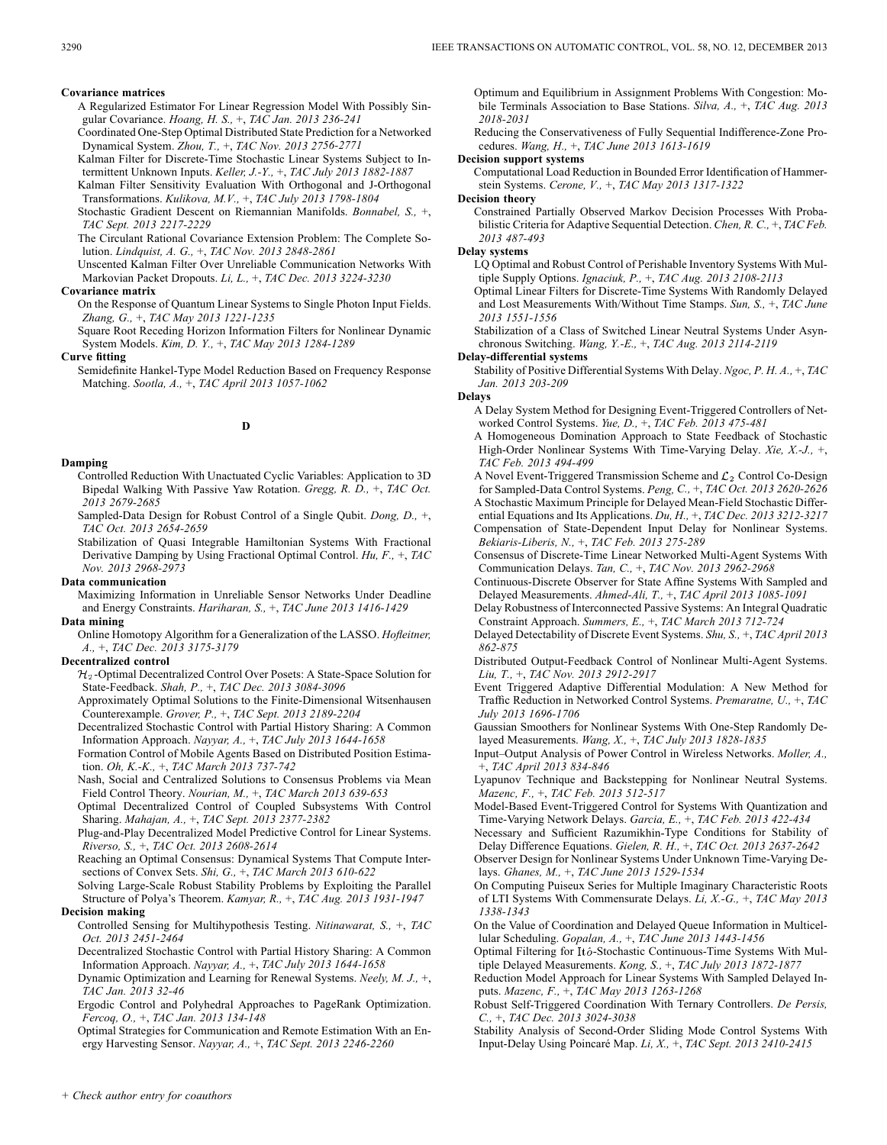### **Covariance matrices**

- A Regularized Estimator For Linear Regression Model With Possibly Singular Covariance. *Hoang, H. S.,* +, *TAC Jan. 2013 236-241*
- Coordinated One-Step Optimal Distributed State Prediction for a Networked Dynamical System. *Zhou, T.,* +, *TAC Nov. 2013 2756-2771*
- Kalman Filter for Discrete-Time Stochastic Linear Systems Subject to Intermittent Unknown Inputs. *Keller, J.-Y.,* +, *TAC July 2013 1882-1887*
- Kalman Filter Sensitivity Evaluation With Orthogonal and J-Orthogonal Transformations. *Kulikova, M.V.,* +, *TAC July 2013 1798-1804*
- Stochastic Gradient Descent on Riemannian Manifolds. *Bonnabel, S.,* +, *TAC Sept. 2013 2217-2229*

The Circulant Rational Covariance Extension Problem: The Complete Solution. *Lindquist, A. G.,* +, *TAC Nov. 2013 2848-2861*

Unscented Kalman Filter Over Unreliable Communication Networks With Markovian Packet Dropouts. *Li, L.,* +, *TAC Dec. 2013 3224-3230*

### **Covariance matrix**

On the Response of Quantum Linear Systems to Single Photon Input Fields. *Zhang, G.,* +, *TAC May 2013 1221-1235*

Square Root Receding Horizon Information Filters for Nonlinear Dynamic System Models. *Kim, D. Y.,* +, *TAC May 2013 1284-1289*

### **Curve fitting**

Semidefinite Hankel-Type Model Reduction Based on Frequency Response Matching. *Sootla, A.,* +, *TAC April 2013 1057-1062*

### **D**

### **Damping**

Controlled Reduction With Unactuated Cyclic Variables: Application to 3D Bipedal Walking With Passive Yaw Rotation. *Gregg, R. D.,* +, *TAC Oct. 2013 2679-2685*

Sampled-Data Design for Robust Control of a Single Qubit. *Dong, D.,* +, *TAC Oct. 2013 2654-2659*

Stabilization of Quasi Integrable Hamiltonian Systems With Fractional Derivative Damping by Using Fractional Optimal Control. *Hu, F.,* +, *TAC Nov. 2013 2968-2973*

#### **Data communication**

Maximizing Information in Unreliable Sensor Networks Under Deadline and Energy Constraints. *Hariharan, S.,* +, *TAC June 2013 1416-1429*

## **Data mining**

Online Homotopy Algorithm for a Generalization of the LASSO. *Hofleitner, A.,* +, *TAC Dec. 2013 3175-3179*

### **Decentralized control**

 $\mathcal{H}_2$ -Optimal Decentralized Control Over Posets: A State-Space Solution for State-Feedback. *Shah, P.,* +, *TAC Dec. 2013 3084-3096*

Approximately Optimal Solutions to the Finite-Dimensional Witsenhausen Counterexample. *Grover, P.,* +, *TAC Sept. 2013 2189-2204*

Decentralized Stochastic Control with Partial History Sharing: A Common Information Approach. *Nayyar, A.,* +, *TAC July 2013 1644-1658*

Formation Control of Mobile Agents Based on Distributed Position Estimation. *Oh, K.-K.,* +, *TAC March 2013 737-742*

Nash, Social and Centralized Solutions to Consensus Problems via Mean Field Control Theory. *Nourian, M.,* +, *TAC March 2013 639-653*

Optimal Decentralized Control of Coupled Subsystems With Control Sharing. *Mahajan, A.,* +, *TAC Sept. 2013 2377-2382*

Plug-and-Play Decentralized Model Predictive Control for Linear Systems. *Riverso, S.,* +, *TAC Oct. 2013 2608-2614*

Reaching an Optimal Consensus: Dynamical Systems That Compute Intersections of Convex Sets. *Shi, G.,* +, *TAC March 2013 610-622*

Solving Large-Scale Robust Stability Problems by Exploiting the Parallel Structure of Polya's Theorem. *Kamyar, R.,* +, *TAC Aug. 2013 1931-1947* **Decision making**

### Controlled Sensing for Multihypothesis Testing. *Nitinawarat, S.,* +, *TAC Oct. 2013 2451-2464*

Decentralized Stochastic Control with Partial History Sharing: A Common Information Approach. *Nayyar, A.,* +, *TAC July 2013 1644-1658*

Dynamic Optimization and Learning for Renewal Systems. *Neely, M. J.,* +, *TAC Jan. 2013 32-46*

Ergodic Control and Polyhedral Approaches to PageRank Optimization. *Fercoq, O.,* +, *TAC Jan. 2013 134-148*

Optimal Strategies for Communication and Remote Estimation With an Energy Harvesting Sensor. *Nayyar, A.,* +, *TAC Sept. 2013 2246-2260*

Optimum and Equilibrium in Assignment Problems With Congestion: Mobile Terminals Association to Base Stations. *Silva, A.,* +, *TAC Aug. 2013 2018-2031*

Reducing the Conservativeness of Fully Sequential Indifference-Zone Procedures. *Wang, H.,* +, *TAC June 2013 1613-1619*

### **Decision support systems**

Computational Load Reduction in Bounded Error Identification of Hammerstein Systems. *Cerone, V.,* +, *TAC May 2013 1317-1322*

#### **Decision theory**

Constrained Partially Observed Markov Decision Processes With Probabilistic Criteria for Adaptive Sequential Detection. *Chen, R. C.,* +, *TAC Feb. 2013 487-493*

#### **Delay systems**

LQ Optimal and Robust Control of Perishable Inventory Systems With Multiple Supply Options. *Ignaciuk, P.,* +, *TAC Aug. 2013 2108-2113*

Optimal Linear Filters for Discrete-Time Systems With Randomly Delayed and Lost Measurements With/Without Time Stamps. *Sun, S.,* +, *TAC June 2013 1551-1556*

Stabilization of a Class of Switched Linear Neutral Systems Under Asynchronous Switching. *Wang, Y.-E.,* +, *TAC Aug. 2013 2114-2119*

### **Delay-differential systems**

Stability of Positive Differential Systems With Delay. *Ngoc, P. H. A.,* +, *TAC Jan. 2013 203-209*

**Delays**

- A Delay System Method for Designing Event-Triggered Controllers of Networked Control Systems. *Yue, D.,* +, *TAC Feb. 2013 475-481*
- A Homogeneous Domination Approach to State Feedback of Stochastic High-Order Nonlinear Systems With Time-Varying Delay. *Xie, X.-J.,* +, *TAC Feb. 2013 494-499*
- A Novel Event-Triggered Transmission Scheme and  $\mathcal{L}_2$  Control Co-Design for Sampled-Data Control Systems. *Peng, C.,* +, *TAC Oct. 2013 2620-2626* A Stochastic Maximum Principle for Delayed Mean-Field Stochastic Differential Equations and Its Applications. *Du, H.,* +, *TAC Dec. 2013 3212-3217* Compensation of State-Dependent Input Delay for Nonlinear Systems. *Bekiaris-Liberis, N.,* +, *TAC Feb. 2013 275-289*
- Consensus of Discrete-Time Linear Networked Multi-Agent Systems With Communication Delays. *Tan, C.,* +, *TAC Nov. 2013 2962-2968*
- Continuous-Discrete Observer for State Affine Systems With Sampled and Delayed Measurements. *Ahmed-Ali, T.,* +, *TAC April 2013 1085-1091*
- Delay Robustness of Interconnected Passive Systems: An Integral Quadratic Constraint Approach. *Summers, E.,* +, *TAC March 2013 712-724*
- Delayed Detectability of Discrete Event Systems. *Shu, S.,* +, *TAC April 2013 862-875*

Distributed Output-Feedback Control of Nonlinear Multi-Agent Systems. *Liu, T.,* +, *TAC Nov. 2013 2912-2917*

- Event Triggered Adaptive Differential Modulation: A New Method for Traffic Reduction in Networked Control Systems. *Premaratne, U.,* +, *TAC July 2013 1696-1706*
- Gaussian Smoothers for Nonlinear Systems With One-Step Randomly Delayed Measurements. *Wang, X.,* +, *TAC July 2013 1828-1835*

Input–Output Analysis of Power Control in Wireless Networks. *Moller, A.,* +, *TAC April 2013 834-846*

Lyapunov Technique and Backstepping for Nonlinear Neutral Systems. *Mazenc, F.,* +, *TAC Feb. 2013 512-517*

Model-Based Event-Triggered Control for Systems With Quantization and Time-Varying Network Delays. *Garcia, E.,* +, *TAC Feb. 2013 422-434*

Necessary and Sufficient Razumikhin-Type Conditions for Stability of Delay Difference Equations. *Gielen, R. H.,* +, *TAC Oct. 2013 2637-2642*

Observer Design for Nonlinear Systems Under Unknown Time-Varying Delays. *Ghanes, M.,* +, *TAC June 2013 1529-1534*

On Computing Puiseux Series for Multiple Imaginary Characteristic Roots of LTI Systems With Commensurate Delays. *Li, X.-G.,* +, *TAC May 2013 1338-1343*

On the Value of Coordination and Delayed Queue Information in Multicellular Scheduling. *Gopalan, A.,* +, *TAC June 2013 1443-1456*

- Optimal Filtering for Itô-Stochastic Continuous-Time Systems With Multiple Delayed Measurements. *Kong, S.,* +, *TAC July 2013 1872-1877*
- Reduction Model Approach for Linear Systems With Sampled Delayed Inputs. *Mazenc, F.,* +, *TAC May 2013 1263-1268*
- Robust Self-Triggered Coordination With Ternary Controllers. *De Persis, C.,* +, *TAC Dec. 2013 3024-3038*

Stability Analysis of Second-Order Sliding Mode Control Systems With Input-Delay Using Poincaré Map. *Li, X.,* +, *TAC Sept. 2013 2410-2415*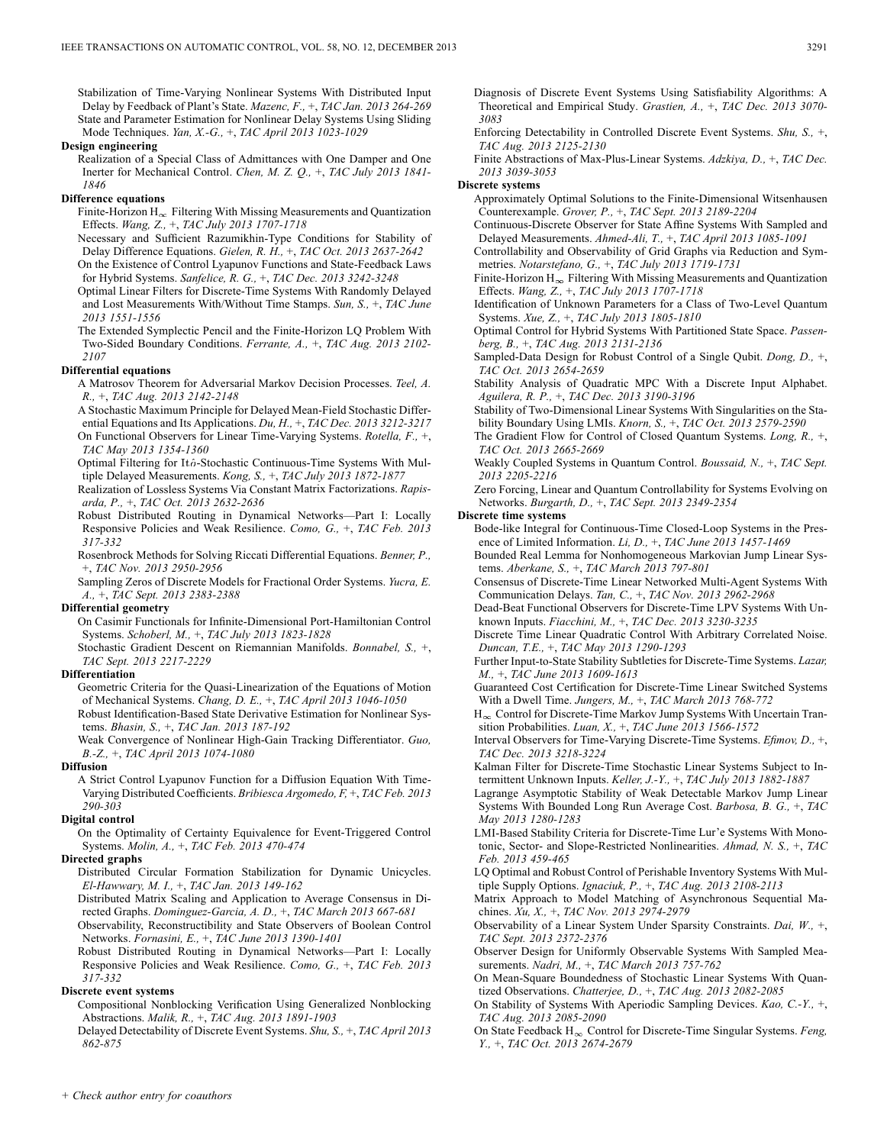Stabilization of Time-Varying Nonlinear Systems With Distributed Input Delay by Feedback of Plant's State. *Mazenc, F.,* +, *TAC Jan. 2013 264-269* State and Parameter Estimation for Nonlinear Delay Systems Using Sliding Mode Techniques. *Yan, X.-G.,* +, *TAC April 2013 1023-1029*

### **Design engineering**

Realization of a Special Class of Admittances with One Damper and One Inerter for Mechanical Control. *Chen, M. Z. Q.,* +, *TAC July 2013 1841- 1846*

### **Difference equations**

Finite-Horizon  $H_{\infty}$  Filtering With Missing Measurements and Quantization Effects. *Wang, Z.,* +, *TAC July 2013 1707-1718*

Necessary and Sufficient Razumikhin-Type Conditions for Stability of Delay Difference Equations. *Gielen, R. H.,* +, *TAC Oct. 2013 2637-2642*

On the Existence of Control Lyapunov Functions and State-Feedback Laws for Hybrid Systems. *Sanfelice, R. G.,* +, *TAC Dec. 2013 3242-3248*

Optimal Linear Filters for Discrete-Time Systems With Randomly Delayed and Lost Measurements With/Without Time Stamps. *Sun, S.,* +, *TAC June 2013 1551-1556*

The Extended Symplectic Pencil and the Finite-Horizon LQ Problem With Two-Sided Boundary Conditions. *Ferrante, A.,* +, *TAC Aug. 2013 2102- 2107*

### **Differential equations**

A Matrosov Theorem for Adversarial Markov Decision Processes. *Teel, A. R.,* +, *TAC Aug. 2013 2142-2148*

A Stochastic Maximum Principle for Delayed Mean-Field Stochastic Differential Equations and Its Applications. *Du, H.,* +, *TAC Dec. 2013 3212-3217* On Functional Observers for Linear Time-Varying Systems. *Rotella, F.,* +,

*TAC May 2013 1354-1360*

Optimal Filtering for Itô-Stochastic Continuous-Time Systems With Multiple Delayed Measurements. *Kong, S.,* +, *TAC July 2013 1872-1877*

Realization of Lossless Systems Via Constant Matrix Factorizations. *Rapisarda, P.,* +, *TAC Oct. 2013 2632-2636*

Robust Distributed Routing in Dynamical Networks—Part I: Locally Responsive Policies and Weak Resilience. *Como, G.,* +, *TAC Feb. 2013 317-332*

Rosenbrock Methods for Solving Riccati Differential Equations. *Benner, P.,* +, *TAC Nov. 2013 2950-2956*

Sampling Zeros of Discrete Models for Fractional Order Systems. *Yucra, E. A.,* +, *TAC Sept. 2013 2383-2388*

### **Differential geometry**

On Casimir Functionals for Infinite-Dimensional Port-Hamiltonian Control Systems. *Schoberl, M.,* +, *TAC July 2013 1823-1828*

Stochastic Gradient Descent on Riemannian Manifolds. *Bonnabel, S.,* +, *TAC Sept. 2013 2217-2229*

#### **Differentiation**

Geometric Criteria for the Quasi-Linearization of the Equations of Motion of Mechanical Systems. *Chang, D. E.,* +, *TAC April 2013 1046-1050* Robust Identification-Based State Derivative Estimation for Nonlinear Sys-

tems. *Bhasin, S.,* +, *TAC Jan. 2013 187-192*

Weak Convergence of Nonlinear High-Gain Tracking Differentiator. *Guo, B.-Z.,* +, *TAC April 2013 1074-1080*

#### **Diffusion**

A Strict Control Lyapunov Function for a Diffusion Equation With Time-Varying Distributed Coefficients. *Bribiesca Argomedo, F,* +, *TAC Feb. 2013 290-303*

#### **Digital control**

On the Optimality of Certainty Equivalence for Event-Triggered Control Systems. *Molin, A.,* +, *TAC Feb. 2013 470-474*

### **Directed graphs**

Distributed Circular Formation Stabilization for Dynamic Unicycles. *El-Hawwary, M. I.,* +, *TAC Jan. 2013 149-162*

Distributed Matrix Scaling and Application to Average Consensus in Directed Graphs. *Dominguez-Garcia, A. D.,* +, *TAC March 2013 667-681*

Observability, Reconstructibility and State Observers of Boolean Control Networks. *Fornasini, E.,* +, *TAC June 2013 1390-1401*

Robust Distributed Routing in Dynamical Networks—Part I: Locally Responsive Policies and Weak Resilience. *Como, G.,* +, *TAC Feb. 2013 317-332*

#### **Discrete event systems**

Compositional Nonblocking Verification Using Generalized Nonblocking Abstractions. *Malik, R.,* +, *TAC Aug. 2013 1891-1903*

Delayed Detectability of Discrete Event Systems. *Shu, S.,* +, *TAC April 2013 862-875*

Diagnosis of Discrete Event Systems Using Satisfiability Algorithms: A Theoretical and Empirical Study. *Grastien, A.,* +, *TAC Dec. 2013 3070- 3083*

Enforcing Detectability in Controlled Discrete Event Systems. *Shu, S.,* +, *TAC Aug. 2013 2125-2130*

Finite Abstractions of Max-Plus-Linear Systems. *Adzkiya, D.,* +, *TAC Dec. 2013 3039-3053*

#### **Discrete systems**

Approximately Optimal Solutions to the Finite-Dimensional Witsenhausen Counterexample. *Grover, P.,* +, *TAC Sept. 2013 2189-2204*

Continuous-Discrete Observer for State Affine Systems With Sampled and Delayed Measurements. *Ahmed-Ali, T.,* +, *TAC April 2013 1085-1091*

Controllability and Observability of Grid Graphs via Reduction and Symmetries. *Notarstefano, G.,* +, *TAC July 2013 1719-1731*

Finite-Horizon  $H_{\infty}$  Filtering With Missing Measurements and Quantization Effects. *Wang, Z.,* +, *TAC July 2013 1707-1718*

Identification of Unknown Parameters for a Class of Two-Level Quantum Systems. *Xue, Z.,* +, *TAC July 2013 1805-1810*

Optimal Control for Hybrid Systems With Partitioned State Space. *Passenberg, B.,* +, *TAC Aug. 2013 2131-2136*

Sampled-Data Design for Robust Control of a Single Qubit. *Dong, D.,* +, *TAC Oct. 2013 2654-2659*

Stability Analysis of Quadratic MPC With a Discrete Input Alphabet. *Aguilera, R. P.,* +, *TAC Dec. 2013 3190-3196*

Stability of Two-Dimensional Linear Systems With Singularities on the Stability Boundary Using LMIs. *Knorn, S.,* +, *TAC Oct. 2013 2579-2590*

The Gradient Flow for Control of Closed Quantum Systems. *Long, R.,* +, *TAC Oct. 2013 2665-2669*

Weakly Coupled Systems in Quantum Control. *Boussaid, N.,* +, *TAC Sept. 2013 2205-2216*

Zero Forcing, Linear and Quantum Controllability for Systems Evolving on Networks. *Burgarth, D.,* +, *TAC Sept. 2013 2349-2354*

#### **Discrete time systems**

Bode-like Integral for Continuous-Time Closed-Loop Systems in the Presence of Limited Information. *Li, D.,* +, *TAC June 2013 1457-1469*

Bounded Real Lemma for Nonhomogeneous Markovian Jump Linear Systems. *Aberkane, S.,* +, *TAC March 2013 797-801*

Consensus of Discrete-Time Linear Networked Multi-Agent Systems With Communication Delays. *Tan, C.,* +, *TAC Nov. 2013 2962-2968*

Dead-Beat Functional Observers for Discrete-Time LPV Systems With Unknown Inputs. *Fiacchini, M.,* +, *TAC Dec. 2013 3230-3235*

Discrete Time Linear Quadratic Control With Arbitrary Correlated Noise. *Duncan, T.E.,* +, *TAC May 2013 1290-1293*

Further Input-to-State Stability Subtleties for Discrete-Time Systems. *Lazar, M.,* +, *TAC June 2013 1609-1613*

Guaranteed Cost Certification for Discrete-Time Linear Switched Systems With a Dwell Time. *Jungers, M.,* +, *TAC March 2013 768-772*

 $H_{\infty}$  Control for Discrete-Time Markov Jump Systems With Uncertain Transition Probabilities. *Luan, X.,* +, *TAC June 2013 1566-1572*

Interval Observers for Time-Varying Discrete-Time Systems. *Efimov, D.,* +, *TAC Dec. 2013 3218-3224*

Kalman Filter for Discrete-Time Stochastic Linear Systems Subject to Intermittent Unknown Inputs. *Keller, J.-Y.,* +, *TAC July 2013 1882-1887*

Lagrange Asymptotic Stability of Weak Detectable Markov Jump Linear Systems With Bounded Long Run Average Cost. *Barbosa, B. G.,* +, *TAC May 2013 1280-1283*

LMI-Based Stability Criteria for Discrete-Time Lur'e Systems With Monotonic, Sector- and Slope-Restricted Nonlinearities. *Ahmad, N. S.,* +, *TAC Feb. 2013 459-465*

LQ Optimal and Robust Control of Perishable Inventory Systems With Multiple Supply Options. *Ignaciuk, P.,* +, *TAC Aug. 2013 2108-2113*

Matrix Approach to Model Matching of Asynchronous Sequential Machines. *Xu, X.,* +, *TAC Nov. 2013 2974-2979*

Observability of a Linear System Under Sparsity Constraints. *Dai, W.,* +, *TAC Sept. 2013 2372-2376*

Observer Design for Uniformly Observable Systems With Sampled Measurements. *Nadri, M.,* +, *TAC March 2013 757-762*

On Mean-Square Boundedness of Stochastic Linear Systems With Quantized Observations. *Chatterjee, D.,* +, *TAC Aug. 2013 2082-2085*

On Stability of Systems With Aperiodic Sampling Devices. *Kao, C.-Y.,* +, *TAC Aug. 2013 2085-2090*

On State Feedback H<sub>∞</sub> Control for Discrete-Time Singular Systems. *Feng, Y.,* +, *TAC Oct. 2013 2674-2679*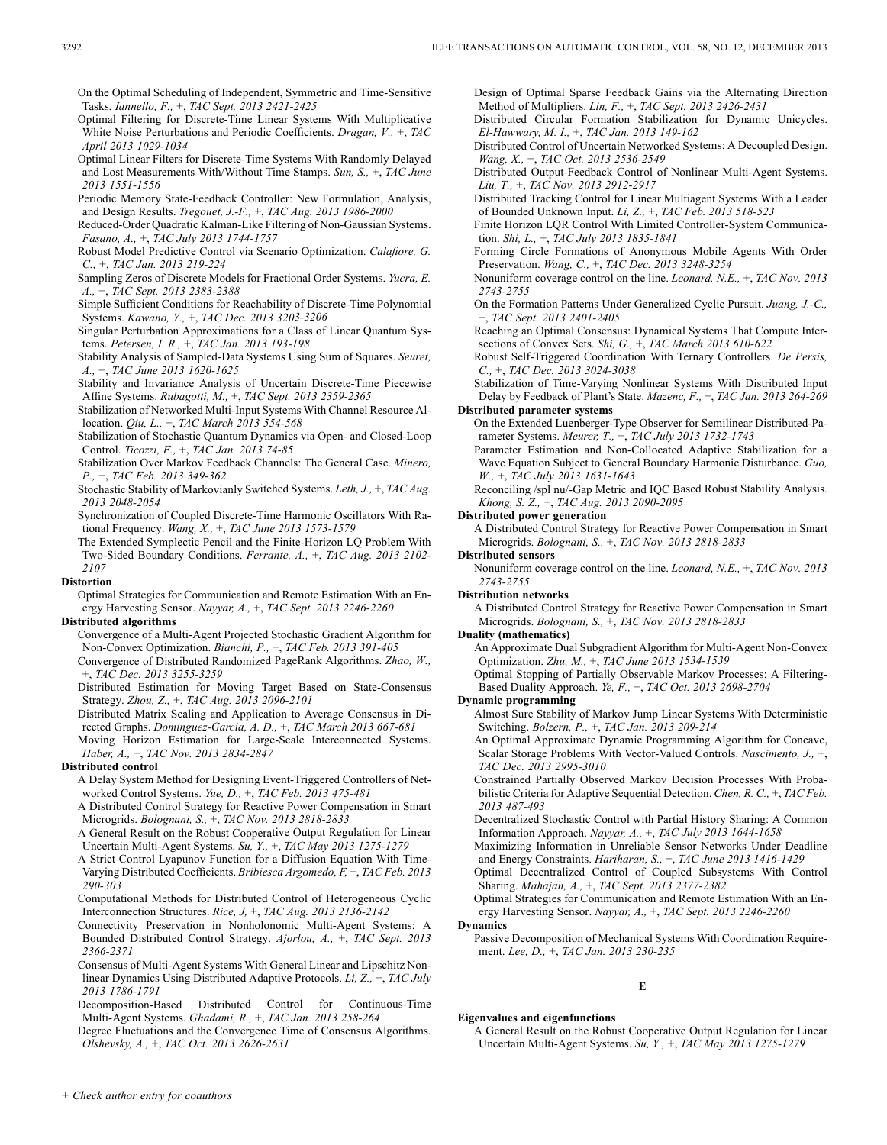On the Optimal Scheduling of Independent, Symmetric and Time-Sensitive Tasks. *Iannello, F.,* +, *TAC Sept. 2013 2421-2425*

Optimal Filtering for Discrete-Time Linear Systems With Multiplicative White Noise Perturbations and Periodic Coefficients. *Dragan, V.,* +, *TAC April 2013 1029-1034*

Optimal Linear Filters for Discrete-Time Systems With Randomly Delayed and Lost Measurements With/Without Time Stamps. *Sun, S.,* +, *TAC June 2013 1551-1556*

Periodic Memory State-Feedback Controller: New Formulation, Analysis, and Design Results. *Tregouet, J.-F.,* +, *TAC Aug. 2013 1986-2000*

Reduced-Order Quadratic Kalman-Like Filtering of Non-Gaussian Systems. *Fasano, A.,* +, *TAC July 2013 1744-1757*

Robust Model Predictive Control via Scenario Optimization. *Calafiore, G. C.,* +, *TAC Jan. 2013 219-224*

Sampling Zeros of Discrete Models for Fractional Order Systems. *Yucra, E. A.,* +, *TAC Sept. 2013 2383-2388*

Simple Sufficient Conditions for Reachability of Discrete-Time Polynomial Systems. *Kawano, Y.,* +, *TAC Dec. 2013 3203-3206*

Singular Perturbation Approximations for a Class of Linear Quantum Systems. *Petersen, I. R.,* +, *TAC Jan. 2013 193-198*

Stability Analysis of Sampled-Data Systems Using Sum of Squares. *Seuret, A.,* +, *TAC June 2013 1620-1625*

Stability and Invariance Analysis of Uncertain Discrete-Time Piecewise Affine Systems. *Rubagotti, M.,* +, *TAC Sept. 2013 2359-2365*

Stabilization of Networked Multi-Input Systems With Channel Resource Allocation. *Qiu, L.,* +, *TAC March 2013 554-568*

Stabilization of Stochastic Quantum Dynamics via Open- and Closed-Loop Control. *Ticozzi, F.,* +, *TAC Jan. 2013 74-85*

Stabilization Over Markov Feedback Channels: The General Case. *Minero, P.,* +, *TAC Feb. 2013 349-362*

Stochastic Stability of Markovianly Switched Systems. *Leth, J.,* +, *TAC Aug. 2013 2048-2054*

Synchronization of Coupled Discrete-Time Harmonic Oscillators With Rational Frequency. *Wang, X.,* +, *TAC June 2013 1573-1579*

The Extended Symplectic Pencil and the Finite-Horizon LQ Problem With Two-Sided Boundary Conditions. *Ferrante, A.,* +, *TAC Aug. 2013 2102- 2107*

#### **Distortion**

Optimal Strategies for Communication and Remote Estimation With an Energy Harvesting Sensor. *Nayyar, A.,* +, *TAC Sept. 2013 2246-2260*

### **Distributed algorithms**

Convergence of a Multi-Agent Projected Stochastic Gradient Algorithm for Non-Convex Optimization. *Bianchi, P.,* +, *TAC Feb. 2013 391-405*

Convergence of Distributed Randomized PageRank Algorithms. *Zhao, W.,* +, *TAC Dec. 2013 3255-3259*

Distributed Estimation for Moving Target Based on State-Consensus Strategy. *Zhou, Z.,* +, *TAC Aug. 2013 2096-2101*

Distributed Matrix Scaling and Application to Average Consensus in Directed Graphs. *Dominguez-Garcia, A. D.,* +, *TAC March 2013 667-681*

Moving Horizon Estimation for Large-Scale Interconnected Systems. *Haber, A.,* +, *TAC Nov. 2013 2834-2847*

### **Distributed control**

A Delay System Method for Designing Event-Triggered Controllers of Networked Control Systems. *Yue, D.,* +, *TAC Feb. 2013 475-481*

A Distributed Control Strategy for Reactive Power Compensation in Smart Microgrids. *Bolognani, S.,* +, *TAC Nov. 2013 2818-2833*

A General Result on the Robust Cooperative Output Regulation for Linear Uncertain Multi-Agent Systems. *Su, Y.,* +, *TAC May 2013 1275-1279*

A Strict Control Lyapunov Function for a Diffusion Equation With Time-Varying Distributed Coefficients. *Bribiesca Argomedo, F,* +, *TAC Feb. 2013 290-303*

Computational Methods for Distributed Control of Heterogeneous Cyclic Interconnection Structures. *Rice, J,* +, *TAC Aug. 2013 2136-2142*

Connectivity Preservation in Nonholonomic Multi-Agent Systems: A Bounded Distributed Control Strategy. *Ajorlou, A.,* +, *TAC Sept. 2013 2366-2371*

Consensus of Multi-Agent Systems With General Linear and Lipschitz Nonlinear Dynamics Using Distributed Adaptive Protocols. *Li, Z.,* +, *TAC July 2013 1786-1791*

Decomposition-Based Distributed Control for Continuous-Time Multi-Agent Systems. *Ghadami, R.,* +, *TAC Jan. 2013 258-264*

Degree Fluctuations and the Convergence Time of Consensus Algorithms. *Olshevsky, A.,* +, *TAC Oct. 2013 2626-2631*

Design of Optimal Sparse Feedback Gains via the Alternating Direction Method of Multipliers. *Lin, F.,* +, *TAC Sept. 2013 2426-2431*

Distributed Circular Formation Stabilization for Dynamic Unicycles. *El-Hawwary, M. I.,* +, *TAC Jan. 2013 149-162*

Distributed Control of Uncertain Networked Systems: A Decoupled Design. *Wang, X.,* +, *TAC Oct. 2013 2536-2549*

Distributed Output-Feedback Control of Nonlinear Multi-Agent Systems. *Liu, T.,* +, *TAC Nov. 2013 2912-2917*

Distributed Tracking Control for Linear Multiagent Systems With a Leader of Bounded Unknown Input. *Li, Z.,* +, *TAC Feb. 2013 518-523*

Finite Horizon LQR Control With Limited Controller-System Communication. *Shi, L.,* +, *TAC July 2013 1835-1841*

Forming Circle Formations of Anonymous Mobile Agents With Order Preservation. *Wang, C.,* +, *TAC Dec. 2013 3248-3254*

Nonuniform coverage control on the line. *Leonard, N.E.,* +, *TAC Nov. 2013 2743-2755*

On the Formation Patterns Under Generalized Cyclic Pursuit. *Juang, J.-C.,* +, *TAC Sept. 2013 2401-2405*

Reaching an Optimal Consensus: Dynamical Systems That Compute Intersections of Convex Sets. *Shi, G.,* +, *TAC March 2013 610-622*

Robust Self-Triggered Coordination With Ternary Controllers. *De Persis, C.,* +, *TAC Dec. 2013 3024-3038*

Stabilization of Time-Varying Nonlinear Systems With Distributed Input Delay by Feedback of Plant's State. *Mazenc, F.,* +, *TAC Jan. 2013 264-269* **Distributed parameter systems**

On the Extended Luenberger-Type Observer for Semilinear Distributed-Parameter Systems. *Meurer, T.,* +, *TAC July 2013 1732-1743*

Parameter Estimation and Non-Collocated Adaptive Stabilization for a Wave Equation Subject to General Boundary Harmonic Disturbance. *Guo, W.,* +, *TAC July 2013 1631-1643*

Reconciling /spl nu/-Gap Metric and IQC Based Robust Stability Analysis. *Khong, S. Z.,* +, *TAC Aug. 2013 2090-2095*

#### **Distributed power generation**

A Distributed Control Strategy for Reactive Power Compensation in Smart Microgrids. *Bolognani, S.,* +, *TAC Nov. 2013 2818-2833*

### **Distributed sensors**

Nonuniform coverage control on the line. *Leonard, N.E.,* +, *TAC Nov. 2013 2743-2755*

#### **Distribution networks**

A Distributed Control Strategy for Reactive Power Compensation in Smart Microgrids. *Bolognani, S.,* +, *TAC Nov. 2013 2818-2833*

#### **Duality (mathematics)**

An Approximate Dual Subgradient Algorithm for Multi-Agent Non-Convex Optimization. *Zhu, M.,* +, *TAC June 2013 1534-1539*

Optimal Stopping of Partially Observable Markov Processes: A Filtering-Based Duality Approach. *Ye, F.,* +, *TAC Oct. 2013 2698-2704*

### **Dynamic programming**

Almost Sure Stability of Markov Jump Linear Systems With Deterministic Switching. *Bolzern, P.,* +, *TAC Jan. 2013 209-214*

An Optimal Approximate Dynamic Programming Algorithm for Concave, Scalar Storage Problems With Vector-Valued Controls. *Nascimento, J.,* +, *TAC Dec. 2013 2995-3010*

Constrained Partially Observed Markov Decision Processes With Probabilistic Criteria for Adaptive Sequential Detection. *Chen, R. C.,* +, *TAC Feb. 2013 487-493*

Decentralized Stochastic Control with Partial History Sharing: A Common Information Approach. *Nayyar, A.,* +, *TAC July 2013 1644-1658*

Maximizing Information in Unreliable Sensor Networks Under Deadline and Energy Constraints. *Hariharan, S.,* +, *TAC June 2013 1416-1429*

Optimal Decentralized Control of Coupled Subsystems With Control Sharing. *Mahajan, A.,* +, *TAC Sept. 2013 2377-2382*

Optimal Strategies for Communication and Remote Estimation With an Energy Harvesting Sensor. *Nayyar, A.,* +, *TAC Sept. 2013 2246-2260*

#### **Dynamics**

Passive Decomposition of Mechanical Systems With Coordination Requirement. *Lee, D.,* +, *TAC Jan. 2013 230-235*

### **E**

### **Eigenvalues and eigenfunctions**

A General Result on the Robust Cooperative Output Regulation for Linear Uncertain Multi-Agent Systems. *Su, Y.,* +, *TAC May 2013 1275-1279*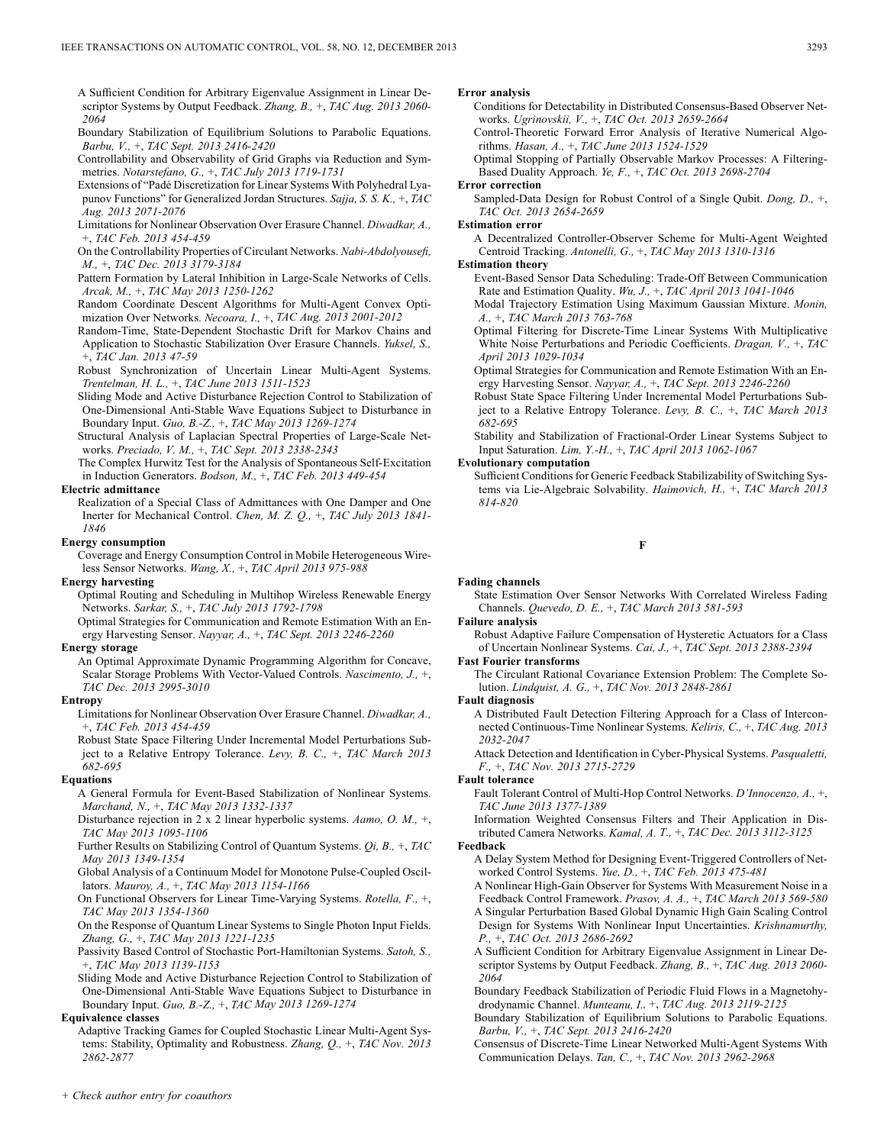- A Sufficient Condition for Arbitrary Eigenvalue Assignment in Linear Descriptor Systems by Output Feedback. *Zhang, B.,* +, *TAC Aug. 2013 2060- 2064*
- Boundary Stabilization of Equilibrium Solutions to Parabolic Equations. *Barbu, V.,* +, *TAC Sept. 2013 2416-2420*
- Controllability and Observability of Grid Graphs via Reduction and Symmetries. *Notarstefano, G.,* +, *TAC July 2013 1719-1731*
- Extensions of "Padé Discretization for Linear Systems With Polyhedral Lyapunov Functions" for Generalized Jordan Structures. *Sajja, S. S. K.,* +, *TAC Aug. 2013 2071-2076*
- Limitations for Nonlinear Observation Over Erasure Channel. *Diwadkar, A.,* +, *TAC Feb. 2013 454-459*
- On the Controllability Properties of Circulant Networks. *Nabi-Abdolyousefi, M.,* +, *TAC Dec. 2013 3179-3184*
- Pattern Formation by Lateral Inhibition in Large-Scale Networks of Cells. *Arcak, M.,* +, *TAC May 2013 1250-1262*
- Random Coordinate Descent Algorithms for Multi-Agent Convex Optimization Over Networks. *Necoara, I.,* +, *TAC Aug. 2013 2001-2012*
- Random-Time, State-Dependent Stochastic Drift for Markov Chains and Application to Stochastic Stabilization Over Erasure Channels. *Yuksel, S.,* +, *TAC Jan. 2013 47-59*
- Robust Synchronization of Uncertain Linear Multi-Agent Systems. *Trentelman, H. L.,* +, *TAC June 2013 1511-1523*
- Sliding Mode and Active Disturbance Rejection Control to Stabilization of One-Dimensional Anti-Stable Wave Equations Subject to Disturbance in Boundary Input. *Guo, B.-Z.,* +, *TAC May 2013 1269-1274*
- Structural Analysis of Laplacian Spectral Properties of Large-Scale Networks. *Preciado, V. M.,* +, *TAC Sept. 2013 2338-2343*

The Complex Hurwitz Test for the Analysis of Spontaneous Self-Excitation in Induction Generators. *Bodson, M.,* +, *TAC Feb. 2013 449-454*

#### **Electric admittance**

Realization of a Special Class of Admittances with One Damper and One Inerter for Mechanical Control. *Chen, M. Z. Q.,* +, *TAC July 2013 1841- 1846*

#### **Energy consumption**

Coverage and Energy Consumption Control in Mobile Heterogeneous Wireless Sensor Networks. *Wang, X.,* +, *TAC April 2013 975-988*

#### **Energy harvesting**

Optimal Routing and Scheduling in Multihop Wireless Renewable Energy Networks. *Sarkar, S.,* +, *TAC July 2013 1792-1798*

Optimal Strategies for Communication and Remote Estimation With an Energy Harvesting Sensor. *Nayyar, A.,* +, *TAC Sept. 2013 2246-2260*

#### **Energy storage**

An Optimal Approximate Dynamic Programming Algorithm for Concave, Scalar Storage Problems With Vector-Valued Controls. *Nascimento, J.,* +, *TAC Dec. 2013 2995-3010*

#### **Entropy**

Limitations for Nonlinear Observation Over Erasure Channel. *Diwadkar, A.,* +, *TAC Feb. 2013 454-459*

Robust State Space Filtering Under Incremental Model Perturbations Subject to a Relative Entropy Tolerance. *Levy, B. C.,* +, *TAC March 2013 682-695*

#### **Equations**

- A General Formula for Event-Based Stabilization of Nonlinear Systems. *Marchand, N.,* +, *TAC May 2013 1332-1337*
- Disturbance rejection in 2 x 2 linear hyperbolic systems. *Aamo, O. M.,* +, *TAC May 2013 1095-1106*
- Further Results on Stabilizing Control of Quantum Systems. *Qi, B.,* +, *TAC May 2013 1349-1354*

Global Analysis of a Continuum Model for Monotone Pulse-Coupled Oscillators. *Mauroy, A.,* +, *TAC May 2013 1154-1166*

On Functional Observers for Linear Time-Varying Systems. *Rotella, F.,* +, *TAC May 2013 1354-1360*

On the Response of Quantum Linear Systems to Single Photon Input Fields. *Zhang, G.,* +, *TAC May 2013 1221-1235*

Passivity Based Control of Stochastic Port-Hamiltonian Systems. *Satoh, S.,* +, *TAC May 2013 1139-1153*

Sliding Mode and Active Disturbance Rejection Control to Stabilization of One-Dimensional Anti-Stable Wave Equations Subject to Disturbance in Boundary Input. *Guo, B.-Z.,* +, *TAC May 2013 1269-1274*

#### **Equivalence classes**

Adaptive Tracking Games for Coupled Stochastic Linear Multi-Agent Systems: Stability, Optimality and Robustness. *Zhang, Q.,* +, *TAC Nov. 2013 2862-2877*

#### **Error analysis**

Conditions for Detectability in Distributed Consensus-Based Observer Networks. *Ugrinovskii, V.,* +, *TAC Oct. 2013 2659-2664*

Control-Theoretic Forward Error Analysis of Iterative Numerical Algorithms. *Hasan, A.,* +, *TAC June 2013 1524-1529*

Optimal Stopping of Partially Observable Markov Processes: A Filtering-Based Duality Approach. *Ye, F.,* +, *TAC Oct. 2013 2698-2704*

#### **Error correction**

Sampled-Data Design for Robust Control of a Single Qubit. *Dong, D.,* +, *TAC Oct. 2013 2654-2659*

#### **Estimation error**

A Decentralized Controller-Observer Scheme for Multi-Agent Weighted Centroid Tracking. *Antonelli, G.,* +, *TAC May 2013 1310-1316*

#### **Estimation theory**

Event-Based Sensor Data Scheduling: Trade-Off Between Communication Rate and Estimation Quality. *Wu, J.,* +, *TAC April 2013 1041-1046*

Modal Trajectory Estimation Using Maximum Gaussian Mixture. *Monin, A.,* +, *TAC March 2013 763-768*

Optimal Filtering for Discrete-Time Linear Systems With Multiplicative White Noise Perturbations and Periodic Coefficients. *Dragan, V.,* +, *TAC April 2013 1029-1034*

Optimal Strategies for Communication and Remote Estimation With an Energy Harvesting Sensor. *Nayyar, A.,* +, *TAC Sept. 2013 2246-2260*

Robust State Space Filtering Under Incremental Model Perturbations Subject to a Relative Entropy Tolerance. *Levy, B. C.,* +, *TAC March 2013 682-695*

Stability and Stabilization of Fractional-Order Linear Systems Subject to Input Saturation. *Lim, Y.-H.,* +, *TAC April 2013 1062-1067*

#### **Evolutionary computation**

Sufficient Conditions for Generic Feedback Stabilizability of Switching Systems via Lie-Algebraic Solvability. *Haimovich, H.,* +, *TAC March 2013 814-820*

#### **F**

#### **Fading channels**

State Estimation Over Sensor Networks With Correlated Wireless Fading Channels. *Quevedo, D. E.,* +, *TAC March 2013 581-593*

### **Failure analysis**

Robust Adaptive Failure Compensation of Hysteretic Actuators for a Class of Uncertain Nonlinear Systems. *Cai, J.,* +, *TAC Sept. 2013 2388-2394*

# **Fast Fourier transforms**

The Circulant Rational Covariance Extension Problem: The Complete Solution. *Lindquist, A. G.,* +, *TAC Nov. 2013 2848-2861*

### **Fault diagnosis**

A Distributed Fault Detection Filtering Approach for a Class of Interconnected Continuous-Time Nonlinear Systems. *Keliris, C.,* +, *TAC Aug. 2013 2032-2047*

Attack Detection and Identification in Cyber-Physical Systems. *Pasqualetti, F.,* +, *TAC Nov. 2013 2715-2729*

#### **Fault tolerance**

Fault Tolerant Control of Multi-Hop Control Networks. *D'Innocenzo, A.,* +, *TAC June 2013 1377-1389*

Information Weighted Consensus Filters and Their Application in Distributed Camera Networks. *Kamal, A. T.,* +, *TAC Dec. 2013 3112-3125*

#### **Feedback**

A Delay System Method for Designing Event-Triggered Controllers of Networked Control Systems. *Yue, D.,* +, *TAC Feb. 2013 475-481*

A Nonlinear High-Gain Observer for Systems With Measurement Noise in a

Feedback Control Framework. *Prasov, A. A.,* +, *TAC March 2013 569-580* A Singular Perturbation Based Global Dynamic High Gain Scaling Control Design for Systems With Nonlinear Input Uncertainties. *Krishnamurthy, P.,* +, *TAC Oct. 2013 2686-2692*

A Sufficient Condition for Arbitrary Eigenvalue Assignment in Linear Descriptor Systems by Output Feedback. *Zhang, B.,* +, *TAC Aug. 2013 2060- 2064*

Boundary Feedback Stabilization of Periodic Fluid Flows in a Magnetohydrodynamic Channel. *Munteanu, I.,* +, *TAC Aug. 2013 2119-2125*

Boundary Stabilization of Equilibrium Solutions to Parabolic Equations. *Barbu, V.,* +, *TAC Sept. 2013 2416-2420*

Consensus of Discrete-Time Linear Networked Multi-Agent Systems With Communication Delays. *Tan, C.,* +, *TAC Nov. 2013 2962-2968*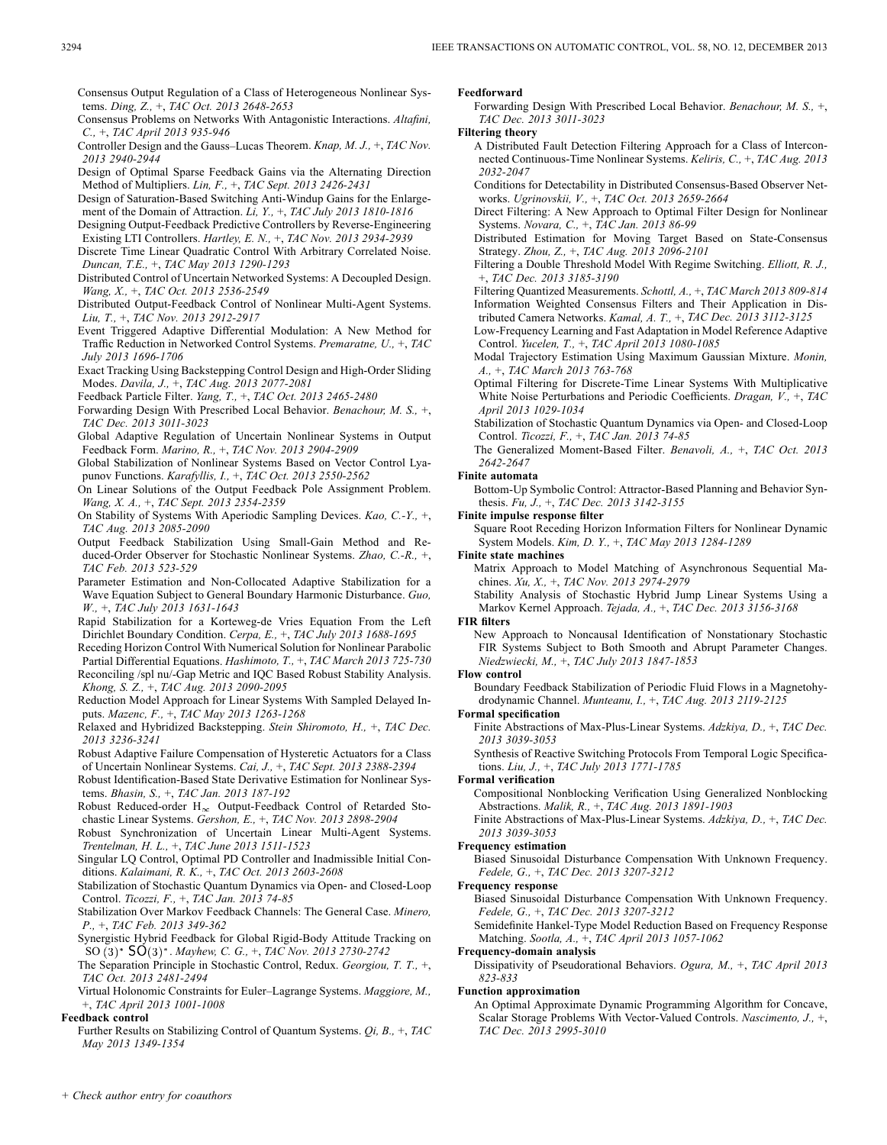Consensus Output Regulation of a Class of Heterogeneous Nonlinear Systems. *Ding, Z.,* +, *TAC Oct. 2013 2648-2653*

Consensus Problems on Networks With Antagonistic Interactions. *Altafini, C.,* +, *TAC April 2013 935-946*

- Controller Design and the Gauss–Lucas Theorem. *Knap, M. J.,* +, *TAC Nov. 2013 2940-2944*
- Design of Optimal Sparse Feedback Gains via the Alternating Direction Method of Multipliers. *Lin, F.,* +, *TAC Sept. 2013 2426-2431*

Design of Saturation-Based Switching Anti-Windup Gains for the Enlargement of the Domain of Attraction. *Li, Y.,* +, *TAC July 2013 1810-1816*

Designing Output-Feedback Predictive Controllers by Reverse-Engineering Existing LTI Controllers. *Hartley, E. N.,* +, *TAC Nov. 2013 2934-2939*

Discrete Time Linear Quadratic Control With Arbitrary Correlated Noise. *Duncan, T.E.,* +, *TAC May 2013 1290-1293*

Distributed Control of Uncertain Networked Systems: A Decoupled Design. *Wang, X.,* +, *TAC Oct. 2013 2536-2549*

Distributed Output-Feedback Control of Nonlinear Multi-Agent Systems. *Liu, T.,* +, *TAC Nov. 2013 2912-2917*

- Event Triggered Adaptive Differential Modulation: A New Method for Traffic Reduction in Networked Control Systems. *Premaratne, U.,* +, *TAC July 2013 1696-1706*
- Exact Tracking Using Backstepping Control Design and High-Order Sliding Modes. *Davila, J.,* +, *TAC Aug. 2013 2077-2081*

Feedback Particle Filter. *Yang, T.,* +, *TAC Oct. 2013 2465-2480*

Forwarding Design With Prescribed Local Behavior. *Benachour, M. S.,* +, *TAC Dec. 2013 3011-3023*

Global Adaptive Regulation of Uncertain Nonlinear Systems in Output Feedback Form. *Marino, R.,* +, *TAC Nov. 2013 2904-2909*

Global Stabilization of Nonlinear Systems Based on Vector Control Lyapunov Functions. *Karafyllis, I.,* +, *TAC Oct. 2013 2550-2562*

On Linear Solutions of the Output Feedback Pole Assignment Problem. *Wang, X. A.,* +, *TAC Sept. 2013 2354-2359*

On Stability of Systems With Aperiodic Sampling Devices. *Kao, C.-Y.,* +, *TAC Aug. 2013 2085-2090*

Output Feedback Stabilization Using Small-Gain Method and Reduced-Order Observer for Stochastic Nonlinear Systems. *Zhao, C.-R.,* +, *TAC Feb. 2013 523-529*

Parameter Estimation and Non-Collocated Adaptive Stabilization for a Wave Equation Subject to General Boundary Harmonic Disturbance. *Guo, W.,* +, *TAC July 2013 1631-1643*

Rapid Stabilization for a Korteweg-de Vries Equation From the Left Dirichlet Boundary Condition. *Cerpa, E.,* +, *TAC July 2013 1688-1695*

Receding Horizon Control With Numerical Solution for Nonlinear Parabolic Partial Differential Equations. *Hashimoto, T.,* +, *TAC March 2013 725-730* Reconciling /spl nu/-Gap Metric and IQC Based Robust Stability Analysis. *Khong, S. Z.,* +, *TAC Aug. 2013 2090-2095*

Reduction Model Approach for Linear Systems With Sampled Delayed Inputs. *Mazenc, F.,* +, *TAC May 2013 1263-1268*

Relaxed and Hybridized Backstepping. *Stein Shiromoto, H.,* +, *TAC Dec. 2013 3236-3241*

Robust Adaptive Failure Compensation of Hysteretic Actuators for a Class of Uncertain Nonlinear Systems. *Cai, J.,* +, *TAC Sept. 2013 2388-2394*

Robust Identification-Based State Derivative Estimation for Nonlinear Systems. *Bhasin, S.,* +, *TAC Jan. 2013 187-192*

Robust Reduced-order  $H_{\infty}$  Output-Feedback Control of Retarded Stochastic Linear Systems. *Gershon, E.,* +, *TAC Nov. 2013 2898-2904*

Robust Synchronization of Uncertain Linear Multi-Agent Systems. *Trentelman, H. L.,* +, *TAC June 2013 1511-1523*

Singular LQ Control, Optimal PD Controller and Inadmissible Initial Conditions. *Kalaimani, R. K.,* +, *TAC Oct. 2013 2603-2608*

Stabilization of Stochastic Quantum Dynamics via Open- and Closed-Loop Control. *Ticozzi, F.,* +, *TAC Jan. 2013 74-85*

Stabilization Over Markov Feedback Channels: The General Case. *Minero, P.,* +, *TAC Feb. 2013 349-362*

Synergistic Hybrid Feedback for Global Rigid-Body Attitude Tracking on SO . *Mayhew, C. G.,* +, *TAC Nov. 2013 2730-2742*

The Separation Principle in Stochastic Control, Redux. *Georgiou, T. T.,* +, *TAC Oct. 2013 2481-2494*

Virtual Holonomic Constraints for Euler–Lagrange Systems. *Maggiore, M.,* +, *TAC April 2013 1001-1008*

### **Feedback control**

Further Results on Stabilizing Control of Quantum Systems. *Qi, B.,* +, *TAC May 2013 1349-1354*

**Feedforward**

Forwarding Design With Prescribed Local Behavior. *Benachour, M. S.,* +, *TAC Dec. 2013 3011-3023*

**Filtering theory**

A Distributed Fault Detection Filtering Approach for a Class of Interconnected Continuous-Time Nonlinear Systems. *Keliris, C.,* +, *TAC Aug. 2013 2032-2047*

Conditions for Detectability in Distributed Consensus-Based Observer Networks. *Ugrinovskii, V.,* +, *TAC Oct. 2013 2659-2664*

Direct Filtering: A New Approach to Optimal Filter Design for Nonlinear Systems. *Novara, C.,* +, *TAC Jan. 2013 86-99*

Distributed Estimation for Moving Target Based on State-Consensus Strategy. *Zhou, Z.,* +, *TAC Aug. 2013 2096-2101*

Filtering a Double Threshold Model With Regime Switching. *Elliott, R. J.,* +, *TAC Dec. 2013 3185-3190*

Filtering Quantized Measurements. *Schottl, A.,* +, *TAC March 2013 809-814* Information Weighted Consensus Filters and Their Application in Distributed Camera Networks. *Kamal, A. T.,* +, *TAC Dec. 2013 3112-3125*

Low-Frequency Learning and Fast Adaptation in Model Reference Adaptive Control. *Yucelen, T.,* +, *TAC April 2013 1080-1085*

Modal Trajectory Estimation Using Maximum Gaussian Mixture. *Monin, A.,* +, *TAC March 2013 763-768*

Optimal Filtering for Discrete-Time Linear Systems With Multiplicative White Noise Perturbations and Periodic Coefficients. *Dragan, V.,* +, *TAC April 2013 1029-1034*

Stabilization of Stochastic Quantum Dynamics via Open- and Closed-Loop Control. *Ticozzi, F.,* +, *TAC Jan. 2013 74-85*

The Generalized Moment-Based Filter. *Benavoli, A.,* +, *TAC Oct. 2013 2642-2647*

# **Finite automata**

Bottom-Up Symbolic Control: Attractor-Based Planning and Behavior Synthesis. *Fu, J.,* +, *TAC Dec. 2013 3142-3155*

**Finite impulse response filter**

Square Root Receding Horizon Information Filters for Nonlinear Dynamic System Models. *Kim, D. Y.,* +, *TAC May 2013 1284-1289*

**Finite state machines**

Matrix Approach to Model Matching of Asynchronous Sequential Machines. *Xu, X.,* +, *TAC Nov. 2013 2974-2979*

Stability Analysis of Stochastic Hybrid Jump Linear Systems Using a Markov Kernel Approach. *Tejada, A.,* +, *TAC Dec. 2013 3156-3168*

### **FIR filters**

New Approach to Noncausal Identification of Nonstationary Stochastic FIR Systems Subject to Both Smooth and Abrupt Parameter Changes. *Niedzwiecki, M.,* +, *TAC July 2013 1847-1853*

### **Flow control**

Boundary Feedback Stabilization of Periodic Fluid Flows in a Magnetohydrodynamic Channel. *Munteanu, I.,* +, *TAC Aug. 2013 2119-2125*

### **Formal specification**

Finite Abstractions of Max-Plus-Linear Systems. *Adzkiya, D.,* +, *TAC Dec. 2013 3039-3053*

Synthesis of Reactive Switching Protocols From Temporal Logic Specifications. *Liu, J.,* +, *TAC July 2013 1771-1785*

### **Formal verification**

Compositional Nonblocking Verification Using Generalized Nonblocking Abstractions. *Malik, R.,* +, *TAC Aug. 2013 1891-1903*

Finite Abstractions of Max-Plus-Linear Systems. *Adzkiya, D.,* +, *TAC Dec. 2013 3039-3053*

### **Frequency estimation**

Biased Sinusoidal Disturbance Compensation With Unknown Frequency. *Fedele, G.,* +, *TAC Dec. 2013 3207-3212*

### **Frequency response**

Biased Sinusoidal Disturbance Compensation With Unknown Frequency. *Fedele, G.,* +, *TAC Dec. 2013 3207-3212*

Semidefinite Hankel-Type Model Reduction Based on Frequency Response Matching. *Sootla, A.,* +, *TAC April 2013 1057-1062*

**Frequency-domain analysis**

Dissipativity of Pseudorational Behaviors. *Ogura, M.,* +, *TAC April 2013 823-833*

### **Function approximation**

An Optimal Approximate Dynamic Programming Algorithm for Concave, Scalar Storage Problems With Vector-Valued Controls. *Nascimento, J.,* +, *TAC Dec. 2013 2995-3010*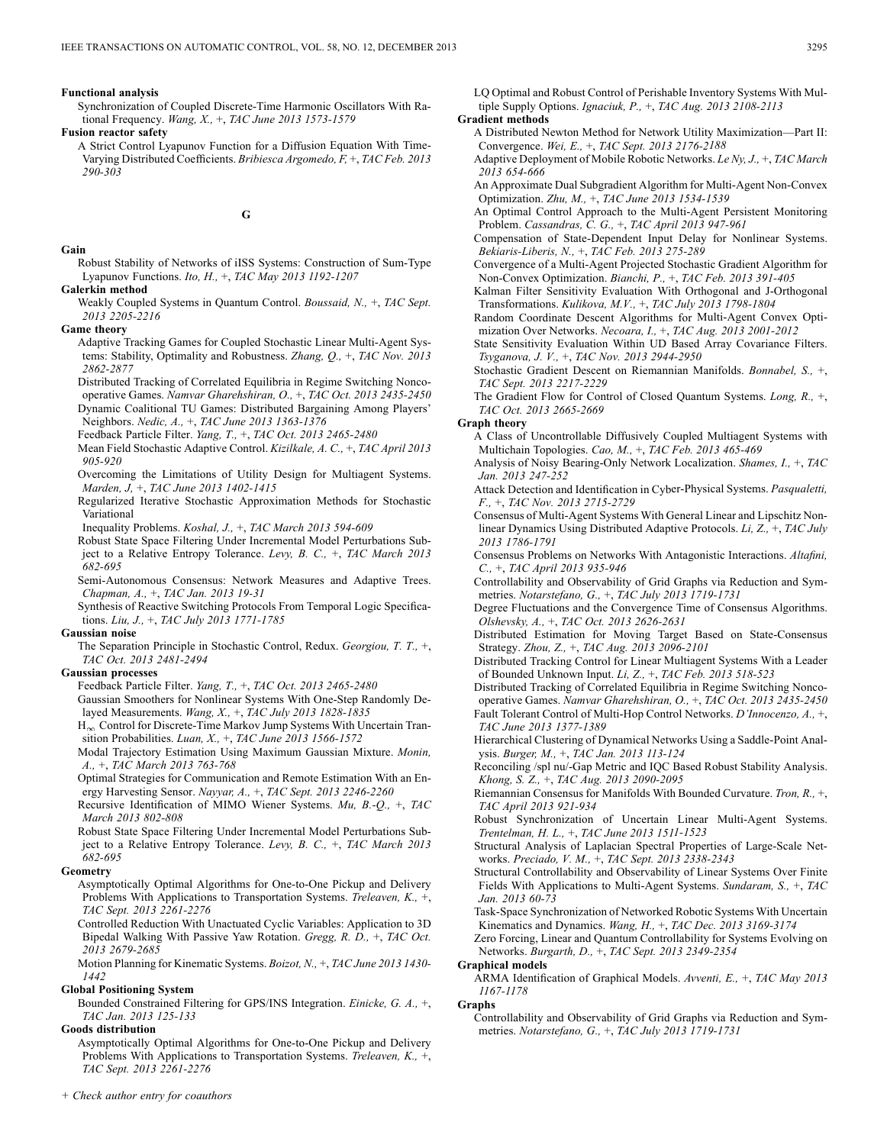#### **Functional analysis**

Synchronization of Coupled Discrete-Time Harmonic Oscillators With Rational Frequency. *Wang, X.,* +, *TAC June 2013 1573-1579*

**Fusion reactor safety**

A Strict Control Lyapunov Function for a Diffusion Equation With Time-Varying Distributed Coefficients. *Bribiesca Argomedo, F,* +, *TAC Feb. 2013 290-303*

**G**

#### **Gain**

Robust Stability of Networks of iISS Systems: Construction of Sum-Type Lyapunov Functions. *Ito, H.,* +, *TAC May 2013 1192-1207*

### **Galerkin method**

Weakly Coupled Systems in Quantum Control. *Boussaid, N.,* +, *TAC Sept. 2013 2205-2216*

**Game theory**

Adaptive Tracking Games for Coupled Stochastic Linear Multi-Agent Systems: Stability, Optimality and Robustness. *Zhang, Q.,* +, *TAC Nov. 2013 2862-2877*

Distributed Tracking of Correlated Equilibria in Regime Switching Noncooperative Games. *Namvar Gharehshiran, O.,* +, *TAC Oct. 2013 2435-2450* Dynamic Coalitional TU Games: Distributed Bargaining Among Players'

Neighbors. *Nedic, A.,* +, *TAC June 2013 1363-1376*

Feedback Particle Filter. *Yang, T.,* +, *TAC Oct. 2013 2465-2480*

Mean Field Stochastic Adaptive Control. *Kizilkale, A. C.,* +, *TAC April 2013 905-920*

Overcoming the Limitations of Utility Design for Multiagent Systems. *Marden, J,* +, *TAC June 2013 1402-1415*

Regularized Iterative Stochastic Approximation Methods for Stochastic Variational

Inequality Problems. *Koshal, J.,* +, *TAC March 2013 594-609*

Robust State Space Filtering Under Incremental Model Perturbations Subject to a Relative Entropy Tolerance. *Levy, B. C.,* +, *TAC March 2013 682-695*

Semi-Autonomous Consensus: Network Measures and Adaptive Trees. *Chapman, A.,* +, *TAC Jan. 2013 19-31*

Synthesis of Reactive Switching Protocols From Temporal Logic Specifications. *Liu, J.,* +, *TAC July 2013 1771-1785*

#### **Gaussian noise**

The Separation Principle in Stochastic Control, Redux. *Georgiou, T. T.,* +, *TAC Oct. 2013 2481-2494*

#### **Gaussian processes**

Feedback Particle Filter. *Yang, T.,* +, *TAC Oct. 2013 2465-2480*

Gaussian Smoothers for Nonlinear Systems With One-Step Randomly Delayed Measurements. *Wang, X.,* +, *TAC July 2013 1828-1835*

 $H_{\infty}$  Control for Discrete-Time Markov Jump Systems With Uncertain Transition Probabilities. *Luan, X.,* +, *TAC June 2013 1566-1572*

Modal Trajectory Estimation Using Maximum Gaussian Mixture. *Monin, A.,* +, *TAC March 2013 763-768*

Optimal Strategies for Communication and Remote Estimation With an Energy Harvesting Sensor. *Nayyar, A.,* +, *TAC Sept. 2013 2246-2260*

Recursive Identification of MIMO Wiener Systems. *Mu, B.-Q.,* +, *TAC March 2013 802-808*

Robust State Space Filtering Under Incremental Model Perturbations Subject to a Relative Entropy Tolerance. *Levy, B. C.,* +, *TAC March 2013 682-695*

#### **Geometry**

Asymptotically Optimal Algorithms for One-to-One Pickup and Delivery Problems With Applications to Transportation Systems. *Treleaven, K.,* +, *TAC Sept. 2013 2261-2276*

Controlled Reduction With Unactuated Cyclic Variables: Application to 3D Bipedal Walking With Passive Yaw Rotation. *Gregg, R. D.,* +, *TAC Oct. 2013 2679-2685*

Motion Planning for Kinematic Systems. *Boizot, N.,* +, *TAC June 2013 1430- 1442*

#### **Global Positioning System**

*+ Check author entry for coauthors*

Bounded Constrained Filtering for GPS/INS Integration. *Einicke, G. A.,* +, *TAC Jan. 2013 125-133*

### **Goods distribution**

Asymptotically Optimal Algorithms for One-to-One Pickup and Delivery Problems With Applications to Transportation Systems. *Treleaven, K.,* +, *TAC Sept. 2013 2261-2276*

Riemannian Consensus for Manifolds With Bounded Curvature. *Tron, R.,* +,

Robust Synchronization of Uncertain Linear Multi-Agent Systems. *Trentelman, H. L.,* +, *TAC June 2013 1511-1523*

Structural Analysis of Laplacian Spectral Properties of Large-Scale Networks. *Preciado, V. M.,* +, *TAC Sept. 2013 2338-2343*

Structural Controllability and Observability of Linear Systems Over Finite Fields With Applications to Multi-Agent Systems. *Sundaram, S.,* +, *TAC Jan. 2013 60-73*

Task-Space Synchronization of Networked Robotic Systems With Uncertain Kinematics and Dynamics. *Wang, H.,* +, *TAC Dec. 2013 3169-3174*

Zero Forcing, Linear and Quantum Controllability for Systems Evolving on Networks. *Burgarth, D.,* +, *TAC Sept. 2013 2349-2354*

#### **Graphical models**

ARMA Identification of Graphical Models. *Avventi, E.,* +, *TAC May 2013 1167-1178*

#### **Graphs**

Controllability and Observability of Grid Graphs via Reduction and Symmetries. *Notarstefano, G.,* +, *TAC July 2013 1719-1731*

LQ Optimal and Robust Control of Perishable Inventory Systems With Multiple Supply Options. *Ignaciuk, P.,* +, *TAC Aug. 2013 2108-2113*

### **Gradient methods**

A Distributed Newton Method for Network Utility Maximization—Part II: Convergence. *Wei, E.,* +, *TAC Sept. 2013 2176-2188*

Adaptive Deployment of Mobile Robotic Networks. *Le Ny, J.,* +, *TAC March 2013 654-666*

An Approximate Dual Subgradient Algorithm for Multi-Agent Non-Convex Optimization. *Zhu, M.,* +, *TAC June 2013 1534-1539*

An Optimal Control Approach to the Multi-Agent Persistent Monitoring Problem. *Cassandras, C. G.,* +, *TAC April 2013 947-961*

Compensation of State-Dependent Input Delay for Nonlinear Systems. *Bekiaris-Liberis, N.,* +, *TAC Feb. 2013 275-289*

Convergence of a Multi-Agent Projected Stochastic Gradient Algorithm for Non-Convex Optimization. *Bianchi, P.,* +, *TAC Feb. 2013 391-405*

Kalman Filter Sensitivity Evaluation With Orthogonal and J-Orthogonal Transformations. *Kulikova, M.V.,* +, *TAC July 2013 1798-1804*

Random Coordinate Descent Algorithms for Multi-Agent Convex Optimization Over Networks. *Necoara, I.,* +, *TAC Aug. 2013 2001-2012*

- State Sensitivity Evaluation Within UD Based Array Covariance Filters. *Tsyganova, J. V.,* +, *TAC Nov. 2013 2944-2950*
- Stochastic Gradient Descent on Riemannian Manifolds. *Bonnabel, S.,* +, *TAC Sept. 2013 2217-2229*

The Gradient Flow for Control of Closed Quantum Systems. *Long, R.,* +, *TAC Oct. 2013 2665-2669*

#### **Graph theory**

A Class of Uncontrollable Diffusively Coupled Multiagent Systems with Multichain Topologies. *Cao, M.,* +, *TAC Feb. 2013 465-469*

Analysis of Noisy Bearing-Only Network Localization. *Shames, I.,* +, *TAC Jan. 2013 247-252*

Attack Detection and Identification in Cyber-Physical Systems. *Pasqualetti, F.,* +, *TAC Nov. 2013 2715-2729*

Consensus of Multi-Agent Systems With General Linear and Lipschitz Nonlinear Dynamics Using Distributed Adaptive Protocols. *Li, Z.,* +, *TAC July 2013 1786-1791*

Consensus Problems on Networks With Antagonistic Interactions. *Altafini, C.,* +, *TAC April 2013 935-946*

Controllability and Observability of Grid Graphs via Reduction and Symmetries. *Notarstefano, G.,* +, *TAC July 2013 1719-1731*

Degree Fluctuations and the Convergence Time of Consensus Algorithms. *Olshevsky, A.,* +, *TAC Oct. 2013 2626-2631*

Distributed Estimation for Moving Target Based on State-Consensus Strategy. *Zhou, Z.,* +, *TAC Aug. 2013 2096-2101*

Distributed Tracking Control for Linear Multiagent Systems With a Leader of Bounded Unknown Input. *Li, Z.,* +, *TAC Feb. 2013 518-523*

Distributed Tracking of Correlated Equilibria in Regime Switching Noncooperative Games. *Namvar Gharehshiran, O.,* +, *TAC Oct. 2013 2435-2450* Fault Tolerant Control of Multi-Hop Control Networks. *D'Innocenzo, A.,* +,

*TAC June 2013 1377-1389* Hierarchical Clustering of Dynamical Networks Using a Saddle-Point Anal-

ysis. *Burger, M.,* +, *TAC Jan. 2013 113-124*

Reconciling /spl nu/-Gap Metric and IQC Based Robust Stability Analysis. *Khong, S. Z.,* +, *TAC Aug. 2013 2090-2095*

*TAC April 2013 921-934*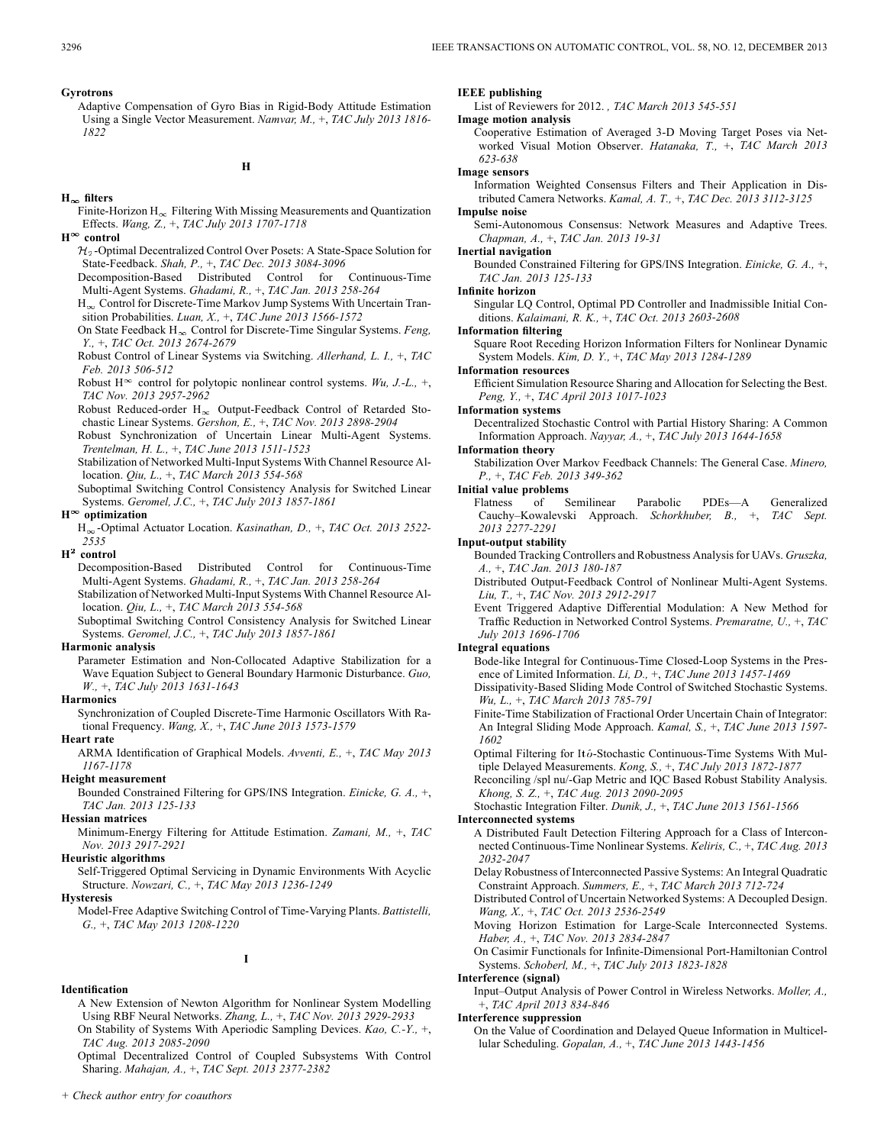Adaptive Compensation of Gyro Bias in Rigid-Body Attitude Estimation Using a Single Vector Measurement. *Namvar, M.,* +, *TAC July 2013 1816- 1822*

#### **H**

### $H_{\infty}$  filters

- Finite-Horizon  $H_{\infty}$  Filtering With Missing Measurements and Quantization Effects. *Wang, Z.,* +, *TAC July 2013 1707-1718*
- $H^{\infty}$  control
	- $\mathcal{H}_2$ -Optimal Decentralized Control Over Posets: A State-Space Solution for State-Feedback. *Shah, P.,* +, *TAC Dec. 2013 3084-3096*

Decomposition-Based Distributed Control for Continuous-Time Multi-Agent Systems. *Ghadami, R.,* +, *TAC Jan. 2013 258-264*

 $H_{\infty}$  Control for Discrete-Time Markov Jump Systems With Uncertain Transition Probabilities. *Luan, X.,* +, *TAC June 2013 1566-1572*

- On State Feedback H<sub>∞</sub> Control for Discrete-Time Singular Systems. *Feng*, *Y.,* +, *TAC Oct. 2013 2674-2679*
- Robust Control of Linear Systems via Switching. *Allerhand, L. I.,* +, *TAC Feb. 2013 506-512*

Robust H<sup> $\infty$ </sup> control for polytopic nonlinear control systems. *Wu, J.-L.*, +, *TAC Nov. 2013 2957-2962*

Robust Reduced-order  $H_{\infty}$  Output-Feedback Control of Retarded Stochastic Linear Systems. *Gershon, E.,* +, *TAC Nov. 2013 2898-2904*

Robust Synchronization of Uncertain Linear Multi-Agent Systems. *Trentelman, H. L.,* +, *TAC June 2013 1511-1523*

Stabilization of Networked Multi-Input Systems With Channel Resource Allocation. *Qiu, L.,* +, *TAC March 2013 554-568*

Suboptimal Switching Control Consistency Analysis for Switched Linear Systems. *Geromel, J.C.,* +, *TAC July 2013 1857-1861*

### **H optimization**

H<sub>oo</sub>-Optimal Actuator Location. *Kasinathan, D., +, TAC Oct. 2013 2522*-*2535*

 $H^2$  control

Decomposition-Based Distributed Control for Continuous-Time Multi-Agent Systems. *Ghadami, R.,* +, *TAC Jan. 2013 258-264*

Stabilization of Networked Multi-Input Systems With Channel Resource Allocation. *Qiu, L.,* +, *TAC March 2013 554-568*

Suboptimal Switching Control Consistency Analysis for Switched Linear Systems. *Geromel, J.C.,* +, *TAC July 2013 1857-1861*

#### **Harmonic analysis**

Parameter Estimation and Non-Collocated Adaptive Stabilization for a Wave Equation Subject to General Boundary Harmonic Disturbance. *Guo, W.,* +, *TAC July 2013 1631-1643*

#### **Harmonics**

Synchronization of Coupled Discrete-Time Harmonic Oscillators With Rational Frequency. *Wang, X.,* +, *TAC June 2013 1573-1579*

#### **Heart rate**

ARMA Identification of Graphical Models. *Avventi, E.,* +, *TAC May 2013 1167-1178*

#### **Height measurement**

Bounded Constrained Filtering for GPS/INS Integration. *Einicke, G. A.,* +, *TAC Jan. 2013 125-133*

#### **Hessian matrices**

Minimum-Energy Filtering for Attitude Estimation. *Zamani, M.,* +, *TAC Nov. 2013 2917-2921*

#### **Heuristic algorithms**

Self-Triggered Optimal Servicing in Dynamic Environments With Acyclic Structure. *Nowzari, C.,* +, *TAC May 2013 1236-1249*

**I**

#### **Identification**

A New Extension of Newton Algorithm for Nonlinear System Modelling Using RBF Neural Networks. *Zhang, L.,* +, *TAC Nov. 2013 2929-2933* On Stability of Systems With Aperiodic Sampling Devices. *Kao, C.-Y.,* +,

*TAC Aug. 2013 2085-2090*

Optimal Decentralized Control of Coupled Subsystems With Control Sharing. *Mahajan, A.,* +, *TAC Sept. 2013 2377-2382*

### **IEEE publishing**

List of Reviewers for 2012. *, TAC March 2013 545-551*

#### **Image motion analysis**

Cooperative Estimation of Averaged 3-D Moving Target Poses via Networked Visual Motion Observer. *Hatanaka, T.,* +, *TAC March 2013 623-638*

#### **Image sensors**

Information Weighted Consensus Filters and Their Application in Distributed Camera Networks. *Kamal, A. T.,* +, *TAC Dec. 2013 3112-3125*

### **Impulse noise**

Semi-Autonomous Consensus: Network Measures and Adaptive Trees. *Chapman, A.,* +, *TAC Jan. 2013 19-31*

#### **Inertial navigation**

Bounded Constrained Filtering for GPS/INS Integration. *Einicke, G. A.,* +, *TAC Jan. 2013 125-133*

#### **Infinite horizon**

Singular LQ Control, Optimal PD Controller and Inadmissible Initial Conditions. *Kalaimani, R. K.,* +, *TAC Oct. 2013 2603-2608*

#### **Information filtering**

Square Root Receding Horizon Information Filters for Nonlinear Dynamic System Models. *Kim, D. Y.,* +, *TAC May 2013 1284-1289*

#### **Information resources**

Efficient Simulation Resource Sharing and Allocation for Selecting the Best. *Peng, Y.,* +, *TAC April 2013 1017-1023*

#### **Information systems**

Decentralized Stochastic Control with Partial History Sharing: A Common Information Approach. *Nayyar, A.,* +, *TAC July 2013 1644-1658*

### **Information theory**

Stabilization Over Markov Feedback Channels: The General Case. *Minero, P.,* +, *TAC Feb. 2013 349-362*

#### **Initial value problems**

Flatness of Semilinear Parabolic PDEs—A Generalized Cauchy–Kowalevski Approach. *Schorkhuber, B.,* +, *TAC Sept. 2013 2277-2291*

#### **Input-output stability**

Bounded Tracking Controllers and Robustness Analysis for UAVs. *Gruszka, A.,* +, *TAC Jan. 2013 180-187*

Distributed Output-Feedback Control of Nonlinear Multi-Agent Systems. *Liu, T.,* +, *TAC Nov. 2013 2912-2917*

Event Triggered Adaptive Differential Modulation: A New Method for Traffic Reduction in Networked Control Systems. *Premaratne, U.,* +, *TAC July 2013 1696-1706*

#### **Integral equations**

Bode-like Integral for Continuous-Time Closed-Loop Systems in the Presence of Limited Information. *Li, D.,* +, *TAC June 2013 1457-1469*

- Dissipativity-Based Sliding Mode Control of Switched Stochastic Systems. *Wu, L.,* +, *TAC March 2013 785-791*
- Finite-Time Stabilization of Fractional Order Uncertain Chain of Integrator: An Integral Sliding Mode Approach. *Kamal, S.,* +, *TAC June 2013 1597- 1602*

Optimal Filtering for Itô-Stochastic Continuous-Time Systems With Multiple Delayed Measurements. *Kong, S.,* +, *TAC July 2013 1872-1877*

Reconciling /spl nu/-Gap Metric and IQC Based Robust Stability Analysis. *Khong, S. Z.,* +, *TAC Aug. 2013 2090-2095*

Stochastic Integration Filter. *Dunik, J.,* +, *TAC June 2013 1561-1566*

#### **Interconnected systems**

A Distributed Fault Detection Filtering Approach for a Class of Interconnected Continuous-Time Nonlinear Systems. *Keliris, C.,* +, *TAC Aug. 2013 2032-2047*

Delay Robustness of Interconnected Passive Systems: An Integral Quadratic Constraint Approach. *Summers, E.,* +, *TAC March 2013 712-724*

- Distributed Control of Uncertain Networked Systems: A Decoupled Design. *Wang, X.,* +, *TAC Oct. 2013 2536-2549*
- Moving Horizon Estimation for Large-Scale Interconnected Systems. *Haber, A.,* +, *TAC Nov. 2013 2834-2847*
- On Casimir Functionals for Infinite-Dimensional Port-Hamiltonian Control Systems. *Schoberl, M.,* +, *TAC July 2013 1823-1828*

#### **Interference (signal)**

Input–Output Analysis of Power Control in Wireless Networks. *Moller, A.,* +, *TAC April 2013 834-846*

### **Interference suppression**

On the Value of Coordination and Delayed Queue Information in Multicellular Scheduling. *Gopalan, A.,* +, *TAC June 2013 1443-1456*

**Hysteresis**

Model-Free Adaptive Switching Control of Time-Varying Plants. *Battistelli, G.,* +, *TAC May 2013 1208-1220*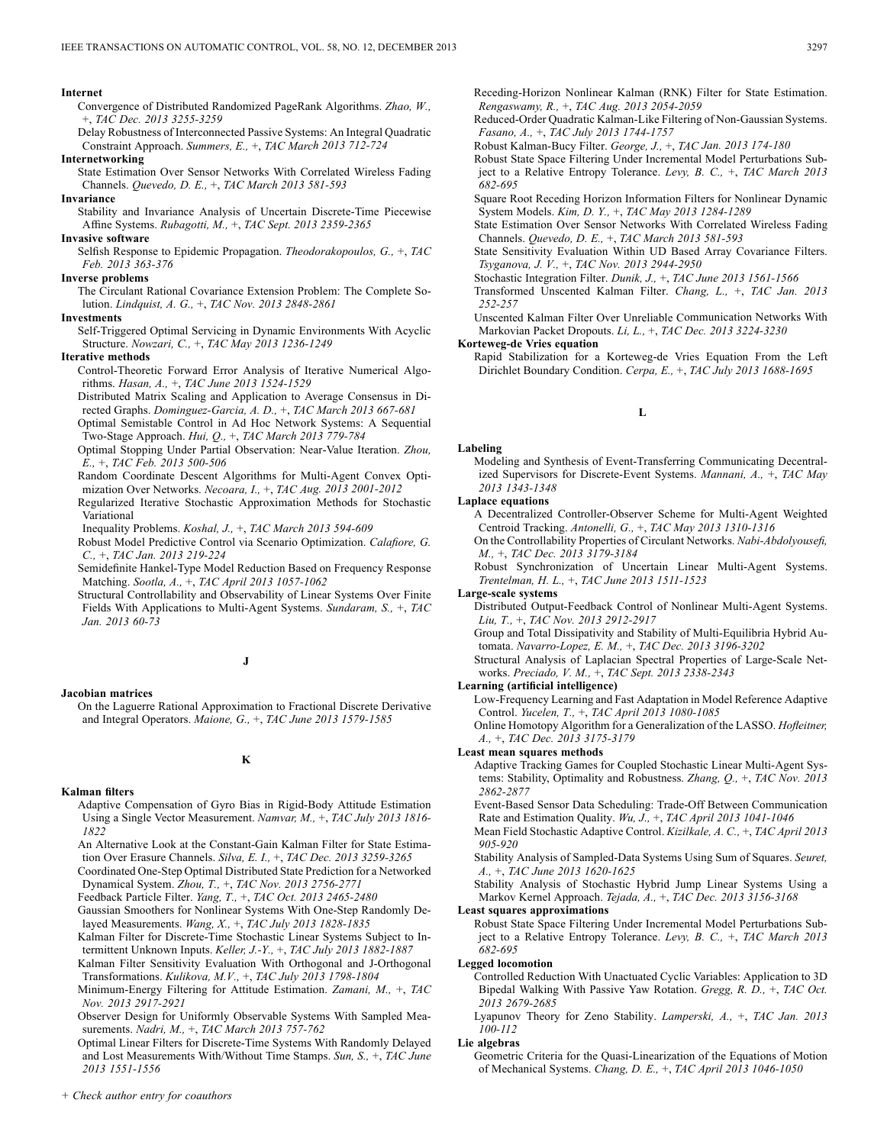#### **Internet**

Convergence of Distributed Randomized PageRank Algorithms. *Zhao, W.,* +, *TAC Dec. 2013 3255-3259*

Delay Robustness of Interconnected Passive Systems: An Integral Quadratic Constraint Approach. *Summers, E.,* +, *TAC March 2013 712-724*

**Internetworking**

State Estimation Over Sensor Networks With Correlated Wireless Fading Channels. *Quevedo, D. E.,* +, *TAC March 2013 581-593*

#### **Invariance**

Stability and Invariance Analysis of Uncertain Discrete-Time Piecewise Affine Systems. *Rubagotti, M.,* +, *TAC Sept. 2013 2359-2365*

### **Invasive software**

Selfish Response to Epidemic Propagation. *Theodorakopoulos, G.,* +, *TAC Feb. 2013 363-376*

#### **Inverse problems**

The Circulant Rational Covariance Extension Problem: The Complete Solution. *Lindquist, A. G.,* +, *TAC Nov. 2013 2848-2861*

#### **Investments**

Self-Triggered Optimal Servicing in Dynamic Environments With Acyclic Structure. *Nowzari, C.,* +, *TAC May 2013 1236-1249*

#### **Iterative methods**

Control-Theoretic Forward Error Analysis of Iterative Numerical Algorithms. *Hasan, A.,* +, *TAC June 2013 1524-1529*

Distributed Matrix Scaling and Application to Average Consensus in Directed Graphs. *Dominguez-Garcia, A. D.,* +, *TAC March 2013 667-681*

Optimal Semistable Control in Ad Hoc Network Systems: A Sequential Two-Stage Approach. *Hui, Q.,* +, *TAC March 2013 779-784*

Optimal Stopping Under Partial Observation: Near-Value Iteration. *Zhou, E.,* +, *TAC Feb. 2013 500-506*

Random Coordinate Descent Algorithms for Multi-Agent Convex Optimization Over Networks. *Necoara, I.,* +, *TAC Aug. 2013 2001-2012*

Regularized Iterative Stochastic Approximation Methods for Stochastic Variational

Inequality Problems. *Koshal, J.,* +, *TAC March 2013 594-609*

Robust Model Predictive Control via Scenario Optimization. *Calafiore, G. C.,* +, *TAC Jan. 2013 219-224*

Semidefinite Hankel-Type Model Reduction Based on Frequency Response Matching. *Sootla, A.,* +, *TAC April 2013 1057-1062*

Structural Controllability and Observability of Linear Systems Over Finite Fields With Applications to Multi-Agent Systems. *Sundaram, S.,* +, *TAC Jan. 2013 60-73*

### **J**

#### **Jacobian matrices**

On the Laguerre Rational Approximation to Fractional Discrete Derivative and Integral Operators. *Maione, G.,* +, *TAC June 2013 1579-1585*

# **K**

#### **Kalman filters**

- Adaptive Compensation of Gyro Bias in Rigid-Body Attitude Estimation Using a Single Vector Measurement. *Namvar, M.,* +, *TAC July 2013 1816- 1822*
- An Alternative Look at the Constant-Gain Kalman Filter for State Estimation Over Erasure Channels. *Silva, E. I.,* +, *TAC Dec. 2013 3259-3265*

Coordinated One-Step Optimal Distributed State Prediction for a Networked Dynamical System. *Zhou, T.,* +, *TAC Nov. 2013 2756-2771*

Feedback Particle Filter. *Yang, T.,* +, *TAC Oct. 2013 2465-2480*

- Gaussian Smoothers for Nonlinear Systems With One-Step Randomly Delayed Measurements. *Wang, X.,* +, *TAC July 2013 1828-1835*
- Kalman Filter for Discrete-Time Stochastic Linear Systems Subject to Intermittent Unknown Inputs. *Keller, J.-Y.,* +, *TAC July 2013 1882-1887*

Kalman Filter Sensitivity Evaluation With Orthogonal and J-Orthogonal Transformations. *Kulikova, M.V.,* +, *TAC July 2013 1798-1804*

Minimum-Energy Filtering for Attitude Estimation. *Zamani, M.,* +, *TAC Nov. 2013 2917-2921*

Observer Design for Uniformly Observable Systems With Sampled Measurements. *Nadri, M.,* +, *TAC March 2013 757-762*

Optimal Linear Filters for Discrete-Time Systems With Randomly Delayed and Lost Measurements With/Without Time Stamps. *Sun, S.,* +, *TAC June 2013 1551-1556*

Reduced-Order Quadratic Kalman-Like Filtering of Non-Gaussian Systems. *Fasano, A.,* +, *TAC July 2013 1744-1757*

Robust Kalman-Bucy Filter. *George, J.,* +, *TAC Jan. 2013 174-180*

Robust State Space Filtering Under Incremental Model Perturbations Subject to a Relative Entropy Tolerance. *Levy, B. C.,* +, *TAC March 2013 682-695*

Square Root Receding Horizon Information Filters for Nonlinear Dynamic System Models. *Kim, D. Y.,* +, *TAC May 2013 1284-1289*

State Estimation Over Sensor Networks With Correlated Wireless Fading Channels. *Quevedo, D. E.,* +, *TAC March 2013 581-593*

State Sensitivity Evaluation Within UD Based Array Covariance Filters. *Tsyganova, J. V.,* +, *TAC Nov. 2013 2944-2950*

Stochastic Integration Filter. *Dunik, J.,* +, *TAC June 2013 1561-1566*

Transformed Unscented Kalman Filter. *Chang, L.,* +, *TAC Jan. 2013 252-257*

Unscented Kalman Filter Over Unreliable Communication Networks With Markovian Packet Dropouts. *Li, L.,* +, *TAC Dec. 2013 3224-3230*

#### **Korteweg-de Vries equation**

Rapid Stabilization for a Korteweg-de Vries Equation From the Left Dirichlet Boundary Condition. *Cerpa, E.,* +, *TAC July 2013 1688-1695*

#### **L**

#### **Labeling**

Modeling and Synthesis of Event-Transferring Communicating Decentralized Supervisors for Discrete-Event Systems. *Mannani, A.,* +, *TAC May 2013 1343-1348*

#### **Laplace equations**

A Decentralized Controller-Observer Scheme for Multi-Agent Weighted Centroid Tracking. *Antonelli, G.,* +, *TAC May 2013 1310-1316*

On the Controllability Properties of Circulant Networks. *Nabi-Abdolyousefi, M.,* +, *TAC Dec. 2013 3179-3184*

Robust Synchronization of Uncertain Linear Multi-Agent Systems. *Trentelman, H. L.,* +, *TAC June 2013 1511-1523*

#### **Large-scale systems**

Distributed Output-Feedback Control of Nonlinear Multi-Agent Systems. *Liu, T.,* +, *TAC Nov. 2013 2912-2917*

Group and Total Dissipativity and Stability of Multi-Equilibria Hybrid Automata. *Navarro-Lopez, E. M.,* +, *TAC Dec. 2013 3196-3202*

Structural Analysis of Laplacian Spectral Properties of Large-Scale Networks. *Preciado, V. M.,* +, *TAC Sept. 2013 2338-2343*

#### **Learning (artificial intelligence)**

Low-Frequency Learning and Fast Adaptation in Model Reference Adaptive Control. *Yucelen, T.,* +, *TAC April 2013 1080-1085*

Online Homotopy Algorithm for a Generalization of the LASSO. *Hofleitner, A.,* +, *TAC Dec. 2013 3175-3179*

### **Least mean squares methods**

Adaptive Tracking Games for Coupled Stochastic Linear Multi-Agent Systems: Stability, Optimality and Robustness. *Zhang, Q.,* +, *TAC Nov. 2013 2862-2877*

Event-Based Sensor Data Scheduling: Trade-Off Between Communication Rate and Estimation Quality. *Wu, J.,* +, *TAC April 2013 1041-1046*

Mean Field Stochastic Adaptive Control. *Kizilkale, A. C.,* +, *TAC April 2013 905-920*

Stability Analysis of Sampled-Data Systems Using Sum of Squares. *Seuret, A.,* +, *TAC June 2013 1620-1625*

Stability Analysis of Stochastic Hybrid Jump Linear Systems Using a Markov Kernel Approach. *Tejada, A.,* +, *TAC Dec. 2013 3156-3168*

### **Least squares approximations**

Robust State Space Filtering Under Incremental Model Perturbations Subject to a Relative Entropy Tolerance. *Levy, B. C.,* +, *TAC March 2013 682-695*

#### **Legged locomotion**

Controlled Reduction With Unactuated Cyclic Variables: Application to 3D Bipedal Walking With Passive Yaw Rotation. *Gregg, R. D.,* +, *TAC Oct. 2013 2679-2685*

Lyapunov Theory for Zeno Stability. *Lamperski, A.,* +, *TAC Jan. 2013 100-112*

### **Lie algebras**

Geometric Criteria for the Quasi-Linearization of the Equations of Motion of Mechanical Systems. *Chang, D. E.,* +, *TAC April 2013 1046-1050*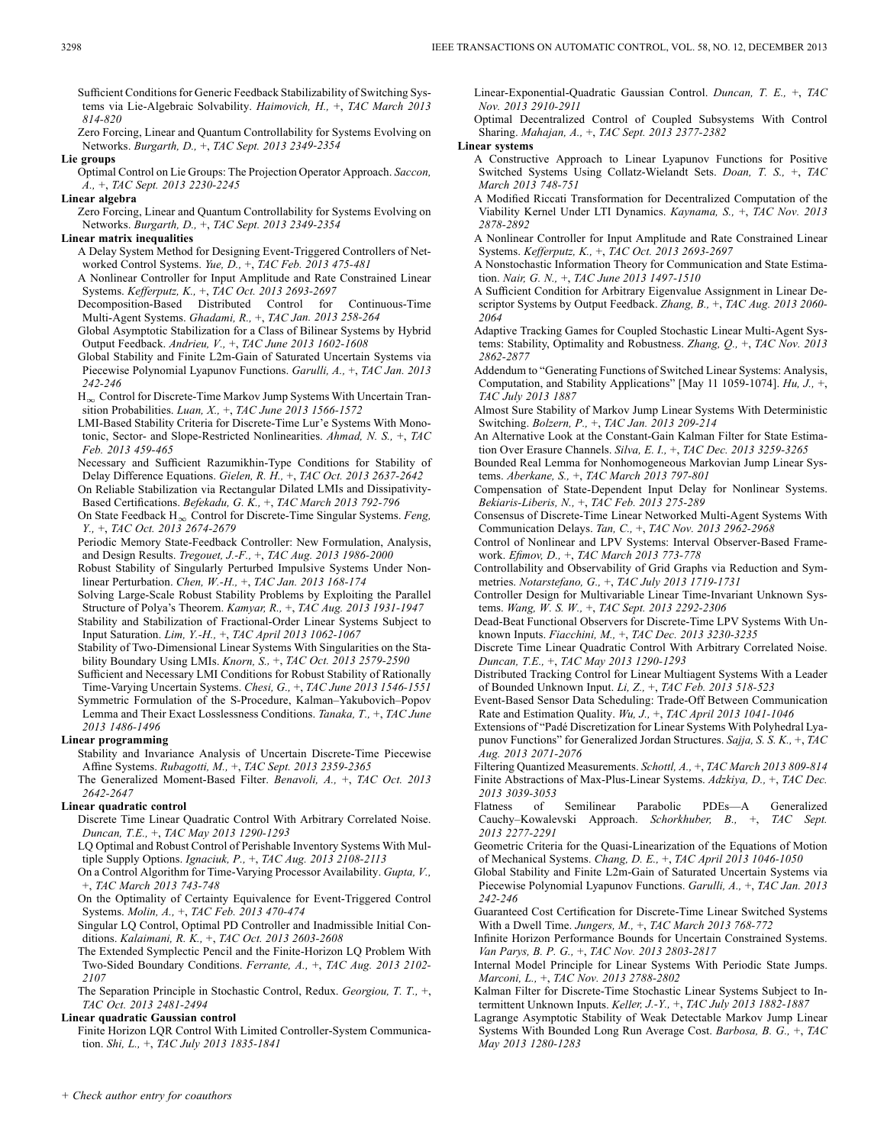Sufficient Conditions for Generic Feedback Stabilizability of Switching Systems via Lie-Algebraic Solvability. *Haimovich, H.,* +, *TAC March 2013 814-820*

Zero Forcing, Linear and Quantum Controllability for Systems Evolving on Networks. *Burgarth, D.,* +, *TAC Sept. 2013 2349-2354*

#### **Lie groups**

Optimal Control on Lie Groups: The Projection Operator Approach. *Saccon, A.,* +, *TAC Sept. 2013 2230-2245*

#### **Linear algebra**

Zero Forcing, Linear and Quantum Controllability for Systems Evolving on Networks. *Burgarth, D.,* +, *TAC Sept. 2013 2349-2354*

#### **Linear matrix inequalities**

A Delay System Method for Designing Event-Triggered Controllers of Networked Control Systems. *Yue, D.,* +, *TAC Feb. 2013 475-481*

A Nonlinear Controller for Input Amplitude and Rate Constrained Linear Systems. *Kefferputz, K.,* +, *TAC Oct. 2013 2693-2697*

Decomposition-Based Distributed Control for Continuous-Time Multi-Agent Systems. *Ghadami, R.,* +, *TAC Jan. 2013 258-264*

- Global Asymptotic Stabilization for a Class of Bilinear Systems by Hybrid Output Feedback. *Andrieu, V.,* +, *TAC June 2013 1602-1608*
- Global Stability and Finite L2m-Gain of Saturated Uncertain Systems via Piecewise Polynomial Lyapunov Functions. *Garulli, A.,* +, *TAC Jan. 2013 242-246*

 $H_{\infty}$  Control for Discrete-Time Markov Jump Systems With Uncertain Transition Probabilities. *Luan, X.,* +, *TAC June 2013 1566-1572*

LMI-Based Stability Criteria for Discrete-Time Lur'e Systems With Monotonic, Sector- and Slope-Restricted Nonlinearities. *Ahmad, N. S.,* +, *TAC Feb. 2013 459-465*

Necessary and Sufficient Razumikhin-Type Conditions for Stability of Delay Difference Equations. *Gielen, R. H.,* +, *TAC Oct. 2013 2637-2642*

On Reliable Stabilization via Rectangular Dilated LMIs and Dissipativity-Based Certifications. *Befekadu, G. K.,* +, *TAC March 2013 792-796*

On State Feedback H<sub>∞</sub> Control for Discrete-Time Singular Systems. *Feng*, *Y.,* +, *TAC Oct. 2013 2674-2679*

Periodic Memory State-Feedback Controller: New Formulation, Analysis, and Design Results. *Tregouet, J.-F.,* +, *TAC Aug. 2013 1986-2000*

Robust Stability of Singularly Perturbed Impulsive Systems Under Nonlinear Perturbation. *Chen, W.-H.,* +, *TAC Jan. 2013 168-174*

Solving Large-Scale Robust Stability Problems by Exploiting the Parallel Structure of Polya's Theorem. *Kamyar, R.,* +, *TAC Aug. 2013 1931-1947*

Stability and Stabilization of Fractional-Order Linear Systems Subject to Input Saturation. *Lim, Y.-H.,* +, *TAC April 2013 1062-1067*

Stability of Two-Dimensional Linear Systems With Singularities on the Stability Boundary Using LMIs. *Knorn, S.,* +, *TAC Oct. 2013 2579-2590*

Sufficient and Necessary LMI Conditions for Robust Stability of Rationally Time-Varying Uncertain Systems. *Chesi, G.,* +, *TAC June 2013 1546-1551*

Symmetric Formulation of the S-Procedure, Kalman–Yakubovich–Popov Lemma and Their Exact Losslessness Conditions. *Tanaka, T.,* +, *TAC June 2013 1486-1496*

### **Linear programming**

Stability and Invariance Analysis of Uncertain Discrete-Time Piecewise Affine Systems. *Rubagotti, M.,* +, *TAC Sept. 2013 2359-2365*

The Generalized Moment-Based Filter. *Benavoli, A.,* +, *TAC Oct. 2013 2642-2647*

### **Linear quadratic control**

Discrete Time Linear Quadratic Control With Arbitrary Correlated Noise. *Duncan, T.E.,* +, *TAC May 2013 1290-1293*

LQ Optimal and Robust Control of Perishable Inventory Systems With Multiple Supply Options. *Ignaciuk, P.,* +, *TAC Aug. 2013 2108-2113*

On a Control Algorithm for Time-Varying Processor Availability. *Gupta, V.,* +, *TAC March 2013 743-748*

On the Optimality of Certainty Equivalence for Event-Triggered Control Systems. *Molin, A.,* +, *TAC Feb. 2013 470-474*

Singular LQ Control, Optimal PD Controller and Inadmissible Initial Conditions. *Kalaimani, R. K.,* +, *TAC Oct. 2013 2603-2608*

The Extended Symplectic Pencil and the Finite-Horizon LQ Problem With Two-Sided Boundary Conditions. *Ferrante, A.,* +, *TAC Aug. 2013 2102- 2107*

The Separation Principle in Stochastic Control, Redux. *Georgiou, T. T.,* +, *TAC Oct. 2013 2481-2494*

### **Linear quadratic Gaussian control**

Finite Horizon LQR Control With Limited Controller-System Communication. *Shi, L.,* +, *TAC July 2013 1835-1841*

Linear-Exponential-Quadratic Gaussian Control. *Duncan, T. E.,* +, *TAC Nov. 2013 2910-2911*

Optimal Decentralized Control of Coupled Subsystems With Control Sharing. *Mahajan, A.,* +, *TAC Sept. 2013 2377-2382*

### **Linear systems**

A Constructive Approach to Linear Lyapunov Functions for Positive Switched Systems Using Collatz-Wielandt Sets. *Doan, T. S.,* +, *TAC March 2013 748-751*

A Modified Riccati Transformation for Decentralized Computation of the Viability Kernel Under LTI Dynamics. *Kaynama, S.,* +, *TAC Nov. 2013 2878-2892*

A Nonlinear Controller for Input Amplitude and Rate Constrained Linear Systems. *Kefferputz, K.,* +, *TAC Oct. 2013 2693-2697*

A Nonstochastic Information Theory for Communication and State Estimation. *Nair, G. N.,* +, *TAC June 2013 1497-1510*

A Sufficient Condition for Arbitrary Eigenvalue Assignment in Linear Descriptor Systems by Output Feedback. *Zhang, B.,* +, *TAC Aug. 2013 2060- 2064*

Adaptive Tracking Games for Coupled Stochastic Linear Multi-Agent Systems: Stability, Optimality and Robustness. *Zhang, Q.,* +, *TAC Nov. 2013 2862-2877*

Addendum to "Generating Functions of Switched Linear Systems: Analysis, Computation, and Stability Applications" [May 11 1059-1074]. *Hu, J.,* +, *TAC July 2013 1887*

Almost Sure Stability of Markov Jump Linear Systems With Deterministic Switching. *Bolzern, P.,* +, *TAC Jan. 2013 209-214*

An Alternative Look at the Constant-Gain Kalman Filter for State Estimation Over Erasure Channels. *Silva, E. I.,* +, *TAC Dec. 2013 3259-3265*

Bounded Real Lemma for Nonhomogeneous Markovian Jump Linear Systems. *Aberkane, S.,* +, *TAC March 2013 797-801*

Compensation of State-Dependent Input Delay for Nonlinear Systems. *Bekiaris-Liberis, N.,* +, *TAC Feb. 2013 275-289*

Consensus of Discrete-Time Linear Networked Multi-Agent Systems With Communication Delays. *Tan, C.,* +, *TAC Nov. 2013 2962-2968*

Control of Nonlinear and LPV Systems: Interval Observer-Based Framework. *Efimov, D.,* +, *TAC March 2013 773-778*

Controllability and Observability of Grid Graphs via Reduction and Symmetries. *Notarstefano, G.,* +, *TAC July 2013 1719-1731*

Controller Design for Multivariable Linear Time-Invariant Unknown Systems. *Wang, W. S. W.,* +, *TAC Sept. 2013 2292-2306*

Dead-Beat Functional Observers for Discrete-Time LPV Systems With Unknown Inputs. *Fiacchini, M.,* +, *TAC Dec. 2013 3230-3235*

Discrete Time Linear Quadratic Control With Arbitrary Correlated Noise. *Duncan, T.E.,* +, *TAC May 2013 1290-1293*

Distributed Tracking Control for Linear Multiagent Systems With a Leader of Bounded Unknown Input. *Li, Z.,* +, *TAC Feb. 2013 518-523*

Event-Based Sensor Data Scheduling: Trade-Off Between Communication Rate and Estimation Quality. *Wu, J.,* +, *TAC April 2013 1041-1046*

Extensions of "Padé Discretization for Linear Systems With Polyhedral Lyapunov Functions" for Generalized Jordan Structures. *Sajja, S. S. K.,* +, *TAC Aug. 2013 2071-2076*

Filtering Quantized Measurements. *Schottl, A.,* +, *TAC March 2013 809-814* Finite Abstractions of Max-Plus-Linear Systems. *Adzkiya, D.,* +, *TAC Dec. 2013 3039-3053*

Flatness of Semilinear Parabolic PDEs—A Generalized Cauchy–Kowalevski Approach. *Schorkhuber, B.,* +, *TAC Sept. 2013 2277-2291*

Geometric Criteria for the Quasi-Linearization of the Equations of Motion of Mechanical Systems. *Chang, D. E.,* +, *TAC April 2013 1046-1050*

Global Stability and Finite L2m-Gain of Saturated Uncertain Systems via Piecewise Polynomial Lyapunov Functions. *Garulli, A.,* +, *TAC Jan. 2013 242-246*

Guaranteed Cost Certification for Discrete-Time Linear Switched Systems With a Dwell Time. *Jungers, M.,* +, *TAC March 2013 768-772*

Infinite Horizon Performance Bounds for Uncertain Constrained Systems. *Van Parys, B. P. G.,* +, *TAC Nov. 2013 2803-2817*

Internal Model Principle for Linear Systems With Periodic State Jumps. *Marconi, L.,* +, *TAC Nov. 2013 2788-2802*

Kalman Filter for Discrete-Time Stochastic Linear Systems Subject to Intermittent Unknown Inputs. *Keller, J.-Y.,* +, *TAC July 2013 1882-1887*

Lagrange Asymptotic Stability of Weak Detectable Markov Jump Linear Systems With Bounded Long Run Average Cost. *Barbosa, B. G.,* +, *TAC May 2013 1280-1283*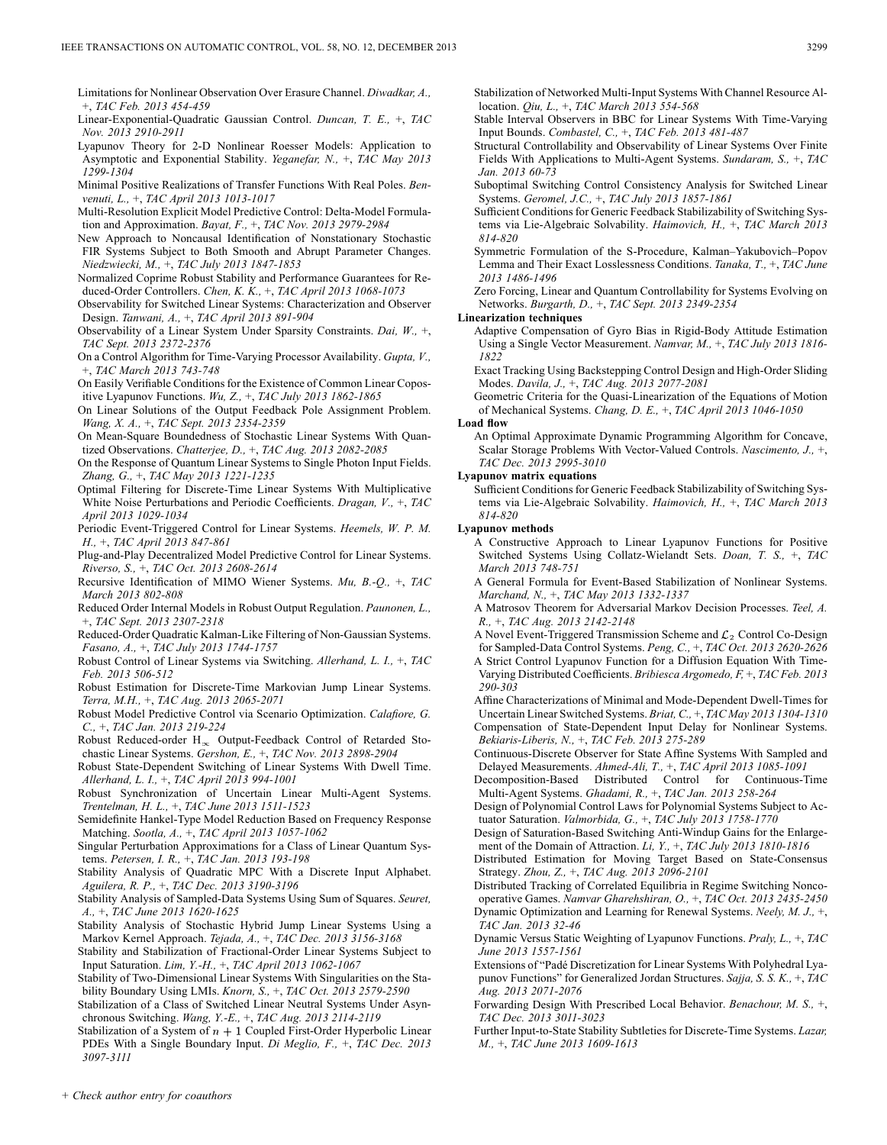- Limitations for Nonlinear Observation Over Erasure Channel. *Diwadkar, A.,* +, *TAC Feb. 2013 454-459*
- Linear-Exponential-Quadratic Gaussian Control. *Duncan, T. E.,* +, *TAC Nov. 2013 2910-2911*
- Lyapunov Theory for 2-D Nonlinear Roesser Models: Application to Asymptotic and Exponential Stability. *Yeganefar, N.,* +, *TAC May 2013 1299-1304*
- Minimal Positive Realizations of Transfer Functions With Real Poles. *Benvenuti, L.,* +, *TAC April 2013 1013-1017*
- Multi-Resolution Explicit Model Predictive Control: Delta-Model Formulation and Approximation. *Bayat, F.,* +, *TAC Nov. 2013 2979-2984*
- New Approach to Noncausal Identification of Nonstationary Stochastic FIR Systems Subject to Both Smooth and Abrupt Parameter Changes. *Niedzwiecki, M.,* +, *TAC July 2013 1847-1853*
- Normalized Coprime Robust Stability and Performance Guarantees for Reduced-Order Controllers. *Chen, K. K.,* +, *TAC April 2013 1068-1073*
- Observability for Switched Linear Systems: Characterization and Observer Design. *Tanwani, A.,* +, *TAC April 2013 891-904*
- Observability of a Linear System Under Sparsity Constraints. *Dai, W.,* +, *TAC Sept. 2013 2372-2376*
- On a Control Algorithm for Time-Varying Processor Availability. *Gupta, V.,* +, *TAC March 2013 743-748*
- On Easily Verifiable Conditions for the Existence of Common Linear Copositive Lyapunov Functions. *Wu, Z.,* +, *TAC July 2013 1862-1865*
- On Linear Solutions of the Output Feedback Pole Assignment Problem. *Wang, X. A.,* +, *TAC Sept. 2013 2354-2359*
- On Mean-Square Boundedness of Stochastic Linear Systems With Quantized Observations. *Chatterjee, D.,* +, *TAC Aug. 2013 2082-2085*
- On the Response of Quantum Linear Systems to Single Photon Input Fields. *Zhang, G.,* +, *TAC May 2013 1221-1235*
- Optimal Filtering for Discrete-Time Linear Systems With Multiplicative White Noise Perturbations and Periodic Coefficients. *Dragan, V.,* +, *TAC April 2013 1029-1034*
- Periodic Event-Triggered Control for Linear Systems. *Heemels, W. P. M. H.,* +, *TAC April 2013 847-861*
- Plug-and-Play Decentralized Model Predictive Control for Linear Systems. *Riverso, S.,* +, *TAC Oct. 2013 2608-2614*
- Recursive Identification of MIMO Wiener Systems. *Mu, B.-Q.,* +, *TAC March 2013 802-808*
- Reduced Order Internal Models in Robust Output Regulation. *Paunonen, L.,* +, *TAC Sept. 2013 2307-2318*
- Reduced-Order Quadratic Kalman-Like Filtering of Non-Gaussian Systems. *Fasano, A.,* +, *TAC July 2013 1744-1757*
- Robust Control of Linear Systems via Switching. *Allerhand, L. I.,* +, *TAC Feb. 2013 506-512*
- Robust Estimation for Discrete-Time Markovian Jump Linear Systems. *Terra, M.H.,* +, *TAC Aug. 2013 2065-2071*
- Robust Model Predictive Control via Scenario Optimization. *Calafiore, G. C.,* +, *TAC Jan. 2013 219-224*
- Robust Reduced-order  $H_{\infty}$  Output-Feedback Control of Retarded Stochastic Linear Systems. *Gershon, E.,* +, *TAC Nov. 2013 2898-2904*
- Robust State-Dependent Switching of Linear Systems With Dwell Time. *Allerhand, L. I.,* +, *TAC April 2013 994-1001*
- Robust Synchronization of Uncertain Linear Multi-Agent Systems. *Trentelman, H. L.,* +, *TAC June 2013 1511-1523*
- Semidefinite Hankel-Type Model Reduction Based on Frequency Response Matching. *Sootla, A.,* +, *TAC April 2013 1057-1062*
- Singular Perturbation Approximations for a Class of Linear Quantum Systems. *Petersen, I. R.,* +, *TAC Jan. 2013 193-198*
- Stability Analysis of Quadratic MPC With a Discrete Input Alphabet. *Aguilera, R. P.,* +, *TAC Dec. 2013 3190-3196*
- Stability Analysis of Sampled-Data Systems Using Sum of Squares. *Seuret, A.,* +, *TAC June 2013 1620-1625*
- Stability Analysis of Stochastic Hybrid Jump Linear Systems Using a Markov Kernel Approach. *Tejada, A.,* +, *TAC Dec. 2013 3156-3168*
- Stability and Stabilization of Fractional-Order Linear Systems Subject to Input Saturation. *Lim, Y.-H.,* +, *TAC April 2013 1062-1067*
- Stability of Two-Dimensional Linear Systems With Singularities on the Stability Boundary Using LMIs. *Knorn, S.,* +, *TAC Oct. 2013 2579-2590*
- Stabilization of a Class of Switched Linear Neutral Systems Under Asynchronous Switching. *Wang, Y.-E.,* +, *TAC Aug. 2013 2114-2119*
- Stabilization of a System of  $n + 1$  Coupled First-Order Hyperbolic Linear PDEs With a Single Boundary Input. *Di Meglio, F.,* +, *TAC Dec. 2013 3097-3111*
- Stabilization of Networked Multi-Input Systems With Channel Resource Allocation. *Qiu, L.,* +, *TAC March 2013 554-568*
- Stable Interval Observers in BBC for Linear Systems With Time-Varying Input Bounds. *Combastel, C.,* +, *TAC Feb. 2013 481-487*
- Structural Controllability and Observability of Linear Systems Over Finite Fields With Applications to Multi-Agent Systems. *Sundaram, S.,* +, *TAC Jan. 2013 60-73*
- Suboptimal Switching Control Consistency Analysis for Switched Linear Systems. *Geromel, J.C.,* +, *TAC July 2013 1857-1861*
- Sufficient Conditions for Generic Feedback Stabilizability of Switching Systems via Lie-Algebraic Solvability. *Haimovich, H.,* +, *TAC March 2013 814-820*
- Symmetric Formulation of the S-Procedure, Kalman–Yakubovich–Popov Lemma and Their Exact Losslessness Conditions. *Tanaka, T.,* +, *TAC June 2013 1486-1496*

Zero Forcing, Linear and Quantum Controllability for Systems Evolving on Networks. *Burgarth, D.,* +, *TAC Sept. 2013 2349-2354*

#### **Linearization techniques**

- Adaptive Compensation of Gyro Bias in Rigid-Body Attitude Estimation Using a Single Vector Measurement. *Namvar, M.,* +, *TAC July 2013 1816- 1822*
- Exact Tracking Using Backstepping Control Design and High-Order Sliding Modes. *Davila, J.,* +, *TAC Aug. 2013 2077-2081*
- Geometric Criteria for the Quasi-Linearization of the Equations of Motion of Mechanical Systems. *Chang, D. E.,* +, *TAC April 2013 1046-1050*

#### **Load flow**

An Optimal Approximate Dynamic Programming Algorithm for Concave, Scalar Storage Problems With Vector-Valued Controls. *Nascimento, J.,* +, *TAC Dec. 2013 2995-3010*

#### **Lyapunov matrix equations**

Sufficient Conditions for Generic Feedback Stabilizability of Switching Systems via Lie-Algebraic Solvability. *Haimovich, H.,* +, *TAC March 2013 814-820*

### **Lyapunov methods**

A Constructive Approach to Linear Lyapunov Functions for Positive Switched Systems Using Collatz-Wielandt Sets. *Doan, T. S.,* +, *TAC March 2013 748-751*

- A General Formula for Event-Based Stabilization of Nonlinear Systems. *Marchand, N.,* +, *TAC May 2013 1332-1337*
- A Matrosov Theorem for Adversarial Markov Decision Processes. *Teel, A. R.,* +, *TAC Aug. 2013 2142-2148*
- A Novel Event-Triggered Transmission Scheme and  $\mathcal{L}_2$  Control Co-Design for Sampled-Data Control Systems. *Peng, C.,* +, *TAC Oct. 2013 2620-2626*
- A Strict Control Lyapunov Function for a Diffusion Equation With Time-Varying Distributed Coefficients. *Bribiesca Argomedo, F,* +, *TAC Feb. 2013 290-303*
- Affine Characterizations of Minimal and Mode-Dependent Dwell-Times for Uncertain Linear Switched Systems. *Briat, C.,* +, *TAC May 2013 1304-1310*
- Compensation of State-Dependent Input Delay for Nonlinear Systems. *Bekiaris-Liberis, N.,* +, *TAC Feb. 2013 275-289*
- Continuous-Discrete Observer for State Affine Systems With Sampled and Delayed Measurements. *Ahmed-Ali, T.,* +, *TAC April 2013 1085-1091*
- Decomposition-Based Distributed Control for Continuous-Time Multi-Agent Systems. *Ghadami, R.,* +, *TAC Jan. 2013 258-264*
- Design of Polynomial Control Laws for Polynomial Systems Subject to Actuator Saturation. *Valmorbida, G.,* +, *TAC July 2013 1758-1770*
- Design of Saturation-Based Switching Anti-Windup Gains for the Enlargement of the Domain of Attraction. *Li, Y.,* +, *TAC July 2013 1810-1816*

Distributed Estimation for Moving Target Based on State-Consensus Strategy. *Zhou, Z.,* +, *TAC Aug. 2013 2096-2101*

Distributed Tracking of Correlated Equilibria in Regime Switching Noncooperative Games. *Namvar Gharehshiran, O.,* +, *TAC Oct. 2013 2435-2450* Dynamic Optimization and Learning for Renewal Systems. *Neely, M. J.,* +, *TAC Jan. 2013 32-46*

- Dynamic Versus Static Weighting of Lyapunov Functions. *Praly, L.,* +, *TAC June 2013 1557-1561*
- Extensions of "Padé Discretization for Linear Systems With Polyhedral Lyapunov Functions" for Generalized Jordan Structures. *Sajja, S. S. K.,* +, *TAC Aug. 2013 2071-2076*
- Forwarding Design With Prescribed Local Behavior. *Benachour, M. S.,* +, *TAC Dec. 2013 3011-3023*
- Further Input-to-State Stability Subtleties for Discrete-Time Systems. *Lazar, M.,* +, *TAC June 2013 1609-1613*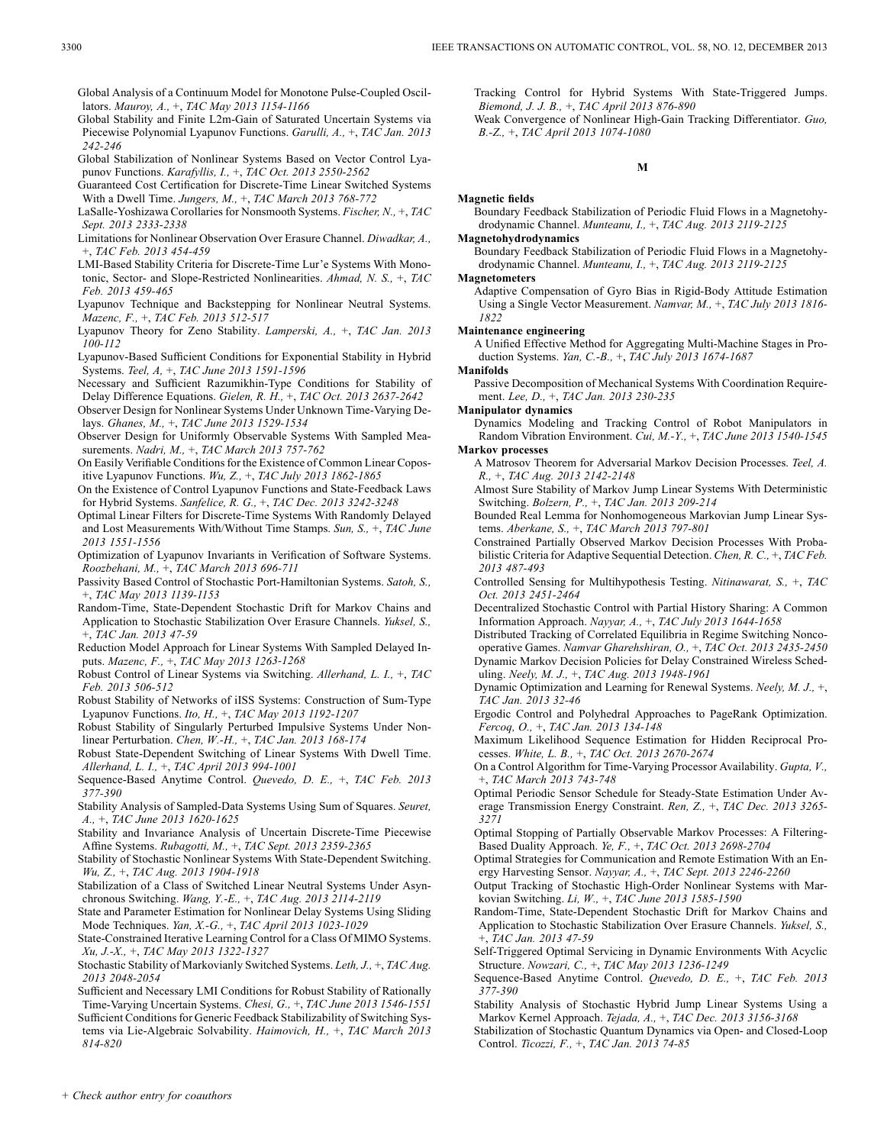Global Analysis of a Continuum Model for Monotone Pulse-Coupled Oscillators. *Mauroy, A.,* +, *TAC May 2013 1154-1166*

- Global Stability and Finite L2m-Gain of Saturated Uncertain Systems via Piecewise Polynomial Lyapunov Functions. *Garulli, A.,* +, *TAC Jan. 2013 242-246*
- Global Stabilization of Nonlinear Systems Based on Vector Control Lyapunov Functions. *Karafyllis, I.,* +, *TAC Oct. 2013 2550-2562*
- Guaranteed Cost Certification for Discrete-Time Linear Switched Systems With a Dwell Time. *Jungers, M.,* +, *TAC March 2013 768-772*
- LaSalle-Yoshizawa Corollaries for Nonsmooth Systems. *Fischer, N.,* +, *TAC Sept. 2013 2333-2338*
- Limitations for Nonlinear Observation Over Erasure Channel. *Diwadkar, A.,* +, *TAC Feb. 2013 454-459*
- LMI-Based Stability Criteria for Discrete-Time Lur'e Systems With Monotonic, Sector- and Slope-Restricted Nonlinearities. *Ahmad, N. S.,* +, *TAC Feb. 2013 459-465*
- Lyapunov Technique and Backstepping for Nonlinear Neutral Systems. *Mazenc, F.,* +, *TAC Feb. 2013 512-517*
- Lyapunov Theory for Zeno Stability. *Lamperski, A.,* +, *TAC Jan. 2013 100-112*
- Lyapunov-Based Sufficient Conditions for Exponential Stability in Hybrid Systems. *Teel, A,* +, *TAC June 2013 1591-1596*
- Necessary and Sufficient Razumikhin-Type Conditions for Stability of Delay Difference Equations. *Gielen, R. H.,* +, *TAC Oct. 2013 2637-2642*
- Observer Design for Nonlinear Systems Under Unknown Time-Varying Delays. *Ghanes, M.,* +, *TAC June 2013 1529-1534*
- Observer Design for Uniformly Observable Systems With Sampled Measurements. *Nadri, M.,* +, *TAC March 2013 757-762*
- On Easily Verifiable Conditions for the Existence of Common Linear Copositive Lyapunov Functions. *Wu, Z.,* +, *TAC July 2013 1862-1865*
- On the Existence of Control Lyapunov Functions and State-Feedback Laws for Hybrid Systems. *Sanfelice, R. G.,* +, *TAC Dec. 2013 3242-3248*
- Optimal Linear Filters for Discrete-Time Systems With Randomly Delayed and Lost Measurements With/Without Time Stamps. *Sun, S.,* +, *TAC June 2013 1551-1556*
- Optimization of Lyapunov Invariants in Verification of Software Systems. *Roozbehani, M.,* +, *TAC March 2013 696-711*
- Passivity Based Control of Stochastic Port-Hamiltonian Systems. *Satoh, S.,* +, *TAC May 2013 1139-1153*
- Random-Time, State-Dependent Stochastic Drift for Markov Chains and Application to Stochastic Stabilization Over Erasure Channels. *Yuksel, S.,* +, *TAC Jan. 2013 47-59*
- Reduction Model Approach for Linear Systems With Sampled Delayed Inputs. *Mazenc, F.,* +, *TAC May 2013 1263-1268*
- Robust Control of Linear Systems via Switching. *Allerhand, L. I.,* +, *TAC Feb. 2013 506-512*
- Robust Stability of Networks of iISS Systems: Construction of Sum-Type Lyapunov Functions. *Ito, H.,* +, *TAC May 2013 1192-1207*
- Robust Stability of Singularly Perturbed Impulsive Systems Under Nonlinear Perturbation. *Chen, W.-H.,* +, *TAC Jan. 2013 168-174*
- Robust State-Dependent Switching of Linear Systems With Dwell Time. *Allerhand, L. I.,* +, *TAC April 2013 994-1001*
- Sequence-Based Anytime Control. *Quevedo, D. E.,* +, *TAC Feb. 2013 377-390*
- Stability Analysis of Sampled-Data Systems Using Sum of Squares. *Seuret, A.,* +, *TAC June 2013 1620-1625*
- Stability and Invariance Analysis of Uncertain Discrete-Time Piecewise Affine Systems. *Rubagotti, M.,* +, *TAC Sept. 2013 2359-2365*
- Stability of Stochastic Nonlinear Systems With State-Dependent Switching. *Wu, Z.,* +, *TAC Aug. 2013 1904-1918*
- Stabilization of a Class of Switched Linear Neutral Systems Under Asynchronous Switching. *Wang, Y.-E.,* +, *TAC Aug. 2013 2114-2119*
- State and Parameter Estimation for Nonlinear Delay Systems Using Sliding Mode Techniques. *Yan, X.-G.,* +, *TAC April 2013 1023-1029*
- State-Constrained Iterative Learning Control for a Class Of MIMO Systems. *Xu, J.-X.,* +, *TAC May 2013 1322-1327*
- Stochastic Stability of Markovianly Switched Systems. *Leth, J.,* +, *TAC Aug. 2013 2048-2054*
- Sufficient and Necessary LMI Conditions for Robust Stability of Rationally Time-Varying Uncertain Systems. *Chesi, G.,* +, *TAC June 2013 1546-1551* Sufficient Conditions for Generic Feedback Stabilizability of Switching Sys-
- tems via Lie-Algebraic Solvability. *Haimovich, H.,* +, *TAC March 2013 814-820*

Tracking Control for Hybrid Systems With State-Triggered Jumps. *Biemond, J. J. B.,* +, *TAC April 2013 876-890*

Weak Convergence of Nonlinear High-Gain Tracking Differentiator. *Guo, B.-Z.,* +, *TAC April 2013 1074-1080*

#### **M**

### **Magnetic fields**

Boundary Feedback Stabilization of Periodic Fluid Flows in a Magnetohydrodynamic Channel. *Munteanu, I.,* +, *TAC Aug. 2013 2119-2125*

### **Magnetohydrodynamics**

Boundary Feedback Stabilization of Periodic Fluid Flows in a Magnetohydrodynamic Channel. *Munteanu, I.,* +, *TAC Aug. 2013 2119-2125*

### **Magnetometers**

Adaptive Compensation of Gyro Bias in Rigid-Body Attitude Estimation Using a Single Vector Measurement. *Namvar, M.,* +, *TAC July 2013 1816- 1822*

#### **Maintenance engineering**

A Unified Effective Method for Aggregating Multi-Machine Stages in Production Systems. *Yan, C.-B.,* +, *TAC July 2013 1674-1687*

#### **Manifolds**

Passive Decomposition of Mechanical Systems With Coordination Requirement. *Lee, D.,* +, *TAC Jan. 2013 230-235*

**Manipulator dynamics**

Dynamics Modeling and Tracking Control of Robot Manipulators in Random Vibration Environment. *Cui, M.-Y.,* +, *TAC June 2013 1540-1545*

**Markov processes**

A Matrosov Theorem for Adversarial Markov Decision Processes. *Teel, A. R.,* +, *TAC Aug. 2013 2142-2148*

Almost Sure Stability of Markov Jump Linear Systems With Deterministic Switching. *Bolzern, P.,* +, *TAC Jan. 2013 209-214*

Bounded Real Lemma for Nonhomogeneous Markovian Jump Linear Systems. *Aberkane, S.,* +, *TAC March 2013 797-801*

Constrained Partially Observed Markov Decision Processes With Probabilistic Criteria for Adaptive Sequential Detection. *Chen, R. C.,* +, *TAC Feb. 2013 487-493*

- Controlled Sensing for Multihypothesis Testing. *Nitinawarat, S.,* +, *TAC Oct. 2013 2451-2464*
- Decentralized Stochastic Control with Partial History Sharing: A Common Information Approach. *Nayyar, A.,* +, *TAC July 2013 1644-1658*

Distributed Tracking of Correlated Equilibria in Regime Switching Noncooperative Games. *Namvar Gharehshiran, O.,* +, *TAC Oct. 2013 2435-2450* Dynamic Markov Decision Policies for Delay Constrained Wireless Scheduling. *Neely, M. J.,* +, *TAC Aug. 2013 1948-1961*

Dynamic Optimization and Learning for Renewal Systems. *Neely, M. J.,* +, *TAC Jan. 2013 32-46*

Ergodic Control and Polyhedral Approaches to PageRank Optimization. *Fercoq, O.,* +, *TAC Jan. 2013 134-148*

Maximum Likelihood Sequence Estimation for Hidden Reciprocal Processes. *White, L. B.,* +, *TAC Oct. 2013 2670-2674*

- On a Control Algorithm for Time-Varying Processor Availability. *Gupta, V.,* +, *TAC March 2013 743-748*
- Optimal Periodic Sensor Schedule for Steady-State Estimation Under Average Transmission Energy Constraint. *Ren, Z.,* +, *TAC Dec. 2013 3265- 3271*
- Optimal Stopping of Partially Observable Markov Processes: A Filtering-Based Duality Approach. *Ye, F.,* +, *TAC Oct. 2013 2698-2704*

Optimal Strategies for Communication and Remote Estimation With an Energy Harvesting Sensor. *Nayyar, A.,* +, *TAC Sept. 2013 2246-2260*

Output Tracking of Stochastic High-Order Nonlinear Systems with Markovian Switching. *Li, W.,* +, *TAC June 2013 1585-1590*

- Random-Time, State-Dependent Stochastic Drift for Markov Chains and Application to Stochastic Stabilization Over Erasure Channels. *Yuksel, S.,* +, *TAC Jan. 2013 47-59*
- Self-Triggered Optimal Servicing in Dynamic Environments With Acyclic Structure. *Nowzari, C.,* +, *TAC May 2013 1236-1249*
- Sequence-Based Anytime Control. *Quevedo, D. E.,* +, *TAC Feb. 2013 377-390*
- Stability Analysis of Stochastic Hybrid Jump Linear Systems Using a Markov Kernel Approach. *Tejada, A.,* +, *TAC Dec. 2013 3156-3168*

Stabilization of Stochastic Quantum Dynamics via Open- and Closed-Loop Control. *Ticozzi, F.,* +, *TAC Jan. 2013 74-85*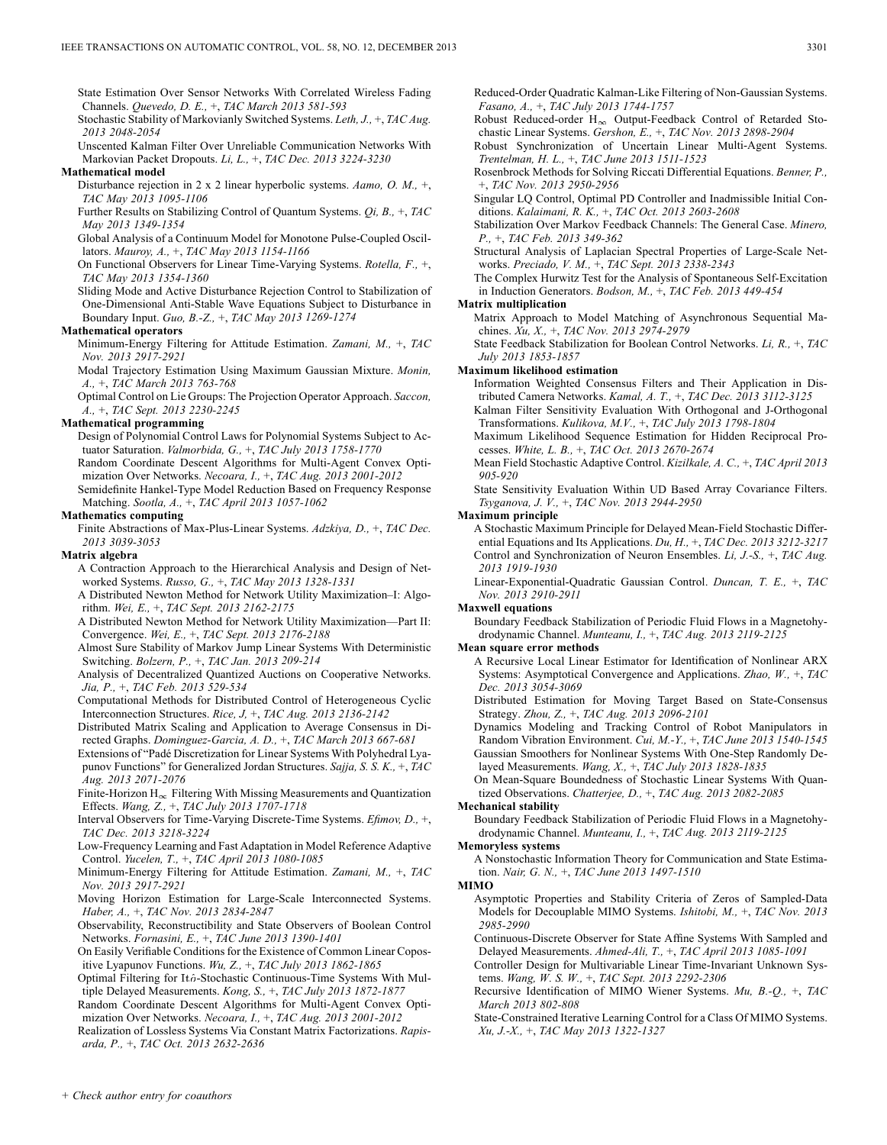State Estimation Over Sensor Networks With Correlated Wireless Fading Channels. *Quevedo, D. E.,* +, *TAC March 2013 581-593*

Stochastic Stability of Markovianly Switched Systems. *Leth, J.,* +, *TAC Aug. 2013 2048-2054*

Unscented Kalman Filter Over Unreliable Communication Networks With Markovian Packet Dropouts. *Li, L.,* +, *TAC Dec. 2013 3224-3230*

### **Mathematical model**

Disturbance rejection in 2 x 2 linear hyperbolic systems. *Aamo, O. M.,* +, *TAC May 2013 1095-1106*

Further Results on Stabilizing Control of Quantum Systems. *Qi, B.,* +, *TAC May 2013 1349-1354*

Global Analysis of a Continuum Model for Monotone Pulse-Coupled Oscillators. *Mauroy, A.,* +, *TAC May 2013 1154-1166*

On Functional Observers for Linear Time-Varying Systems. *Rotella, F.,* +, *TAC May 2013 1354-1360*

Sliding Mode and Active Disturbance Rejection Control to Stabilization of One-Dimensional Anti-Stable Wave Equations Subject to Disturbance in Boundary Input. *Guo, B.-Z.,* +, *TAC May 2013 1269-1274*

### **Mathematical operators**

Minimum-Energy Filtering for Attitude Estimation. *Zamani, M.,* +, *TAC Nov. 2013 2917-2921*

Modal Trajectory Estimation Using Maximum Gaussian Mixture. *Monin, A.,* +, *TAC March 2013 763-768*

Optimal Control on Lie Groups: The Projection Operator Approach. *Saccon, A.,* +, *TAC Sept. 2013 2230-2245*

### **Mathematical programming**

Design of Polynomial Control Laws for Polynomial Systems Subject to Actuator Saturation. *Valmorbida, G.,* +, *TAC July 2013 1758-1770*

Random Coordinate Descent Algorithms for Multi-Agent Convex Optimization Over Networks. *Necoara, I.,* +, *TAC Aug. 2013 2001-2012*

Semidefinite Hankel-Type Model Reduction Based on Frequency Response Matching. *Sootla, A.,* +, *TAC April 2013 1057-1062*

### **Mathematics computing**

Finite Abstractions of Max-Plus-Linear Systems. *Adzkiya, D.,* +, *TAC Dec. 2013 3039-3053*

### **Matrix algebra**

A Contraction Approach to the Hierarchical Analysis and Design of Networked Systems. *Russo, G.,* +, *TAC May 2013 1328-1331*

A Distributed Newton Method for Network Utility Maximization–I: Algorithm. *Wei, E.,* +, *TAC Sept. 2013 2162-2175*

A Distributed Newton Method for Network Utility Maximization—Part II: Convergence. *Wei, E.,* +, *TAC Sept. 2013 2176-2188*

Almost Sure Stability of Markov Jump Linear Systems With Deterministic Switching. *Bolzern, P.,* +, *TAC Jan. 2013 209-214*

Analysis of Decentralized Quantized Auctions on Cooperative Networks. *Jia, P.,* +, *TAC Feb. 2013 529-534*

Computational Methods for Distributed Control of Heterogeneous Cyclic Interconnection Structures. *Rice, J,* +, *TAC Aug. 2013 2136-2142*

Distributed Matrix Scaling and Application to Average Consensus in Directed Graphs. *Dominguez-Garcia, A. D.,* +, *TAC March 2013 667-681*

Extensions of "Padé Discretization for Linear Systems With Polyhedral Lyapunov Functions" for Generalized Jordan Structures. *Sajja, S. S. K.,* +, *TAC Aug. 2013 2071-2076*

Finite-Horizon  $H_{\infty}$  Filtering With Missing Measurements and Quantization Effects. *Wang, Z.,* +, *TAC July 2013 1707-1718*

Interval Observers for Time-Varying Discrete-Time Systems. *Efimov, D.,* +, *TAC Dec. 2013 3218-3224*

Low-Frequency Learning and Fast Adaptation in Model Reference Adaptive Control. *Yucelen, T.,* +, *TAC April 2013 1080-1085*

Minimum-Energy Filtering for Attitude Estimation. *Zamani, M.,* +, *TAC Nov. 2013 2917-2921*

Moving Horizon Estimation for Large-Scale Interconnected Systems. *Haber, A.,* +, *TAC Nov. 2013 2834-2847*

Observability, Reconstructibility and State Observers of Boolean Control Networks. *Fornasini, E.,* +, *TAC June 2013 1390-1401*

On Easily Verifiable Conditions for the Existence of Common Linear Copositive Lyapunov Functions. *Wu, Z.,* +, *TAC July 2013 1862-1865*

Optimal Filtering for Itô-Stochastic Continuous-Time Systems With Multiple Delayed Measurements. *Kong, S.,* +, *TAC July 2013 1872-1877*

Random Coordinate Descent Algorithms for Multi-Agent Convex Optimization Over Networks. *Necoara, I.,* +, *TAC Aug. 2013 2001-2012*

Realization of Lossless Systems Via Constant Matrix Factorizations. *Rapisarda, P.,* +, *TAC Oct. 2013 2632-2636*

Reduced-Order Quadratic Kalman-Like Filtering of Non-Gaussian Systems. *Fasano, A.,* +, *TAC July 2013 1744-1757*

Robust Reduced-order  $H_{\infty}$  Output-Feedback Control of Retarded Stochastic Linear Systems. *Gershon, E.,* +, *TAC Nov. 2013 2898-2904*

Robust Synchronization of Uncertain Linear Multi-Agent Systems. *Trentelman, H. L.,* +, *TAC June 2013 1511-1523*

Rosenbrock Methods for Solving Riccati Differential Equations. *Benner, P.,* +, *TAC Nov. 2013 2950-2956*

Singular LQ Control, Optimal PD Controller and Inadmissible Initial Conditions. *Kalaimani, R. K.,* +, *TAC Oct. 2013 2603-2608*

Stabilization Over Markov Feedback Channels: The General Case. *Minero, P.,* +, *TAC Feb. 2013 349-362*

Structural Analysis of Laplacian Spectral Properties of Large-Scale Networks. *Preciado, V. M.,* +, *TAC Sept. 2013 2338-2343*

The Complex Hurwitz Test for the Analysis of Spontaneous Self-Excitation in Induction Generators. *Bodson, M.,* +, *TAC Feb. 2013 449-454*

#### **Matrix multiplication**

Matrix Approach to Model Matching of Asynchronous Sequential Machines. *Xu, X.,* +, *TAC Nov. 2013 2974-2979*

State Feedback Stabilization for Boolean Control Networks. *Li, R.,* +, *TAC July 2013 1853-1857*

### **Maximum likelihood estimation**

Information Weighted Consensus Filters and Their Application in Distributed Camera Networks. *Kamal, A. T.,* +, *TAC Dec. 2013 3112-3125*

Kalman Filter Sensitivity Evaluation With Orthogonal and J-Orthogonal Transformations. *Kulikova, M.V.,* +, *TAC July 2013 1798-1804*

Maximum Likelihood Sequence Estimation for Hidden Reciprocal Processes. *White, L. B.,* +, *TAC Oct. 2013 2670-2674*

Mean Field Stochastic Adaptive Control. *Kizilkale, A. C.,* +, *TAC April 2013 905-920*

State Sensitivity Evaluation Within UD Based Array Covariance Filters. *Tsyganova, J. V.,* +, *TAC Nov. 2013 2944-2950*

#### **Maximum principle**

A Stochastic Maximum Principle for Delayed Mean-Field Stochastic Differential Equations and Its Applications. *Du, H.,* +, *TAC Dec. 2013 3212-3217* Control and Synchronization of Neuron Ensembles. *Li, J.-S.,* +, *TAC Aug. 2013 1919-1930*

Linear-Exponential-Quadratic Gaussian Control. *Duncan, T. E.,* +, *TAC Nov. 2013 2910-2911*

#### **Maxwell equations**

Boundary Feedback Stabilization of Periodic Fluid Flows in a Magnetohydrodynamic Channel. *Munteanu, I.,* +, *TAC Aug. 2013 2119-2125*

#### **Mean square error methods**

A Recursive Local Linear Estimator for Identification of Nonlinear ARX Systems: Asymptotical Convergence and Applications. *Zhao, W.,* +, *TAC Dec. 2013 3054-3069*

Distributed Estimation for Moving Target Based on State-Consensus Strategy. *Zhou, Z.,* +, *TAC Aug. 2013 2096-2101*

Dynamics Modeling and Tracking Control of Robot Manipulators in Random Vibration Environment. *Cui, M.-Y.,* +, *TAC June 2013 1540-1545* Gaussian Smoothers for Nonlinear Systems With One-Step Randomly Delayed Measurements. *Wang, X.,* +, *TAC July 2013 1828-1835*

On Mean-Square Boundedness of Stochastic Linear Systems With Quantized Observations. *Chatterjee, D.,* +, *TAC Aug. 2013 2082-2085*

### **Mechanical stability**

Boundary Feedback Stabilization of Periodic Fluid Flows in a Magnetohydrodynamic Channel. *Munteanu, I.,* +, *TAC Aug. 2013 2119-2125*

#### **Memoryless systems**

A Nonstochastic Information Theory for Communication and State Estimation. *Nair, G. N.,* +, *TAC June 2013 1497-1510*

### **MIMO**

Asymptotic Properties and Stability Criteria of Zeros of Sampled-Data Models for Decouplable MIMO Systems. *Ishitobi, M.,* +, *TAC Nov. 2013 2985-2990*

Continuous-Discrete Observer for State Affine Systems With Sampled and Delayed Measurements. *Ahmed-Ali, T.,* +, *TAC April 2013 1085-1091*

Controller Design for Multivariable Linear Time-Invariant Unknown Systems. *Wang, W. S. W.,* +, *TAC Sept. 2013 2292-2306*

Recursive Identification of MIMO Wiener Systems. *Mu, B.-Q.,* +, *TAC March 2013 802-808*

State-Constrained Iterative Learning Control for a Class Of MIMO Systems. *Xu, J.-X.,* +, *TAC May 2013 1322-1327*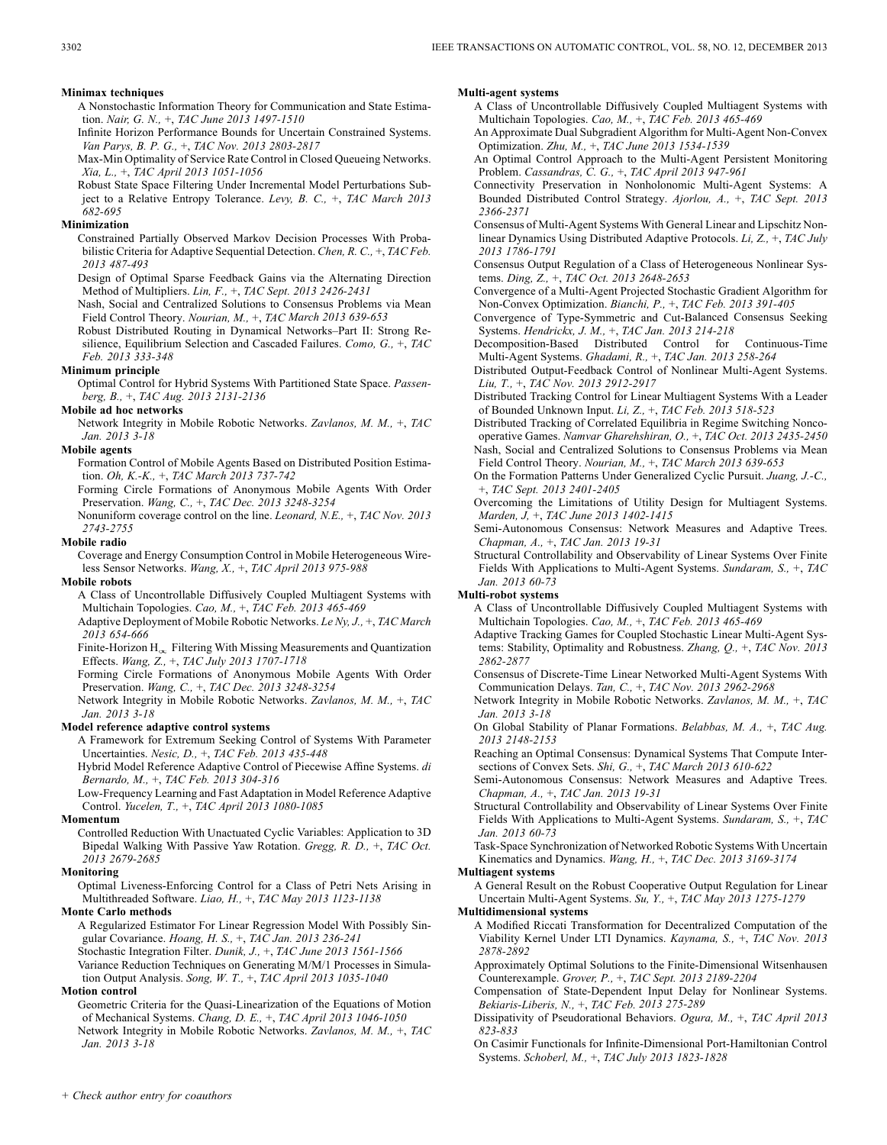#### **Minimax techniques**

A Nonstochastic Information Theory for Communication and State Estimation. *Nair, G. N.,* +, *TAC June 2013 1497-1510*

Infinite Horizon Performance Bounds for Uncertain Constrained Systems. *Van Parys, B. P. G.,* +, *TAC Nov. 2013 2803-2817*

Max-Min Optimality of Service Rate Control in Closed Queueing Networks. *Xia, L.,* +, *TAC April 2013 1051-1056*

Robust State Space Filtering Under Incremental Model Perturbations Subject to a Relative Entropy Tolerance. *Levy, B. C.,* +, *TAC March 2013 682-695*

#### **Minimization**

Constrained Partially Observed Markov Decision Processes With Probabilistic Criteria for Adaptive Sequential Detection. *Chen, R. C.,* +, *TAC Feb. 2013 487-493*

Design of Optimal Sparse Feedback Gains via the Alternating Direction Method of Multipliers. *Lin, F.,* +, *TAC Sept. 2013 2426-2431*

Nash, Social and Centralized Solutions to Consensus Problems via Mean Field Control Theory. *Nourian, M.,* +, *TAC March 2013 639-653*

Robust Distributed Routing in Dynamical Networks–Part II: Strong Resilience, Equilibrium Selection and Cascaded Failures. *Como, G.,* +, *TAC Feb. 2013 333-348*

### **Minimum principle**

Optimal Control for Hybrid Systems With Partitioned State Space. *Passenberg, B.,* +, *TAC Aug. 2013 2131-2136*

### **Mobile ad hoc networks**

Network Integrity in Mobile Robotic Networks. *Zavlanos, M. M.,* +, *TAC Jan. 2013 3-18*

### **Mobile agents**

Formation Control of Mobile Agents Based on Distributed Position Estimation. *Oh, K.-K.,* +, *TAC March 2013 737-742*

Forming Circle Formations of Anonymous Mobile Agents With Order Preservation. *Wang, C.,* +, *TAC Dec. 2013 3248-3254*

Nonuniform coverage control on the line. *Leonard, N.E.,* +, *TAC Nov. 2013 2743-2755*

#### **Mobile radio**

Coverage and Energy Consumption Control in Mobile Heterogeneous Wireless Sensor Networks. *Wang, X.,* +, *TAC April 2013 975-988*

#### **Mobile robots**

A Class of Uncontrollable Diffusively Coupled Multiagent Systems with Multichain Topologies. *Cao, M.,* +, *TAC Feb. 2013 465-469*

Adaptive Deployment of Mobile Robotic Networks. *Le Ny, J.,* +, *TAC March 2013 654-666*

Finite-Horizon  $H_{\infty}$  Filtering With Missing Measurements and Quantization Effects. *Wang, Z.,* +, *TAC July 2013 1707-1718*

Forming Circle Formations of Anonymous Mobile Agents With Order Preservation. *Wang, C.,* +, *TAC Dec. 2013 3248-3254*

Network Integrity in Mobile Robotic Networks. *Zavlanos, M. M.,* +, *TAC Jan. 2013 3-18*

### **Model reference adaptive control systems**

A Framework for Extremum Seeking Control of Systems With Parameter Uncertainties. *Nesic, D.,* +, *TAC Feb. 2013 435-448*

Hybrid Model Reference Adaptive Control of Piecewise Affine Systems. *di Bernardo, M.,* +, *TAC Feb. 2013 304-316*

Low-Frequency Learning and Fast Adaptation in Model Reference Adaptive Control. *Yucelen, T.,* +, *TAC April 2013 1080-1085*

#### **Momentum**

Controlled Reduction With Unactuated Cyclic Variables: Application to 3D Bipedal Walking With Passive Yaw Rotation. *Gregg, R. D.,* +, *TAC Oct. 2013 2679-2685*

#### **Monitoring**

Optimal Liveness-Enforcing Control for a Class of Petri Nets Arising in Multithreaded Software. *Liao, H.,* +, *TAC May 2013 1123-1138*

### **Monte Carlo methods**

A Regularized Estimator For Linear Regression Model With Possibly Singular Covariance. *Hoang, H. S.,* +, *TAC Jan. 2013 236-241* Stochastic Integration Filter. *Dunik, J.,* +, *TAC June 2013 1561-1566*

Variance Reduction Techniques on Generating M/M/1 Processes in Simulation Output Analysis. *Song, W. T.,* +, *TAC April 2013 1035-1040*

### **Motion control**

Geometric Criteria for the Quasi-Linearization of the Equations of Motion of Mechanical Systems. *Chang, D. E.,* +, *TAC April 2013 1046-1050* Network Integrity in Mobile Robotic Networks. *Zavlanos, M. M.,* +, *TAC Jan. 2013 3-18*

#### **Multi-agent systems**

A Class of Uncontrollable Diffusively Coupled Multiagent Systems with Multichain Topologies. *Cao, M.,* +, *TAC Feb. 2013 465-469*

An Approximate Dual Subgradient Algorithm for Multi-Agent Non-Convex Optimization. *Zhu, M.,* +, *TAC June 2013 1534-1539*

An Optimal Control Approach to the Multi-Agent Persistent Monitoring Problem. *Cassandras, C. G.,* +, *TAC April 2013 947-961*

Connectivity Preservation in Nonholonomic Multi-Agent Systems: A Bounded Distributed Control Strategy. *Ajorlou, A.,* +, *TAC Sept. 2013 2366-2371*

Consensus of Multi-Agent Systems With General Linear and Lipschitz Nonlinear Dynamics Using Distributed Adaptive Protocols. *Li, Z.,* +, *TAC July 2013 1786-1791*

Consensus Output Regulation of a Class of Heterogeneous Nonlinear Systems. *Ding, Z.,* +, *TAC Oct. 2013 2648-2653*

Convergence of a Multi-Agent Projected Stochastic Gradient Algorithm for Non-Convex Optimization. *Bianchi, P.,* +, *TAC Feb. 2013 391-405*

Convergence of Type-Symmetric and Cut-Balanced Consensus Seeking Systems. *Hendrickx, J. M.,* +, *TAC Jan. 2013 214-218*

Decomposition-Based Distributed Control for Continuous-Time Multi-Agent Systems. *Ghadami, R.,* +, *TAC Jan. 2013 258-264* Distributed Output-Feedback Control of Nonlinear Multi-Agent Systems.

*Liu, T.,* +, *TAC Nov. 2013 2912-2917*

Distributed Tracking Control for Linear Multiagent Systems With a Leader of Bounded Unknown Input. *Li, Z.,* +, *TAC Feb. 2013 518-523*

Distributed Tracking of Correlated Equilibria in Regime Switching Noncooperative Games. *Namvar Gharehshiran, O.,* +, *TAC Oct. 2013 2435-2450* Nash, Social and Centralized Solutions to Consensus Problems via Mean Field Control Theory. *Nourian, M.,* +, *TAC March 2013 639-653*

On the Formation Patterns Under Generalized Cyclic Pursuit. *Juang, J.-C.,* +, *TAC Sept. 2013 2401-2405*

Overcoming the Limitations of Utility Design for Multiagent Systems. *Marden, J,* +, *TAC June 2013 1402-1415*

Semi-Autonomous Consensus: Network Measures and Adaptive Trees. *Chapman, A.,* +, *TAC Jan. 2013 19-31*

Structural Controllability and Observability of Linear Systems Over Finite Fields With Applications to Multi-Agent Systems. *Sundaram, S.,* +, *TAC Jan. 2013 60-73*

### **Multi-robot systems**

A Class of Uncontrollable Diffusively Coupled Multiagent Systems with Multichain Topologies. *Cao, M.,* +, *TAC Feb. 2013 465-469*

Adaptive Tracking Games for Coupled Stochastic Linear Multi-Agent Systems: Stability, Optimality and Robustness. *Zhang, Q.,* +, *TAC Nov. 2013 2862-2877*

Consensus of Discrete-Time Linear Networked Multi-Agent Systems With Communication Delays. *Tan, C.,* +, *TAC Nov. 2013 2962-2968*

Network Integrity in Mobile Robotic Networks. *Zavlanos, M. M.,* +, *TAC Jan. 2013 3-18*

On Global Stability of Planar Formations. *Belabbas, M. A.,* +, *TAC Aug. 2013 2148-2153*

Reaching an Optimal Consensus: Dynamical Systems That Compute Intersections of Convex Sets. *Shi, G.,* +, *TAC March 2013 610-622*

Semi-Autonomous Consensus: Network Measures and Adaptive Trees. *Chapman, A.,* +, *TAC Jan. 2013 19-31*

Structural Controllability and Observability of Linear Systems Over Finite Fields With Applications to Multi-Agent Systems. *Sundaram, S.,* +, *TAC Jan. 2013 60-73*

Task-Space Synchronization of Networked Robotic Systems With Uncertain Kinematics and Dynamics. *Wang, H.,* +, *TAC Dec. 2013 3169-3174*

#### **Multiagent systems**

A General Result on the Robust Cooperative Output Regulation for Linear Uncertain Multi-Agent Systems. *Su, Y.,* +, *TAC May 2013 1275-1279*

#### **Multidimensional systems**

A Modified Riccati Transformation for Decentralized Computation of the Viability Kernel Under LTI Dynamics. *Kaynama, S.,* +, *TAC Nov. 2013 2878-2892*

Approximately Optimal Solutions to the Finite-Dimensional Witsenhausen Counterexample. *Grover, P.,* +, *TAC Sept. 2013 2189-2204*

Compensation of State-Dependent Input Delay for Nonlinear Systems. *Bekiaris-Liberis, N.,* +, *TAC Feb. 2013 275-289*

Dissipativity of Pseudorational Behaviors. *Ogura, M.,* +, *TAC April 2013 823-833*

On Casimir Functionals for Infinite-Dimensional Port-Hamiltonian Control Systems. *Schoberl, M.,* +, *TAC July 2013 1823-1828*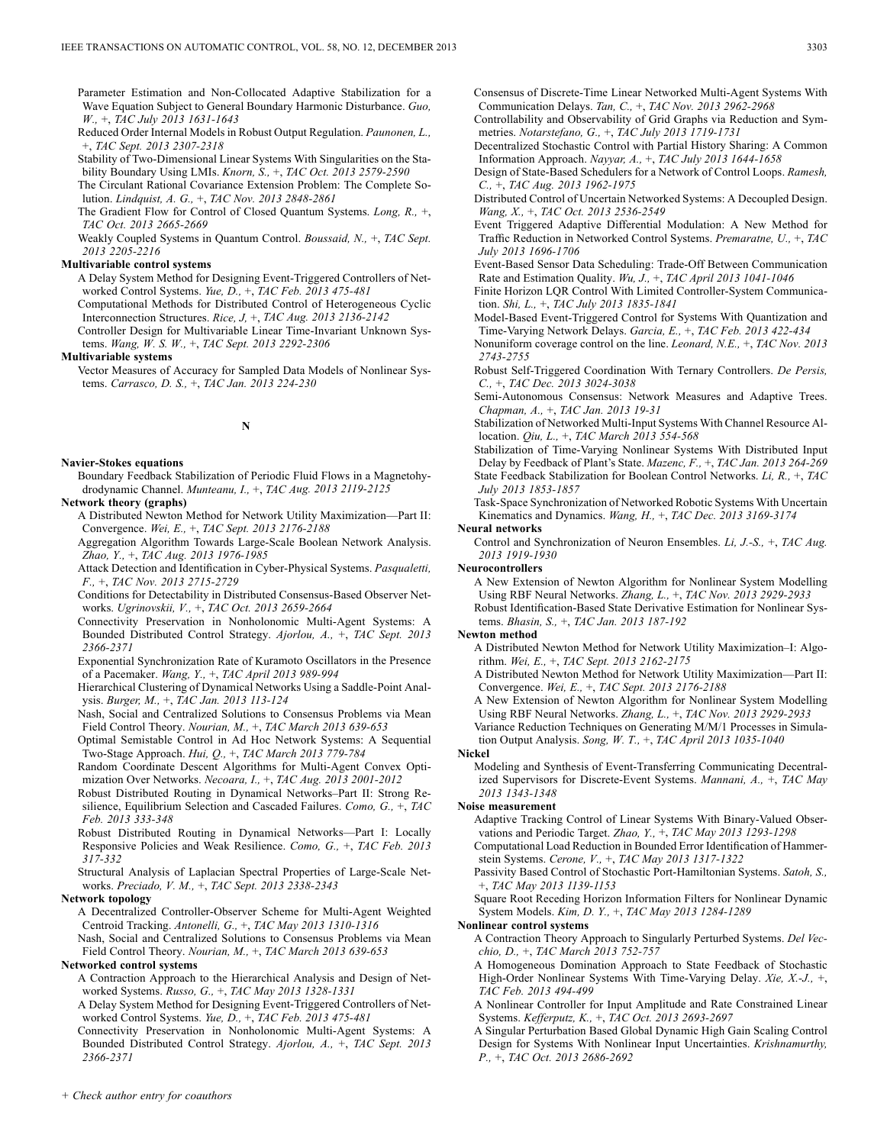Parameter Estimation and Non-Collocated Adaptive Stabilization for a Wave Equation Subject to General Boundary Harmonic Disturbance. *Guo, W.,* +, *TAC July 2013 1631-1643*

Reduced Order Internal Models in Robust Output Regulation. *Paunonen, L.,* +, *TAC Sept. 2013 2307-2318*

Stability of Two-Dimensional Linear Systems With Singularities on the Stability Boundary Using LMIs. *Knorn, S.,* +, *TAC Oct. 2013 2579-2590*

The Circulant Rational Covariance Extension Problem: The Complete Solution. *Lindquist, A. G.,* +, *TAC Nov. 2013 2848-2861*

The Gradient Flow for Control of Closed Quantum Systems. *Long, R.,* +, *TAC Oct. 2013 2665-2669*

Weakly Coupled Systems in Quantum Control. *Boussaid, N.,* +, *TAC Sept. 2013 2205-2216*

### **Multivariable control systems**

A Delay System Method for Designing Event-Triggered Controllers of Networked Control Systems. *Yue, D.,* +, *TAC Feb. 2013 475-481*

Computational Methods for Distributed Control of Heterogeneous Cyclic Interconnection Structures. *Rice, J,* +, *TAC Aug. 2013 2136-2142*

Controller Design for Multivariable Linear Time-Invariant Unknown Systems. *Wang, W. S. W.,* +, *TAC Sept. 2013 2292-2306*

**Multivariable systems**

Vector Measures of Accuracy for Sampled Data Models of Nonlinear Systems. *Carrasco, D. S.,* +, *TAC Jan. 2013 224-230*

### **N**

### **Navier-Stokes equations**

Boundary Feedback Stabilization of Periodic Fluid Flows in a Magnetohydrodynamic Channel. *Munteanu, I.,* +, *TAC Aug. 2013 2119-2125*

#### **Network theory (graphs)**

A Distributed Newton Method for Network Utility Maximization—Part II: Convergence. *Wei, E.,* +, *TAC Sept. 2013 2176-2188*

Aggregation Algorithm Towards Large-Scale Boolean Network Analysis. *Zhao, Y.,* +, *TAC Aug. 2013 1976-1985*

Attack Detection and Identification in Cyber-Physical Systems. *Pasqualetti, F.,* +, *TAC Nov. 2013 2715-2729*

Conditions for Detectability in Distributed Consensus-Based Observer Networks. *Ugrinovskii, V.,* +, *TAC Oct. 2013 2659-2664*

Connectivity Preservation in Nonholonomic Multi-Agent Systems: A Bounded Distributed Control Strategy. *Ajorlou, A.,* +, *TAC Sept. 2013 2366-2371*

Exponential Synchronization Rate of Kuramoto Oscillators in the Presence of a Pacemaker. *Wang, Y.,* +, *TAC April 2013 989-994*

Hierarchical Clustering of Dynamical Networks Using a Saddle-Point Analysis. *Burger, M.,* +, *TAC Jan. 2013 113-124*

Nash, Social and Centralized Solutions to Consensus Problems via Mean Field Control Theory. *Nourian, M.,* +, *TAC March 2013 639-653*

Optimal Semistable Control in Ad Hoc Network Systems: A Sequential Two-Stage Approach. *Hui, Q.,* +, *TAC March 2013 779-784*

Random Coordinate Descent Algorithms for Multi-Agent Convex Optimization Over Networks. *Necoara, I.,* +, *TAC Aug. 2013 2001-2012*

Robust Distributed Routing in Dynamical Networks–Part II: Strong Resilience, Equilibrium Selection and Cascaded Failures. *Como, G.,* +, *TAC Feb. 2013 333-348*

Robust Distributed Routing in Dynamical Networks—Part I: Locally Responsive Policies and Weak Resilience. *Como, G.,* +, *TAC Feb. 2013 317-332*

Structural Analysis of Laplacian Spectral Properties of Large-Scale Networks. *Preciado, V. M.,* +, *TAC Sept. 2013 2338-2343*

#### **Network topology**

A Decentralized Controller-Observer Scheme for Multi-Agent Weighted Centroid Tracking. *Antonelli, G.,* +, *TAC May 2013 1310-1316*

Nash, Social and Centralized Solutions to Consensus Problems via Mean Field Control Theory. *Nourian, M.,* +, *TAC March 2013 639-653*

#### **Networked control systems**

- A Contraction Approach to the Hierarchical Analysis and Design of Networked Systems. *Russo, G.,* +, *TAC May 2013 1328-1331*
- A Delay System Method for Designing Event-Triggered Controllers of Networked Control Systems. *Yue, D.,* +, *TAC Feb. 2013 475-481*
- Connectivity Preservation in Nonholonomic Multi-Agent Systems: A Bounded Distributed Control Strategy. *Ajorlou, A.,* +, *TAC Sept. 2013 2366-2371*

Consensus of Discrete-Time Linear Networked Multi-Agent Systems With Communication Delays. *Tan, C.,* +, *TAC Nov. 2013 2962-2968*

Controllability and Observability of Grid Graphs via Reduction and Symmetries. *Notarstefano, G.,* +, *TAC July 2013 1719-1731*

Decentralized Stochastic Control with Partial History Sharing: A Common Information Approach. *Nayyar, A.,* +, *TAC July 2013 1644-1658*

Design of State-Based Schedulers for a Network of Control Loops. *Ramesh, C.,* +, *TAC Aug. 2013 1962-1975*

Distributed Control of Uncertain Networked Systems: A Decoupled Design. *Wang, X.,* +, *TAC Oct. 2013 2536-2549*

- Event Triggered Adaptive Differential Modulation: A New Method for Traffic Reduction in Networked Control Systems. *Premaratne, U.,* +, *TAC July 2013 1696-1706*
- Event-Based Sensor Data Scheduling: Trade-Off Between Communication Rate and Estimation Quality. *Wu, J.,* +, *TAC April 2013 1041-1046*

Finite Horizon LQR Control With Limited Controller-System Communication. *Shi, L.,* +, *TAC July 2013 1835-1841*

- Model-Based Event-Triggered Control for Systems With Quantization and Time-Varying Network Delays. *Garcia, E.,* +, *TAC Feb. 2013 422-434*
- Nonuniform coverage control on the line. *Leonard, N.E.,* +, *TAC Nov. 2013 2743-2755*

Robust Self-Triggered Coordination With Ternary Controllers. *De Persis, C.,* +, *TAC Dec. 2013 3024-3038*

Semi-Autonomous Consensus: Network Measures and Adaptive Trees. *Chapman, A.,* +, *TAC Jan. 2013 19-31*

Stabilization of Networked Multi-Input Systems With Channel Resource Allocation. *Qiu, L.,* +, *TAC March 2013 554-568*

Stabilization of Time-Varying Nonlinear Systems With Distributed Input Delay by Feedback of Plant's State. *Mazenc, F.,* +, *TAC Jan. 2013 264-269* State Feedback Stabilization for Boolean Control Networks. *Li, R.,* +, *TAC July 2013 1853-1857*

Task-Space Synchronization of Networked Robotic Systems With Uncertain Kinematics and Dynamics. *Wang, H.,* +, *TAC Dec. 2013 3169-3174*

### **Neural networks**

Control and Synchronization of Neuron Ensembles. *Li, J.-S.,* +, *TAC Aug. 2013 1919-1930*

#### **Neurocontrollers**

A New Extension of Newton Algorithm for Nonlinear System Modelling Using RBF Neural Networks. *Zhang, L.,* +, *TAC Nov. 2013 2929-2933* Robust Identification-Based State Derivative Estimation for Nonlinear Systems. *Bhasin, S.,* +, *TAC Jan. 2013 187-192*

#### **Newton method**

A Distributed Newton Method for Network Utility Maximization–I: Algorithm. *Wei, E.,* +, *TAC Sept. 2013 2162-2175*

A Distributed Newton Method for Network Utility Maximization—Part II: Convergence. *Wei, E.,* +, *TAC Sept. 2013 2176-2188*

A New Extension of Newton Algorithm for Nonlinear System Modelling Using RBF Neural Networks. *Zhang, L.,* +, *TAC Nov. 2013 2929-2933*

Variance Reduction Techniques on Generating M/M/1 Processes in Simulation Output Analysis. *Song, W. T.,* +, *TAC April 2013 1035-1040*

### **Nickel**

Modeling and Synthesis of Event-Transferring Communicating Decentralized Supervisors for Discrete-Event Systems. *Mannani, A.,* +, *TAC May 2013 1343-1348*

**Noise measurement**

Adaptive Tracking Control of Linear Systems With Binary-Valued Observations and Periodic Target. *Zhao, Y.,* +, *TAC May 2013 1293-1298* Computational Load Reduction in Bounded Error Identification of Hammer-

stein Systems. *Cerone, V.,* +, *TAC May 2013 1317-1322* Passivity Based Control of Stochastic Port-Hamiltonian Systems. *Satoh, S.,*

+, *TAC May 2013 1139-1153*

Square Root Receding Horizon Information Filters for Nonlinear Dynamic System Models. *Kim, D. Y.,* +, *TAC May 2013 1284-1289*

#### **Nonlinear control systems**

A Contraction Theory Approach to Singularly Perturbed Systems. *Del Vecchio, D.,* +, *TAC March 2013 752-757*

A Homogeneous Domination Approach to State Feedback of Stochastic High-Order Nonlinear Systems With Time-Varying Delay. *Xie, X.-J.,* +, *TAC Feb. 2013 494-499*

A Nonlinear Controller for Input Amplitude and Rate Constrained Linear Systems. *Kefferputz, K.,* +, *TAC Oct. 2013 2693-2697*

A Singular Perturbation Based Global Dynamic High Gain Scaling Control Design for Systems With Nonlinear Input Uncertainties. *Krishnamurthy, P.,* +, *TAC Oct. 2013 2686-2692*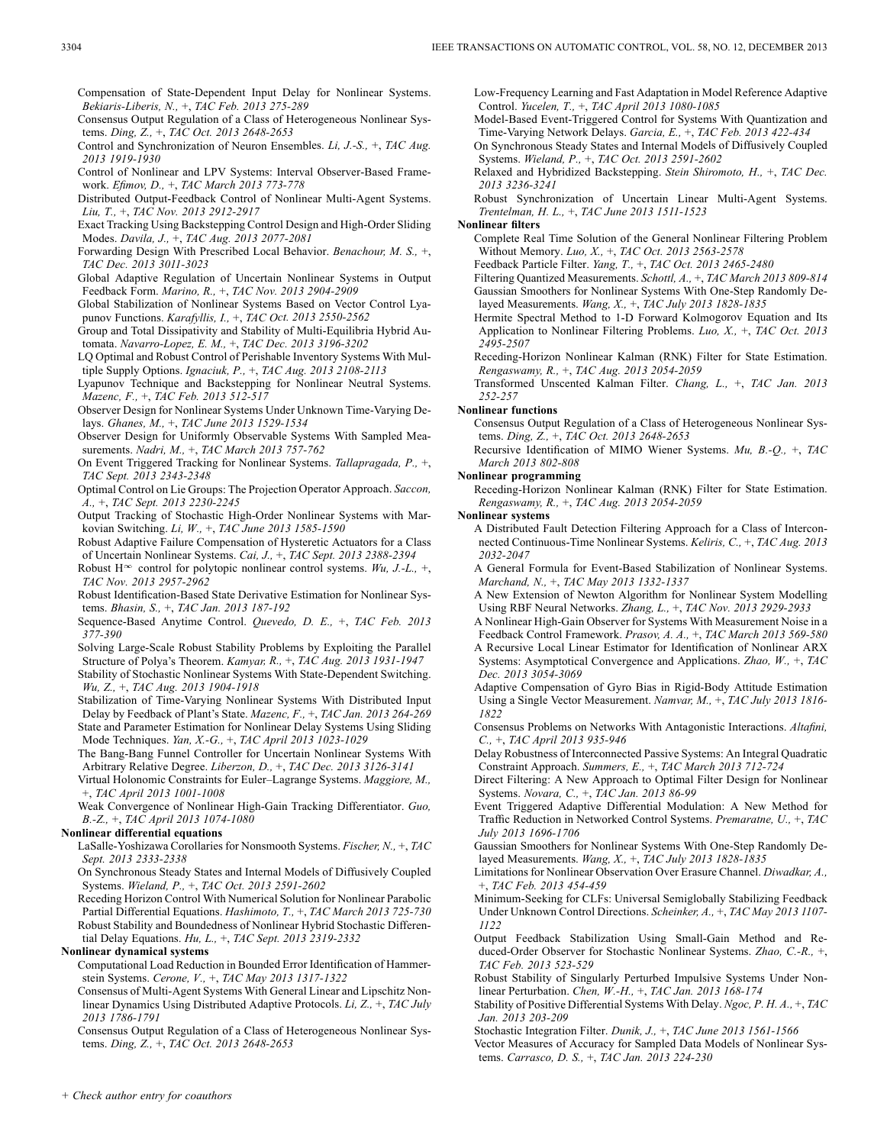Compensation of State-Dependent Input Delay for Nonlinear Systems. *Bekiaris-Liberis, N.,* +, *TAC Feb. 2013 275-289*

Consensus Output Regulation of a Class of Heterogeneous Nonlinear Systems. *Ding, Z.,* +, *TAC Oct. 2013 2648-2653*

Control and Synchronization of Neuron Ensembles. *Li, J.-S.,* +, *TAC Aug. 2013 1919-1930*

Control of Nonlinear and LPV Systems: Interval Observer-Based Framework. *Efimov, D.,* +, *TAC March 2013 773-778*

Distributed Output-Feedback Control of Nonlinear Multi-Agent Systems. *Liu, T.,* +, *TAC Nov. 2013 2912-2917*

Exact Tracking Using Backstepping Control Design and High-Order Sliding Modes. *Davila, J.,* +, *TAC Aug. 2013 2077-2081*

Forwarding Design With Prescribed Local Behavior. *Benachour, M. S.,* +, *TAC Dec. 2013 3011-3023*

Global Adaptive Regulation of Uncertain Nonlinear Systems in Output Feedback Form. *Marino, R.,* +, *TAC Nov. 2013 2904-2909*

Global Stabilization of Nonlinear Systems Based on Vector Control Lyapunov Functions. *Karafyllis, I.,* +, *TAC Oct. 2013 2550-2562*

Group and Total Dissipativity and Stability of Multi-Equilibria Hybrid Automata. *Navarro-Lopez, E. M.,* +, *TAC Dec. 2013 3196-3202*

LQ Optimal and Robust Control of Perishable Inventory Systems With Multiple Supply Options. *Ignaciuk, P.,* +, *TAC Aug. 2013 2108-2113*

Lyapunov Technique and Backstepping for Nonlinear Neutral Systems. *Mazenc, F.,* +, *TAC Feb. 2013 512-517*

Observer Design for Nonlinear Systems Under Unknown Time-Varying Delays. *Ghanes, M.,* +, *TAC June 2013 1529-1534*

Observer Design for Uniformly Observable Systems With Sampled Measurements. *Nadri, M.,* +, *TAC March 2013 757-762*

On Event Triggered Tracking for Nonlinear Systems. *Tallapragada, P.,* +, *TAC Sept. 2013 2343-2348*

Optimal Control on Lie Groups: The Projection Operator Approach. *Saccon, A.,* +, *TAC Sept. 2013 2230-2245*

Output Tracking of Stochastic High-Order Nonlinear Systems with Markovian Switching. *Li, W.,* +, *TAC June 2013 1585-1590*

Robust Adaptive Failure Compensation of Hysteretic Actuators for a Class of Uncertain Nonlinear Systems. *Cai, J.,* +, *TAC Sept. 2013 2388-2394*

Robust H<sup> $\infty$ </sup> control for polytopic nonlinear control systems. *Wu, J.-L.*, +, *TAC Nov. 2013 2957-2962*

Robust Identification-Based State Derivative Estimation for Nonlinear Systems. *Bhasin, S.,* +, *TAC Jan. 2013 187-192*

Sequence-Based Anytime Control. *Quevedo, D. E.,* +, *TAC Feb. 2013 377-390*

Solving Large-Scale Robust Stability Problems by Exploiting the Parallel Structure of Polya's Theorem. *Kamyar, R.,* +, *TAC Aug. 2013 1931-1947*

Stability of Stochastic Nonlinear Systems With State-Dependent Switching. *Wu, Z.,* +, *TAC Aug. 2013 1904-1918*

Stabilization of Time-Varying Nonlinear Systems With Distributed Input Delay by Feedback of Plant's State. *Mazenc, F.,* +, *TAC Jan. 2013 264-269* State and Parameter Estimation for Nonlinear Delay Systems Using Sliding Mode Techniques. *Yan, X.-G.,* +, *TAC April 2013 1023-1029*

The Bang-Bang Funnel Controller for Uncertain Nonlinear Systems With Arbitrary Relative Degree. *Liberzon, D.,* +, *TAC Dec. 2013 3126-3141*

Virtual Holonomic Constraints for Euler–Lagrange Systems. *Maggiore, M.,* +, *TAC April 2013 1001-1008*

Weak Convergence of Nonlinear High-Gain Tracking Differentiator. *Guo, B.-Z.,* +, *TAC April 2013 1074-1080*

#### **Nonlinear differential equations**

LaSalle-Yoshizawa Corollaries for Nonsmooth Systems. *Fischer, N.,* +, *TAC Sept. 2013 2333-2338*

On Synchronous Steady States and Internal Models of Diffusively Coupled Systems. *Wieland, P.,* +, *TAC Oct. 2013 2591-2602*

Receding Horizon Control With Numerical Solution for Nonlinear Parabolic Partial Differential Equations. *Hashimoto, T.,* +, *TAC March 2013 725-730* Robust Stability and Boundedness of Nonlinear Hybrid Stochastic Differential Delay Equations. *Hu, L.,* +, *TAC Sept. 2013 2319-2332*

#### **Nonlinear dynamical systems**

Computational Load Reduction in Bounded Error Identification of Hammerstein Systems. *Cerone, V.,* +, *TAC May 2013 1317-1322*

Consensus of Multi-Agent Systems With General Linear and Lipschitz Nonlinear Dynamics Using Distributed Adaptive Protocols. *Li, Z.,* +, *TAC July 2013 1786-1791*

Consensus Output Regulation of a Class of Heterogeneous Nonlinear Systems. *Ding, Z.,* +, *TAC Oct. 2013 2648-2653*

Low-Frequency Learning and Fast Adaptation in Model Reference Adaptive Control. *Yucelen, T.,* +, *TAC April 2013 1080-1085*

Model-Based Event-Triggered Control for Systems With Quantization and Time-Varying Network Delays. *Garcia, E.,* +, *TAC Feb. 2013 422-434*

On Synchronous Steady States and Internal Models of Diffusively Coupled Systems. *Wieland, P.,* +, *TAC Oct. 2013 2591-2602*

Relaxed and Hybridized Backstepping. *Stein Shiromoto, H.,* +, *TAC Dec. 2013 3236-3241*

Robust Synchronization of Uncertain Linear Multi-Agent Systems. *Trentelman, H. L.,* +, *TAC June 2013 1511-1523*

### **Nonlinear filters**

Complete Real Time Solution of the General Nonlinear Filtering Problem Without Memory. *Luo, X.,* +, *TAC Oct. 2013 2563-2578*

Feedback Particle Filter. *Yang, T.,* +, *TAC Oct. 2013 2465-2480*

Filtering Quantized Measurements. *Schottl, A.,* +, *TAC March 2013 809-814* Gaussian Smoothers for Nonlinear Systems With One-Step Randomly Delayed Measurements. *Wang, X.,* +, *TAC July 2013 1828-1835*

Hermite Spectral Method to 1-D Forward Kolmogorov Equation and Its Application to Nonlinear Filtering Problems. *Luo, X.,* +, *TAC Oct. 2013 2495-2507*

Receding-Horizon Nonlinear Kalman (RNK) Filter for State Estimation. *Rengaswamy, R.,* +, *TAC Aug. 2013 2054-2059*

Transformed Unscented Kalman Filter. *Chang, L.,* +, *TAC Jan. 2013 252-257*

#### **Nonlinear functions**

Consensus Output Regulation of a Class of Heterogeneous Nonlinear Systems. *Ding, Z.,* +, *TAC Oct. 2013 2648-2653*

Recursive Identification of MIMO Wiener Systems. *Mu, B.-Q.,* +, *TAC March 2013 802-808*

#### **Nonlinear programming**

Receding-Horizon Nonlinear Kalman (RNK) Filter for State Estimation. *Rengaswamy, R.,* +, *TAC Aug. 2013 2054-2059*

**Nonlinear systems**

A Distributed Fault Detection Filtering Approach for a Class of Interconnected Continuous-Time Nonlinear Systems. *Keliris, C.,* +, *TAC Aug. 2013 2032-2047*

A General Formula for Event-Based Stabilization of Nonlinear Systems. *Marchand, N.,* +, *TAC May 2013 1332-1337*

A New Extension of Newton Algorithm for Nonlinear System Modelling Using RBF Neural Networks. *Zhang, L.,* +, *TAC Nov. 2013 2929-2933*

A Nonlinear High-Gain Observer for Systems With Measurement Noise in a Feedback Control Framework. *Prasov, A. A.,* +, *TAC March 2013 569-580*

A Recursive Local Linear Estimator for Identification of Nonlinear ARX Systems: Asymptotical Convergence and Applications. *Zhao, W.,* +, *TAC Dec. 2013 3054-3069*

Adaptive Compensation of Gyro Bias in Rigid-Body Attitude Estimation Using a Single Vector Measurement. *Namvar, M.,* +, *TAC July 2013 1816- 1822*

Consensus Problems on Networks With Antagonistic Interactions. *Altafini, C.,* +, *TAC April 2013 935-946*

Delay Robustness of Interconnected Passive Systems: An Integral Quadratic Constraint Approach. *Summers, E.,* +, *TAC March 2013 712-724*

Direct Filtering: A New Approach to Optimal Filter Design for Nonlinear Systems. *Novara, C.,* +, *TAC Jan. 2013 86-99*

Event Triggered Adaptive Differential Modulation: A New Method for Traffic Reduction in Networked Control Systems. *Premaratne, U.,* +, *TAC July 2013 1696-1706*

Gaussian Smoothers for Nonlinear Systems With One-Step Randomly Delayed Measurements. *Wang, X.,* +, *TAC July 2013 1828-1835*

Limitations for Nonlinear Observation Over Erasure Channel. *Diwadkar, A.,* +, *TAC Feb. 2013 454-459*

Minimum-Seeking for CLFs: Universal Semiglobally Stabilizing Feedback Under Unknown Control Directions. *Scheinker, A.,* +, *TAC May 2013 1107- 1122*

Output Feedback Stabilization Using Small-Gain Method and Reduced-Order Observer for Stochastic Nonlinear Systems. *Zhao, C.-R.,* +, *TAC Feb. 2013 523-529*

Robust Stability of Singularly Perturbed Impulsive Systems Under Nonlinear Perturbation. *Chen, W.-H.,* +, *TAC Jan. 2013 168-174*

Stability of Positive Differential Systems With Delay. *Ngoc, P. H. A.,* +, *TAC Jan. 2013 203-209*

Stochastic Integration Filter. *Dunik, J.,* +, *TAC June 2013 1561-1566*

Vector Measures of Accuracy for Sampled Data Models of Nonlinear Systems. *Carrasco, D. S.,* +, *TAC Jan. 2013 224-230*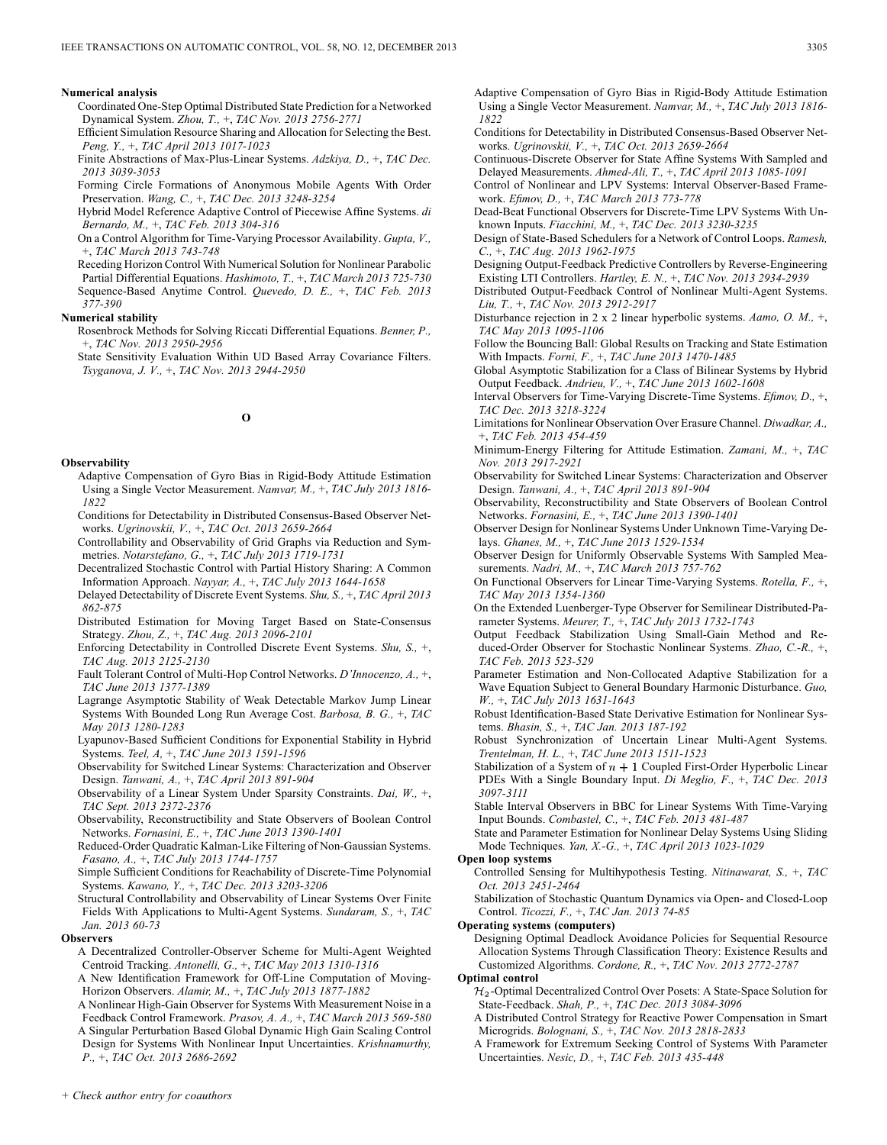#### **Numerical analysis**

Coordinated One-Step Optimal Distributed State Prediction for a Networked Dynamical System. *Zhou, T.,* +, *TAC Nov. 2013 2756-2771*

Efficient Simulation Resource Sharing and Allocation for Selecting the Best. *Peng, Y.,* +, *TAC April 2013 1017-1023*

Finite Abstractions of Max-Plus-Linear Systems. *Adzkiya, D.,* +, *TAC Dec. 2013 3039-3053*

Forming Circle Formations of Anonymous Mobile Agents With Order Preservation. *Wang, C.,* +, *TAC Dec. 2013 3248-3254*

Hybrid Model Reference Adaptive Control of Piecewise Affine Systems. *di Bernardo, M.,* +, *TAC Feb. 2013 304-316*

On a Control Algorithm for Time-Varying Processor Availability. *Gupta, V.,* +, *TAC March 2013 743-748*

Receding Horizon Control With Numerical Solution for Nonlinear Parabolic Partial Differential Equations. *Hashimoto, T.,* +, *TAC March 2013 725-730* Sequence-Based Anytime Control. *Quevedo, D. E.,* +, *TAC Feb. 2013 377-390*

### **Numerical stability**

Rosenbrock Methods for Solving Riccati Differential Equations. *Benner, P.,* +, *TAC Nov. 2013 2950-2956*

State Sensitivity Evaluation Within UD Based Array Covariance Filters. *Tsyganova, J. V.,* +, *TAC Nov. 2013 2944-2950*

### **O**

#### **Observability**

Adaptive Compensation of Gyro Bias in Rigid-Body Attitude Estimation Using a Single Vector Measurement. *Namvar, M.,* +, *TAC July 2013 1816- 1822*

Conditions for Detectability in Distributed Consensus-Based Observer Networks. *Ugrinovskii, V.,* +, *TAC Oct. 2013 2659-2664*

Controllability and Observability of Grid Graphs via Reduction and Symmetries. *Notarstefano, G.,* +, *TAC July 2013 1719-1731*

Decentralized Stochastic Control with Partial History Sharing: A Common Information Approach. *Nayyar, A.,* +, *TAC July 2013 1644-1658*

Delayed Detectability of Discrete Event Systems. *Shu, S.,* +, *TAC April 2013 862-875*

Distributed Estimation for Moving Target Based on State-Consensus Strategy. *Zhou, Z.,* +, *TAC Aug. 2013 2096-2101*

Enforcing Detectability in Controlled Discrete Event Systems. *Shu, S.,* +, *TAC Aug. 2013 2125-2130*

Fault Tolerant Control of Multi-Hop Control Networks. *D'Innocenzo, A.,* +, *TAC June 2013 1377-1389*

Lagrange Asymptotic Stability of Weak Detectable Markov Jump Linear Systems With Bounded Long Run Average Cost. *Barbosa, B. G.,* +, *TAC May 2013 1280-1283*

Lyapunov-Based Sufficient Conditions for Exponential Stability in Hybrid Systems. *Teel, A,* +, *TAC June 2013 1591-1596*

Observability for Switched Linear Systems: Characterization and Observer Design. *Tanwani, A.,* +, *TAC April 2013 891-904*

Observability of a Linear System Under Sparsity Constraints. *Dai, W.,* +, *TAC Sept. 2013 2372-2376*

Observability, Reconstructibility and State Observers of Boolean Control Networks. *Fornasini, E.,* +, *TAC June 2013 1390-1401*

Reduced-Order Quadratic Kalman-Like Filtering of Non-Gaussian Systems. *Fasano, A.,* +, *TAC July 2013 1744-1757*

Simple Sufficient Conditions for Reachability of Discrete-Time Polynomial Systems. *Kawano, Y.,* +, *TAC Dec. 2013 3203-3206*

Structural Controllability and Observability of Linear Systems Over Finite Fields With Applications to Multi-Agent Systems. *Sundaram, S.,* +, *TAC Jan. 2013 60-73*

### **Observers**

A Decentralized Controller-Observer Scheme for Multi-Agent Weighted Centroid Tracking. *Antonelli, G.,* +, *TAC May 2013 1310-1316*

A New Identification Framework for Off-Line Computation of Moving-Horizon Observers. *Alamir, M.,* +, *TAC July 2013 1877-1882*

A Nonlinear High-Gain Observer for Systems With Measurement Noise in a Feedback Control Framework. *Prasov, A. A.,* +, *TAC March 2013 569-580*

A Singular Perturbation Based Global Dynamic High Gain Scaling Control Design for Systems With Nonlinear Input Uncertainties. *Krishnamurthy,*

*P.,* +, *TAC Oct. 2013 2686-2692*

Adaptive Compensation of Gyro Bias in Rigid-Body Attitude Estimation Using a Single Vector Measurement. *Namvar, M.,* +, *TAC July 2013 1816- 1822*

Conditions for Detectability in Distributed Consensus-Based Observer Networks. *Ugrinovskii, V.,* +, *TAC Oct. 2013 2659-2664*

Continuous-Discrete Observer for State Affine Systems With Sampled and Delayed Measurements. *Ahmed-Ali, T.,* +, *TAC April 2013 1085-1091*

Control of Nonlinear and LPV Systems: Interval Observer-Based Framework. *Efimov, D.,* +, *TAC March 2013 773-778*

Dead-Beat Functional Observers for Discrete-Time LPV Systems With Unknown Inputs. *Fiacchini, M.,* +, *TAC Dec. 2013 3230-3235*

Design of State-Based Schedulers for a Network of Control Loops. *Ramesh, C.,* +, *TAC Aug. 2013 1962-1975*

Designing Output-Feedback Predictive Controllers by Reverse-Engineering Existing LTI Controllers. *Hartley, E. N.,* +, *TAC Nov. 2013 2934-2939*

Distributed Output-Feedback Control of Nonlinear Multi-Agent Systems. *Liu, T.,* +, *TAC Nov. 2013 2912-2917*

Disturbance rejection in 2 x 2 linear hyperbolic systems. *Aamo, O. M.,* +, *TAC May 2013 1095-1106*

Follow the Bouncing Ball: Global Results on Tracking and State Estimation With Impacts. *Forni, F.,* +, *TAC June 2013 1470-1485*

Global Asymptotic Stabilization for a Class of Bilinear Systems by Hybrid Output Feedback. *Andrieu, V.,* +, *TAC June 2013 1602-1608*

Interval Observers for Time-Varying Discrete-Time Systems. *Efimov, D.,* +, *TAC Dec. 2013 3218-3224*

Limitations for Nonlinear Observation Over Erasure Channel. *Diwadkar, A.,* +, *TAC Feb. 2013 454-459*

Minimum-Energy Filtering for Attitude Estimation. *Zamani, M.,* +, *TAC Nov. 2013 2917-2921*

Observability for Switched Linear Systems: Characterization and Observer Design. *Tanwani, A.,* +, *TAC April 2013 891-904*

Observability, Reconstructibility and State Observers of Boolean Control Networks. *Fornasini, E.,* +, *TAC June 2013 1390-1401*

Observer Design for Nonlinear Systems Under Unknown Time-Varying Delays. *Ghanes, M.,* +, *TAC June 2013 1529-1534*

Observer Design for Uniformly Observable Systems With Sampled Measurements. *Nadri, M.,* +, *TAC March 2013 757-762*

On Functional Observers for Linear Time-Varying Systems. *Rotella, F.,* +, *TAC May 2013 1354-1360*

On the Extended Luenberger-Type Observer for Semilinear Distributed-Parameter Systems. *Meurer, T.,* +, *TAC July 2013 1732-1743*

Output Feedback Stabilization Using Small-Gain Method and Reduced-Order Observer for Stochastic Nonlinear Systems. *Zhao, C.-R.,* +, *TAC Feb. 2013 523-529*

Parameter Estimation and Non-Collocated Adaptive Stabilization for a Wave Equation Subject to General Boundary Harmonic Disturbance. *Guo, W.,* +, *TAC July 2013 1631-1643*

Robust Identification-Based State Derivative Estimation for Nonlinear Systems. *Bhasin, S.,* +, *TAC Jan. 2013 187-192*

Robust Synchronization of Uncertain Linear Multi-Agent Systems. *Trentelman, H. L.,* +, *TAC June 2013 1511-1523*

Stabilization of a System of  $n + 1$  Coupled First-Order Hyperbolic Linear PDEs With a Single Boundary Input. *Di Meglio, F.,* +, *TAC Dec. 2013 3097-3111*

Stable Interval Observers in BBC for Linear Systems With Time-Varying Input Bounds. *Combastel, C.,* +, *TAC Feb. 2013 481-487*

State and Parameter Estimation for Nonlinear Delay Systems Using Sliding Mode Techniques. *Yan, X.-G.,* +, *TAC April 2013 1023-1029*

#### **Open loop systems**

Controlled Sensing for Multihypothesis Testing. *Nitinawarat, S.,* +, *TAC Oct. 2013 2451-2464*

Stabilization of Stochastic Quantum Dynamics via Open- and Closed-Loop Control. *Ticozzi, F.,* +, *TAC Jan. 2013 74-85*

**Operating systems (computers)**

Designing Optimal Deadlock Avoidance Policies for Sequential Resource Allocation Systems Through Classification Theory: Existence Results and Customized Algorithms. *Cordone, R.,* +, *TAC Nov. 2013 2772-2787*

**Optimal control**

 $\mathcal{H}_2$ -Optimal Decentralized Control Over Posets: A State-Space Solution for State-Feedback. *Shah, P.,* +, *TAC Dec. 2013 3084-3096*

A Distributed Control Strategy for Reactive Power Compensation in Smart Microgrids. *Bolognani, S.,* +, *TAC Nov. 2013 2818-2833*

A Framework for Extremum Seeking Control of Systems With Parameter Uncertainties. *Nesic, D.,* +, *TAC Feb. 2013 435-448*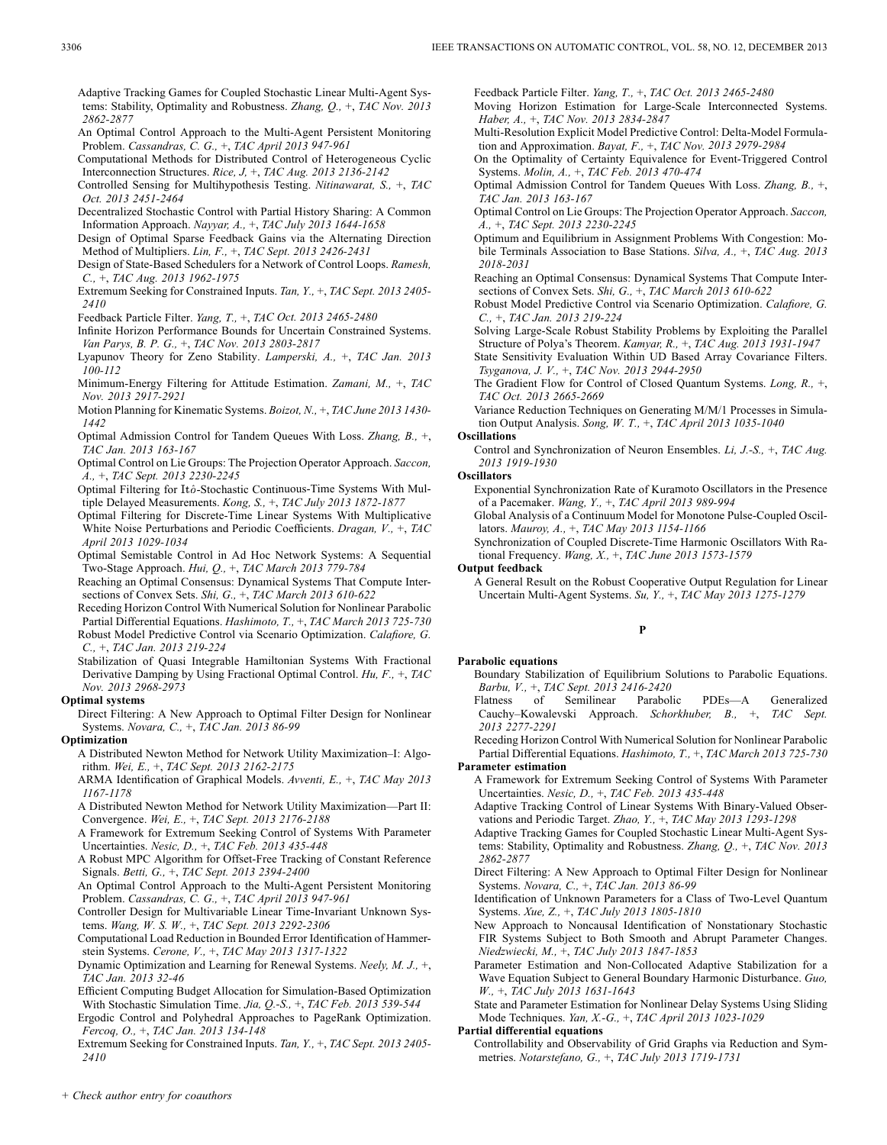Feedback Particle Filter. *Yang, T.,* +, *TAC Oct. 2013 2465-2480* Moving Horizon Estimation for Large-Scale Interconnected Systems.

Multi-Resolution Explicit Model Predictive Control: Delta-Model Formulation and Approximation. *Bayat, F.,* +, *TAC Nov. 2013 2979-2984* On the Optimality of Certainty Equivalence for Event-Triggered Control

Optimal Admission Control for Tandem Queues With Loss. *Zhang, B.,* +,

Optimal Control on Lie Groups: The Projection Operator Approach. *Saccon,*

Optimum and Equilibrium in Assignment Problems With Congestion: Mobile Terminals Association to Base Stations. *Silva, A.,* +, *TAC Aug. 2013*

Reaching an Optimal Consensus: Dynamical Systems That Compute Intersections of Convex Sets. *Shi, G.,* +, *TAC March 2013 610-622* Robust Model Predictive Control via Scenario Optimization. *Calafiore, G.*

Solving Large-Scale Robust Stability Problems by Exploiting the Parallel Structure of Polya's Theorem. *Kamyar, R.,* +, *TAC Aug. 2013 1931-1947* State Sensitivity Evaluation Within UD Based Array Covariance Filters.

The Gradient Flow for Control of Closed Quantum Systems. *Long, R.,* +,

Variance Reduction Techniques on Generating M/M/1 Processes in Simulation Output Analysis. *Song, W. T.,* +, *TAC April 2013 1035-1040*

Control and Synchronization of Neuron Ensembles. *Li, J.-S.,* +, *TAC Aug.*

Exponential Synchronization Rate of Kuramoto Oscillators in the Presence

Global Analysis of a Continuum Model for Monotone Pulse-Coupled Oscil-

Synchronization of Coupled Discrete-Time Harmonic Oscillators With Ra-

A General Result on the Robust Cooperative Output Regulation for Linear Uncertain Multi-Agent Systems. *Su, Y.,* +, *TAC May 2013 1275-1279*

**P**

*Haber, A.,* +, *TAC Nov. 2013 2834-2847*

*TAC Jan. 2013 163-167*

*2018-2031*

**Oscillations**

**Oscillators**

**Output feedback**

**Parabolic equations**

*2013 1919-1930*

*A.,* +, *TAC Sept. 2013 2230-2245*

*C.,* +, *TAC Jan. 2013 219-224*

*TAC Oct. 2013 2665-2669*

Systems. *Molin, A.,* +, *TAC Feb. 2013 470-474*

*Tsyganova, J. V.,* +, *TAC Nov. 2013 2944-2950*

of a Pacemaker. *Wang, Y.,* +, *TAC April 2013 989-994*

tional Frequency. *Wang, X.,* +, *TAC June 2013 1573-1579*

lators. *Mauroy, A.,* +, *TAC May 2013 1154-1166*

*Barbu, V.,* +, *TAC Sept. 2013 2416-2420*

Adaptive Tracking Games for Coupled Stochastic Linear Multi-Agent Systems: Stability, Optimality and Robustness. *Zhang, Q.,* +, *TAC Nov. 2013 2862-2877*

An Optimal Control Approach to the Multi-Agent Persistent Monitoring Problem. *Cassandras, C. G.,* +, *TAC April 2013 947-961*

Computational Methods for Distributed Control of Heterogeneous Cyclic Interconnection Structures. *Rice, J,* +, *TAC Aug. 2013 2136-2142*

Controlled Sensing for Multihypothesis Testing. *Nitinawarat, S.,* +, *TAC Oct. 2013 2451-2464*

Decentralized Stochastic Control with Partial History Sharing: A Common Information Approach. *Nayyar, A.,* +, *TAC July 2013 1644-1658*

Design of Optimal Sparse Feedback Gains via the Alternating Direction Method of Multipliers. *Lin, F.,* +, *TAC Sept. 2013 2426-2431*

Design of State-Based Schedulers for a Network of Control Loops. *Ramesh, C.,* +, *TAC Aug. 2013 1962-1975*

Extremum Seeking for Constrained Inputs. *Tan, Y.,* +, *TAC Sept. 2013 2405- 2410*

Feedback Particle Filter. *Yang, T.,* +, *TAC Oct. 2013 2465-2480*

- Infinite Horizon Performance Bounds for Uncertain Constrained Systems. *Van Parys, B. P. G.,* +, *TAC Nov. 2013 2803-2817*
- Lyapunov Theory for Zeno Stability. *Lamperski, A.,* +, *TAC Jan. 2013 100-112*

Minimum-Energy Filtering for Attitude Estimation. *Zamani, M.,* +, *TAC Nov. 2013 2917-2921*

Motion Planning for Kinematic Systems. *Boizot, N.,* +, *TAC June 2013 1430- 1442*

Optimal Admission Control for Tandem Queues With Loss. *Zhang, B.,* +, *TAC Jan. 2013 163-167*

Optimal Control on Lie Groups: The Projection Operator Approach. *Saccon, A.,* +, *TAC Sept. 2013 2230-2245*

Optimal Filtering for Itô-Stochastic Continuous-Time Systems With Multiple Delayed Measurements. *Kong, S.,* +, *TAC July 2013 1872-1877*

Optimal Filtering for Discrete-Time Linear Systems With Multiplicative White Noise Perturbations and Periodic Coefficients. *Dragan, V.,* +, *TAC April 2013 1029-1034*

Optimal Semistable Control in Ad Hoc Network Systems: A Sequential Two-Stage Approach. *Hui, Q.,* +, *TAC March 2013 779-784*

Reaching an Optimal Consensus: Dynamical Systems That Compute Intersections of Convex Sets. *Shi, G.,* +, *TAC March 2013 610-622*

Receding Horizon Control With Numerical Solution for Nonlinear Parabolic Partial Differential Equations. *Hashimoto, T.,* +, *TAC March 2013 725-730* Robust Model Predictive Control via Scenario Optimization. *Calafiore, G. C.,* +, *TAC Jan. 2013 219-224*

Stabilization of Quasi Integrable Hamiltonian Systems With Fractional Derivative Damping by Using Fractional Optimal Control. *Hu, F.,* +, *TAC Nov. 2013 2968-2973*

### **Optimal systems**

Direct Filtering: A New Approach to Optimal Filter Design for Nonlinear Systems. *Novara, C.,* +, *TAC Jan. 2013 86-99*

#### **Optimization**

A Distributed Newton Method for Network Utility Maximization–I: Algorithm. *Wei, E.,* +, *TAC Sept. 2013 2162-2175*

ARMA Identification of Graphical Models. *Avventi, E.,* +, *TAC May 2013 1167-1178*

A Distributed Newton Method for Network Utility Maximization—Part II: Convergence. *Wei, E.,* +, *TAC Sept. 2013 2176-2188*

A Framework for Extremum Seeking Control of Systems With Parameter Uncertainties. *Nesic, D.,* +, *TAC Feb. 2013 435-448*

A Robust MPC Algorithm for Offset-Free Tracking of Constant Reference Signals. *Betti, G.,* +, *TAC Sept. 2013 2394-2400*

An Optimal Control Approach to the Multi-Agent Persistent Monitoring Problem. *Cassandras, C. G.,* +, *TAC April 2013 947-961*

Controller Design for Multivariable Linear Time-Invariant Unknown Systems. *Wang, W. S. W.,* +, *TAC Sept. 2013 2292-2306*

Computational Load Reduction in Bounded Error Identification of Hammerstein Systems. *Cerone, V.,* +, *TAC May 2013 1317-1322*

Dynamic Optimization and Learning for Renewal Systems. *Neely, M. J.,* +, *TAC Jan. 2013 32-46*

Efficient Computing Budget Allocation for Simulation-Based Optimization With Stochastic Simulation Time. *Jia, Q.-S.,* +, *TAC Feb. 2013 539-544*

Ergodic Control and Polyhedral Approaches to PageRank Optimization. *Fercoq, O.,* +, *TAC Jan. 2013 134-148*

Extremum Seeking for Constrained Inputs. *Tan, Y.,* +, *TAC Sept. 2013 2405- 2410*

*2013 2277-2291*

Receding Horizon Control With Numerical Solution for Nonlinear Parabolic Partial Differential Equations. *Hashimoto, T.,* +, *TAC March 2013 725-730* **Parameter estimation**

Boundary Stabilization of Equilibrium Solutions to Parabolic Equations.

Flatness of Semilinear Parabolic PDEs—A Generalized Cauchy–Kowalevski Approach. *Schorkhuber, B.,* +, *TAC Sept.*

A Framework for Extremum Seeking Control of Systems With Parameter Uncertainties. *Nesic, D.,* +, *TAC Feb. 2013 435-448*

- Adaptive Tracking Control of Linear Systems With Binary-Valued Observations and Periodic Target. *Zhao, Y.,* +, *TAC May 2013 1293-1298*
- Adaptive Tracking Games for Coupled Stochastic Linear Multi-Agent Systems: Stability, Optimality and Robustness. *Zhang, Q.,* +, *TAC Nov. 2013 2862-2877*

Direct Filtering: A New Approach to Optimal Filter Design for Nonlinear Systems. *Novara, C.,* +, *TAC Jan. 2013 86-99*

Identification of Unknown Parameters for a Class of Two-Level Quantum Systems. *Xue, Z.,* +, *TAC July 2013 1805-1810*

New Approach to Noncausal Identification of Nonstationary Stochastic FIR Systems Subject to Both Smooth and Abrupt Parameter Changes. *Niedzwiecki, M.,* +, *TAC July 2013 1847-1853*

Parameter Estimation and Non-Collocated Adaptive Stabilization for a Wave Equation Subject to General Boundary Harmonic Disturbance. *Guo, W.,* +, *TAC July 2013 1631-1643*

State and Parameter Estimation for Nonlinear Delay Systems Using Sliding Mode Techniques. *Yan, X.-G.,* +, *TAC April 2013 1023-1029*

### **Partial differential equations**

Controllability and Observability of Grid Graphs via Reduction and Symmetries. *Notarstefano, G.,* +, *TAC July 2013 1719-1731*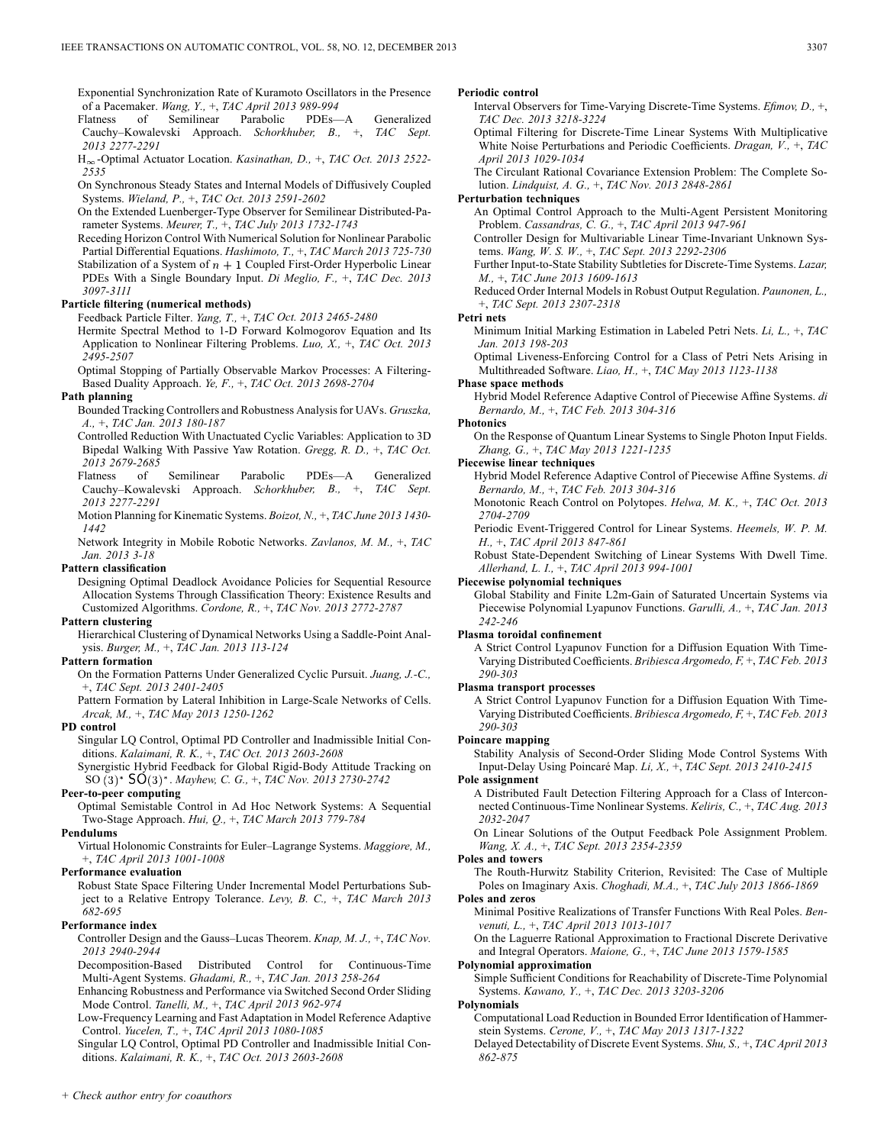Exponential Synchronization Rate of Kuramoto Oscillators in the Presence of a Pacemaker. *Wang, Y.,* +, *TAC April 2013 989-994*

Flatness of Semilinear Parabolic PDEs—A Generalized Cauchy–Kowalevski Approach. *Schorkhuber, B.,* +, *TAC Sept. 2013 2277-2291*

H<sub>∞</sub>-Optimal Actuator Location. *Kasinathan, D.,* +, *TAC Oct. 2013 2522*-*2535*

On Synchronous Steady States and Internal Models of Diffusively Coupled Systems. *Wieland, P.,* +, *TAC Oct. 2013 2591-2602*

On the Extended Luenberger-Type Observer for Semilinear Distributed-Parameter Systems. *Meurer, T.,* +, *TAC July 2013 1732-1743*

Receding Horizon Control With Numerical Solution for Nonlinear Parabolic Partial Differential Equations. *Hashimoto, T.,* +, *TAC March 2013 725-730* Stabilization of a System of  $n + 1$  Coupled First-Order Hyperbolic Linear PDEs With a Single Boundary Input. *Di Meglio, F.,* +, *TAC Dec. 2013 3097-3111*

#### **Particle filtering (numerical methods)**

Feedback Particle Filter. *Yang, T.,* +, *TAC Oct. 2013 2465-2480*

Hermite Spectral Method to 1-D Forward Kolmogorov Equation and Its Application to Nonlinear Filtering Problems. *Luo, X.,* +, *TAC Oct. 2013 2495-2507*

Optimal Stopping of Partially Observable Markov Processes: A Filtering-Based Duality Approach. *Ye, F.,* +, *TAC Oct. 2013 2698-2704*

#### **Path planning**

- Bounded Tracking Controllers and Robustness Analysis for UAVs. *Gruszka, A.,* +, *TAC Jan. 2013 180-187*
- Controlled Reduction With Unactuated Cyclic Variables: Application to 3D Bipedal Walking With Passive Yaw Rotation. *Gregg, R. D.,* +, *TAC Oct. 2013 2679-2685*
- Flatness of Semilinear Parabolic PDEs—A Generalized Cauchy–Kowalevski Approach. *Schorkhuber, B.,* +, *TAC Sept. 2013 2277-2291*
- Motion Planning for Kinematic Systems. *Boizot, N.,* +, *TAC June 2013 1430- 1442*
- Network Integrity in Mobile Robotic Networks. *Zavlanos, M. M.,* +, *TAC Jan. 2013 3-18*

#### **Pattern classification**

Designing Optimal Deadlock Avoidance Policies for Sequential Resource Allocation Systems Through Classification Theory: Existence Results and Customized Algorithms. *Cordone, R.,* +, *TAC Nov. 2013 2772-2787*

### **Pattern clustering**

Hierarchical Clustering of Dynamical Networks Using a Saddle-Point Analysis. *Burger, M.,* +, *TAC Jan. 2013 113-124*

### **Pattern formation**

On the Formation Patterns Under Generalized Cyclic Pursuit. *Juang, J.-C.,* +, *TAC Sept. 2013 2401-2405*

Pattern Formation by Lateral Inhibition in Large-Scale Networks of Cells. *Arcak, M.,* +, *TAC May 2013 1250-1262*

#### **PD control**

- Singular LQ Control, Optimal PD Controller and Inadmissible Initial Conditions. *Kalaimani, R. K.,* +, *TAC Oct. 2013 2603-2608*
- Synergistic Hybrid Feedback for Global Rigid-Body Attitude Tracking on SO . *Mayhew, C. G.,* +, *TAC Nov. 2013 2730-2742*

### **Peer-to-peer computing**

Optimal Semistable Control in Ad Hoc Network Systems: A Sequential Two-Stage Approach. *Hui, Q.,* +, *TAC March 2013 779-784*

#### **Pendulums**

Virtual Holonomic Constraints for Euler–Lagrange Systems. *Maggiore, M.,* +, *TAC April 2013 1001-1008*

#### **Performance evaluation**

Robust State Space Filtering Under Incremental Model Perturbations Subject to a Relative Entropy Tolerance. *Levy, B. C.,* +, *TAC March 2013 682-695*

#### **Performance index**

Controller Design and the Gauss–Lucas Theorem. *Knap, M. J.,* +, *TAC Nov. 2013 2940-2944*

Decomposition-Based Distributed Control for Continuous-Time Multi-Agent Systems. *Ghadami, R.,* +, *TAC Jan. 2013 258-264*

Enhancing Robustness and Performance via Switched Second Order Sliding Mode Control. *Tanelli, M.,* +, *TAC April 2013 962-974*

Low-Frequency Learning and Fast Adaptation in Model Reference Adaptive Control. *Yucelen, T.,* +, *TAC April 2013 1080-1085*

Singular LQ Control, Optimal PD Controller and Inadmissible Initial Conditions. *Kalaimani, R. K.,* +, *TAC Oct. 2013 2603-2608*

### **Periodic control**

- Interval Observers for Time-Varying Discrete-Time Systems. *Efimov, D.,* +, *TAC Dec. 2013 3218-3224*
- Optimal Filtering for Discrete-Time Linear Systems With Multiplicative White Noise Perturbations and Periodic Coefficients. *Dragan, V.,* +, *TAC April 2013 1029-1034*

The Circulant Rational Covariance Extension Problem: The Complete Solution. *Lindquist, A. G.,* +, *TAC Nov. 2013 2848-2861*

### **Perturbation techniques**

An Optimal Control Approach to the Multi-Agent Persistent Monitoring Problem. *Cassandras, C. G.,* +, *TAC April 2013 947-961*

Controller Design for Multivariable Linear Time-Invariant Unknown Systems. *Wang, W. S. W.,* +, *TAC Sept. 2013 2292-2306*

Further Input-to-State Stability Subtleties for Discrete-Time Systems. *Lazar, M.,* +, *TAC June 2013 1609-1613*

Reduced Order Internal Models in Robust Output Regulation. *Paunonen, L.,* +, *TAC Sept. 2013 2307-2318*

#### **Petri nets**

Minimum Initial Marking Estimation in Labeled Petri Nets. *Li, L.,* +, *TAC Jan. 2013 198-203*

Optimal Liveness-Enforcing Control for a Class of Petri Nets Arising in Multithreaded Software. *Liao, H.,* +, *TAC May 2013 1123-1138*

### **Phase space methods**

Hybrid Model Reference Adaptive Control of Piecewise Affine Systems. *di Bernardo, M.,* +, *TAC Feb. 2013 304-316*

**Photonics** On the Response of Quantum Linear Systems to Single Photon Input Fields. *Zhang, G.,* +, *TAC May 2013 1221-1235*

### **Piecewise linear techniques**

Hybrid Model Reference Adaptive Control of Piecewise Affine Systems. *di Bernardo, M.,* +, *TAC Feb. 2013 304-316*

Monotonic Reach Control on Polytopes. *Helwa, M. K.,* +, *TAC Oct. 2013 2704-2709*

Periodic Event-Triggered Control for Linear Systems. *Heemels, W. P. M. H.,* +, *TAC April 2013 847-861*

Robust State-Dependent Switching of Linear Systems With Dwell Time. *Allerhand, L. I.,* +, *TAC April 2013 994-1001*

### **Piecewise polynomial techniques**

Global Stability and Finite L2m-Gain of Saturated Uncertain Systems via Piecewise Polynomial Lyapunov Functions. *Garulli, A.,* +, *TAC Jan. 2013 242-246*

#### **Plasma toroidal confinement**

A Strict Control Lyapunov Function for a Diffusion Equation With Time-Varying Distributed Coefficients. *Bribiesca Argomedo, F,* +, *TAC Feb. 2013 290-303*

#### **Plasma transport processes**

A Strict Control Lyapunov Function for a Diffusion Equation With Time-Varying Distributed Coefficients. *Bribiesca Argomedo, F,* +, *TAC Feb. 2013 290-303*

### **Poincare mapping**

Stability Analysis of Second-Order Sliding Mode Control Systems With Input-Delay Using Poincaré Map. *Li, X.,* +, *TAC Sept. 2013 2410-2415*

#### **Pole assignment**

A Distributed Fault Detection Filtering Approach for a Class of Interconnected Continuous-Time Nonlinear Systems. *Keliris, C.,* +, *TAC Aug. 2013 2032-2047*

On Linear Solutions of the Output Feedback Pole Assignment Problem. *Wang, X. A.,* +, *TAC Sept. 2013 2354-2359*

#### **Poles and towers**

The Routh-Hurwitz Stability Criterion, Revisited: The Case of Multiple Poles on Imaginary Axis. *Choghadi, M.A.,* +, *TAC July 2013 1866-1869* **Poles and zeros**

Minimal Positive Realizations of Transfer Functions With Real Poles. *Benvenuti, L.,* +, *TAC April 2013 1013-1017*

On the Laguerre Rational Approximation to Fractional Discrete Derivative and Integral Operators. *Maione, G.,* +, *TAC June 2013 1579-1585*

#### **Polynomial approximation**

Simple Sufficient Conditions for Reachability of Discrete-Time Polynomial Systems. *Kawano, Y.,* +, *TAC Dec. 2013 3203-3206*

#### **Polynomials**

Computational Load Reduction in Bounded Error Identification of Hammerstein Systems. *Cerone, V.,* +, *TAC May 2013 1317-1322*

Delayed Detectability of Discrete Event Systems. *Shu, S.,* +, *TAC April 2013 862-875*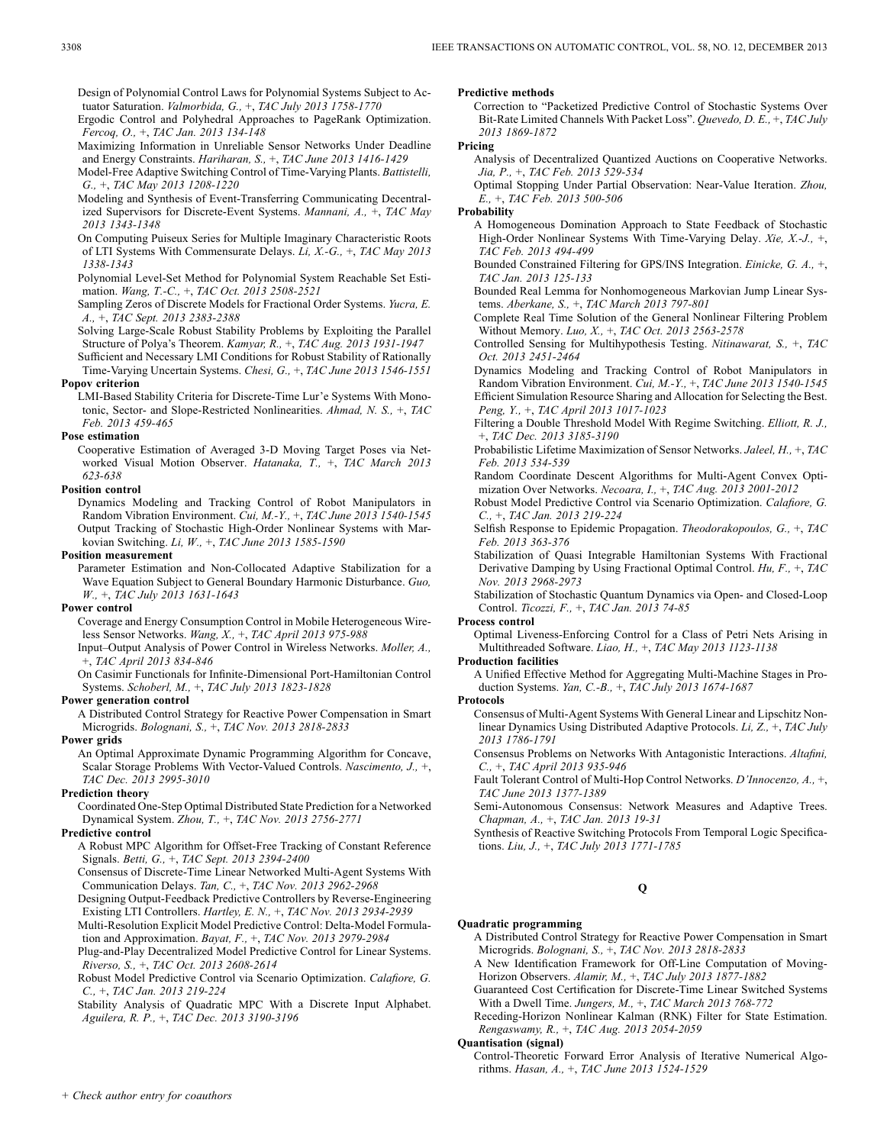Design of Polynomial Control Laws for Polynomial Systems Subject to Actuator Saturation. *Valmorbida, G.,* +, *TAC July 2013 1758-1770*

Ergodic Control and Polyhedral Approaches to PageRank Optimization. *Fercoq, O.,* +, *TAC Jan. 2013 134-148*

Maximizing Information in Unreliable Sensor Networks Under Deadline and Energy Constraints. *Hariharan, S.,* +, *TAC June 2013 1416-1429*

Model-Free Adaptive Switching Control of Time-Varying Plants. *Battistelli, G.,* +, *TAC May 2013 1208-1220*

Modeling and Synthesis of Event-Transferring Communicating Decentralized Supervisors for Discrete-Event Systems. *Mannani, A.,* +, *TAC May 2013 1343-1348*

On Computing Puiseux Series for Multiple Imaginary Characteristic Roots of LTI Systems With Commensurate Delays. *Li, X.-G.,* +, *TAC May 2013 1338-1343*

Polynomial Level-Set Method for Polynomial System Reachable Set Estimation. *Wang, T.-C.,* +, *TAC Oct. 2013 2508-2521*

Sampling Zeros of Discrete Models for Fractional Order Systems. *Yucra, E. A.,* +, *TAC Sept. 2013 2383-2388*

Solving Large-Scale Robust Stability Problems by Exploiting the Parallel Structure of Polya's Theorem. *Kamyar, R.,* +, *TAC Aug. 2013 1931-1947*

Sufficient and Necessary LMI Conditions for Robust Stability of Rationally Time-Varying Uncertain Systems. *Chesi, G.,* +, *TAC June 2013 1546-1551* **Popov criterion**

LMI-Based Stability Criteria for Discrete-Time Lur'e Systems With Monotonic, Sector- and Slope-Restricted Nonlinearities. *Ahmad, N. S.,* +, *TAC Feb. 2013 459-465*

#### **Pose estimation**

Cooperative Estimation of Averaged 3-D Moving Target Poses via Networked Visual Motion Observer. *Hatanaka, T.,* +, *TAC March 2013 623-638*

#### **Position control**

Dynamics Modeling and Tracking Control of Robot Manipulators in Random Vibration Environment. *Cui, M.-Y.,* +, *TAC June 2013 1540-1545* Output Tracking of Stochastic High-Order Nonlinear Systems with Markovian Switching. *Li, W.,* +, *TAC June 2013 1585-1590*

#### **Position measurement**

Parameter Estimation and Non-Collocated Adaptive Stabilization for a Wave Equation Subject to General Boundary Harmonic Disturbance. *Guo, W.,* +, *TAC July 2013 1631-1643*

#### **Power control**

Coverage and Energy Consumption Control in Mobile Heterogeneous Wireless Sensor Networks. *Wang, X.,* +, *TAC April 2013 975-988*

Input–Output Analysis of Power Control in Wireless Networks. *Moller, A.,* +, *TAC April 2013 834-846*

On Casimir Functionals for Infinite-Dimensional Port-Hamiltonian Control Systems. *Schoberl, M.,* +, *TAC July 2013 1823-1828*

#### **Power generation control**

A Distributed Control Strategy for Reactive Power Compensation in Smart Microgrids. *Bolognani, S.,* +, *TAC Nov. 2013 2818-2833*

**Power grids**

An Optimal Approximate Dynamic Programming Algorithm for Concave, Scalar Storage Problems With Vector-Valued Controls. *Nascimento, J.,* +, *TAC Dec. 2013 2995-3010*

### **Prediction theory**

Coordinated One-Step Optimal Distributed State Prediction for a Networked Dynamical System. *Zhou, T.,* +, *TAC Nov. 2013 2756-2771*

### **Predictive control**

A Robust MPC Algorithm for Offset-Free Tracking of Constant Reference Signals. *Betti, G.,* +, *TAC Sept. 2013 2394-2400*

Consensus of Discrete-Time Linear Networked Multi-Agent Systems With Communication Delays. *Tan, C.,* +, *TAC Nov. 2013 2962-2968*

Designing Output-Feedback Predictive Controllers by Reverse-Engineering Existing LTI Controllers. *Hartley, E. N.,* +, *TAC Nov. 2013 2934-2939*

Multi-Resolution Explicit Model Predictive Control: Delta-Model Formulation and Approximation. *Bayat, F.,* +, *TAC Nov. 2013 2979-2984*

Plug-and-Play Decentralized Model Predictive Control for Linear Systems. *Riverso, S.,* +, *TAC Oct. 2013 2608-2614*

Robust Model Predictive Control via Scenario Optimization. *Calafiore, G. C.,* +, *TAC Jan. 2013 219-224*

Stability Analysis of Quadratic MPC With a Discrete Input Alphabet. *Aguilera, R. P.,* +, *TAC Dec. 2013 3190-3196*

**Predictive methods**

Correction to "Packetized Predictive Control of Stochastic Systems Over Bit-Rate Limited Channels With Packet Loss". *Quevedo, D. E.,* +, *TAC July 2013 1869-1872*

#### **Pricing**

Analysis of Decentralized Quantized Auctions on Cooperative Networks. *Jia, P.,* +, *TAC Feb. 2013 529-534*

Optimal Stopping Under Partial Observation: Near-Value Iteration. *Zhou, E.,* +, *TAC Feb. 2013 500-506*

#### **Probability**

A Homogeneous Domination Approach to State Feedback of Stochastic High-Order Nonlinear Systems With Time-Varying Delay. *Xie, X.-J.,* +, *TAC Feb. 2013 494-499*

Bounded Constrained Filtering for GPS/INS Integration. *Einicke, G. A.,* +, *TAC Jan. 2013 125-133*

Bounded Real Lemma for Nonhomogeneous Markovian Jump Linear Systems. *Aberkane, S.,* +, *TAC March 2013 797-801*

Complete Real Time Solution of the General Nonlinear Filtering Problem Without Memory. *Luo, X.,* +, *TAC Oct. 2013 2563-2578*

Controlled Sensing for Multihypothesis Testing. *Nitinawarat, S.,* +, *TAC Oct. 2013 2451-2464*

Dynamics Modeling and Tracking Control of Robot Manipulators in Random Vibration Environment. *Cui, M.-Y.,* +, *TAC June 2013 1540-1545* Efficient Simulation Resource Sharing and Allocation for Selecting the Best. *Peng, Y.,* +, *TAC April 2013 1017-1023*

Filtering a Double Threshold Model With Regime Switching. *Elliott, R. J.,* +, *TAC Dec. 2013 3185-3190*

Probabilistic Lifetime Maximization of Sensor Networks. *Jaleel, H.,* +, *TAC Feb. 2013 534-539*

Random Coordinate Descent Algorithms for Multi-Agent Convex Optimization Over Networks. *Necoara, I.,* +, *TAC Aug. 2013 2001-2012*

Robust Model Predictive Control via Scenario Optimization. *Calafiore, G. C.,* +, *TAC Jan. 2013 219-224*

Selfish Response to Epidemic Propagation. *Theodorakopoulos, G.,* +, *TAC Feb. 2013 363-376*

Stabilization of Quasi Integrable Hamiltonian Systems With Fractional Derivative Damping by Using Fractional Optimal Control. *Hu, F.,* +, *TAC Nov. 2013 2968-2973*

Stabilization of Stochastic Quantum Dynamics via Open- and Closed-Loop Control. *Ticozzi, F.,* +, *TAC Jan. 2013 74-85*

### **Process control**

Optimal Liveness-Enforcing Control for a Class of Petri Nets Arising in Multithreaded Software. *Liao, H.,* +, *TAC May 2013 1123-1138*

**Production facilities**

A Unified Effective Method for Aggregating Multi-Machine Stages in Production Systems. *Yan, C.-B.,* +, *TAC July 2013 1674-1687*

### **Protocols**

Consensus of Multi-Agent Systems With General Linear and Lipschitz Nonlinear Dynamics Using Distributed Adaptive Protocols. *Li, Z.,* +, *TAC July 2013 1786-1791*

Consensus Problems on Networks With Antagonistic Interactions. *Altafini, C.,* +, *TAC April 2013 935-946*

Fault Tolerant Control of Multi-Hop Control Networks. *D'Innocenzo, A.,* +, *TAC June 2013 1377-1389*

Semi-Autonomous Consensus: Network Measures and Adaptive Trees. *Chapman, A.,* +, *TAC Jan. 2013 19-31*

Synthesis of Reactive Switching Protocols From Temporal Logic Specifications. *Liu, J.,* +, *TAC July 2013 1771-1785*

### **Q**

#### **Quadratic programming**

A Distributed Control Strategy for Reactive Power Compensation in Smart Microgrids. *Bolognani, S.,* +, *TAC Nov. 2013 2818-2833*

A New Identification Framework for Off-Line Computation of Moving-Horizon Observers. *Alamir, M.,* +, *TAC July 2013 1877-1882*

Guaranteed Cost Certification for Discrete-Time Linear Switched Systems With a Dwell Time. *Jungers, M.,* +, *TAC March 2013 768-772*

Receding-Horizon Nonlinear Kalman (RNK) Filter for State Estimation. *Rengaswamy, R.,* +, *TAC Aug. 2013 2054-2059*

**Quantisation (signal)**

Control-Theoretic Forward Error Analysis of Iterative Numerical Algorithms. *Hasan, A.,* +, *TAC June 2013 1524-1529*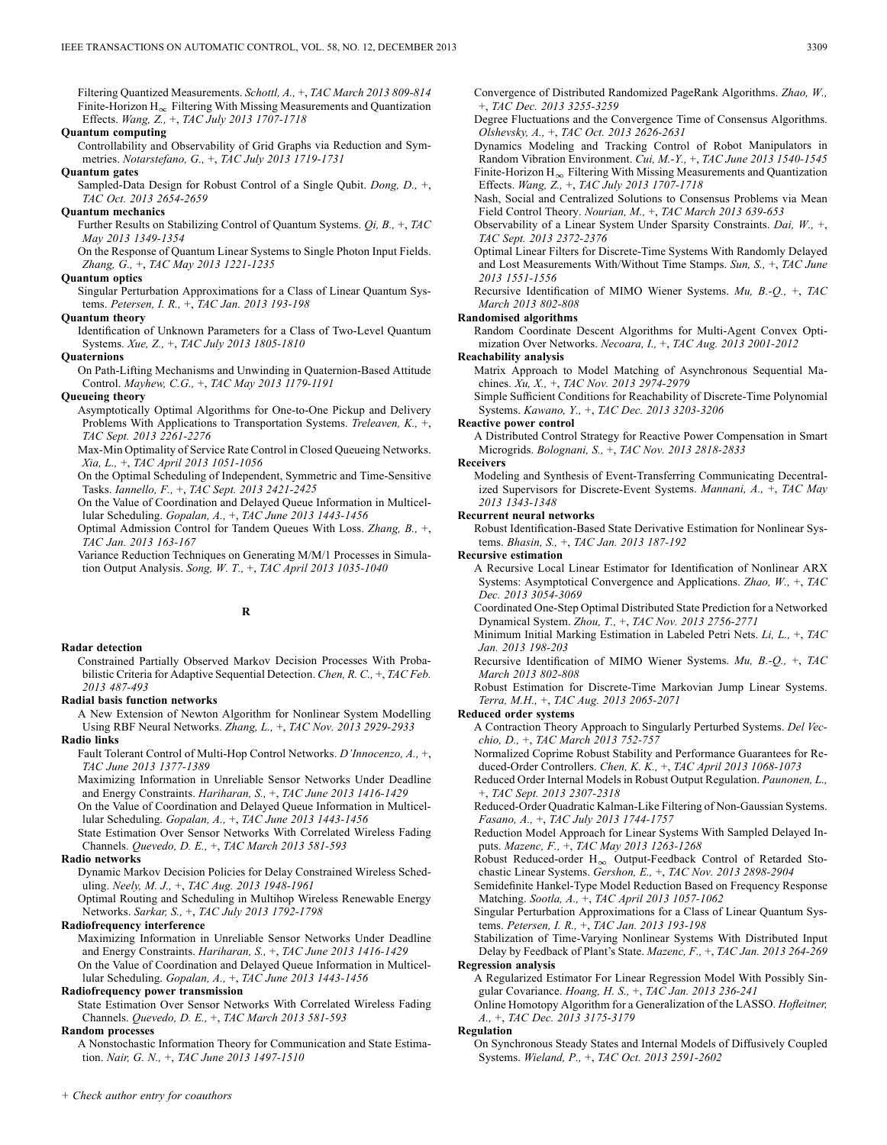Filtering Quantized Measurements. *Schottl, A.,* +, *TAC March 2013 809-814* Finite-Horizon  $H_{\infty}$  Filtering With Missing Measurements and Quantization Effects. *Wang, Z.,* +, *TAC July 2013 1707-1718*

### **Quantum computing**

Controllability and Observability of Grid Graphs via Reduction and Symmetries. *Notarstefano, G.,* +, *TAC July 2013 1719-1731*

#### **Quantum gates**

Sampled-Data Design for Robust Control of a Single Qubit. *Dong, D.,* +, *TAC Oct. 2013 2654-2659*

### **Quantum mechanics**

Further Results on Stabilizing Control of Quantum Systems. *Qi, B.,* +, *TAC May 2013 1349-1354*

On the Response of Quantum Linear Systems to Single Photon Input Fields. *Zhang, G.,* +, *TAC May 2013 1221-1235*

### **Quantum optics**

Singular Perturbation Approximations for a Class of Linear Quantum Systems. *Petersen, I. R.,* +, *TAC Jan. 2013 193-198*

#### **Quantum theory**

Identification of Unknown Parameters for a Class of Two-Level Quantum Systems. *Xue, Z.,* +, *TAC July 2013 1805-1810*

#### **Quaternions**

On Path-Lifting Mechanisms and Unwinding in Quaternion-Based Attitude Control. *Mayhew, C.G.,* +, *TAC May 2013 1179-1191*

#### **Queueing theory**

Asymptotically Optimal Algorithms for One-to-One Pickup and Delivery Problems With Applications to Transportation Systems. *Treleaven, K.,* +, *TAC Sept. 2013 2261-2276*

Max-Min Optimality of Service Rate Control in Closed Queueing Networks. *Xia, L.,* +, *TAC April 2013 1051-1056*

On the Optimal Scheduling of Independent, Symmetric and Time-Sensitive Tasks. *Iannello, F.,* +, *TAC Sept. 2013 2421-2425*

On the Value of Coordination and Delayed Queue Information in Multicellular Scheduling. *Gopalan, A.,* +, *TAC June 2013 1443-1456*

Optimal Admission Control for Tandem Queues With Loss. *Zhang, B.,* +, *TAC Jan. 2013 163-167*

Variance Reduction Techniques on Generating M/M/1 Processes in Simulation Output Analysis. *Song, W. T.,* +, *TAC April 2013 1035-1040*

### **R**

#### **Radar detection**

Constrained Partially Observed Markov Decision Processes With Probabilistic Criteria for Adaptive Sequential Detection. *Chen, R. C.,* +, *TAC Feb. 2013 487-493*

#### **Radial basis function networks**

A New Extension of Newton Algorithm for Nonlinear System Modelling Using RBF Neural Networks. *Zhang, L.,* +, *TAC Nov. 2013 2929-2933* **Radio links**

Fault Tolerant Control of Multi-Hop Control Networks. *D'Innocenzo, A.,* +, *TAC June 2013 1377-1389*

Maximizing Information in Unreliable Sensor Networks Under Deadline and Energy Constraints. *Hariharan, S.,* +, *TAC June 2013 1416-1429*

On the Value of Coordination and Delayed Queue Information in Multicellular Scheduling. *Gopalan, A.,* +, *TAC June 2013 1443-1456*

State Estimation Over Sensor Networks With Correlated Wireless Fading Channels. *Quevedo, D. E.,* +, *TAC March 2013 581-593*

#### **Radio networks**

Dynamic Markov Decision Policies for Delay Constrained Wireless Scheduling. *Neely, M. J.,* +, *TAC Aug. 2013 1948-1961*

Optimal Routing and Scheduling in Multihop Wireless Renewable Energy Networks. *Sarkar, S.,* +, *TAC July 2013 1792-1798*

### **Radiofrequency interference**

Maximizing Information in Unreliable Sensor Networks Under Deadline and Energy Constraints. *Hariharan, S.,* +, *TAC June 2013 1416-1429* On the Value of Coordination and Delayed Queue Information in Multicellular Scheduling. *Gopalan, A.,* +, *TAC June 2013 1443-1456*

### **Radiofrequency power transmission**

State Estimation Over Sensor Networks With Correlated Wireless Fading Channels. *Quevedo, D. E.,* +, *TAC March 2013 581-593*

### **Random processes**

A Nonstochastic Information Theory for Communication and State Estimation. *Nair, G. N.,* +, *TAC June 2013 1497-1510*

Convergence of Distributed Randomized PageRank Algorithms. *Zhao, W.,* +, *TAC Dec. 2013 3255-3259*

Degree Fluctuations and the Convergence Time of Consensus Algorithms. *Olshevsky, A.,* +, *TAC Oct. 2013 2626-2631*

Dynamics Modeling and Tracking Control of Robot Manipulators in Random Vibration Environment. *Cui, M.-Y.,* +, *TAC June 2013 1540-1545* Finite-Horizon  $H_{\infty}$  Filtering With Missing Measurements and Quantization Effects. *Wang, Z.,* +, *TAC July 2013 1707-1718*

Nash, Social and Centralized Solutions to Consensus Problems via Mean Field Control Theory. *Nourian, M.,* +, *TAC March 2013 639-653*

Observability of a Linear System Under Sparsity Constraints. *Dai, W.,* +, *TAC Sept. 2013 2372-2376*

Optimal Linear Filters for Discrete-Time Systems With Randomly Delayed and Lost Measurements With/Without Time Stamps. *Sun, S.,* +, *TAC June 2013 1551-1556*

Recursive Identification of MIMO Wiener Systems. *Mu, B.-Q.,* +, *TAC March 2013 802-808*

### **Randomised algorithms**

Random Coordinate Descent Algorithms for Multi-Agent Convex Optimization Over Networks. *Necoara, I.,* +, *TAC Aug. 2013 2001-2012*

#### **Reachability analysis**

Matrix Approach to Model Matching of Asynchronous Sequential Machines. *Xu, X.,* +, *TAC Nov. 2013 2974-2979*

Simple Sufficient Conditions for Reachability of Discrete-Time Polynomial Systems. *Kawano, Y.,* +, *TAC Dec. 2013 3203-3206*

### **Reactive power control**

A Distributed Control Strategy for Reactive Power Compensation in Smart Microgrids. *Bolognani, S.,* +, *TAC Nov. 2013 2818-2833*

#### **Receivers**

Modeling and Synthesis of Event-Transferring Communicating Decentralized Supervisors for Discrete-Event Systems. *Mannani, A.,* +, *TAC May 2013 1343-1348*

#### **Recurrent neural networks**

Robust Identification-Based State Derivative Estimation for Nonlinear Systems. *Bhasin, S.,* +, *TAC Jan. 2013 187-192*

### **Recursive estimation**

A Recursive Local Linear Estimator for Identification of Nonlinear ARX Systems: Asymptotical Convergence and Applications. *Zhao, W.,* +, *TAC Dec. 2013 3054-3069*

Coordinated One-Step Optimal Distributed State Prediction for a Networked Dynamical System. *Zhou, T.,* +, *TAC Nov. 2013 2756-2771*

Minimum Initial Marking Estimation in Labeled Petri Nets. *Li, L.,* +, *TAC Jan. 2013 198-203*

Recursive Identification of MIMO Wiener Systems. *Mu, B.-Q.,* +, *TAC March 2013 802-808*

Robust Estimation for Discrete-Time Markovian Jump Linear Systems. *Terra, M.H.,* +, *TAC Aug. 2013 2065-2071*

#### **Reduced order systems**

A Contraction Theory Approach to Singularly Perturbed Systems. *Del Vecchio, D.,* +, *TAC March 2013 752-757*

Normalized Coprime Robust Stability and Performance Guarantees for Reduced-Order Controllers. *Chen, K. K.,* +, *TAC April 2013 1068-1073*

Reduced Order Internal Models in Robust Output Regulation. *Paunonen, L.,* +, *TAC Sept. 2013 2307-2318*

Reduced-Order Quadratic Kalman-Like Filtering of Non-Gaussian Systems. *Fasano, A.,* +, *TAC July 2013 1744-1757*

Reduction Model Approach for Linear Systems With Sampled Delayed Inputs. *Mazenc, F.,* +, *TAC May 2013 1263-1268*

Robust Reduced-order  $H_{\infty}$  Output-Feedback Control of Retarded Stochastic Linear Systems. *Gershon, E.,* +, *TAC Nov. 2013 2898-2904*

Semidefinite Hankel-Type Model Reduction Based on Frequency Response Matching. *Sootla, A.,* +, *TAC April 2013 1057-1062*

Singular Perturbation Approximations for a Class of Linear Quantum Systems. *Petersen, I. R.,* +, *TAC Jan. 2013 193-198*

Stabilization of Time-Varying Nonlinear Systems With Distributed Input Delay by Feedback of Plant's State. *Mazenc, F.,* +, *TAC Jan. 2013 264-269* **Regression analysis**

A Regularized Estimator For Linear Regression Model With Possibly Singular Covariance. *Hoang, H. S.,* +, *TAC Jan. 2013 236-241*

Online Homotopy Algorithm for a Generalization of the LASSO. *Hofleitner, A.,* +, *TAC Dec. 2013 3175-3179*

#### **Regulation**

On Synchronous Steady States and Internal Models of Diffusively Coupled Systems. *Wieland, P.,* +, *TAC Oct. 2013 2591-2602*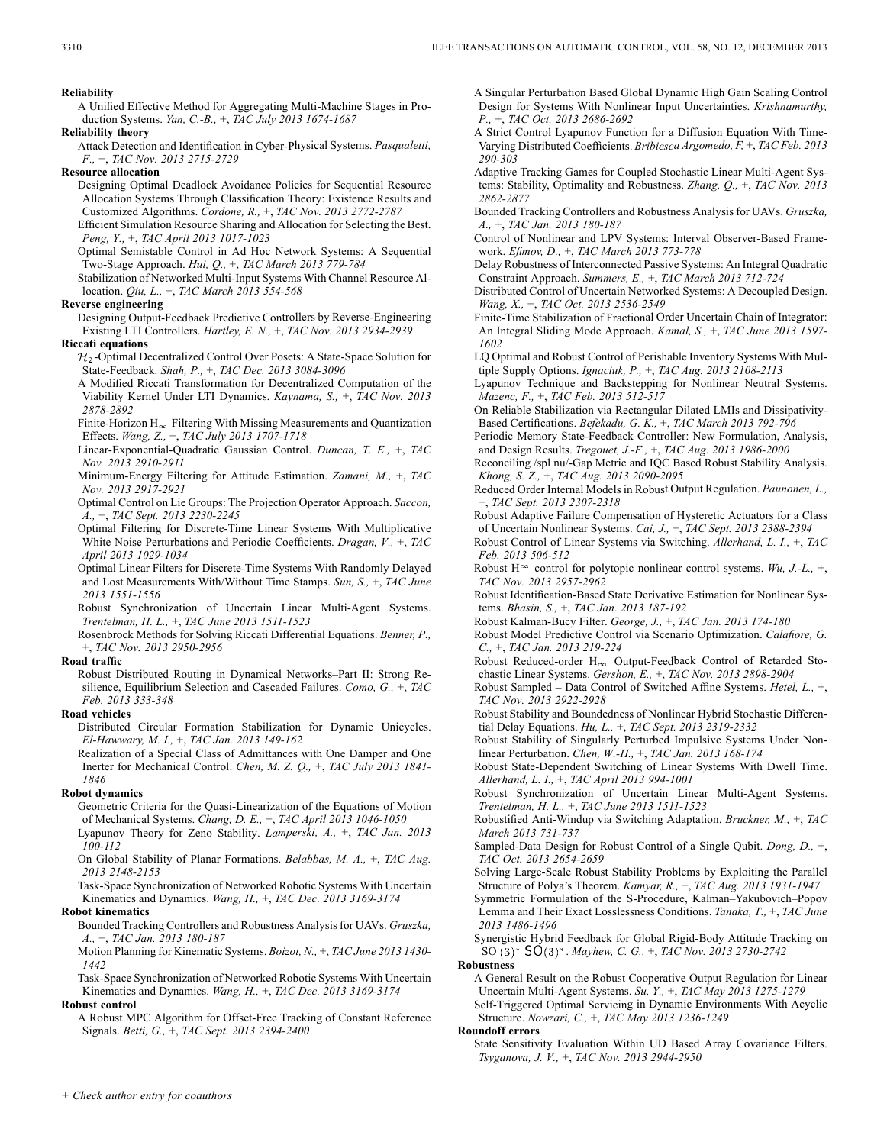**Reliability**

A Unified Effective Method for Aggregating Multi-Machine Stages in Production Systems. *Yan, C.-B.,* +, *TAC July 2013 1674-1687*

**Reliability theory**

Attack Detection and Identification in Cyber-Physical Systems. *Pasqualetti, F.,* +, *TAC Nov. 2013 2715-2729*

**Resource allocation**

- Designing Optimal Deadlock Avoidance Policies for Sequential Resource Allocation Systems Through Classification Theory: Existence Results and Customized Algorithms. *Cordone, R.,* +, *TAC Nov. 2013 2772-2787* Efficient Simulation Resource Sharing and Allocation for Selecting the Best.
- *Peng, Y.,* +, *TAC April 2013 1017-1023*
- Optimal Semistable Control in Ad Hoc Network Systems: A Sequential Two-Stage Approach. *Hui, Q.,* +, *TAC March 2013 779-784*
- Stabilization of Networked Multi-Input Systems With Channel Resource Allocation. *Qiu, L.,* +, *TAC March 2013 554-568*

#### **Reverse engineering**

Designing Output-Feedback Predictive Controllers by Reverse-Engineering Existing LTI Controllers. *Hartley, E. N.,* +, *TAC Nov. 2013 2934-2939*

### **Riccati equations**

- $\mathcal{H}_2$ -Optimal Decentralized Control Over Posets: A State-Space Solution for State-Feedback. *Shah, P.,* +, *TAC Dec. 2013 3084-3096*
- A Modified Riccati Transformation for Decentralized Computation of the Viability Kernel Under LTI Dynamics. *Kaynama, S.,* +, *TAC Nov. 2013 2878-2892*
- Finite-Horizon  $H_{\infty}$  Filtering With Missing Measurements and Quantization Effects. *Wang, Z.,* +, *TAC July 2013 1707-1718*
- Linear-Exponential-Quadratic Gaussian Control. *Duncan, T. E.,* +, *TAC Nov. 2013 2910-2911*
- Minimum-Energy Filtering for Attitude Estimation. *Zamani, M.,* +, *TAC Nov. 2013 2917-2921*
- Optimal Control on Lie Groups: The Projection Operator Approach. *Saccon, A.,* +, *TAC Sept. 2013 2230-2245*
- Optimal Filtering for Discrete-Time Linear Systems With Multiplicative White Noise Perturbations and Periodic Coefficients. *Dragan, V.,* +, *TAC April 2013 1029-1034*
- Optimal Linear Filters for Discrete-Time Systems With Randomly Delayed and Lost Measurements With/Without Time Stamps. *Sun, S.,* +, *TAC June 2013 1551-1556*
- Robust Synchronization of Uncertain Linear Multi-Agent Systems. *Trentelman, H. L.,* +, *TAC June 2013 1511-1523*
- Rosenbrock Methods for Solving Riccati Differential Equations. *Benner, P.,* +, *TAC Nov. 2013 2950-2956*

#### **Road traffic**

Robust Distributed Routing in Dynamical Networks–Part II: Strong Resilience, Equilibrium Selection and Cascaded Failures. *Como, G.,* +, *TAC Feb. 2013 333-348*

### **Road vehicles**

Distributed Circular Formation Stabilization for Dynamic Unicycles. *El-Hawwary, M. I.,* +, *TAC Jan. 2013 149-162*

Realization of a Special Class of Admittances with One Damper and One Inerter for Mechanical Control. *Chen, M. Z. Q.,* +, *TAC July 2013 1841- 1846*

#### **Robot dynamics**

Geometric Criteria for the Quasi-Linearization of the Equations of Motion of Mechanical Systems. *Chang, D. E.,* +, *TAC April 2013 1046-1050*

Lyapunov Theory for Zeno Stability. *Lamperski, A.,* +, *TAC Jan. 2013 100-112*

On Global Stability of Planar Formations. *Belabbas, M. A.,* +, *TAC Aug. 2013 2148-2153*

Task-Space Synchronization of Networked Robotic Systems With Uncertain Kinematics and Dynamics. *Wang, H.,* +, *TAC Dec. 2013 3169-3174*

### **Robot kinematics**

Bounded Tracking Controllers and Robustness Analysis for UAVs. *Gruszka, A.,* +, *TAC Jan. 2013 180-187*

Motion Planning for Kinematic Systems. *Boizot, N.,* +, *TAC June 2013 1430- 1442*

Task-Space Synchronization of Networked Robotic Systems With Uncertain Kinematics and Dynamics. *Wang, H.,* +, *TAC Dec. 2013 3169-3174* **Robust control**

A Robust MPC Algorithm for Offset-Free Tracking of Constant Reference Signals. *Betti, G.,* +, *TAC Sept. 2013 2394-2400*

A Singular Perturbation Based Global Dynamic High Gain Scaling Control Design for Systems With Nonlinear Input Uncertainties. *Krishnamurthy, P.,* +, *TAC Oct. 2013 2686-2692*

- A Strict Control Lyapunov Function for a Diffusion Equation With Time-Varying Distributed Coefficients. *Bribiesca Argomedo, F,* +, *TAC Feb. 2013 290-303*
- Adaptive Tracking Games for Coupled Stochastic Linear Multi-Agent Systems: Stability, Optimality and Robustness. *Zhang, Q.,* +, *TAC Nov. 2013 2862-2877*
- Bounded Tracking Controllers and Robustness Analysis for UAVs. *Gruszka, A.,* +, *TAC Jan. 2013 180-187*
- Control of Nonlinear and LPV Systems: Interval Observer-Based Framework. *Efimov, D.,* +, *TAC March 2013 773-778*
- Delay Robustness of Interconnected Passive Systems: An Integral Quadratic Constraint Approach. *Summers, E.,* +, *TAC March 2013 712-724*
- Distributed Control of Uncertain Networked Systems: A Decoupled Design. *Wang, X.,* +, *TAC Oct. 2013 2536-2549*
- Finite-Time Stabilization of Fractional Order Uncertain Chain of Integrator: An Integral Sliding Mode Approach. *Kamal, S.,* +, *TAC June 2013 1597- 1602*
- LQ Optimal and Robust Control of Perishable Inventory Systems With Multiple Supply Options. *Ignaciuk, P.,* +, *TAC Aug. 2013 2108-2113*
- Lyapunov Technique and Backstepping for Nonlinear Neutral Systems. *Mazenc, F.,* +, *TAC Feb. 2013 512-517*
- On Reliable Stabilization via Rectangular Dilated LMIs and Dissipativity-Based Certifications. *Befekadu, G. K.,* +, *TAC March 2013 792-796*
- Periodic Memory State-Feedback Controller: New Formulation, Analysis, and Design Results. *Tregouet, J.-F.,* +, *TAC Aug. 2013 1986-2000*
- Reconciling /spl nu/-Gap Metric and IQC Based Robust Stability Analysis. *Khong, S. Z.,* +, *TAC Aug. 2013 2090-2095*

Reduced Order Internal Models in Robust Output Regulation. *Paunonen, L.,* +, *TAC Sept. 2013 2307-2318*

- Robust Adaptive Failure Compensation of Hysteretic Actuators for a Class of Uncertain Nonlinear Systems. *Cai, J.,* +, *TAC Sept. 2013 2388-2394*
- Robust Control of Linear Systems via Switching. *Allerhand, L. I.,* +, *TAC Feb. 2013 506-512*
- Robust H<sup> $\infty$ </sup> control for polytopic nonlinear control systems. *Wu, J.-L.*, +, *TAC Nov. 2013 2957-2962*
- Robust Identification-Based State Derivative Estimation for Nonlinear Systems. *Bhasin, S.,* +, *TAC Jan. 2013 187-192*
- Robust Kalman-Bucy Filter. *George, J.,* +, *TAC Jan. 2013 174-180*

Robust Model Predictive Control via Scenario Optimization. *Calafiore, G. C.,* +, *TAC Jan. 2013 219-224*

Robust Reduced-order  $H_{\infty}$  Output-Feedback Control of Retarded Stochastic Linear Systems. *Gershon, E.,* +, *TAC Nov. 2013 2898-2904*

Robust Sampled – Data Control of Switched Affine Systems. *Hetel, L.,* +, *TAC Nov. 2013 2922-2928*

- Robust Stability and Boundedness of Nonlinear Hybrid Stochastic Differential Delay Equations. *Hu, L.,* +, *TAC Sept. 2013 2319-2332*
- Robust Stability of Singularly Perturbed Impulsive Systems Under Nonlinear Perturbation. *Chen, W.-H.,* +, *TAC Jan. 2013 168-174*
- Robust State-Dependent Switching of Linear Systems With Dwell Time. *Allerhand, L. I.,* +, *TAC April 2013 994-1001*
- Robust Synchronization of Uncertain Linear Multi-Agent Systems. *Trentelman, H. L.,* +, *TAC June 2013 1511-1523*
- Robustified Anti-Windup via Switching Adaptation. *Bruckner, M.,* +, *TAC March 2013 731-737*
- Sampled-Data Design for Robust Control of a Single Qubit. *Dong, D.,* +, *TAC Oct. 2013 2654-2659*
- Solving Large-Scale Robust Stability Problems by Exploiting the Parallel Structure of Polya's Theorem. *Kamyar, R.,* +, *TAC Aug. 2013 1931-1947*
- Symmetric Formulation of the S-Procedure, Kalman–Yakubovich–Popov Lemma and Their Exact Losslessness Conditions. *Tanaka, T.,* +, *TAC June 2013 1486-1496*

Synergistic Hybrid Feedback for Global Rigid-Body Attitude Tracking on SO . *Mayhew, C. G.,* +, *TAC Nov. 2013 2730-2742*

**Robustness**

A General Result on the Robust Cooperative Output Regulation for Linear Uncertain Multi-Agent Systems. *Su, Y.,* +, *TAC May 2013 1275-1279* Self-Triggered Optimal Servicing in Dynamic Environments With Acyclic

Structure. *Nowzari, C.,* +, *TAC May 2013 1236-1249*

### **Roundoff errors**

State Sensitivity Evaluation Within UD Based Array Covariance Filters. *Tsyganova, J. V.,* +, *TAC Nov. 2013 2944-2950*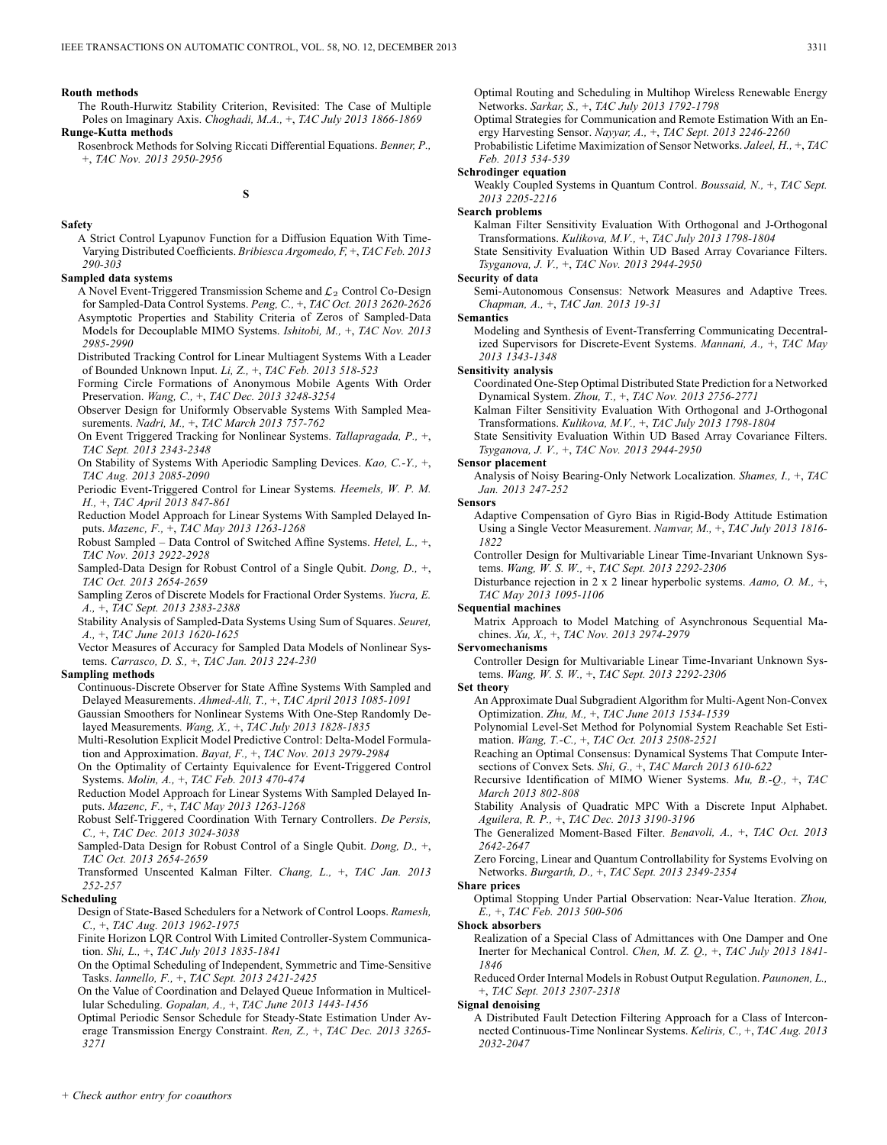#### **Routh methods**

- The Routh-Hurwitz Stability Criterion, Revisited: The Case of Multiple Poles on Imaginary Axis. *Choghadi, M.A.,* +, *TAC July 2013 1866-1869* **Runge-Kutta methods**
	- Rosenbrock Methods for Solving Riccati Differential Equations. *Benner, P.,* +, *TAC Nov. 2013 2950-2956*

**S**

#### **Safety**

A Strict Control Lyapunov Function for a Diffusion Equation With Time-Varying Distributed Coefficients. *Bribiesca Argomedo, F,* +, *TAC Feb. 2013 290-303*

#### **Sampled data systems**

- A Novel Event-Triggered Transmission Scheme and  $\mathcal{L}_2$  Control Co-Design for Sampled-Data Control Systems. *Peng, C.,* +, *TAC Oct. 2013 2620-2626* Asymptotic Properties and Stability Criteria of Zeros of Sampled-Data Models for Decouplable MIMO Systems. *Ishitobi, M.,* +, *TAC Nov. 2013 2985-2990*
- Distributed Tracking Control for Linear Multiagent Systems With a Leader of Bounded Unknown Input. *Li, Z.,* +, *TAC Feb. 2013 518-523*
- Forming Circle Formations of Anonymous Mobile Agents With Order Preservation. *Wang, C.,* +, *TAC Dec. 2013 3248-3254*
- Observer Design for Uniformly Observable Systems With Sampled Measurements. *Nadri, M.,* +, *TAC March 2013 757-762*
- On Event Triggered Tracking for Nonlinear Systems. *Tallapragada, P.,* +, *TAC Sept. 2013 2343-2348*
- On Stability of Systems With Aperiodic Sampling Devices. *Kao, C.-Y.,* +, *TAC Aug. 2013 2085-2090*
- Periodic Event-Triggered Control for Linear Systems. *Heemels, W. P. M. H.,* +, *TAC April 2013 847-861*
- Reduction Model Approach for Linear Systems With Sampled Delayed Inputs. *Mazenc, F.,* +, *TAC May 2013 1263-1268*
- Robust Sampled Data Control of Switched Affine Systems. *Hetel, L.,* +, *TAC Nov. 2013 2922-2928*
- Sampled-Data Design for Robust Control of a Single Qubit. *Dong, D.,* +, *TAC Oct. 2013 2654-2659*
- Sampling Zeros of Discrete Models for Fractional Order Systems. *Yucra, E. A.,* +, *TAC Sept. 2013 2383-2388*
- Stability Analysis of Sampled-Data Systems Using Sum of Squares. *Seuret, A.,* +, *TAC June 2013 1620-1625*
- Vector Measures of Accuracy for Sampled Data Models of Nonlinear Systems. *Carrasco, D. S.,* +, *TAC Jan. 2013 224-230*

#### **Sampling methods**

- Continuous-Discrete Observer for State Affine Systems With Sampled and Delayed Measurements. *Ahmed-Ali, T.,* +, *TAC April 2013 1085-1091*
- Gaussian Smoothers for Nonlinear Systems With One-Step Randomly Delayed Measurements. *Wang, X.,* +, *TAC July 2013 1828-1835*
- Multi-Resolution Explicit Model Predictive Control: Delta-Model Formulation and Approximation. *Bayat, F.,* +, *TAC Nov. 2013 2979-2984*
- On the Optimality of Certainty Equivalence for Event-Triggered Control Systems. *Molin, A.,* +, *TAC Feb. 2013 470-474*
- Reduction Model Approach for Linear Systems With Sampled Delayed Inputs. *Mazenc, F.,* +, *TAC May 2013 1263-1268*
- Robust Self-Triggered Coordination With Ternary Controllers. *De Persis, C.,* +, *TAC Dec. 2013 3024-3038*
- Sampled-Data Design for Robust Control of a Single Qubit. *Dong, D.,* +, *TAC Oct. 2013 2654-2659*
- Transformed Unscented Kalman Filter. *Chang, L.,* +, *TAC Jan. 2013 252-257*

#### **Scheduling**

- Design of State-Based Schedulers for a Network of Control Loops. *Ramesh, C.,* +, *TAC Aug. 2013 1962-1975*
- Finite Horizon LQR Control With Limited Controller-System Communication. *Shi, L.,* +, *TAC July 2013 1835-1841*
- On the Optimal Scheduling of Independent, Symmetric and Time-Sensitive Tasks. *Iannello, F.,* +, *TAC Sept. 2013 2421-2425*
- On the Value of Coordination and Delayed Queue Information in Multicellular Scheduling. *Gopalan, A.,* +, *TAC June 2013 1443-1456*
- Optimal Periodic Sensor Schedule for Steady-State Estimation Under Average Transmission Energy Constraint. *Ren, Z.,* +, *TAC Dec. 2013 3265- 3271*
- Optimal Strategies for Communication and Remote Estimation With an Energy Harvesting Sensor. *Nayyar, A.,* +, *TAC Sept. 2013 2246-2260*
- Probabilistic Lifetime Maximization of Sensor Networks. *Jaleel, H.,* +, *TAC Feb. 2013 534-539*

### **Schrodinger equation**

Weakly Coupled Systems in Quantum Control. *Boussaid, N.,* +, *TAC Sept. 2013 2205-2216*

#### **Search problems**

Kalman Filter Sensitivity Evaluation With Orthogonal and J-Orthogonal Transformations. *Kulikova, M.V.,* +, *TAC July 2013 1798-1804*

State Sensitivity Evaluation Within UD Based Array Covariance Filters. *Tsyganova, J. V.,* +, *TAC Nov. 2013 2944-2950*

#### **Security of data**

Semi-Autonomous Consensus: Network Measures and Adaptive Trees. *Chapman, A.,* +, *TAC Jan. 2013 19-31*

#### **Semantics**

Modeling and Synthesis of Event-Transferring Communicating Decentralized Supervisors for Discrete-Event Systems. *Mannani, A.,* +, *TAC May 2013 1343-1348*

#### **Sensitivity analysis**

- Coordinated One-Step Optimal Distributed State Prediction for a Networked Dynamical System. *Zhou, T.,* +, *TAC Nov. 2013 2756-2771*
- Kalman Filter Sensitivity Evaluation With Orthogonal and J-Orthogonal Transformations. *Kulikova, M.V.,* +, *TAC July 2013 1798-1804*
- State Sensitivity Evaluation Within UD Based Array Covariance Filters. *Tsyganova, J. V.,* +, *TAC Nov. 2013 2944-2950*

#### **Sensor placement**

Analysis of Noisy Bearing-Only Network Localization. *Shames, I.,* +, *TAC Jan. 2013 247-252*

#### **Sensors**

- Adaptive Compensation of Gyro Bias in Rigid-Body Attitude Estimation Using a Single Vector Measurement. *Namvar, M.,* +, *TAC July 2013 1816- 1822*
- Controller Design for Multivariable Linear Time-Invariant Unknown Systems. *Wang, W. S. W.,* +, *TAC Sept. 2013 2292-2306*
- Disturbance rejection in 2 x 2 linear hyperbolic systems. *Aamo, O. M.,* +, *TAC May 2013 1095-1106*

#### **Sequential machines**

- Matrix Approach to Model Matching of Asynchronous Sequential Machines. *Xu, X.,* +, *TAC Nov. 2013 2974-2979*
- **Servomechanisms**
	- Controller Design for Multivariable Linear Time-Invariant Unknown Systems. *Wang, W. S. W.,* +, *TAC Sept. 2013 2292-2306*

#### **Set theory**

- An Approximate Dual Subgradient Algorithm for Multi-Agent Non-Convex Optimization. *Zhu, M.,* +, *TAC June 2013 1534-1539*
- Polynomial Level-Set Method for Polynomial System Reachable Set Estimation. *Wang, T.-C.,* +, *TAC Oct. 2013 2508-2521*
- Reaching an Optimal Consensus: Dynamical Systems That Compute Intersections of Convex Sets. *Shi, G.,* +, *TAC March 2013 610-622*
- Recursive Identification of MIMO Wiener Systems. *Mu, B.-Q.,* +, *TAC March 2013 802-808*
- Stability Analysis of Quadratic MPC With a Discrete Input Alphabet.
- *Aguilera, R. P.,* +, *TAC Dec. 2013 3190-3196*
- The Generalized Moment-Based Filter. *Benavoli, A.,* +, *TAC Oct. 2013 2642-2647*
- Zero Forcing, Linear and Quantum Controllability for Systems Evolving on Networks. *Burgarth, D.,* +, *TAC Sept. 2013 2349-2354*

### **Share prices**

- Optimal Stopping Under Partial Observation: Near-Value Iteration. *Zhou, E.,* +, *TAC Feb. 2013 500-506*
- **Shock absorbers**
	- Realization of a Special Class of Admittances with One Damper and One Inerter for Mechanical Control. *Chen, M. Z. Q.,* +, *TAC July 2013 1841- 1846*

Reduced Order Internal Models in Robust Output Regulation. *Paunonen, L.,* +, *TAC Sept. 2013 2307-2318*

#### **Signal denoising**

A Distributed Fault Detection Filtering Approach for a Class of Interconnected Continuous-Time Nonlinear Systems. *Keliris, C.,* +, *TAC Aug. 2013 2032-2047*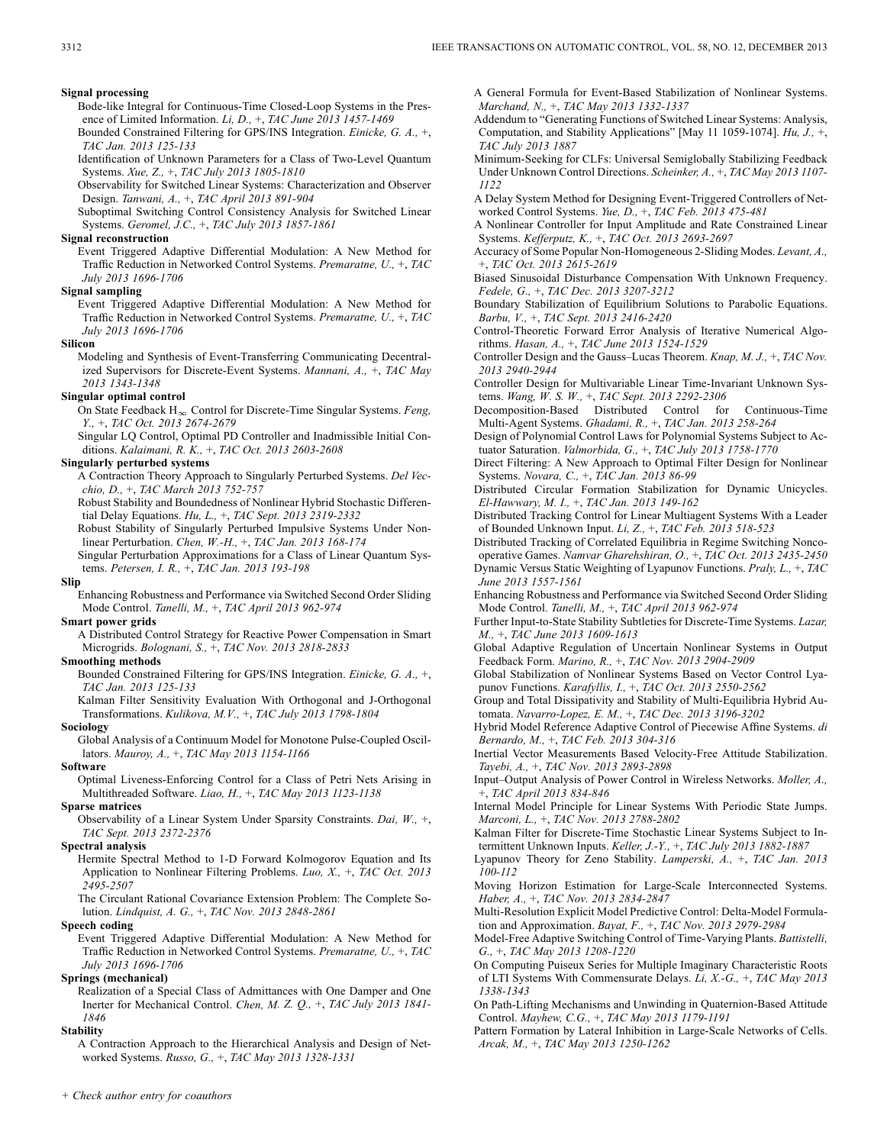#### **Signal processing**

- Bode-like Integral for Continuous-Time Closed-Loop Systems in the Presence of Limited Information. *Li, D.,* +, *TAC June 2013 1457-1469*
- Bounded Constrained Filtering for GPS/INS Integration. *Einicke, G. A.,* +, *TAC Jan. 2013 125-133*
- Identification of Unknown Parameters for a Class of Two-Level Quantum Systems. *Xue, Z.,* +, *TAC July 2013 1805-1810*
- Observability for Switched Linear Systems: Characterization and Observer Design. *Tanwani, A.,* +, *TAC April 2013 891-904*
- Suboptimal Switching Control Consistency Analysis for Switched Linear Systems. *Geromel, J.C.,* +, *TAC July 2013 1857-1861*

#### **Signal reconstruction**

Event Triggered Adaptive Differential Modulation: A New Method for Traffic Reduction in Networked Control Systems. *Premaratne, U.,* +, *TAC July 2013 1696-1706*

#### **Signal sampling**

Event Triggered Adaptive Differential Modulation: A New Method for Traffic Reduction in Networked Control Systems. *Premaratne, U.,* +, *TAC July 2013 1696-1706*

#### **Silicon**

Modeling and Synthesis of Event-Transferring Communicating Decentralized Supervisors for Discrete-Event Systems. *Mannani, A.,* +, *TAC May 2013 1343-1348*

#### **Singular optimal control**

On State Feedback  $H_{\infty}$  Control for Discrete-Time Singular Systems. *Feng, Y.,* +, *TAC Oct. 2013 2674-2679*

Singular LQ Control, Optimal PD Controller and Inadmissible Initial Conditions. *Kalaimani, R. K.,* +, *TAC Oct. 2013 2603-2608*

### **Singularly perturbed systems**

A Contraction Theory Approach to Singularly Perturbed Systems. *Del Vecchio, D.,* +, *TAC March 2013 752-757*

Robust Stability and Boundedness of Nonlinear Hybrid Stochastic Differential Delay Equations. *Hu, L.,* +, *TAC Sept. 2013 2319-2332*

- Robust Stability of Singularly Perturbed Impulsive Systems Under Nonlinear Perturbation. *Chen, W.-H.,* +, *TAC Jan. 2013 168-174*
- Singular Perturbation Approximations for a Class of Linear Quantum Systems. *Petersen, I. R.,* +, *TAC Jan. 2013 193-198*

#### **Slip**

Enhancing Robustness and Performance via Switched Second Order Sliding Mode Control. *Tanelli, M.,* +, *TAC April 2013 962-974*

### **Smart power grids**

A Distributed Control Strategy for Reactive Power Compensation in Smart Microgrids. *Bolognani, S.,* +, *TAC Nov. 2013 2818-2833*

### **Smoothing methods**

Bounded Constrained Filtering for GPS/INS Integration. *Einicke, G. A.,* +, *TAC Jan. 2013 125-133*

Kalman Filter Sensitivity Evaluation With Orthogonal and J-Orthogonal Transformations. *Kulikova, M.V.,* +, *TAC July 2013 1798-1804*

### **Sociology**

Global Analysis of a Continuum Model for Monotone Pulse-Coupled Oscillators. *Mauroy, A.,* +, *TAC May 2013 1154-1166*

#### **Software**

Optimal Liveness-Enforcing Control for a Class of Petri Nets Arising in Multithreaded Software. *Liao, H.,* +, *TAC May 2013 1123-1138*

# **Sparse matrices**

Observability of a Linear System Under Sparsity Constraints. *Dai, W.,* +, *TAC Sept. 2013 2372-2376*

#### **Spectral analysis**

Hermite Spectral Method to 1-D Forward Kolmogorov Equation and Its Application to Nonlinear Filtering Problems. *Luo, X.,* +, *TAC Oct. 2013 2495-2507*

The Circulant Rational Covariance Extension Problem: The Complete Solution. *Lindquist, A. G.,* +, *TAC Nov. 2013 2848-2861*

#### **Speech coding**

Event Triggered Adaptive Differential Modulation: A New Method for Traffic Reduction in Networked Control Systems. *Premaratne, U.,* +, *TAC July 2013 1696-1706*

#### **Springs (mechanical)**

Realization of a Special Class of Admittances with One Damper and One Inerter for Mechanical Control. *Chen, M. Z. Q.,* +, *TAC July 2013 1841- 1846*

#### **Stability**

A Contraction Approach to the Hierarchical Analysis and Design of Networked Systems. *Russo, G.,* +, *TAC May 2013 1328-1331*

A General Formula for Event-Based Stabilization of Nonlinear Systems. *Marchand, N.,* +, *TAC May 2013 1332-1337*

Addendum to "Generating Functions of Switched Linear Systems: Analysis, Computation, and Stability Applications" [May 11 1059-1074]. *Hu, J.,* +, *TAC July 2013 1887*

Minimum-Seeking for CLFs: Universal Semiglobally Stabilizing Feedback Under Unknown Control Directions. *Scheinker, A.,* +, *TAC May 2013 1107- 1122*

A Delay System Method for Designing Event-Triggered Controllers of Networked Control Systems. *Yue, D.,* +, *TAC Feb. 2013 475-481*

A Nonlinear Controller for Input Amplitude and Rate Constrained Linear Systems. *Kefferputz, K.,* +, *TAC Oct. 2013 2693-2697*

Accuracy of Some Popular Non-Homogeneous 2-Sliding Modes. *Levant, A.,* +, *TAC Oct. 2013 2615-2619*

Biased Sinusoidal Disturbance Compensation With Unknown Frequency. *Fedele, G.,* +, *TAC Dec. 2013 3207-3212*

Boundary Stabilization of Equilibrium Solutions to Parabolic Equations. *Barbu, V.,* +, *TAC Sept. 2013 2416-2420*

Control-Theoretic Forward Error Analysis of Iterative Numerical Algorithms. *Hasan, A.,* +, *TAC June 2013 1524-1529*

Controller Design and the Gauss–Lucas Theorem. *Knap, M. J.,* +, *TAC Nov. 2013 2940-2944*

Controller Design for Multivariable Linear Time-Invariant Unknown Systems. *Wang, W. S. W.,* +, *TAC Sept. 2013 2292-2306*

Decomposition-Based Distributed Control for Continuous-Time Multi-Agent Systems. *Ghadami, R.,* +, *TAC Jan. 2013 258-264*

Design of Polynomial Control Laws for Polynomial Systems Subject to Actuator Saturation. *Valmorbida, G.,* +, *TAC July 2013 1758-1770*

Direct Filtering: A New Approach to Optimal Filter Design for Nonlinear Systems. *Novara, C.,* +, *TAC Jan. 2013 86-99*

Distributed Circular Formation Stabilization for Dynamic Unicycles. *El-Hawwary, M. I.,* +, *TAC Jan. 2013 149-162*

Distributed Tracking Control for Linear Multiagent Systems With a Leader of Bounded Unknown Input. *Li, Z.,* +, *TAC Feb. 2013 518-523*

Distributed Tracking of Correlated Equilibria in Regime Switching Noncooperative Games. *Namvar Gharehshiran, O.,* +, *TAC Oct. 2013 2435-2450* Dynamic Versus Static Weighting of Lyapunov Functions. *Praly, L.,* +, *TAC June 2013 1557-1561*

Enhancing Robustness and Performance via Switched Second Order Sliding

Further Input-to-State Stability Subtleties for Discrete-Time Systems. *Lazar,*

Global Adaptive Regulation of Uncertain Nonlinear Systems in Output

Global Stabilization of Nonlinear Systems Based on Vector Control Lyapunov Functions. *Karafyllis, I.,* +, *TAC Oct. 2013 2550-2562*

Group and Total Dissipativity and Stability of Multi-Equilibria Hybrid Automata. *Navarro-Lopez, E. M.,* +, *TAC Dec. 2013 3196-3202*

Hybrid Model Reference Adaptive Control of Piecewise Affine Systems. *di Bernardo, M.,* +, *TAC Feb. 2013 304-316*

Inertial Vector Measurements Based Velocity-Free Attitude Stabilization. *Tayebi, A.,* +, *TAC Nov. 2013 2893-2898*

Input–Output Analysis of Power Control in Wireless Networks. *Moller, A.,* +, *TAC April 2013 834-846*

Internal Model Principle for Linear Systems With Periodic State Jumps. *Marconi, L.,* +, *TAC Nov. 2013 2788-2802*

Kalman Filter for Discrete-Time Stochastic Linear Systems Subject to Intermittent Unknown Inputs. *Keller, J.-Y.,* +, *TAC July 2013 1882-1887*

Lyapunov Theory for Zeno Stability. *Lamperski, A.,* +, *TAC Jan. 2013 100-112*

Moving Horizon Estimation for Large-Scale Interconnected Systems. *Haber, A.,* +, *TAC Nov. 2013 2834-2847*

Multi-Resolution Explicit Model Predictive Control: Delta-Model Formulation and Approximation. *Bayat, F.,* +, *TAC Nov. 2013 2979-2984*

Model-Free Adaptive Switching Control of Time-Varying Plants. *Battistelli, G.,* +, *TAC May 2013 1208-1220*

On Computing Puiseux Series for Multiple Imaginary Characteristic Roots of LTI Systems With Commensurate Delays. *Li, X.-G.,* +, *TAC May 2013 1338-1343*

On Path-Lifting Mechanisms and Unwinding in Quaternion-Based Attitude Control. *Mayhew, C.G.,* +, *TAC May 2013 1179-1191*

Pattern Formation by Lateral Inhibition in Large-Scale Networks of Cells. *Arcak, M.,* +, *TAC May 2013 1250-1262*

Mode Control. *Tanelli, M.,* +, *TAC April 2013 962-974 M.,* +, *TAC June 2013 1609-1613*

Feedback Form. *Marino, R.,* +, *TAC Nov. 2013 2904-2909*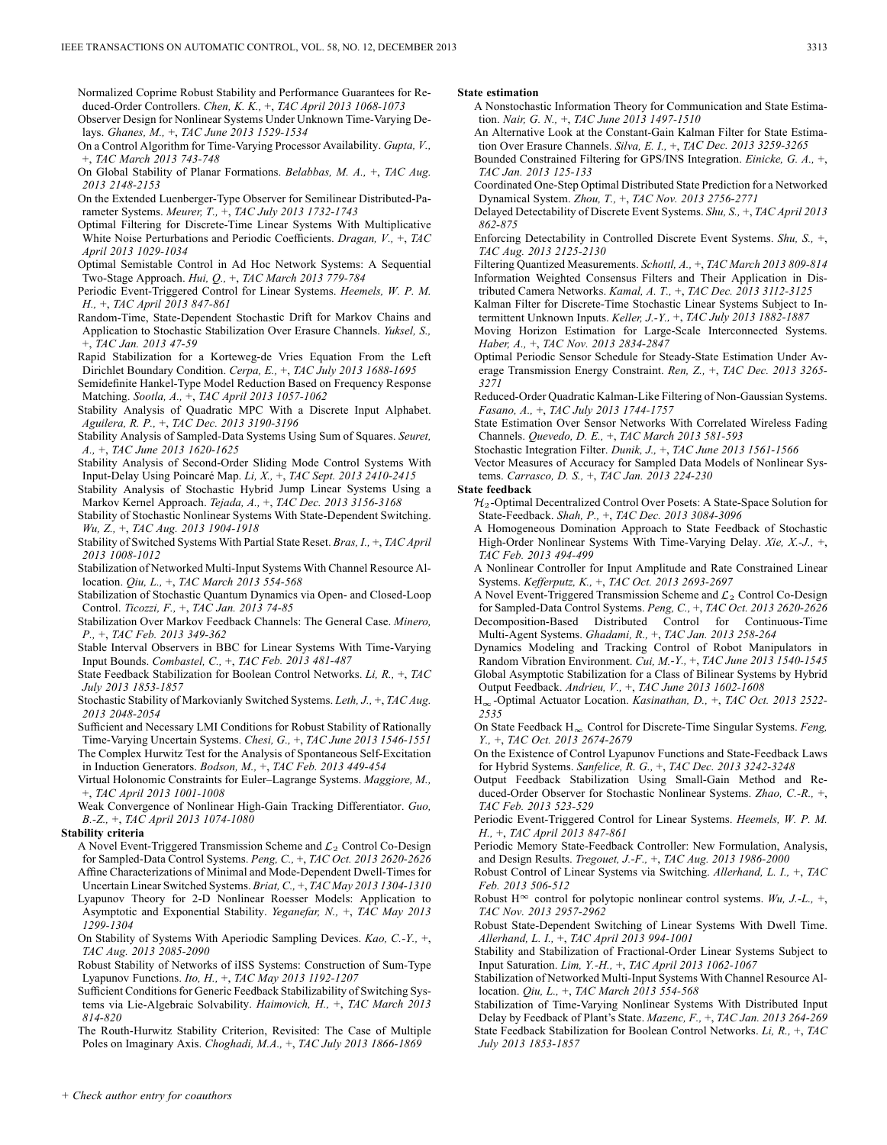Normalized Coprime Robust Stability and Performance Guarantees for Reduced-Order Controllers. *Chen, K. K.,* +, *TAC April 2013 1068-1073*

Observer Design for Nonlinear Systems Under Unknown Time-Varying Delays. *Ghanes, M.,* +, *TAC June 2013 1529-1534*

- On a Control Algorithm for Time-Varying Processor Availability. *Gupta, V.,* +, *TAC March 2013 743-748*
- On Global Stability of Planar Formations. *Belabbas, M. A.,* +, *TAC Aug. 2013 2148-2153*

On the Extended Luenberger-Type Observer for Semilinear Distributed-Parameter Systems. *Meurer, T.,* +, *TAC July 2013 1732-1743*

Optimal Filtering for Discrete-Time Linear Systems With Multiplicative White Noise Perturbations and Periodic Coefficients. *Dragan, V.,* +, *TAC April 2013 1029-1034*

Optimal Semistable Control in Ad Hoc Network Systems: A Sequential Two-Stage Approach. *Hui, Q.,* +, *TAC March 2013 779-784*

Periodic Event-Triggered Control for Linear Systems. *Heemels, W. P. M. H.,* +, *TAC April 2013 847-861*

- Random-Time, State-Dependent Stochastic Drift for Markov Chains and Application to Stochastic Stabilization Over Erasure Channels. *Yuksel, S.,* +, *TAC Jan. 2013 47-59*
- Rapid Stabilization for a Korteweg-de Vries Equation From the Left Dirichlet Boundary Condition. *Cerpa, E.,* +, *TAC July 2013 1688-1695*

Semidefinite Hankel-Type Model Reduction Based on Frequency Response Matching. *Sootla, A.,* +, *TAC April 2013 1057-1062*

Stability Analysis of Quadratic MPC With a Discrete Input Alphabet. *Aguilera, R. P.,* +, *TAC Dec. 2013 3190-3196*

Stability Analysis of Sampled-Data Systems Using Sum of Squares. *Seuret, A.,* +, *TAC June 2013 1620-1625*

Stability Analysis of Second-Order Sliding Mode Control Systems With Input-Delay Using Poincaré Map. *Li, X.,* +, *TAC Sept. 2013 2410-2415*

Stability Analysis of Stochastic Hybrid Jump Linear Systems Using a Markov Kernel Approach. *Tejada, A.,* +, *TAC Dec. 2013 3156-3168*

Stability of Stochastic Nonlinear Systems With State-Dependent Switching. *Wu, Z.,* +, *TAC Aug. 2013 1904-1918*

Stability of Switched Systems With Partial State Reset. *Bras, I.,* +, *TAC April 2013 1008-1012*

Stabilization of Networked Multi-Input Systems With Channel Resource Allocation. *Qiu, L.,* +, *TAC March 2013 554-568*

Stabilization of Stochastic Quantum Dynamics via Open- and Closed-Loop Control. *Ticozzi, F.,* +, *TAC Jan. 2013 74-85*

Stabilization Over Markov Feedback Channels: The General Case. *Minero, P.,* +, *TAC Feb. 2013 349-362*

Stable Interval Observers in BBC for Linear Systems With Time-Varying Input Bounds. *Combastel, C.,* +, *TAC Feb. 2013 481-487*

State Feedback Stabilization for Boolean Control Networks. *Li, R.,* +, *TAC July 2013 1853-1857*

Stochastic Stability of Markovianly Switched Systems. *Leth, J.,* +, *TAC Aug. 2013 2048-2054*

Sufficient and Necessary LMI Conditions for Robust Stability of Rationally Time-Varying Uncertain Systems. *Chesi, G.,* +, *TAC June 2013 1546-1551* The Complex Hurwitz Test for the Analysis of Spontaneous Self-Excitation in Induction Generators. *Bodson, M.,* +, *TAC Feb. 2013 449-454*

Virtual Holonomic Constraints for Euler–Lagrange Systems. *Maggiore, M.,* +, *TAC April 2013 1001-1008*

Weak Convergence of Nonlinear High-Gain Tracking Differentiator. *Guo, B.-Z.,* +, *TAC April 2013 1074-1080*

### **Stability criteria**

- A Novel Event-Triggered Transmission Scheme and  $\mathcal{L}_2$  Control Co-Design for Sampled-Data Control Systems. *Peng, C.,* +, *TAC Oct. 2013 2620-2626* Affine Characterizations of Minimal and Mode-Dependent Dwell-Times for Uncertain Linear Switched Systems. *Briat, C.,* +, *TAC May 2013 1304-1310* Lyapunov Theory for 2-D Nonlinear Roesser Models: Application to Asymptotic and Exponential Stability. *Yeganefar, N.,* +, *TAC May 2013 1299-1304*
- On Stability of Systems With Aperiodic Sampling Devices. *Kao, C.-Y.,* +, *TAC Aug. 2013 2085-2090*

Robust Stability of Networks of iISS Systems: Construction of Sum-Type Lyapunov Functions. *Ito, H.,* +, *TAC May 2013 1192-1207*

Sufficient Conditions for Generic Feedback Stabilizability of Switching Systems via Lie-Algebraic Solvability. *Haimovich, H.,* +, *TAC March 2013 814-820*

The Routh-Hurwitz Stability Criterion, Revisited: The Case of Multiple Poles on Imaginary Axis. *Choghadi, M.A.,* +, *TAC July 2013 1866-1869*

#### **State estimation**

A Nonstochastic Information Theory for Communication and State Estimation. *Nair, G. N.,* +, *TAC June 2013 1497-1510*

An Alternative Look at the Constant-Gain Kalman Filter for State Estimation Over Erasure Channels. *Silva, E. I.,* +, *TAC Dec. 2013 3259-3265*

Bounded Constrained Filtering for GPS/INS Integration. *Einicke, G. A.,* +, *TAC Jan. 2013 125-133*

Coordinated One-Step Optimal Distributed State Prediction for a Networked Dynamical System. *Zhou, T.,* +, *TAC Nov. 2013 2756-2771*

Delayed Detectability of Discrete Event Systems. *Shu, S.,* +, *TAC April 2013 862-875*

Enforcing Detectability in Controlled Discrete Event Systems. *Shu, S.,* +, *TAC Aug. 2013 2125-2130*

Filtering Quantized Measurements. *Schottl, A.,* +, *TAC March 2013 809-814* Information Weighted Consensus Filters and Their Application in Distributed Camera Networks. *Kamal, A. T.,* +, *TAC Dec. 2013 3112-3125*

Kalman Filter for Discrete-Time Stochastic Linear Systems Subject to Intermittent Unknown Inputs. *Keller, J.-Y.,* +, *TAC July 2013 1882-1887*

Moving Horizon Estimation for Large-Scale Interconnected Systems. *Haber, A.,* +, *TAC Nov. 2013 2834-2847*

Optimal Periodic Sensor Schedule for Steady-State Estimation Under Average Transmission Energy Constraint. *Ren, Z.,* +, *TAC Dec. 2013 3265- 3271*

Reduced-Order Quadratic Kalman-Like Filtering of Non-Gaussian Systems. *Fasano, A.,* +, *TAC July 2013 1744-1757*

State Estimation Over Sensor Networks With Correlated Wireless Fading Channels. *Quevedo, D. E.,* +, *TAC March 2013 581-593*

Stochastic Integration Filter. *Dunik, J.,* +, *TAC June 2013 1561-1566*

Vector Measures of Accuracy for Sampled Data Models of Nonlinear Systems. *Carrasco, D. S.,* +, *TAC Jan. 2013 224-230*

#### **State feedback**

 $\mathcal{H}_2$ -Optimal Decentralized Control Over Posets: A State-Space Solution for State-Feedback. *Shah, P.,* +, *TAC Dec. 2013 3084-3096*

A Homogeneous Domination Approach to State Feedback of Stochastic High-Order Nonlinear Systems With Time-Varying Delay. *Xie, X.-J.,* +, *TAC Feb. 2013 494-499*

A Nonlinear Controller for Input Amplitude and Rate Constrained Linear Systems. *Kefferputz, K.,* +, *TAC Oct. 2013 2693-2697*

A Novel Event-Triggered Transmission Scheme and  $\mathcal{L}_2$  Control Co-Design for Sampled-Data Control Systems. *Peng, C.,* +, *TAC Oct. 2013 2620-2626* Decomposition-Based Distributed Control for Continuous-Time Multi-Agent Systems. *Ghadami, R.,* +, *TAC Jan. 2013 258-264*

Dynamics Modeling and Tracking Control of Robot Manipulators in Random Vibration Environment. *Cui, M.-Y.,* +, *TAC June 2013 1540-1545* Global Asymptotic Stabilization for a Class of Bilinear Systems by Hybrid Output Feedback. *Andrieu, V.,* +, *TAC June 2013 1602-1608*

H<sub>∞</sub>-Optimal Actuator Location. *Kasinathan, D., +, TAC Oct. 2013 2522-2535*

On State Feedback  $H_{\infty}$  Control for Discrete-Time Singular Systems. *Feng, Y.,* +, *TAC Oct. 2013 2674-2679*

On the Existence of Control Lyapunov Functions and State-Feedback Laws for Hybrid Systems. *Sanfelice, R. G.,* +, *TAC Dec. 2013 3242-3248*

Output Feedback Stabilization Using Small-Gain Method and Reduced-Order Observer for Stochastic Nonlinear Systems. *Zhao, C.-R.,* +, *TAC Feb. 2013 523-529*

Periodic Event-Triggered Control for Linear Systems. *Heemels, W. P. M. H.,* +, *TAC April 2013 847-861*

Periodic Memory State-Feedback Controller: New Formulation, Analysis, and Design Results. *Tregouet, J.-F.,* +, *TAC Aug. 2013 1986-2000*

Robust Control of Linear Systems via Switching. *Allerhand, L. I.,* +, *TAC Feb. 2013 506-512*

Robust H<sup> $\infty$ </sup> control for polytopic nonlinear control systems. *Wu, J.-L.,* +, *TAC Nov. 2013 2957-2962*

Robust State-Dependent Switching of Linear Systems With Dwell Time. *Allerhand, L. I.,* +, *TAC April 2013 994-1001*

Stability and Stabilization of Fractional-Order Linear Systems Subject to Input Saturation. *Lim, Y.-H.,* +, *TAC April 2013 1062-1067*

Stabilization of Networked Multi-Input Systems With Channel Resource Allocation. *Qiu, L.,* +, *TAC March 2013 554-568*

Stabilization of Time-Varying Nonlinear Systems With Distributed Input Delay by Feedback of Plant's State. *Mazenc, F.,* +, *TAC Jan. 2013 264-269* State Feedback Stabilization for Boolean Control Networks. *Li, R.,* +, *TAC July 2013 1853-1857*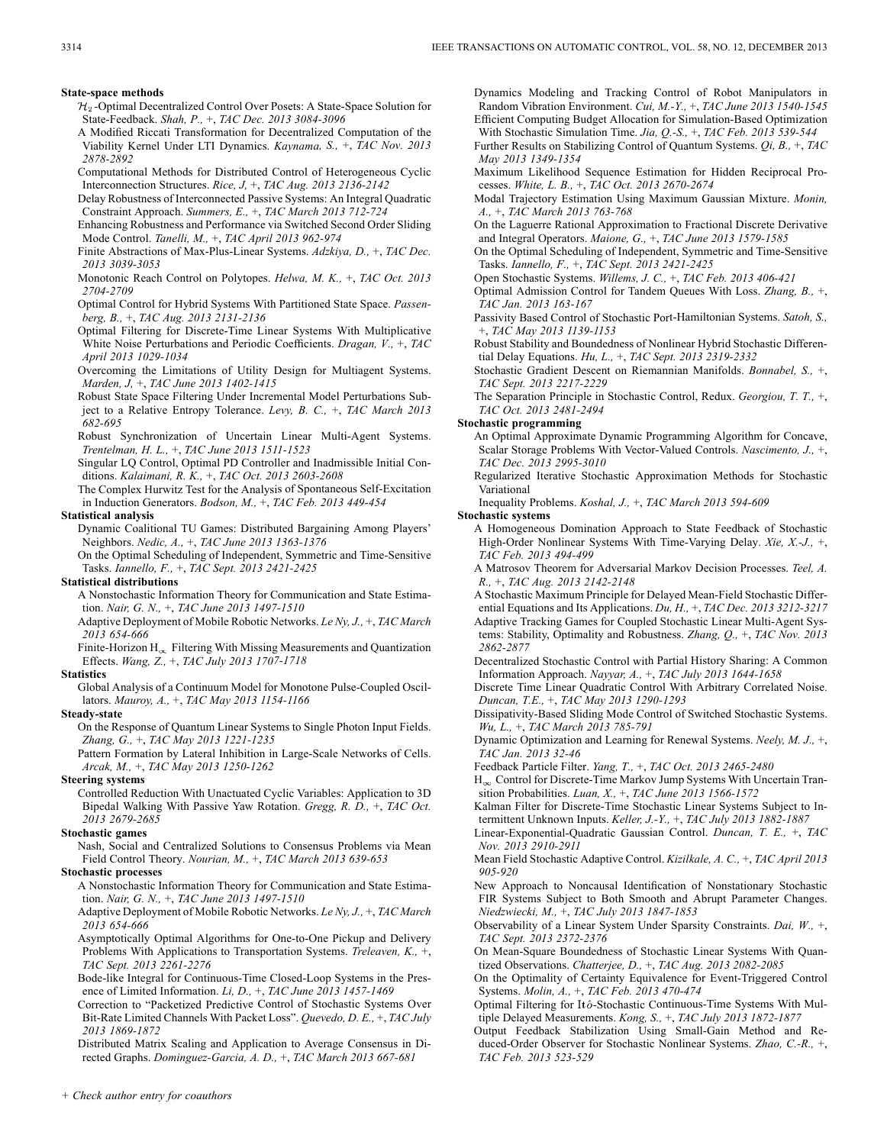- Bit-Rate Limited Channels With Packet Loss". *Quevedo, D. E.,* +, *TAC July 2013 1869-1872*
- Distributed Matrix Scaling and Application to Average Consensus in Directed Graphs. *Dominguez-Garcia, A. D.,* +, *TAC March 2013 667-681*
- Dynamics Modeling and Tracking Control of Robot Manipulators in Random Vibration Environment. *Cui, M.-Y.,* +, *TAC June 2013 1540-1545* Efficient Computing Budget Allocation for Simulation-Based Optimization
- With Stochastic Simulation Time. *Jia, Q.-S.,* +, *TAC Feb. 2013 539-544* Further Results on Stabilizing Control of Quantum Systems. *Qi, B.,* +, *TAC May 2013 1349-1354*
- Maximum Likelihood Sequence Estimation for Hidden Reciprocal Processes. *White, L. B.,* +, *TAC Oct. 2013 2670-2674*
- Modal Trajectory Estimation Using Maximum Gaussian Mixture. *Monin, A.,* +, *TAC March 2013 763-768*

On the Laguerre Rational Approximation to Fractional Discrete Derivative and Integral Operators. *Maione, G.,* +, *TAC June 2013 1579-1585*

On the Optimal Scheduling of Independent, Symmetric and Time-Sensitive Tasks. *Iannello, F.,* +, *TAC Sept. 2013 2421-2425*

Open Stochastic Systems. *Willems, J. C.,* +, *TAC Feb. 2013 406-421*

Optimal Admission Control for Tandem Queues With Loss. *Zhang, B.,* +, *TAC Jan. 2013 163-167*

Passivity Based Control of Stochastic Port-Hamiltonian Systems. *Satoh, S.,* +, *TAC May 2013 1139-1153*

Robust Stability and Boundedness of Nonlinear Hybrid Stochastic Differential Delay Equations. *Hu, L.,* +, *TAC Sept. 2013 2319-2332*

Stochastic Gradient Descent on Riemannian Manifolds. *Bonnabel, S.,* +, *TAC Sept. 2013 2217-2229*

The Separation Principle in Stochastic Control, Redux. *Georgiou, T. T.,* +, *TAC Oct. 2013 2481-2494*

### **Stochastic programming**

- An Optimal Approximate Dynamic Programming Algorithm for Concave, Scalar Storage Problems With Vector-Valued Controls. *Nascimento, J.,* +, *TAC Dec. 2013 2995-3010*
- Regularized Iterative Stochastic Approximation Methods for Stochastic Variational

Inequality Problems. *Koshal, J.,* +, *TAC March 2013 594-609*

### **Stochastic systems**

A Homogeneous Domination Approach to State Feedback of Stochastic High-Order Nonlinear Systems With Time-Varying Delay. *Xie, X.-J.,* +, *TAC Feb. 2013 494-499*

A Matrosov Theorem for Adversarial Markov Decision Processes. *Teel, A. R.,* +, *TAC Aug. 2013 2142-2148*

A Stochastic Maximum Principle for Delayed Mean-Field Stochastic Differential Equations and Its Applications. *Du, H.,* +, *TAC Dec. 2013 3212-3217* Adaptive Tracking Games for Coupled Stochastic Linear Multi-Agent Systems: Stability, Optimality and Robustness. *Zhang, Q.,* +, *TAC Nov. 2013 2862-2877*

Decentralized Stochastic Control with Partial History Sharing: A Common Information Approach. *Nayyar, A.,* +, *TAC July 2013 1644-1658*

Discrete Time Linear Quadratic Control With Arbitrary Correlated Noise. *Duncan, T.E.,* +, *TAC May 2013 1290-1293*

Dissipativity-Based Sliding Mode Control of Switched Stochastic Systems. *Wu, L.,* +, *TAC March 2013 785-791*

Dynamic Optimization and Learning for Renewal Systems. *Neely, M. J.,* +, *TAC Jan. 2013 32-46*

Feedback Particle Filter. *Yang, T.,* +, *TAC Oct. 2013 2465-2480*

 $H_{\infty}$  Control for Discrete-Time Markov Jump Systems With Uncertain Transition Probabilities. *Luan, X.,* +, *TAC June 2013 1566-1572*

Kalman Filter for Discrete-Time Stochastic Linear Systems Subject to Intermittent Unknown Inputs. *Keller, J.-Y.,* +, *TAC July 2013 1882-1887*

Linear-Exponential-Quadratic Gaussian Control. *Duncan, T. E.,* +, *TAC Nov. 2013 2910-2911*

Mean Field Stochastic Adaptive Control. *Kizilkale, A. C.,* +, *TAC April 2013 905-920*

New Approach to Noncausal Identification of Nonstationary Stochastic FIR Systems Subject to Both Smooth and Abrupt Parameter Changes. *Niedzwiecki, M.,* +, *TAC July 2013 1847-1853*

Observability of a Linear System Under Sparsity Constraints. *Dai, W.,* +, *TAC Sept. 2013 2372-2376*

- On Mean-Square Boundedness of Stochastic Linear Systems With Quantized Observations. *Chatterjee, D.,* +, *TAC Aug. 2013 2082-2085*
- On the Optimality of Certainty Equivalence for Event-Triggered Control Systems. *Molin, A.,* +, *TAC Feb. 2013 470-474*
- Optimal Filtering for Itô-Stochastic Continuous-Time Systems With Multiple Delayed Measurements. *Kong, S.,* +, *TAC July 2013 1872-1877*

Output Feedback Stabilization Using Small-Gain Method and Reduced-Order Observer for Stochastic Nonlinear Systems. *Zhao, C.-R.,* +, *TAC Feb. 2013 523-529*

*TAC Sept. 2013 2261-2276*

- $\mathcal{H}_2$ -Optimal Decentralized Control Over Posets: A State-Space Solution for State-Feedback. *Shah, P.,* +, *TAC Dec. 2013 3084-3096*
- A Modified Riccati Transformation for Decentralized Computation of the Viability Kernel Under LTI Dynamics. *Kaynama, S.,* +, *TAC Nov. 2013 2878-2892*
- Computational Methods for Distributed Control of Heterogeneous Cyclic Interconnection Structures. *Rice, J,* +, *TAC Aug. 2013 2136-2142*
- Delay Robustness of Interconnected Passive Systems: An Integral Quadratic Constraint Approach. *Summers, E.,* +, *TAC March 2013 712-724*

Enhancing Robustness and Performance via Switched Second Order Sliding Mode Control. *Tanelli, M.,* +, *TAC April 2013 962-974*

Finite Abstractions of Max-Plus-Linear Systems. *Adzkiya, D.,* +, *TAC Dec. 2013 3039-3053*

Monotonic Reach Control on Polytopes. *Helwa, M. K.,* +, *TAC Oct. 2013 2704-2709*

Optimal Control for Hybrid Systems With Partitioned State Space. *Passenberg, B.,* +, *TAC Aug. 2013 2131-2136*

- Optimal Filtering for Discrete-Time Linear Systems With Multiplicative White Noise Perturbations and Periodic Coefficients. *Dragan, V.,* +, *TAC April 2013 1029-1034*
- Overcoming the Limitations of Utility Design for Multiagent Systems. *Marden, J,* +, *TAC June 2013 1402-1415*

Robust State Space Filtering Under Incremental Model Perturbations Subject to a Relative Entropy Tolerance. *Levy, B. C.,* +, *TAC March 2013 682-695*

Robust Synchronization of Uncertain Linear Multi-Agent Systems. *Trentelman, H. L.,* +, *TAC June 2013 1511-1523*

Singular LQ Control, Optimal PD Controller and Inadmissible Initial Conditions. *Kalaimani, R. K.,* +, *TAC Oct. 2013 2603-2608*

The Complex Hurwitz Test for the Analysis of Spontaneous Self-Excitation in Induction Generators. *Bodson, M.,* +, *TAC Feb. 2013 449-454*

#### **Statistical analysis**

Dynamic Coalitional TU Games: Distributed Bargaining Among Players' Neighbors. *Nedic, A.,* +, *TAC June 2013 1363-1376*

On the Optimal Scheduling of Independent, Symmetric and Time-Sensitive Tasks. *Iannello, F.,* +, *TAC Sept. 2013 2421-2425*

### **Statistical distributions**

A Nonstochastic Information Theory for Communication and State Estimation. *Nair, G. N.,* +, *TAC June 2013 1497-1510*

Adaptive Deployment of Mobile Robotic Networks. *Le Ny, J.,* +, *TAC March 2013 654-666*

Finite-Horizon  $H_{\infty}$  Filtering With Missing Measurements and Quantization Effects. *Wang, Z.,* +, *TAC July 2013 1707-1718*

#### **Statistics**

Global Analysis of a Continuum Model for Monotone Pulse-Coupled Oscillators. *Mauroy, A.,* +, *TAC May 2013 1154-1166*

### **Steady-state**

On the Response of Quantum Linear Systems to Single Photon Input Fields. *Zhang, G.,* +, *TAC May 2013 1221-1235*

Pattern Formation by Lateral Inhibition in Large-Scale Networks of Cells. *Arcak, M.,* +, *TAC May 2013 1250-1262*

**Steering systems**

Controlled Reduction With Unactuated Cyclic Variables: Application to 3D Bipedal Walking With Passive Yaw Rotation. *Gregg, R. D.,* +, *TAC Oct. 2013 2679-2685*

#### **Stochastic games**

Nash, Social and Centralized Solutions to Consensus Problems via Mean Field Control Theory. *Nourian, M.,* +, *TAC March 2013 639-653*

#### **Stochastic processes**

*2013 654-666*

A Nonstochastic Information Theory for Communication and State Estimation. *Nair, G. N.,* +, *TAC June 2013 1497-1510* Adaptive Deployment of Mobile Robotic Networks. *Le Ny, J.,* +, *TAC March*

Asymptotically Optimal Algorithms for One-to-One Pickup and Delivery Problems With Applications to Transportation Systems. *Treleaven, K.,* +,

Bode-like Integral for Continuous-Time Closed-Loop Systems in the Pres-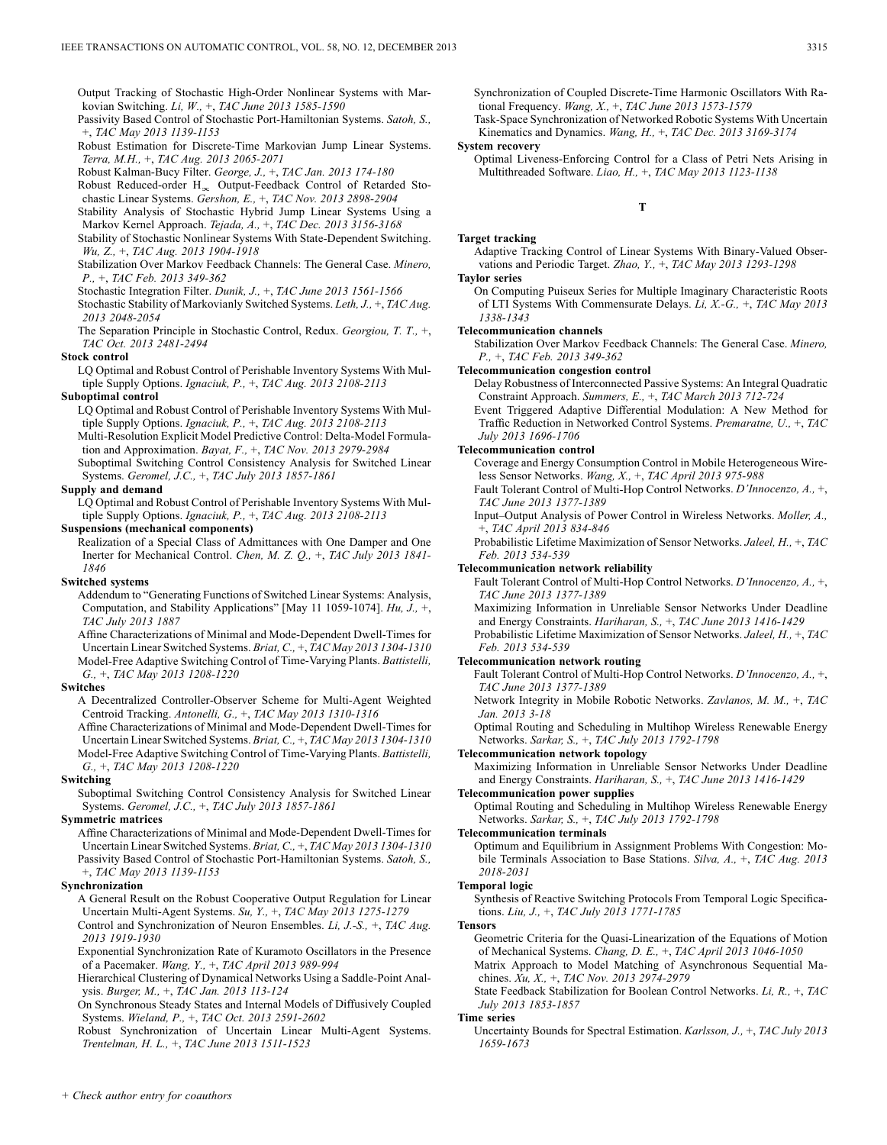Output Tracking of Stochastic High-Order Nonlinear Systems with Markovian Switching. *Li, W.,* +, *TAC June 2013 1585-1590*

Passivity Based Control of Stochastic Port-Hamiltonian Systems. *Satoh, S.,* +, *TAC May 2013 1139-1153*

Robust Estimation for Discrete-Time Markovian Jump Linear Systems. *Terra, M.H.,* +, *TAC Aug. 2013 2065-2071*

Robust Kalman-Bucy Filter. *George, J.,* +, *TAC Jan. 2013 174-180*

Robust Reduced-order  $H_{\infty}$  Output-Feedback Control of Retarded Stochastic Linear Systems. *Gershon, E.,* +, *TAC Nov. 2013 2898-2904*

Stability Analysis of Stochastic Hybrid Jump Linear Systems Using a Markov Kernel Approach. *Tejada, A.,* +, *TAC Dec. 2013 3156-3168* Stability of Stochastic Nonlinear Systems With State-Dependent Switching.

*Wu, Z.,* +, *TAC Aug. 2013 1904-1918*

Stabilization Over Markov Feedback Channels: The General Case. *Minero, P.,* +, *TAC Feb. 2013 349-362*

Stochastic Integration Filter. *Dunik, J.,* +, *TAC June 2013 1561-1566*

Stochastic Stability of Markovianly Switched Systems. *Leth, J.,* +, *TAC Aug. 2013 2048-2054*

The Separation Principle in Stochastic Control, Redux. *Georgiou, T. T.,* +, *TAC Oct. 2013 2481-2494*

### **Stock control**

LQ Optimal and Robust Control of Perishable Inventory Systems With Multiple Supply Options. *Ignaciuk, P.,* +, *TAC Aug. 2013 2108-2113*

### **Suboptimal control**

LQ Optimal and Robust Control of Perishable Inventory Systems With Multiple Supply Options. *Ignaciuk, P.,* +, *TAC Aug. 2013 2108-2113*

Multi-Resolution Explicit Model Predictive Control: Delta-Model Formulation and Approximation. *Bayat, F.,* +, *TAC Nov. 2013 2979-2984*

Suboptimal Switching Control Consistency Analysis for Switched Linear Systems. *Geromel, J.C.,* +, *TAC July 2013 1857-1861*

#### **Supply and demand**

LQ Optimal and Robust Control of Perishable Inventory Systems With Multiple Supply Options. *Ignaciuk, P.,* +, *TAC Aug. 2013 2108-2113*

#### **Suspensions (mechanical components)**

Realization of a Special Class of Admittances with One Damper and One Inerter for Mechanical Control. *Chen, M. Z. Q.,* +, *TAC July 2013 1841- 1846*

#### **Switched systems**

Addendum to "Generating Functions of Switched Linear Systems: Analysis, Computation, and Stability Applications" [May 11 1059-1074]. *Hu, J.,* +, *TAC July 2013 1887*

Affine Characterizations of Minimal and Mode-Dependent Dwell-Times for Uncertain Linear Switched Systems. *Briat, C.,* +, *TAC May 2013 1304-1310* Model-Free Adaptive Switching Control of Time-Varying Plants. *Battistelli, G.,* +, *TAC May 2013 1208-1220*

#### **Switches**

A Decentralized Controller-Observer Scheme for Multi-Agent Weighted Centroid Tracking. *Antonelli, G.,* +, *TAC May 2013 1310-1316*

Affine Characterizations of Minimal and Mode-Dependent Dwell-Times for Uncertain Linear Switched Systems. *Briat, C.,* +, *TAC May 2013 1304-1310* Model-Free Adaptive Switching Control of Time-Varying Plants. *Battistelli, G.,* +, *TAC May 2013 1208-1220*

#### **Switching**

Suboptimal Switching Control Consistency Analysis for Switched Linear Systems. *Geromel, J.C.,* +, *TAC July 2013 1857-1861*

#### **Symmetric matrices**

Affine Characterizations of Minimal and Mode-Dependent Dwell-Times for Uncertain Linear Switched Systems. *Briat, C.,* +, *TAC May 2013 1304-1310* Passivity Based Control of Stochastic Port-Hamiltonian Systems. *Satoh, S.,* +, *TAC May 2013 1139-1153*

#### **Synchronization**

A General Result on the Robust Cooperative Output Regulation for Linear Uncertain Multi-Agent Systems. *Su, Y.,* +, *TAC May 2013 1275-1279*

Control and Synchronization of Neuron Ensembles. *Li, J.-S.,* +, *TAC Aug. 2013 1919-1930*

Exponential Synchronization Rate of Kuramoto Oscillators in the Presence of a Pacemaker. *Wang, Y.,* +, *TAC April 2013 989-994*

Hierarchical Clustering of Dynamical Networks Using a Saddle-Point Analysis. *Burger, M.,* +, *TAC Jan. 2013 113-124*

On Synchronous Steady States and Internal Models of Diffusively Coupled Systems. *Wieland, P.,* +, *TAC Oct. 2013 2591-2602*

Robust Synchronization of Uncertain Linear Multi-Agent Systems. *Trentelman, H. L.,* +, *TAC June 2013 1511-1523*

Synchronization of Coupled Discrete-Time Harmonic Oscillators With Rational Frequency. *Wang, X.,* +, *TAC June 2013 1573-1579*

Task-Space Synchronization of Networked Robotic Systems With Uncertain Kinematics and Dynamics. *Wang, H.,* +, *TAC Dec. 2013 3169-3174*

### **System recovery**

Optimal Liveness-Enforcing Control for a Class of Petri Nets Arising in Multithreaded Software. *Liao, H.,* +, *TAC May 2013 1123-1138*

### **T**

### **Target tracking**

Adaptive Tracking Control of Linear Systems With Binary-Valued Observations and Periodic Target. *Zhao, Y.,* +, *TAC May 2013 1293-1298* **Taylor series**

# On Computing Puiseux Series for Multiple Imaginary Characteristic Roots

of LTI Systems With Commensurate Delays. *Li, X.-G.,* +, *TAC May 2013 1338-1343*

#### **Telecommunication channels**

Stabilization Over Markov Feedback Channels: The General Case. *Minero, P.,* +, *TAC Feb. 2013 349-362*

**Telecommunication congestion control**

Delay Robustness of Interconnected Passive Systems: An Integral Quadratic Constraint Approach. *Summers, E.,* +, *TAC March 2013 712-724*

Event Triggered Adaptive Differential Modulation: A New Method for Traffic Reduction in Networked Control Systems. *Premaratne, U.,* +, *TAC July 2013 1696-1706*

#### **Telecommunication control**

Coverage and Energy Consumption Control in Mobile Heterogeneous Wireless Sensor Networks. *Wang, X.,* +, *TAC April 2013 975-988*

Fault Tolerant Control of Multi-Hop Control Networks. *D'Innocenzo, A.,* +, *TAC June 2013 1377-1389*

Input–Output Analysis of Power Control in Wireless Networks. *Moller, A.,* +, *TAC April 2013 834-846*

Probabilistic Lifetime Maximization of Sensor Networks. *Jaleel, H.,* +, *TAC Feb. 2013 534-539*

#### **Telecommunication network reliability**

Fault Tolerant Control of Multi-Hop Control Networks. *D'Innocenzo, A.,* +, *TAC June 2013 1377-1389*

Maximizing Information in Unreliable Sensor Networks Under Deadline and Energy Constraints. *Hariharan, S.,* +, *TAC June 2013 1416-1429* Probabilistic Lifetime Maximization of Sensor Networks. *Jaleel, H.,* +, *TAC Feb. 2013 534-539*

### **Telecommunication network routing**

Fault Tolerant Control of Multi-Hop Control Networks. *D'Innocenzo, A.,* +, *TAC June 2013 1377-1389*

Network Integrity in Mobile Robotic Networks. *Zavlanos, M. M.,* +, *TAC Jan. 2013 3-18*

Optimal Routing and Scheduling in Multihop Wireless Renewable Energy Networks. *Sarkar, S.,* +, *TAC July 2013 1792-1798*

#### **Telecommunication network topology**

Maximizing Information in Unreliable Sensor Networks Under Deadline and Energy Constraints. *Hariharan, S.,* +, *TAC June 2013 1416-1429*

## **Telecommunication power supplies**

Optimal Routing and Scheduling in Multihop Wireless Renewable Energy Networks. *Sarkar, S.,* +, *TAC July 2013 1792-1798*

#### **Telecommunication terminals**

Optimum and Equilibrium in Assignment Problems With Congestion: Mobile Terminals Association to Base Stations. *Silva, A.,* +, *TAC Aug. 2013 2018-2031*

#### **Temporal logic**

Synthesis of Reactive Switching Protocols From Temporal Logic Specifications. *Liu, J.,* +, *TAC July 2013 1771-1785*

**Tensors**

Geometric Criteria for the Quasi-Linearization of the Equations of Motion of Mechanical Systems. *Chang, D. E.,* +, *TAC April 2013 1046-1050*

Matrix Approach to Model Matching of Asynchronous Sequential Machines. *Xu, X.,* +, *TAC Nov. 2013 2974-2979*

State Feedback Stabilization for Boolean Control Networks. *Li, R.,* +, *TAC July 2013 1853-1857*

#### **Time series**

Uncertainty Bounds for Spectral Estimation. *Karlsson, J.,* +, *TAC July 2013 1659-1673*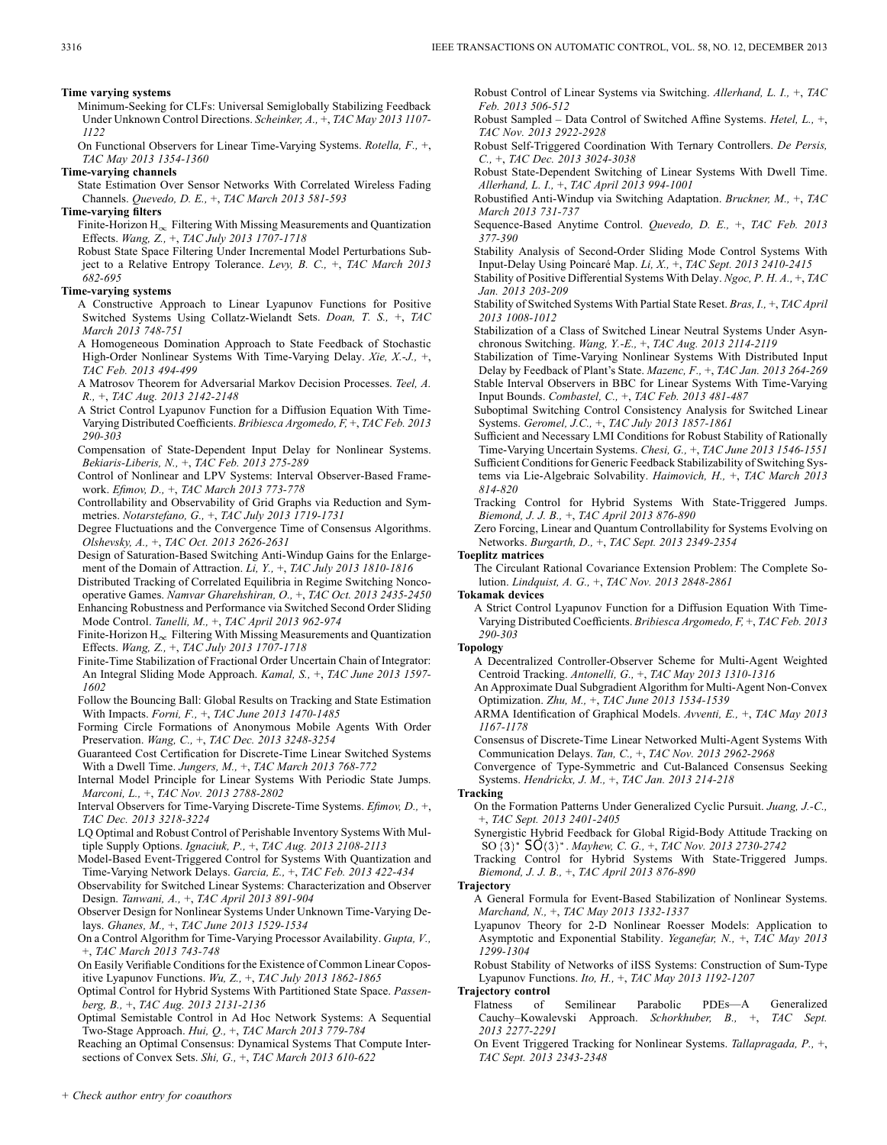**Time varying systems**

Minimum-Seeking for CLFs: Universal Semiglobally Stabilizing Feedback Under Unknown Control Directions. *Scheinker, A.,* +, *TAC May 2013 1107- 1122*

On Functional Observers for Linear Time-Varying Systems. *Rotella, F.,* +, *TAC May 2013 1354-1360*

### **Time-varying channels**

State Estimation Over Sensor Networks With Correlated Wireless Fading Channels. *Quevedo, D. E.,* +, *TAC March 2013 581-593*

### **Time-varying filters**

Finite-Horizon  $H_{\infty}$  Filtering With Missing Measurements and Quantization Effects. *Wang, Z.,* +, *TAC July 2013 1707-1718*

Robust State Space Filtering Under Incremental Model Perturbations Subject to a Relative Entropy Tolerance. *Levy, B. C.,* +, *TAC March 2013 682-695*

### **Time-varying systems**

- A Constructive Approach to Linear Lyapunov Functions for Positive Switched Systems Using Collatz-Wielandt Sets. *Doan, T. S.,* +, *TAC March 2013 748-751*
- A Homogeneous Domination Approach to State Feedback of Stochastic High-Order Nonlinear Systems With Time-Varying Delay. *Xie, X.-J.,* +, *TAC Feb. 2013 494-499*

A Matrosov Theorem for Adversarial Markov Decision Processes. *Teel, A. R.,* +, *TAC Aug. 2013 2142-2148*

- A Strict Control Lyapunov Function for a Diffusion Equation With Time-Varying Distributed Coefficients. *Bribiesca Argomedo, F,* +, *TAC Feb. 2013 290-303*
- Compensation of State-Dependent Input Delay for Nonlinear Systems. *Bekiaris-Liberis, N.,* +, *TAC Feb. 2013 275-289*

Control of Nonlinear and LPV Systems: Interval Observer-Based Framework. *Efimov, D.,* +, *TAC March 2013 773-778*

Controllability and Observability of Grid Graphs via Reduction and Symmetries. *Notarstefano, G.,* +, *TAC July 2013 1719-1731*

- Degree Fluctuations and the Convergence Time of Consensus Algorithms. *Olshevsky, A.,* +, *TAC Oct. 2013 2626-2631*
- Design of Saturation-Based Switching Anti-Windup Gains for the Enlargement of the Domain of Attraction. *Li, Y.,* +, *TAC July 2013 1810-1816*

Distributed Tracking of Correlated Equilibria in Regime Switching Noncooperative Games. *Namvar Gharehshiran, O.,* +, *TAC Oct. 2013 2435-2450* Enhancing Robustness and Performance via Switched Second Order Sliding

Mode Control. *Tanelli, M.,* +, *TAC April 2013 962-974* Finite-Horizon  $H_{\infty}$  Filtering With Missing Measurements and Quantization

Effects. *Wang, Z.,* +, *TAC July 2013 1707-1718*

Finite-Time Stabilization of Fractional Order Uncertain Chain of Integrator: An Integral Sliding Mode Approach. *Kamal, S.,* +, *TAC June 2013 1597- 1602*

Follow the Bouncing Ball: Global Results on Tracking and State Estimation With Impacts. *Forni, F.,* +, *TAC June 2013 1470-1485*

Forming Circle Formations of Anonymous Mobile Agents With Order Preservation. *Wang, C.,* +, *TAC Dec. 2013 3248-3254*

Guaranteed Cost Certification for Discrete-Time Linear Switched Systems With a Dwell Time. *Jungers, M.,* +, *TAC March 2013 768-772*

Internal Model Principle for Linear Systems With Periodic State Jumps. *Marconi, L.,* +, *TAC Nov. 2013 2788-2802*

Interval Observers for Time-Varying Discrete-Time Systems. *Efimov, D.,* +, *TAC Dec. 2013 3218-3224*

- LQ Optimal and Robust Control of Perishable Inventory Systems With Multiple Supply Options. *Ignaciuk, P.,* +, *TAC Aug. 2013 2108-2113*
- Model-Based Event-Triggered Control for Systems With Quantization and Time-Varying Network Delays. *Garcia, E.,* +, *TAC Feb. 2013 422-434*

Observability for Switched Linear Systems: Characterization and Observer Design. *Tanwani, A.,* +, *TAC April 2013 891-904*

Observer Design for Nonlinear Systems Under Unknown Time-Varying Delays. *Ghanes, M.,* +, *TAC June 2013 1529-1534*

On a Control Algorithm for Time-Varying Processor Availability. *Gupta, V.,* +, *TAC March 2013 743-748*

On Easily Verifiable Conditions for the Existence of Common Linear Copositive Lyapunov Functions. *Wu, Z.,* +, *TAC July 2013 1862-1865*

Optimal Control for Hybrid Systems With Partitioned State Space. *Passenberg, B.,* +, *TAC Aug. 2013 2131-2136*

Optimal Semistable Control in Ad Hoc Network Systems: A Sequential Two-Stage Approach. *Hui, Q.,* +, *TAC March 2013 779-784*

Reaching an Optimal Consensus: Dynamical Systems That Compute Intersections of Convex Sets. *Shi, G.,* +, *TAC March 2013 610-622*

Robust Control of Linear Systems via Switching. *Allerhand, L. I.,* +, *TAC Feb. 2013 506-512*

Robust Sampled – Data Control of Switched Affine Systems. *Hetel, L.,* +, *TAC Nov. 2013 2922-2928*

Robust Self-Triggered Coordination With Ternary Controllers. *De Persis, C.,* +, *TAC Dec. 2013 3024-3038*

Robust State-Dependent Switching of Linear Systems With Dwell Time. *Allerhand, L. I.,* +, *TAC April 2013 994-1001*

Robustified Anti-Windup via Switching Adaptation. *Bruckner, M.,* +, *TAC March 2013 731-737*

Sequence-Based Anytime Control. *Quevedo, D. E.,* +, *TAC Feb. 2013 377-390*

Stability Analysis of Second-Order Sliding Mode Control Systems With Input-Delay Using Poincaré Map. *Li, X.,* +, *TAC Sept. 2013 2410-2415*

Stability of Positive Differential Systems With Delay. *Ngoc, P. H. A.,* +, *TAC Jan. 2013 203-209*

Stability of Switched Systems With Partial State Reset. *Bras, I.,* +, *TAC April 2013 1008-1012*

Stabilization of a Class of Switched Linear Neutral Systems Under Asynchronous Switching. *Wang, Y.-E.,* +, *TAC Aug. 2013 2114-2119*

Stabilization of Time-Varying Nonlinear Systems With Distributed Input Delay by Feedback of Plant's State. *Mazenc, F.,* +, *TAC Jan. 2013 264-269* Stable Interval Observers in BBC for Linear Systems With Time-Varying Input Bounds. *Combastel, C.,* +, *TAC Feb. 2013 481-487*

Suboptimal Switching Control Consistency Analysis for Switched Linear Systems. *Geromel, J.C.,* +, *TAC July 2013 1857-1861*

Sufficient and Necessary LMI Conditions for Robust Stability of Rationally Time-Varying Uncertain Systems. *Chesi, G.,* +, *TAC June 2013 1546-1551* Sufficient Conditions for Generic Feedback Stabilizability of Switching Systems via Lie-Algebraic Solvability. *Haimovich, H.,* +, *TAC March 2013 814-820*

Tracking Control for Hybrid Systems With State-Triggered Jumps. *Biemond, J. J. B.,* +, *TAC April 2013 876-890*

Zero Forcing, Linear and Quantum Controllability for Systems Evolving on Networks. *Burgarth, D.,* +, *TAC Sept. 2013 2349-2354*

### **Toeplitz matrices**

The Circulant Rational Covariance Extension Problem: The Complete Solution. *Lindquist, A. G.,* +, *TAC Nov. 2013 2848-2861*

**Tokamak devices**

A Strict Control Lyapunov Function for a Diffusion Equation With Time-Varying Distributed Coefficients. *Bribiesca Argomedo, F,* +, *TAC Feb. 2013 290-303*

#### **Topology**

A Decentralized Controller-Observer Scheme for Multi-Agent Weighted Centroid Tracking. *Antonelli, G.,* +, *TAC May 2013 1310-1316*

An Approximate Dual Subgradient Algorithm for Multi-Agent Non-Convex Optimization. *Zhu, M.,* +, *TAC June 2013 1534-1539*

ARMA Identification of Graphical Models. *Avventi, E.,* +, *TAC May 2013 1167-1178*

Consensus of Discrete-Time Linear Networked Multi-Agent Systems With Communication Delays. *Tan, C.,* +, *TAC Nov. 2013 2962-2968*

Convergence of Type-Symmetric and Cut-Balanced Consensus Seeking Systems. *Hendrickx, J. M.,* +, *TAC Jan. 2013 214-218*

### **Tracking**

On the Formation Patterns Under Generalized Cyclic Pursuit. *Juang, J.-C.,* +, *TAC Sept. 2013 2401-2405*

Synergistic Hybrid Feedback for Global Rigid-Body Attitude Tracking on SO . *Mayhew, C. G.,* +, *TAC Nov. 2013 2730-2742*

Tracking Control for Hybrid Systems With State-Triggered Jumps. *Biemond, J. J. B.,* +, *TAC April 2013 876-890*

#### **Trajectory**

A General Formula for Event-Based Stabilization of Nonlinear Systems. *Marchand, N.,* +, *TAC May 2013 1332-1337*

Lyapunov Theory for 2-D Nonlinear Roesser Models: Application to Asymptotic and Exponential Stability. *Yeganefar, N.,* +, *TAC May 2013 1299-1304*

Robust Stability of Networks of iISS Systems: Construction of Sum-Type Lyapunov Functions. *Ito, H.,* +, *TAC May 2013 1192-1207*

#### **Trajectory control**

Flatness of Semilinear Parabolic PDEs—A Generalized Cauchy–Kowalevski Approach. *Schorkhuber, B.,* +, *TAC Sept. 2013 2277-2291*

On Event Triggered Tracking for Nonlinear Systems. *Tallapragada, P.,* +, *TAC Sept. 2013 2343-2348*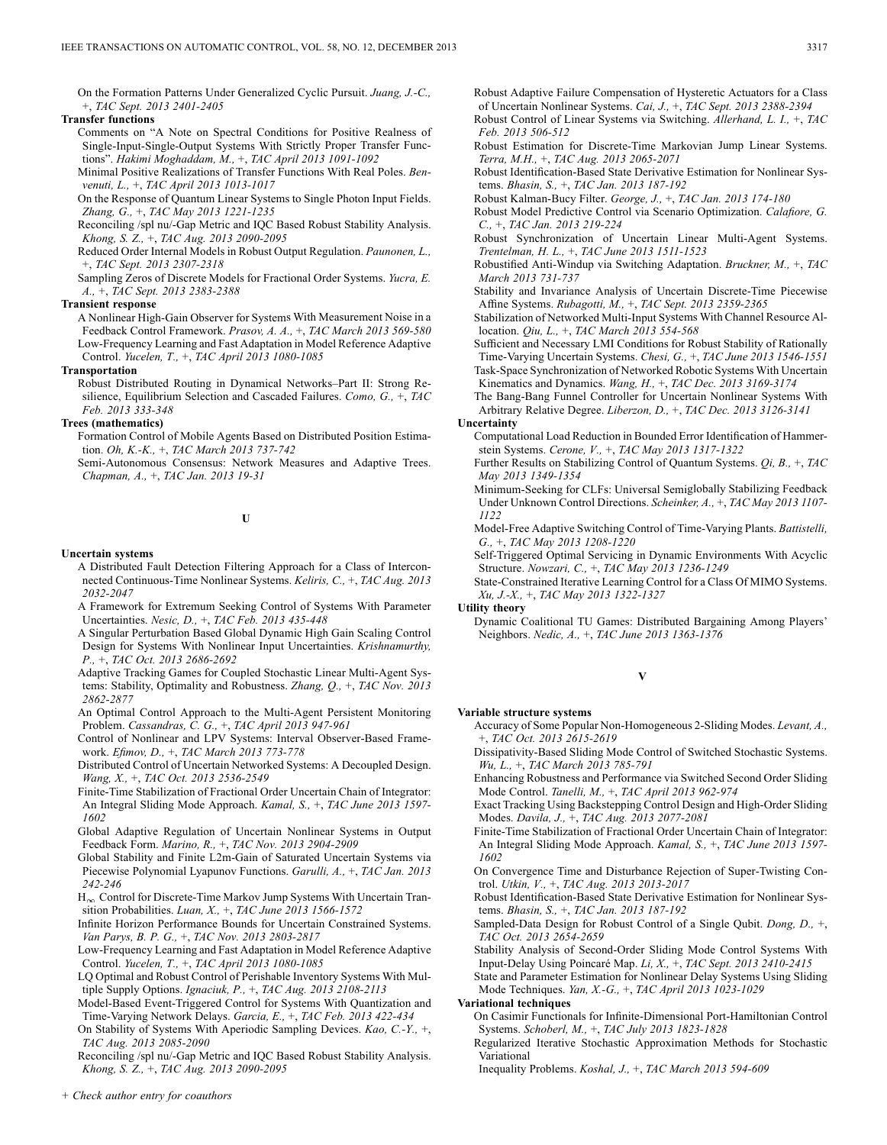On the Formation Patterns Under Generalized Cyclic Pursuit. *Juang, J.-C.,* +, *TAC Sept. 2013 2401-2405*

### **Transfer functions**

Comments on "A Note on Spectral Conditions for Positive Realness of Single-Input-Single-Output Systems With Strictly Proper Transfer Functions". *Hakimi Moghaddam, M.,* +, *TAC April 2013 1091-1092*

Minimal Positive Realizations of Transfer Functions With Real Poles. *Benvenuti, L.,* +, *TAC April 2013 1013-1017*

On the Response of Quantum Linear Systems to Single Photon Input Fields. *Zhang, G.,* +, *TAC May 2013 1221-1235*

Reconciling /spl nu/-Gap Metric and IQC Based Robust Stability Analysis. *Khong, S. Z.,* +, *TAC Aug. 2013 2090-2095*

Reduced Order Internal Models in Robust Output Regulation. *Paunonen, L.,* +, *TAC Sept. 2013 2307-2318*

Sampling Zeros of Discrete Models for Fractional Order Systems. *Yucra, E. A.,* +, *TAC Sept. 2013 2383-2388*

#### **Transient response**

A Nonlinear High-Gain Observer for Systems With Measurement Noise in a Feedback Control Framework. *Prasov, A. A.,* +, *TAC March 2013 569-580* Low-Frequency Learning and Fast Adaptation in Model Reference Adaptive Control. *Yucelen, T.,* +, *TAC April 2013 1080-1085*

#### **Transportation**

Robust Distributed Routing in Dynamical Networks–Part II: Strong Resilience, Equilibrium Selection and Cascaded Failures. *Como, G.,* +, *TAC Feb. 2013 333-348*

### **Trees (mathematics)**

Formation Control of Mobile Agents Based on Distributed Position Estimation. *Oh, K.-K.,* +, *TAC March 2013 737-742*

Semi-Autonomous Consensus: Network Measures and Adaptive Trees. *Chapman, A.,* +, *TAC Jan. 2013 19-31*

**U**

#### **Uncertain systems**

- A Distributed Fault Detection Filtering Approach for a Class of Interconnected Continuous-Time Nonlinear Systems. *Keliris, C.,* +, *TAC Aug. 2013 2032-2047*
- A Framework for Extremum Seeking Control of Systems With Parameter Uncertainties. *Nesic, D.,* +, *TAC Feb. 2013 435-448*
- A Singular Perturbation Based Global Dynamic High Gain Scaling Control Design for Systems With Nonlinear Input Uncertainties. *Krishnamurthy, P.,* +, *TAC Oct. 2013 2686-2692*
- Adaptive Tracking Games for Coupled Stochastic Linear Multi-Agent Systems: Stability, Optimality and Robustness. *Zhang, Q.,* +, *TAC Nov. 2013 2862-2877*
- An Optimal Control Approach to the Multi-Agent Persistent Monitoring Problem. *Cassandras, C. G.,* +, *TAC April 2013 947-961*

Control of Nonlinear and LPV Systems: Interval Observer-Based Framework. *Efimov, D.,* +, *TAC March 2013 773-778*

- Distributed Control of Uncertain Networked Systems: A Decoupled Design. *Wang, X.,* +, *TAC Oct. 2013 2536-2549*
- Finite-Time Stabilization of Fractional Order Uncertain Chain of Integrator: An Integral Sliding Mode Approach. *Kamal, S.,* +, *TAC June 2013 1597- 1602*
- Global Adaptive Regulation of Uncertain Nonlinear Systems in Output Feedback Form. *Marino, R.,* +, *TAC Nov. 2013 2904-2909*
- Global Stability and Finite L2m-Gain of Saturated Uncertain Systems via Piecewise Polynomial Lyapunov Functions. *Garulli, A.,* +, *TAC Jan. 2013 242-246*
- $\rm H_{\infty}$  Control for Discrete-Time Markov Jump Systems With Uncertain Transition Probabilities. *Luan, X.,* +, *TAC June 2013 1566-1572*

Infinite Horizon Performance Bounds for Uncertain Constrained Systems. *Van Parys, B. P. G.,* +, *TAC Nov. 2013 2803-2817*

Low-Frequency Learning and Fast Adaptation in Model Reference Adaptive Control. *Yucelen, T.,* +, *TAC April 2013 1080-1085*

LQ Optimal and Robust Control of Perishable Inventory Systems With Multiple Supply Options. *Ignaciuk, P.,* +, *TAC Aug. 2013 2108-2113*

Model-Based Event-Triggered Control for Systems With Quantization and Time-Varying Network Delays. *Garcia, E.,* +, *TAC Feb. 2013 422-434*

On Stability of Systems With Aperiodic Sampling Devices. *Kao, C.-Y.,* +, *TAC Aug. 2013 2085-2090*

Reconciling /spl nu/-Gap Metric and IQC Based Robust Stability Analysis. *Khong, S. Z.,* +, *TAC Aug. 2013 2090-2095*

Robust Adaptive Failure Compensation of Hysteretic Actuators for a Class of Uncertain Nonlinear Systems. *Cai, J.,* +, *TAC Sept. 2013 2388-2394* Robust Control of Linear Systems via Switching. *Allerhand, L. I.,* +, *TAC Feb. 2013 506-512*

Robust Estimation for Discrete-Time Markovian Jump Linear Systems. *Terra, M.H.,* +, *TAC Aug. 2013 2065-2071*

Robust Identification-Based State Derivative Estimation for Nonlinear Systems. *Bhasin, S.,* +, *TAC Jan. 2013 187-192*

Robust Kalman-Bucy Filter. *George, J.,* +, *TAC Jan. 2013 174-180*

Robust Model Predictive Control via Scenario Optimization. *Calafiore, G. C.,* +, *TAC Jan. 2013 219-224*

Robust Synchronization of Uncertain Linear Multi-Agent Systems. *Trentelman, H. L.,* +, *TAC June 2013 1511-1523*

Robustified Anti-Windup via Switching Adaptation. *Bruckner, M.,* +, *TAC March 2013 731-737*

Stability and Invariance Analysis of Uncertain Discrete-Time Piecewise Affine Systems. *Rubagotti, M.,* +, *TAC Sept. 2013 2359-2365*

Stabilization of Networked Multi-Input Systems With Channel Resource Allocation. *Qiu, L.,* +, *TAC March 2013 554-568*

Sufficient and Necessary LMI Conditions for Robust Stability of Rationally Time-Varying Uncertain Systems. *Chesi, G.,* +, *TAC June 2013 1546-1551* Task-Space Synchronization of Networked Robotic Systems With Uncertain

Kinematics and Dynamics. *Wang, H.,* +, *TAC Dec. 2013 3169-3174* The Bang-Bang Funnel Controller for Uncertain Nonlinear Systems With

Arbitrary Relative Degree. *Liberzon, D.,* +, *TAC Dec. 2013 3126-3141* **Uncertainty**

Computational Load Reduction in Bounded Error Identification of Hammerstein Systems. *Cerone, V.,* +, *TAC May 2013 1317-1322*

Further Results on Stabilizing Control of Quantum Systems. *Qi, B.,* +, *TAC May 2013 1349-1354*

Minimum-Seeking for CLFs: Universal Semiglobally Stabilizing Feedback Under Unknown Control Directions. *Scheinker, A.,* +, *TAC May 2013 1107- 1122*

Model-Free Adaptive Switching Control of Time-Varying Plants. *Battistelli, G.,* +, *TAC May 2013 1208-1220*

Self-Triggered Optimal Servicing in Dynamic Environments With Acyclic Structure. *Nowzari, C.,* +, *TAC May 2013 1236-1249*

State-Constrained Iterative Learning Control for a Class Of MIMO Systems. *Xu, J.-X.,* +, *TAC May 2013 1322-1327*

**Utility theory**

Dynamic Coalitional TU Games: Distributed Bargaining Among Players' Neighbors. *Nedic, A.,* +, *TAC June 2013 1363-1376*

**V**

### **Variable structure systems**

- Accuracy of Some Popular Non-Homogeneous 2-Sliding Modes. *Levant, A.,* +, *TAC Oct. 2013 2615-2619*
- Dissipativity-Based Sliding Mode Control of Switched Stochastic Systems. *Wu, L.,* +, *TAC March 2013 785-791*

Enhancing Robustness and Performance via Switched Second Order Sliding Mode Control. *Tanelli, M.,* +, *TAC April 2013 962-974*

Exact Tracking Using Backstepping Control Design and High-Order Sliding Modes. *Davila, J.,* +, *TAC Aug. 2013 2077-2081*

Finite-Time Stabilization of Fractional Order Uncertain Chain of Integrator: An Integral Sliding Mode Approach. *Kamal, S.,* +, *TAC June 2013 1597- 1602*

On Convergence Time and Disturbance Rejection of Super-Twisting Control. *Utkin, V.,* +, *TAC Aug. 2013 2013-2017*

Robust Identification-Based State Derivative Estimation for Nonlinear Systems. *Bhasin, S.,* +, *TAC Jan. 2013 187-192*

Sampled-Data Design for Robust Control of a Single Qubit. *Dong, D.,* +, *TAC Oct. 2013 2654-2659*

Stability Analysis of Second-Order Sliding Mode Control Systems With Input-Delay Using Poincaré Map. *Li, X.,* +, *TAC Sept. 2013 2410-2415*

State and Parameter Estimation for Nonlinear Delay Systems Using Sliding Mode Techniques. *Yan, X.-G.,* +, *TAC April 2013 1023-1029*

#### **Variational techniques**

On Casimir Functionals for Infinite-Dimensional Port-Hamiltonian Control Systems. *Schoberl, M.,* +, *TAC July 2013 1823-1828*

Regularized Iterative Stochastic Approximation Methods for Stochastic Variational

Inequality Problems. *Koshal, J.,* +, *TAC March 2013 594-609*